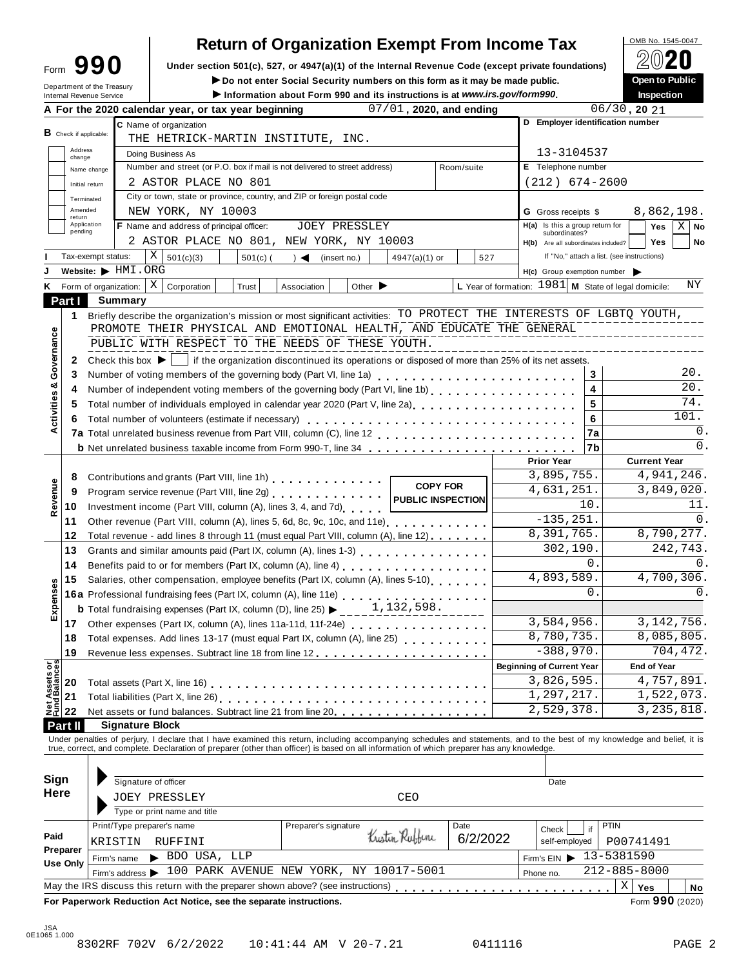# **Return of Organization Exempt From Income Tax**

Form 990 Under section 501(c), 527, or 4947(a)(1) of the Internal Revenue Code (except private foundations) <u>A</u><sup>₩</sup> A Do not enter Social Security numbers on this form as it may be made public.

**IDO not enter Social Security numbers on this form as it may be made public.**<br>
Information about Form 990 and its instructions is at www.irs.gov/form990.

|                                        |                          | Department of the Treasury<br>Internal Revenue Service           |                                                                                                                                           |                                                                                                                                                                                                                                   | ► Do not enter Social Security numbers on this form as it may be made public.<br>Information about Form 990 and its instructions is at www.irs.gov/form990. |                                    |                             |                         |            |          |                                                        |                              |                                            | Open to Public<br><b>Inspection</b> |                     |  |
|----------------------------------------|--------------------------|------------------------------------------------------------------|-------------------------------------------------------------------------------------------------------------------------------------------|-----------------------------------------------------------------------------------------------------------------------------------------------------------------------------------------------------------------------------------|-------------------------------------------------------------------------------------------------------------------------------------------------------------|------------------------------------|-----------------------------|-------------------------|------------|----------|--------------------------------------------------------|------------------------------|--------------------------------------------|-------------------------------------|---------------------|--|
|                                        |                          |                                                                  |                                                                                                                                           | A For the 2020 calendar year, or tax year beginning                                                                                                                                                                               |                                                                                                                                                             |                                    |                             | 07/01, 2020, and ending |            |          |                                                        |                              | $06/30$ , 20 $21$                          |                                     |                     |  |
|                                        |                          |                                                                  |                                                                                                                                           | C Name of organization                                                                                                                                                                                                            |                                                                                                                                                             |                                    |                             |                         |            |          | D Employer identification number                       |                              |                                            |                                     |                     |  |
|                                        | $B$ Check if applicable: |                                                                  |                                                                                                                                           | THE HETRICK-MARTIN INSTITUTE, INC.                                                                                                                                                                                                |                                                                                                                                                             |                                    |                             |                         |            |          |                                                        |                              |                                            |                                     |                     |  |
|                                        | Address<br>change        |                                                                  |                                                                                                                                           | Doing Business As                                                                                                                                                                                                                 |                                                                                                                                                             |                                    |                             |                         |            |          | 13-3104537                                             |                              |                                            |                                     |                     |  |
|                                        |                          | Name change                                                      |                                                                                                                                           | Number and street (or P.O. box if mail is not delivered to street address)                                                                                                                                                        | E Telephone number                                                                                                                                          |                                    |                             |                         |            |          |                                                        |                              |                                            |                                     |                     |  |
|                                        |                          | Initial return                                                   |                                                                                                                                           | 2 ASTOR PLACE NO 801                                                                                                                                                                                                              |                                                                                                                                                             |                                    |                             |                         |            |          | $(212)$ 674-2600                                       |                              |                                            |                                     |                     |  |
|                                        |                          | Terminated                                                       |                                                                                                                                           | City or town, state or province, country, and ZIP or foreign postal code                                                                                                                                                          |                                                                                                                                                             |                                    |                             |                         |            |          |                                                        |                              |                                            |                                     |                     |  |
|                                        | Amended                  |                                                                  |                                                                                                                                           | NEW YORK, NY 10003                                                                                                                                                                                                                |                                                                                                                                                             |                                    |                             |                         |            |          | <b>G</b> Gross receipts \$                             |                              |                                            | 8,862,198.                          |                     |  |
|                                        | return                   | Application                                                      |                                                                                                                                           | F Name and address of principal officer:                                                                                                                                                                                          |                                                                                                                                                             | <b>JOEY PRESSLEY</b>               |                             |                         |            |          | $H(a)$ Is this a group return for                      |                              |                                            | Yes                                 | $X \mid$ No         |  |
|                                        | pending                  |                                                                  |                                                                                                                                           | 2 ASTOR PLACE NO 801, NEW YORK, NY 10003                                                                                                                                                                                          |                                                                                                                                                             |                                    |                             |                         |            |          | subordinates?<br>H(b) Are all subordinates included?   |                              |                                            | <b>Yes</b>                          | No                  |  |
|                                        |                          | Tax-exempt status:                                               |                                                                                                                                           | X<br>501(c)(3)                                                                                                                                                                                                                    | $501(c)$ (                                                                                                                                                  | $\rightarrow$ $\blacktriangleleft$ | (insert no.)                | $4947(a)(1)$ or         |            | 527      |                                                        |                              | If "No," attach a list. (see instructions) |                                     |                     |  |
|                                        |                          | Website: FIMI.ORG                                                |                                                                                                                                           |                                                                                                                                                                                                                                   |                                                                                                                                                             |                                    |                             |                         |            |          | $H(c)$ Group exemption number $\triangleright$         |                              |                                            |                                     |                     |  |
|                                        |                          | K Form of organization:                                          |                                                                                                                                           | Χ<br>Corporation                                                                                                                                                                                                                  | Trust                                                                                                                                                       | Association                        | Other $\blacktriangleright$ |                         |            |          | L Year of formation: $1981$ M State of legal domicile: |                              |                                            |                                     | ΝY                  |  |
|                                        | Part I                   | Summary                                                          |                                                                                                                                           |                                                                                                                                                                                                                                   |                                                                                                                                                             |                                    |                             |                         |            |          |                                                        |                              |                                            |                                     |                     |  |
|                                        |                          |                                                                  |                                                                                                                                           | Briefly describe the organization's mission or most significant activities: TO PROTECT THE INTERESTS OF LGBTQ YOUTH,                                                                                                              |                                                                                                                                                             |                                    |                             |                         |            |          |                                                        |                              |                                            |                                     |                     |  |
|                                        | 1                        |                                                                  |                                                                                                                                           | PROMOTE THEIR PHYSICAL AND EMOTIONAL HEALTH, AND EDUCATE THE GENERAL                                                                                                                                                              |                                                                                                                                                             |                                    |                             |                         |            |          |                                                        |                              |                                            |                                     |                     |  |
|                                        |                          |                                                                  |                                                                                                                                           | PUBLIC WITH RESPECT TO THE NEEDS OF THESE YOUTH.                                                                                                                                                                                  |                                                                                                                                                             |                                    |                             |                         |            |          |                                                        |                              |                                            |                                     |                     |  |
| Governance                             |                          |                                                                  |                                                                                                                                           |                                                                                                                                                                                                                                   |                                                                                                                                                             |                                    |                             |                         |            |          |                                                        |                              |                                            |                                     |                     |  |
|                                        | 2                        | Check this box $\blacktriangleright$                             |                                                                                                                                           |                                                                                                                                                                                                                                   | If the organization discontinued its operations or disposed of more than 25% of its net assets.                                                             |                                    |                             |                         |            |          |                                                        |                              |                                            |                                     | 20.                 |  |
| ೲ                                      | 3                        |                                                                  |                                                                                                                                           | Number of voting members of the governing body (Part VI, line 1a)                                                                                                                                                                 |                                                                                                                                                             |                                    |                             |                         |            |          |                                                        | 3<br>$\overline{\mathbf{4}}$ |                                            |                                     | 20.                 |  |
|                                        | 4                        |                                                                  |                                                                                                                                           | Number of independent voting members of the governing body (Part VI, line 1b)                                                                                                                                                     |                                                                                                                                                             |                                    |                             |                         |            |          |                                                        |                              |                                            |                                     | 74.                 |  |
| Activities                             | 5                        |                                                                  |                                                                                                                                           | Total number of individuals employed in calendar year 2020 (Part V, line 2a)<br>The 2a)                                                                                                                                           |                                                                                                                                                             |                                    |                             |                         |            |          |                                                        | 5                            |                                            |                                     | 101.                |  |
|                                        | 6                        |                                                                  |                                                                                                                                           | Total number of volunteers (estimate if necessary)                                                                                                                                                                                |                                                                                                                                                             |                                    |                             |                         |            |          |                                                        | 6                            |                                            |                                     |                     |  |
|                                        |                          |                                                                  |                                                                                                                                           |                                                                                                                                                                                                                                   |                                                                                                                                                             |                                    |                             |                         |            |          |                                                        | 7a                           |                                            |                                     | 0.<br>$\mathbf 0$ . |  |
|                                        |                          |                                                                  |                                                                                                                                           | <b>b</b> Net unrelated business taxable income from Form 990-T, line 34                                                                                                                                                           |                                                                                                                                                             |                                    |                             |                         |            |          |                                                        | 7b                           |                                            |                                     |                     |  |
|                                        |                          |                                                                  |                                                                                                                                           |                                                                                                                                                                                                                                   |                                                                                                                                                             |                                    |                             |                         |            |          | <b>Prior Year</b>                                      |                              |                                            | <b>Current Year</b>                 |                     |  |
|                                        | 8                        | Contributions and grants (Part VIII, line 1h)<br><b>COPY FOR</b> |                                                                                                                                           |                                                                                                                                                                                                                                   |                                                                                                                                                             |                                    |                             |                         |            |          |                                                        | 3,895,755.<br>4,631,251.     | 4,941,246.                                 |                                     |                     |  |
|                                        | 9                        |                                                                  | Program service revenue (Part VIII, line 2g)<br><b>PUBLIC INSPECTION</b><br>Investment income (Part VIII, column (A), lines 3, 4, and 7d) |                                                                                                                                                                                                                                   |                                                                                                                                                             |                                    |                             |                         |            |          |                                                        |                              | 3,849,020.                                 |                                     |                     |  |
| Revenue                                | 10                       |                                                                  |                                                                                                                                           |                                                                                                                                                                                                                                   |                                                                                                                                                             | 11.                                |                             |                         |            |          |                                                        |                              |                                            |                                     |                     |  |
|                                        | 11                       |                                                                  |                                                                                                                                           | Other revenue (Part VIII, column (A), lines 5, 6d, 8c, 9c, 10c, and 11e)                                                                                                                                                          |                                                                                                                                                             |                                    |                             |                         |            |          | $-135, 251.$                                           |                              |                                            |                                     | 0.                  |  |
|                                        | 12                       |                                                                  |                                                                                                                                           | Total revenue - add lines 8 through 11 (must equal Part VIII, column (A), line 12)                                                                                                                                                |                                                                                                                                                             |                                    |                             |                         |            |          | 8,391,765.                                             |                              |                                            | 8,790,277.                          |                     |  |
|                                        | 13                       |                                                                  |                                                                                                                                           | Grants and similar amounts paid (Part IX, column (A), lines 1-3) [10] Crants and similar amounts paid (Part IX, column (A), lines 1-3)                                                                                            |                                                                                                                                                             |                                    |                             |                         |            |          |                                                        | 302,190.<br>0.               |                                            |                                     | 242,743.            |  |
|                                        | 14                       |                                                                  |                                                                                                                                           | Benefits paid to or for members (Part IX, column (A), line 4)                                                                                                                                                                     |                                                                                                                                                             |                                    |                             |                         | $\Omega$ . |          |                                                        |                              |                                            |                                     |                     |  |
|                                        | 15                       |                                                                  | Salaries, other compensation, employee benefits (Part IX, column (A), lines 5-10)                                                         |                                                                                                                                                                                                                                   |                                                                                                                                                             |                                    |                             |                         |            |          |                                                        | 4,893,589.                   |                                            |                                     | 4,700,306.<br>0.    |  |
| Expenses                               |                          |                                                                  | 16a Professional fundraising fees (Part IX, column (A), line 11e)<br>16a Professional fundraising fees (Part IX, column (A), line 11e)    |                                                                                                                                                                                                                                   |                                                                                                                                                             |                                    |                             |                         |            |          |                                                        |                              | $\Omega$ .                                 |                                     |                     |  |
|                                        |                          |                                                                  |                                                                                                                                           | <b>b</b> Total fundraising expenses (Part IX, column (D), line 25) $\blacktriangleright$                                                                                                                                          |                                                                                                                                                             |                                    |                             | 1,132,598.              |            |          | 3,584,956.                                             |                              |                                            |                                     |                     |  |
|                                        | 17                       |                                                                  | Other expenses (Part IX, column (A), lines 11a-11d, 11f-24e)                                                                              |                                                                                                                                                                                                                                   |                                                                                                                                                             |                                    |                             |                         |            |          |                                                        |                              |                                            | 3, 142, 756.                        |                     |  |
|                                        | 18                       |                                                                  | Total expenses. Add lines 13-17 (must equal Part IX, column (A), line 25)                                                                 |                                                                                                                                                                                                                                   |                                                                                                                                                             |                                    |                             |                         |            |          |                                                        |                              | 8,085,805.                                 |                                     |                     |  |
|                                        | 19                       |                                                                  |                                                                                                                                           |                                                                                                                                                                                                                                   |                                                                                                                                                             |                                    |                             |                         |            |          | $-388,970.$                                            |                              |                                            |                                     | 704, 472.           |  |
| <b>Net Assets or<br/>Fund Balances</b> |                          |                                                                  |                                                                                                                                           |                                                                                                                                                                                                                                   |                                                                                                                                                             |                                    |                             |                         |            |          | <b>Beginning of Current Year</b>                       |                              |                                            | <b>End of Year</b>                  |                     |  |
|                                        | 20                       |                                                                  |                                                                                                                                           |                                                                                                                                                                                                                                   |                                                                                                                                                             |                                    |                             |                         |            |          | 3,826,595.                                             |                              | 4,757,891.                                 |                                     |                     |  |
|                                        | 21                       |                                                                  |                                                                                                                                           | Total liabilities (Part X, line 26) [14] [2001] [2010] [2010] [2010] [2010] [2010] [2010] [2010] [2010] [2010                                                                                                                     |                                                                                                                                                             |                                    |                             |                         |            |          | 1,297,217.                                             |                              | 1,522,073.                                 |                                     |                     |  |
|                                        | 22                       |                                                                  |                                                                                                                                           | Net assets or fund balances. Subtract line 21 from line 20 <b></b>                                                                                                                                                                |                                                                                                                                                             |                                    |                             |                         |            |          | 2,529,378.                                             |                              |                                            | 3, 235, 818.                        |                     |  |
|                                        | Part II                  |                                                                  |                                                                                                                                           | <b>Signature Block</b>                                                                                                                                                                                                            |                                                                                                                                                             |                                    |                             |                         |            |          |                                                        |                              |                                            |                                     |                     |  |
|                                        |                          |                                                                  |                                                                                                                                           | Under penalties of perjury, I declare that I have examined this return, including accompanying schedules and statements, and to the best of my knowledge and belief, it is<br>true, correct, and complete. Declaration of prepare |                                                                                                                                                             |                                    |                             |                         |            |          |                                                        |                              |                                            |                                     |                     |  |
|                                        |                          |                                                                  |                                                                                                                                           |                                                                                                                                                                                                                                   |                                                                                                                                                             |                                    |                             |                         |            |          |                                                        |                              |                                            |                                     |                     |  |
|                                        |                          |                                                                  |                                                                                                                                           |                                                                                                                                                                                                                                   |                                                                                                                                                             |                                    |                             |                         |            |          |                                                        |                              |                                            |                                     |                     |  |
| Sign                                   |                          |                                                                  |                                                                                                                                           | Signature of officer                                                                                                                                                                                                              |                                                                                                                                                             |                                    |                             |                         |            |          | Date                                                   |                              |                                            |                                     |                     |  |
| Here                                   |                          |                                                                  |                                                                                                                                           | JOEY PRESSLEY                                                                                                                                                                                                                     |                                                                                                                                                             |                                    |                             | CEO                     |            |          |                                                        |                              |                                            |                                     |                     |  |
|                                        |                          |                                                                  |                                                                                                                                           | Type or print name and title                                                                                                                                                                                                      |                                                                                                                                                             |                                    |                             |                         |            |          |                                                        |                              |                                            |                                     |                     |  |
|                                        |                          |                                                                  |                                                                                                                                           | Print/Type preparer's name                                                                                                                                                                                                        |                                                                                                                                                             | Preparer's signature               |                             |                         |            | Date     | Check                                                  | if                           | PTIN                                       |                                     |                     |  |
| Paid                                   |                          | KRISTIN                                                          |                                                                                                                                           | RUFFINI                                                                                                                                                                                                                           |                                                                                                                                                             |                                    |                             | Kustin Rubbini          |            | 6/2/2022 | self-employed                                          |                              | P00741491                                  |                                     |                     |  |
|                                        | Preparer                 | Firm's name                                                      |                                                                                                                                           | BDO USA, LLP                                                                                                                                                                                                                      |                                                                                                                                                             |                                    |                             |                         |            |          | Firm's EIN $\triangleright$ 13-5381590                 |                              |                                            |                                     |                     |  |
|                                        | <b>Use Only</b>          |                                                                  |                                                                                                                                           | Firm's address > 100 PARK AVENUE NEW YORK, NY 10017-5001                                                                                                                                                                          |                                                                                                                                                             |                                    |                             |                         |            |          | Phone no.                                              |                              | $212 - 885 - 8000$                         |                                     |                     |  |
|                                        |                          |                                                                  |                                                                                                                                           | May the IRS discuss this return with the preparer shown above? (see instructions)                                                                                                                                                 |                                                                                                                                                             |                                    |                             |                         |            |          |                                                        |                              | $\mathbf X$                                | Yes                                 | No                  |  |
|                                        |                          |                                                                  |                                                                                                                                           | For Paperwork Reduction Act Notice, see the separate instructions.                                                                                                                                                                |                                                                                                                                                             |                                    |                             |                         |            |          |                                                        |                              |                                            | Form 990 (2020)                     |                     |  |
|                                        |                          |                                                                  |                                                                                                                                           |                                                                                                                                                                                                                                   |                                                                                                                                                             |                                    |                             |                         |            |          |                                                        |                              |                                            |                                     |                     |  |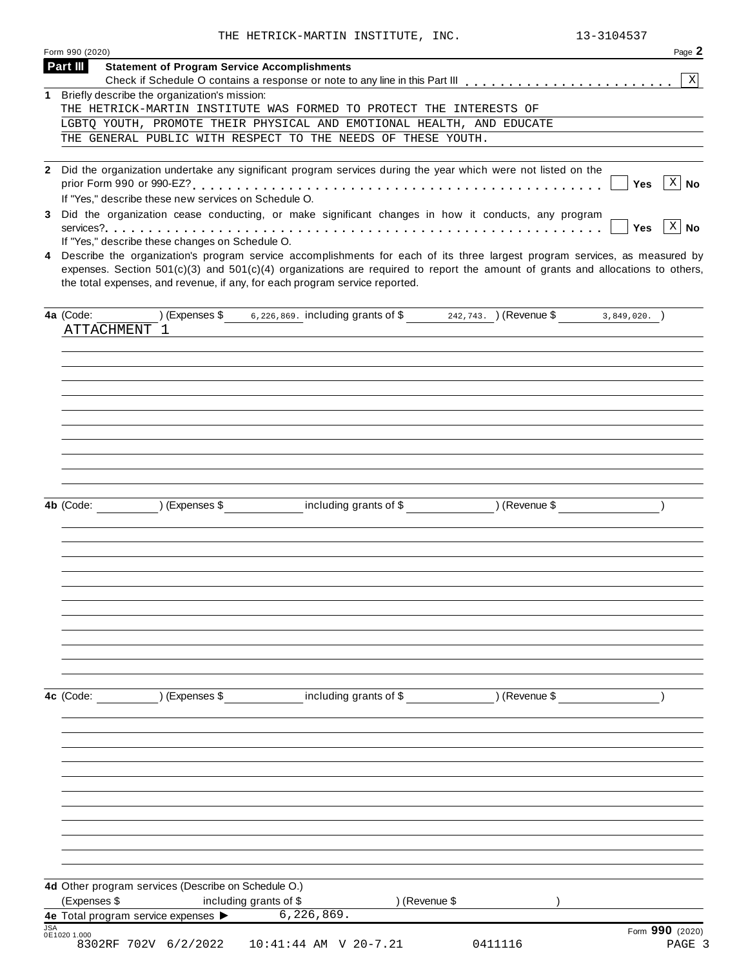THE HETRICK-MARTIN INSTITUTE, INC. 13-3104537

| Form 990 (2020)<br>Part III |                                                                                                                                                                                                                                                                                                                                                                                                                                                                                                                                                                                                                                                                                      | Page 2                                                |
|-----------------------------|--------------------------------------------------------------------------------------------------------------------------------------------------------------------------------------------------------------------------------------------------------------------------------------------------------------------------------------------------------------------------------------------------------------------------------------------------------------------------------------------------------------------------------------------------------------------------------------------------------------------------------------------------------------------------------------|-------------------------------------------------------|
|                             | <b>Statement of Program Service Accomplishments</b>                                                                                                                                                                                                                                                                                                                                                                                                                                                                                                                                                                                                                                  | $\mathbf{X}$                                          |
|                             | 1 Briefly describe the organization's mission:                                                                                                                                                                                                                                                                                                                                                                                                                                                                                                                                                                                                                                       |                                                       |
|                             | THE HETRICK-MARTIN INSTITUTE WAS FORMED TO PROTECT THE INTERESTS OF                                                                                                                                                                                                                                                                                                                                                                                                                                                                                                                                                                                                                  |                                                       |
|                             | LGBTQ YOUTH, PROMOTE THEIR PHYSICAL AND EMOTIONAL HEALTH, AND EDUCATE                                                                                                                                                                                                                                                                                                                                                                                                                                                                                                                                                                                                                |                                                       |
|                             | THE GENERAL PUBLIC WITH RESPECT TO THE NEEDS OF THESE YOUTH.                                                                                                                                                                                                                                                                                                                                                                                                                                                                                                                                                                                                                         |                                                       |
| 3                           | 2 Did the organization undertake any significant program services during the year which were not listed on the<br>If "Yes," describe these new services on Schedule O.<br>Did the organization cease conducting, or make significant changes in how it conducts, any program<br>If "Yes," describe these changes on Schedule O.<br>4 Describe the organization's program service accomplishments for each of its three largest program services, as measured by<br>expenses. Section $501(c)(3)$ and $501(c)(4)$ organizations are required to report the amount of grants and allocations to others,<br>the total expenses, and revenue, if any, for each program service reported. | $ X $ No<br>Yes<br>$\vert$ X $\vert$ No<br><b>Yes</b> |
| 4a (Code:                   | (Expenses \$ 6,226,869. including grants of \$ 242,743. ) (Revenue \$ 3,849,020. )<br>ATTACHMENT 1                                                                                                                                                                                                                                                                                                                                                                                                                                                                                                                                                                                   |                                                       |
|                             | including grants of \$ (Revenue \$)<br>4b (Code: ) (Expenses \$                                                                                                                                                                                                                                                                                                                                                                                                                                                                                                                                                                                                                      |                                                       |
|                             |                                                                                                                                                                                                                                                                                                                                                                                                                                                                                                                                                                                                                                                                                      |                                                       |
|                             | 4d Other program services (Describe on Schedule O.)                                                                                                                                                                                                                                                                                                                                                                                                                                                                                                                                                                                                                                  |                                                       |
| (Expenses \$                | including grants of \$<br>) (Revenue \$<br>6, 226, 869.<br>4e Total program service expenses >                                                                                                                                                                                                                                                                                                                                                                                                                                                                                                                                                                                       |                                                       |
| <b>JSA</b><br>0E1020 1.000  |                                                                                                                                                                                                                                                                                                                                                                                                                                                                                                                                                                                                                                                                                      | Form 990 (2020)                                       |
|                             | 8302RF 702V 6/2/2022<br>10:41:44 AM V 20-7.21<br>0411116                                                                                                                                                                                                                                                                                                                                                                                                                                                                                                                                                                                                                             | PAGE 3                                                |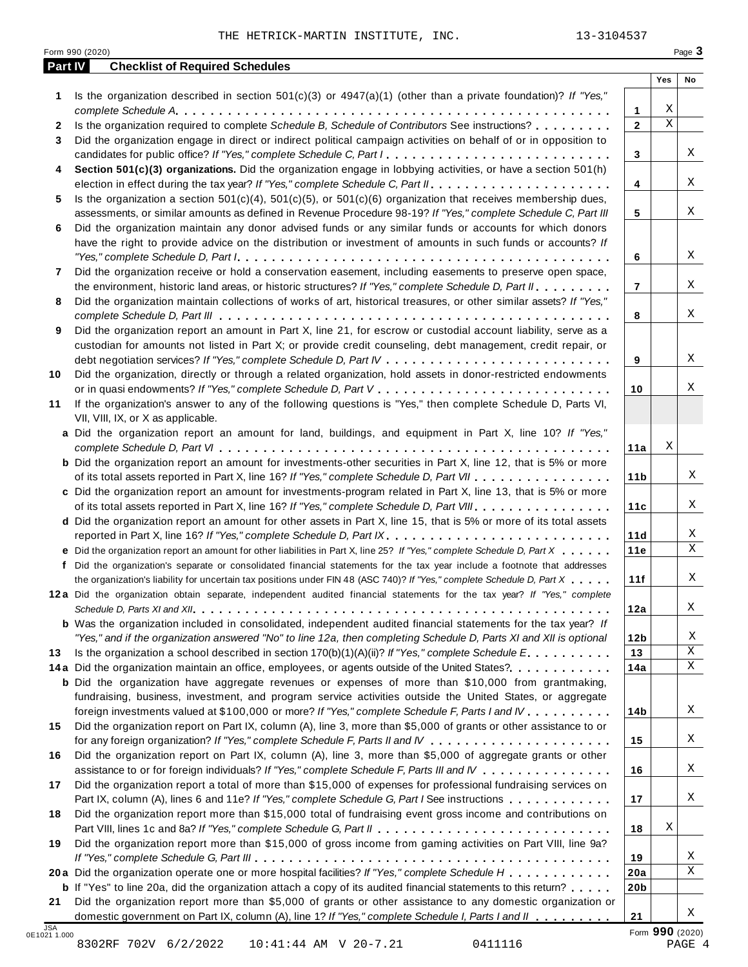| Part IV      | <b>Checklist of Required Schedules</b>                                                                                  |                 |             |    |
|--------------|-------------------------------------------------------------------------------------------------------------------------|-----------------|-------------|----|
|              |                                                                                                                         |                 | Yes         | No |
| 1            | Is the organization described in section $501(c)(3)$ or $4947(a)(1)$ (other than a private foundation)? If "Yes,"       |                 |             |    |
|              |                                                                                                                         | 1               | Χ           |    |
| $\mathbf{2}$ | Is the organization required to complete Schedule B, Schedule of Contributors See instructions?                         | $\mathbf{2}$    | $\mathbf X$ |    |
| 3            | Did the organization engage in direct or indirect political campaign activities on behalf of or in opposition to        |                 |             |    |
|              | candidates for public office? If "Yes," complete Schedule C, Part I.                                                    | 3               |             | Χ  |
| 4            | Section 501(c)(3) organizations. Did the organization engage in lobbying activities, or have a section 501(h)           |                 |             |    |
|              |                                                                                                                         | 4               |             | X  |
| 5            | Is the organization a section $501(c)(4)$ , $501(c)(5)$ , or $501(c)(6)$ organization that receives membership dues,    |                 |             | Χ  |
|              | assessments, or similar amounts as defined in Revenue Procedure 98-19? If "Yes," complete Schedule C, Part III          | 5               |             |    |
| 6            | Did the organization maintain any donor advised funds or any similar funds or accounts for which donors                 |                 |             |    |
|              | have the right to provide advice on the distribution or investment of amounts in such funds or accounts? If             |                 |             | X  |
|              |                                                                                                                         | 6               |             |    |
| 7            | Did the organization receive or hold a conservation easement, including easements to preserve open space,               |                 |             | Χ  |
|              | the environment, historic land areas, or historic structures? If "Yes," complete Schedule D, Part II.                   | $\overline{7}$  |             |    |
| 8            | Did the organization maintain collections of works of art, historical treasures, or other similar assets? If "Yes,"     |                 |             | Χ  |
|              | Did the organization report an amount in Part X, line 21, for escrow or custodial account liability, serve as a         | 8               |             |    |
| 9            | custodian for amounts not listed in Part X; or provide credit counseling, debt management, credit repair, or            |                 |             |    |
|              |                                                                                                                         | 9               |             | X  |
| 10           | Did the organization, directly or through a related organization, hold assets in donor-restricted endowments            |                 |             |    |
|              |                                                                                                                         | 10              |             | Χ  |
| 11           | If the organization's answer to any of the following questions is "Yes," then complete Schedule D, Parts VI,            |                 |             |    |
|              | VII, VIII, IX, or X as applicable.                                                                                      |                 |             |    |
|              | a Did the organization report an amount for land, buildings, and equipment in Part X, line 10? If "Yes,"                |                 |             |    |
|              |                                                                                                                         | 11a             | Χ           |    |
|              | <b>b</b> Did the organization report an amount for investments-other securities in Part X, line 12, that is 5% or more  |                 |             |    |
|              | of its total assets reported in Part X, line 16? If "Yes," complete Schedule D, Part VII                                | 11 <sub>b</sub> |             | Χ  |
|              | c Did the organization report an amount for investments-program related in Part X, line 13, that is 5% or more          |                 |             |    |
|              | of its total assets reported in Part X, line 16? If "Yes," complete Schedule D, Part VIII                               | 11c             |             | Χ  |
|              | d Did the organization report an amount for other assets in Part X, line 15, that is 5% or more of its total assets     |                 |             |    |
|              | reported in Part X, line 16? If "Yes," complete Schedule D, Part IX.                                                    | 11d             |             | Χ  |
|              | e Did the organization report an amount for other liabilities in Part X, line 25? If "Yes," complete Schedule D, Part X | 11e             |             | Χ  |
| f            | Did the organization's separate or consolidated financial statements for the tax year include a footnote that addresses |                 |             |    |
|              | the organization's liability for uncertain tax positions under FIN 48 (ASC 740)? If "Yes," complete Schedule D, Part X  | 11f             |             | Χ  |
|              | 12a Did the organization obtain separate, independent audited financial statements for the tax year? If "Yes," complete |                 |             |    |
|              |                                                                                                                         | 12a             |             | Χ  |
|              | <b>b</b> Was the organization included in consolidated, independent audited financial statements for the tax year? If   |                 |             |    |
|              | "Yes," and if the organization answered "No" to line 12a, then completing Schedule D, Parts XI and XII is optional      | 12 <sub>b</sub> |             | Χ  |
| 13           | Is the organization a school described in section $170(b)(1)(A)(ii)$ ? If "Yes," complete Schedule E.                   | 13              |             | Χ  |
|              | 14a Did the organization maintain an office, employees, or agents outside of the United States?.                        | 14a             |             | X  |
|              | <b>b</b> Did the organization have aggregate revenues or expenses of more than \$10,000 from grantmaking,               |                 |             |    |
|              | fundraising, business, investment, and program service activities outside the United States, or aggregate               |                 |             |    |
|              | foreign investments valued at \$100,000 or more? If "Yes," complete Schedule F, Parts I and IV                          | 14b             |             | Χ  |
| 15           | Did the organization report on Part IX, column (A), line 3, more than \$5,000 of grants or other assistance to or       |                 |             |    |
|              |                                                                                                                         | 15              |             | Χ  |
| 16           | Did the organization report on Part IX, column (A), line 3, more than \$5,000 of aggregate grants or other              |                 |             |    |
|              | assistance to or for foreign individuals? If "Yes," complete Schedule F, Parts III and IV                               | 16              |             | Χ  |
| 17           | Did the organization report a total of more than \$15,000 of expenses for professional fundraising services on          |                 |             |    |
|              | Part IX, column (A), lines 6 and 11e? If "Yes," complete Schedule G, Part I See instructions                            | 17              |             | Χ  |
| 18           | Did the organization report more than \$15,000 total of fundraising event gross income and contributions on             |                 |             |    |
|              |                                                                                                                         | 18              | Χ           |    |
| 19           | Did the organization report more than \$15,000 of gross income from gaming activities on Part VIII, line 9a?            |                 |             |    |
|              |                                                                                                                         | 19              |             | Χ  |
|              | 20a Did the organization operate one or more hospital facilities? If "Yes," complete Schedule H                         | 20a             |             | X  |
|              | <b>b</b> If "Yes" to line 20a, did the organization attach a copy of its audited financial statements to this return?   | 20 <sub>b</sub> |             |    |
|              |                                                                                                                         |                 |             |    |
| 21           | Did the organization report more than \$5,000 of grants or other assistance to any domestic organization or             |                 |             |    |

8302RF 702V 6/2/2022 10:41:44 AM V 20-7.21 0411116 PAGE 4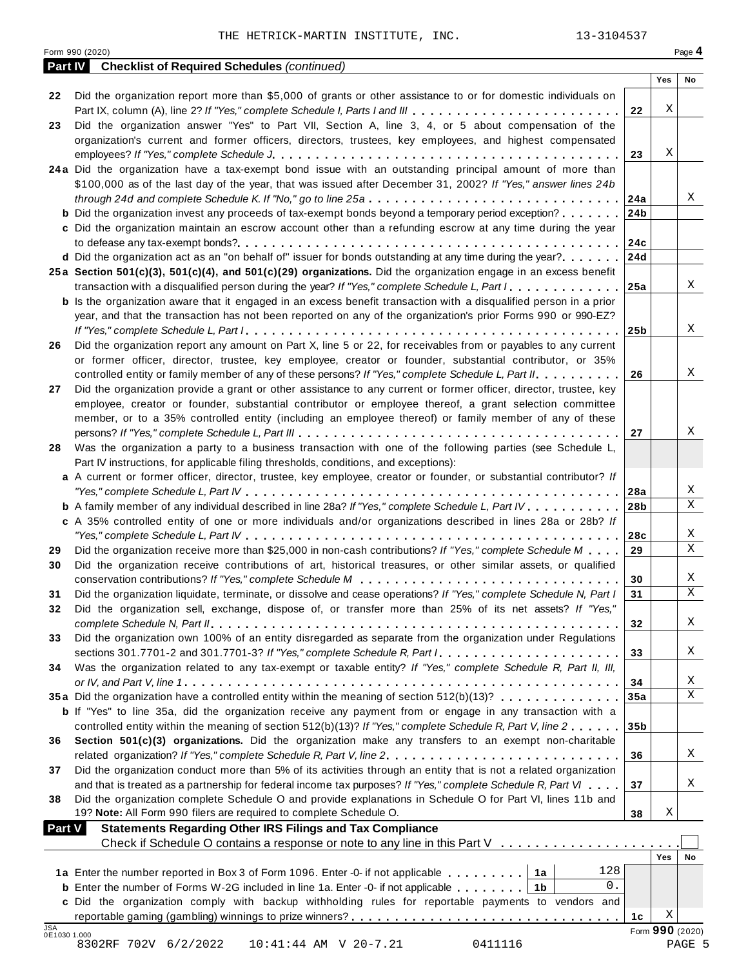|               | <b>Part IV</b> Checklist of Required Schedules (continued)                                                                                                                                                                                |                 |     |                 |
|---------------|-------------------------------------------------------------------------------------------------------------------------------------------------------------------------------------------------------------------------------------------|-----------------|-----|-----------------|
|               |                                                                                                                                                                                                                                           |                 | Yes | No              |
| 22            | Did the organization report more than \$5,000 of grants or other assistance to or for domestic individuals on                                                                                                                             |                 |     |                 |
|               |                                                                                                                                                                                                                                           | 22              | Χ   |                 |
| 23            | Did the organization answer "Yes" to Part VII, Section A, line 3, 4, or 5 about compensation of the                                                                                                                                       |                 |     |                 |
|               | organization's current and former officers, directors, trustees, key employees, and highest compensated                                                                                                                                   |                 |     |                 |
|               |                                                                                                                                                                                                                                           | 23              | Χ   |                 |
|               | 24a Did the organization have a tax-exempt bond issue with an outstanding principal amount of more than                                                                                                                                   |                 |     |                 |
|               | \$100,000 as of the last day of the year, that was issued after December 31, 2002? If "Yes," answer lines 24b                                                                                                                             |                 |     |                 |
|               |                                                                                                                                                                                                                                           | 24a             |     | Χ               |
|               | <b>b</b> Did the organization invest any proceeds of tax-exempt bonds beyond a temporary period exception?                                                                                                                                | 24b             |     |                 |
|               | c Did the organization maintain an escrow account other than a refunding escrow at any time during the year                                                                                                                               |                 |     |                 |
|               |                                                                                                                                                                                                                                           | 24c             |     |                 |
|               | <b>d</b> Did the organization act as an "on behalf of" issuer for bonds outstanding at any time during the year? 24d                                                                                                                      |                 |     |                 |
|               | 25a Section 501(c)(3), 501(c)(4), and 501(c)(29) organizations. Did the organization engage in an excess benefit                                                                                                                          |                 |     | X               |
|               | transaction with a disqualified person during the year? If "Yes," complete Schedule L, Part I                                                                                                                                             | 25a             |     |                 |
|               | <b>b</b> Is the organization aware that it engaged in an excess benefit transaction with a disqualified person in a prior<br>year, and that the transaction has not been reported on any of the organization's prior Forms 990 or 990-EZ? |                 |     |                 |
|               |                                                                                                                                                                                                                                           |                 |     | Χ               |
|               | Did the organization report any amount on Part X, line 5 or 22, for receivables from or payables to any current                                                                                                                           | 25 <sub>b</sub> |     |                 |
| 26            | or former officer, director, trustee, key employee, creator or founder, substantial contributor, or 35%                                                                                                                                   |                 |     |                 |
|               | controlled entity or family member of any of these persons? If "Yes," complete Schedule L, Part II.                                                                                                                                       | 26              |     | X               |
|               | Did the organization provide a grant or other assistance to any current or former officer, director, trustee, key                                                                                                                         |                 |     |                 |
| 27            | employee, creator or founder, substantial contributor or employee thereof, a grant selection committee                                                                                                                                    |                 |     |                 |
|               | member, or to a 35% controlled entity (including an employee thereof) or family member of any of these                                                                                                                                    |                 |     |                 |
|               |                                                                                                                                                                                                                                           | 27              |     | Χ               |
| 28            | Was the organization a party to a business transaction with one of the following parties (see Schedule L,                                                                                                                                 |                 |     |                 |
|               | Part IV instructions, for applicable filing thresholds, conditions, and exceptions):                                                                                                                                                      |                 |     |                 |
|               | a A current or former officer, director, trustee, key employee, creator or founder, or substantial contributor? If                                                                                                                        |                 |     |                 |
|               |                                                                                                                                                                                                                                           | 28a             |     | Χ               |
|               | <b>b</b> A family member of any individual described in line 28a? If "Yes," complete Schedule L, Part IV.                                                                                                                                 | 28 <sub>b</sub> |     | $\mathbf X$     |
|               | c A 35% controlled entity of one or more individuals and/or organizations described in lines 28a or 28b? If                                                                                                                               |                 |     |                 |
|               |                                                                                                                                                                                                                                           | 28c             |     | X               |
| 29            | Did the organization receive more than \$25,000 in non-cash contributions? If "Yes," complete Schedule M                                                                                                                                  | 29              |     | $\mathbf X$     |
| 30            | Did the organization receive contributions of art, historical treasures, or other similar assets, or qualified                                                                                                                            |                 |     |                 |
|               |                                                                                                                                                                                                                                           | 30              |     | X               |
| 31            | Did the organization liquidate, terminate, or dissolve and cease operations? If "Yes," complete Schedule N, Part I                                                                                                                        | 31              |     | $\mathbf X$     |
| 32            | Did the organization sell, exchange, dispose of, or transfer more than 25% of its net assets? If "Yes,"                                                                                                                                   |                 |     |                 |
|               |                                                                                                                                                                                                                                           | 32              |     | Χ               |
| 33            | Did the organization own 100% of an entity disregarded as separate from the organization under Regulations                                                                                                                                |                 |     |                 |
|               |                                                                                                                                                                                                                                           | 33              |     | Χ               |
| 34            | Was the organization related to any tax-exempt or taxable entity? If "Yes," complete Schedule R, Part II, III,                                                                                                                            |                 |     |                 |
|               |                                                                                                                                                                                                                                           | 34              |     | X               |
|               | 35a Did the organization have a controlled entity within the meaning of section 512(b)(13)?                                                                                                                                               | 35a             |     | X               |
|               | <b>b</b> If "Yes" to line 35a, did the organization receive any payment from or engage in any transaction with a                                                                                                                          |                 |     |                 |
|               | controlled entity within the meaning of section 512(b)(13)? If "Yes," complete Schedule R, Part V, line 2                                                                                                                                 | 35 <sub>b</sub> |     |                 |
| 36            | Section 501(c)(3) organizations. Did the organization make any transfers to an exempt non-charitable                                                                                                                                      |                 |     |                 |
|               | related organization? If "Yes," complete Schedule R, Part V, line 2.                                                                                                                                                                      | 36              |     | Χ               |
| 37            | Did the organization conduct more than 5% of its activities through an entity that is not a related organization                                                                                                                          |                 |     |                 |
|               | and that is treated as a partnership for federal income tax purposes? If "Yes," complete Schedule R, Part VI                                                                                                                              | 37              |     | Χ               |
| 38            | Did the organization complete Schedule O and provide explanations in Schedule O for Part VI, lines 11b and                                                                                                                                |                 |     |                 |
|               | 19? Note: All Form 990 filers are required to complete Schedule O.                                                                                                                                                                        | 38              | Χ   |                 |
| <b>Part V</b> | <b>Statements Regarding Other IRS Filings and Tax Compliance</b>                                                                                                                                                                          |                 |     |                 |
|               | Check if Schedule O contains a response or note to any line in this Part V                                                                                                                                                                |                 |     |                 |
|               |                                                                                                                                                                                                                                           |                 | Yes | No              |
|               | 128<br>1a Enter the number reported in Box 3 of Form 1096. Enter -0- if not applicable   1a                                                                                                                                               |                 |     |                 |
|               | 0.<br><b>b</b> Enter the number of Forms W-2G included in line 1a. Enter -0- if not applicable $\dots \dots$                                                                                                                              |                 |     |                 |
|               | c Did the organization comply with backup withholding rules for reportable payments to vendors and                                                                                                                                        |                 | Χ   |                 |
| JSA           |                                                                                                                                                                                                                                           | 1с              |     | Form 990 (2020) |
| 0E1030 1.000  | 8302RF 702V 6/2/2022<br>10:41:44 AM V 20-7.21<br>0411116                                                                                                                                                                                  |                 |     | PAGE 5          |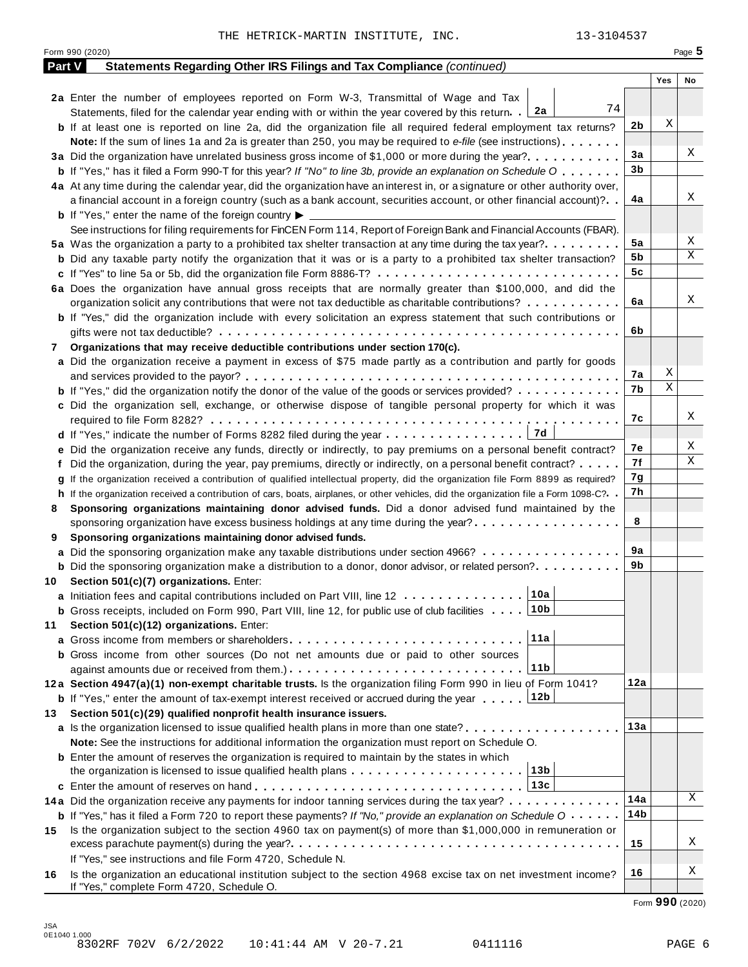|        | Form 990 (2020)                                                                                                                            |     | Page 5 |
|--------|--------------------------------------------------------------------------------------------------------------------------------------------|-----|--------|
| Part V | Statements Regarding Other IRS Filings and Tax Compliance (continued)                                                                      |     |        |
|        |                                                                                                                                            | Yes | No     |
|        | 2a Enter the number of employees reported on Form W-3, Transmittal of Wage and Tax                                                         |     |        |
|        | 74<br>Statements, filed for the calendar year ending with or within the year covered by this return. [2a                                   |     |        |
|        | 2b<br><b>b</b> If at least one is reported on line 2a, did the organization file all required federal employment tax returns?              | Χ   |        |
|        | <b>Note:</b> If the sum of lines 1a and 2a is greater than 250, you may be required to e-file (see instructions).                          |     |        |
|        | 3a<br>3a Did the organization have unrelated business gross income of \$1,000 or more during the year?                                     |     | Χ      |
|        | 3b<br><b>b</b> If "Yes," has it filed a Form 990-T for this year? If "No" to line 3b, provide an explanation on Schedule O                 |     |        |
|        | 4a At any time during the calendar year, did the organization have an interest in, or a signature or other authority over,                 |     |        |
|        | 4a<br>a financial account in a foreign country (such as a bank account, securities account, or other financial account)?                   |     | Χ      |
|        | <b>b</b> If "Yes," enter the name of the foreign country $\blacktriangleright$                                                             |     |        |
|        | See instructions for filing requirements for FinCEN Form 114, Report of Foreign Bank and Financial Accounts (FBAR).                        |     |        |
|        | 5a<br>5a Was the organization a party to a prohibited tax shelter transaction at any time during the tax year?.                            |     | Χ      |
|        | 5b<br><b>b</b> Did any taxable party notify the organization that it was or is a party to a prohibited tax shelter transaction?            |     | Χ      |
|        | 5c                                                                                                                                         |     |        |
|        | 6a Does the organization have annual gross receipts that are normally greater than \$100,000, and did the                                  |     |        |
|        | 6a<br>organization solicit any contributions that were not tax deductible as charitable contributions?                                     |     | Χ      |
|        | <b>b</b> If "Yes," did the organization include with every solicitation an express statement that such contributions or                    |     |        |
|        | 6b                                                                                                                                         |     |        |
| 7      | Organizations that may receive deductible contributions under section 170(c).                                                              |     |        |
|        | a Did the organization receive a payment in excess of \$75 made partly as a contribution and partly for goods                              |     |        |
|        | 7а                                                                                                                                         | X   |        |
|        | 7b<br><b>b</b> If "Yes," did the organization notify the donor of the value of the goods or services provided?                             | Χ   |        |
|        | c Did the organization sell, exchange, or otherwise dispose of tangible personal property for which it was                                 |     |        |
|        | 7c                                                                                                                                         |     | Χ      |
|        | d If "Yes," indicate the number of Forms 8282 filed during the year 7d                                                                     |     |        |
|        | 7e<br>e Did the organization receive any funds, directly or indirectly, to pay premiums on a personal benefit contract?                    |     | Χ      |
|        | 7f<br>Did the organization, during the year, pay premiums, directly or indirectly, on a personal benefit contract?                         |     | Χ      |
|        | 7g<br>If the organization received a contribution of qualified intellectual property, did the organization file Form 8899 as required?     |     |        |
|        | 7h<br>h If the organization received a contribution of cars, boats, airplanes, or other vehicles, did the organization file a Form 1098-C? |     |        |
| 8      | Sponsoring organizations maintaining donor advised funds. Did a donor advised fund maintained by the                                       |     |        |
|        | 8<br>sponsoring organization have excess business holdings at any time during the year?                                                    |     |        |
| 9      | Sponsoring organizations maintaining donor advised funds.                                                                                  |     |        |
|        | 9a<br>a Did the sponsoring organization make any taxable distributions under section 4966?                                                 |     |        |
|        | 9b<br><b>b</b> Did the sponsoring organization make a distribution to a donor, donor advisor, or related person?                           |     |        |
|        | 10 Section 501(c)(7) organizations. Enter:                                                                                                 |     |        |
|        | 10a <br>a Initiation fees and capital contributions included on Part VIII, line 12                                                         |     |        |
|        | 10b<br><b>b</b> Gross receipts, included on Form 990, Part VIII, line 12, for public use of club facilities                                |     |        |
| 11     | Section 501(c)(12) organizations. Enter:                                                                                                   |     |        |
|        | 11a                                                                                                                                        |     |        |
|        | b Gross income from other sources (Do not net amounts due or paid to other sources                                                         |     |        |
|        | 11 <sub>b</sub>                                                                                                                            |     |        |
|        | 12a<br>12a Section 4947(a)(1) non-exempt charitable trusts. Is the organization filing Form 990 in lieu of Form 1041?                      |     |        |
|        | 12b<br><b>b</b> If "Yes," enter the amount of tax-exempt interest received or accrued during the year                                      |     |        |
| 13     | Section 501(c)(29) qualified nonprofit health insurance issuers.                                                                           |     |        |
|        | <b>a</b> Is the organization licensed to issue qualified health plans in more than one state? <b>and interest in the state</b>             | 13а |        |
|        | Note: See the instructions for additional information the organization must report on Schedule O.                                          |     |        |
|        | <b>b</b> Enter the amount of reserves the organization is required to maintain by the states in which                                      |     |        |
|        | 13b<br>the organization is licensed to issue qualified health plans $\ldots \ldots \ldots \ldots \ldots \ldots \ldots$                     |     |        |
|        | 13c                                                                                                                                        |     |        |
|        | 14a<br>14a Did the organization receive any payments for indoor tanning services during the tax year?                                      |     | Χ      |
|        | <b>b</b> If "Yes," has it filed a Form 720 to report these payments? If "No," provide an explanation on Schedule O                         | 14b |        |
| 15     | Is the organization subject to the section 4960 tax on payment(s) of more than \$1,000,000 in remuneration or                              |     |        |
|        | 15                                                                                                                                         |     | Χ      |
|        | If "Yes," see instructions and file Form 4720, Schedule N.                                                                                 |     |        |
| 16     | 16<br>Is the organization an educational institution subject to the section 4968 excise tax on net investment income?                      |     | Χ      |
|        | If "Yes," complete Form 4720, Schedule O.                                                                                                  |     |        |

Form **990** (2020)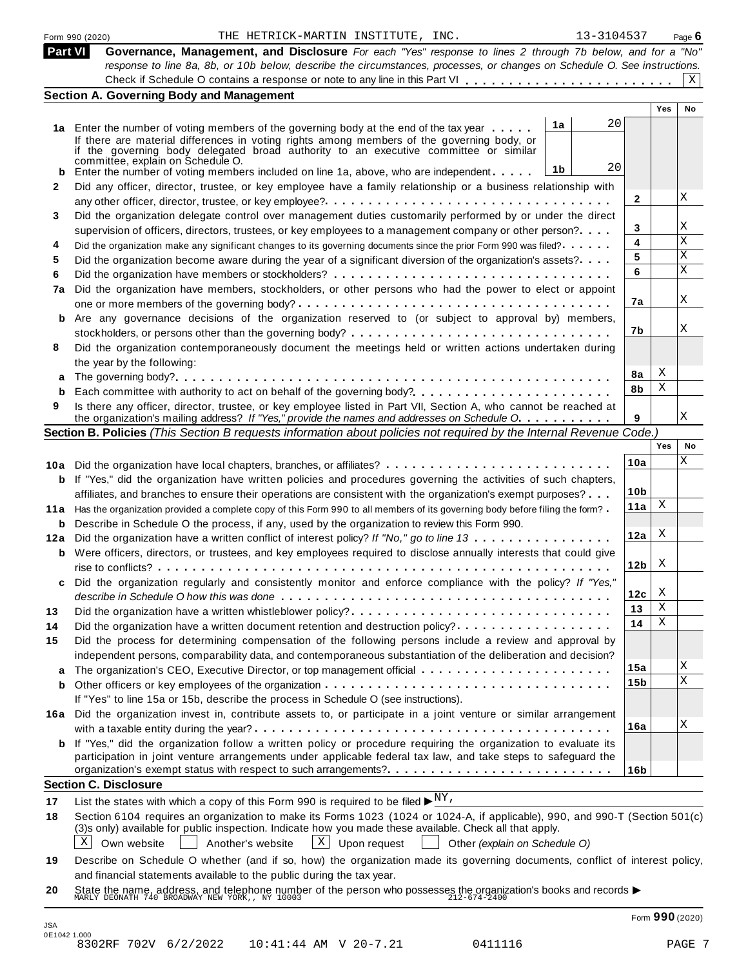| <b>Part VI</b>                          | 13-3104537<br>THE HETRICK-MARTIN INSTITUTE, INC.<br>Form 990 (2020)                                                                                                                    |                 |            | Page $6$ |
|-----------------------------------------|----------------------------------------------------------------------------------------------------------------------------------------------------------------------------------------|-----------------|------------|----------|
|                                         | Governance, Management, and Disclosure For each "Yes" response to lines 2 through 7b below, and for a "No"                                                                             |                 |            |          |
|                                         | response to line 8a, 8b, or 10b below, describe the circumstances, processes, or changes on Schedule O. See instructions.                                                              |                 |            |          |
|                                         | <b>Section A. Governing Body and Management</b>                                                                                                                                        |                 |            | X        |
|                                         |                                                                                                                                                                                        |                 | <b>Yes</b> | No       |
|                                         | 20<br>1a                                                                                                                                                                               |                 |            |          |
|                                         | 1a Enter the number of voting members of the governing body at the end of the tax year<br>If there are material differences in voting rights among members of the governing body, or   |                 |            |          |
|                                         | if the governing body delegated broad authority to an executive committee or similar                                                                                                   |                 |            |          |
|                                         | committee, explain on Schedule O.<br>20                                                                                                                                                |                 |            |          |
|                                         | 1 <sub>b</sub><br>Enter the number of voting members included on line 1a, above, who are independent                                                                                   |                 |            |          |
| 2                                       | Did any officer, director, trustee, or key employee have a family relationship or a business relationship with                                                                         |                 |            |          |
|                                         |                                                                                                                                                                                        | $\mathbf{2}$    |            | Χ        |
| 3                                       | Did the organization delegate control over management duties customarily performed by or under the direct                                                                              |                 |            |          |
|                                         | supervision of officers, directors, trustees, or key employees to a management company or other person?                                                                                | 3               |            | Χ        |
| 4                                       | Did the organization make any significant changes to its governing documents since the prior Form 990 was filed?                                                                       | 4               |            | Χ        |
| 5                                       | Did the organization become aware during the year of a significant diversion of the organization's assets?                                                                             | 5               |            | Χ        |
| 6                                       |                                                                                                                                                                                        | 6               |            | X        |
| 7a                                      | Did the organization have members, stockholders, or other persons who had the power to elect or appoint                                                                                |                 |            |          |
|                                         |                                                                                                                                                                                        | 7a              |            | Χ        |
|                                         |                                                                                                                                                                                        |                 |            |          |
| b                                       | Are any governance decisions of the organization reserved to (or subject to approval by) members,                                                                                      |                 |            | Χ        |
|                                         |                                                                                                                                                                                        | 7b              |            |          |
| 8                                       | Did the organization contemporaneously document the meetings held or written actions undertaken during                                                                                 |                 |            |          |
|                                         | the year by the following:                                                                                                                                                             |                 |            |          |
|                                         |                                                                                                                                                                                        | 8a              | Χ          |          |
|                                         |                                                                                                                                                                                        | 8b              | Χ          |          |
| 9                                       | Is there any officer, director, trustee, or key employee listed in Part VII, Section A, who cannot be reached at                                                                       |                 |            |          |
|                                         | the organization's mailing address? If "Yes," provide the names and addresses on Schedule O.                                                                                           | 9               |            | Χ        |
|                                         | Section B. Policies (This Section B requests information about policies not required by the Internal Revenue Code.)                                                                    |                 |            |          |
|                                         |                                                                                                                                                                                        |                 | Yes        | No       |
|                                         | 10a Did the organization have local chapters, branches, or affiliates?                                                                                                                 | 10a             |            | Χ        |
|                                         |                                                                                                                                                                                        |                 |            |          |
|                                         | <b>b</b> If "Yes," did the organization have written policies and procedures governing the activities of such chapters,                                                                | 10 <sub>b</sub> |            |          |
|                                         | affiliates, and branches to ensure their operations are consistent with the organization's exempt purposes?                                                                            | 11a             | X          |          |
| 11a                                     | Has the organization provided a complete copy of this Form 990 to all members of its governing body before filing the form?                                                            |                 |            |          |
| b                                       | Describe in Schedule O the process, if any, used by the organization to review this Form 990.                                                                                          |                 |            |          |
| 12a                                     | Did the organization have a written conflict of interest policy? If "No," go to line 13                                                                                                | 12a             | X          |          |
|                                         | <b>b</b> Were officers, directors, or trustees, and key employees required to disclose annually interests that could give                                                              |                 |            |          |
|                                         |                                                                                                                                                                                        |                 |            |          |
|                                         |                                                                                                                                                                                        | 12 <sub>b</sub> | X          |          |
|                                         |                                                                                                                                                                                        |                 |            |          |
|                                         | Did the organization regularly and consistently monitor and enforce compliance with the policy? If "Yes,"                                                                              | 12c             | X          |          |
|                                         |                                                                                                                                                                                        | 13              | Χ          |          |
|                                         | Did the organization have a written whistleblower policy?                                                                                                                              |                 | Χ          |          |
|                                         | Did the organization have a written document retention and destruction policy?                                                                                                         | 14              |            |          |
|                                         | Did the process for determining compensation of the following persons include a review and approval by                                                                                 |                 |            |          |
|                                         | independent persons, comparability data, and contemporaneous substantiation of the deliberation and decision?                                                                          |                 |            |          |
|                                         |                                                                                                                                                                                        | 15a             |            | Χ        |
| b                                       |                                                                                                                                                                                        | 15b             |            | X        |
|                                         | If "Yes" to line 15a or 15b, describe the process in Schedule O (see instructions).                                                                                                    |                 |            |          |
|                                         | Did the organization invest in, contribute assets to, or participate in a joint venture or similar arrangement                                                                         |                 |            |          |
|                                         |                                                                                                                                                                                        | 16a             |            | Χ        |
|                                         |                                                                                                                                                                                        |                 |            |          |
|                                         | <b>b</b> If "Yes," did the organization follow a written policy or procedure requiring the organization to evaluate its                                                                |                 |            |          |
|                                         | participation in joint venture arrangements under applicable federal tax law, and take steps to safeguard the                                                                          | 16 <sub>b</sub> |            |          |
|                                         | organization's exempt status with respect to such arrangements?                                                                                                                        |                 |            |          |
|                                         | <b>Section C. Disclosure</b>                                                                                                                                                           |                 |            |          |
|                                         | List the states with which a copy of this Form 990 is required to be filed $\blacktriangleright^{\underline{NY}}$ ,                                                                    |                 |            |          |
|                                         | Section 6104 requires an organization to make its Forms 1023 (1024 or 1024-A, if applicable), 990, and 990-T (Section 501(c)                                                           |                 |            |          |
|                                         | (3)s only) available for public inspection. Indicate how you made these available. Check all that apply.                                                                               |                 |            |          |
|                                         | X<br>$\mathbf{X}$<br>Upon request<br>Own website<br>Another's website<br>Other (explain on Schedule O)                                                                                 |                 |            |          |
| 13<br>14<br>15<br>16a<br>17<br>18<br>19 | Describe on Schedule O whether (and if so, how) the organization made its governing documents, conflict of interest policy,                                                            |                 |            |          |
|                                         | and financial statements available to the public during the tax year.                                                                                                                  |                 |            |          |
| 20                                      | State the name, address, and telephone number of the person who possesses the organization's books and records $\blacktriangleright$<br>MARLY DEONATH 740 BROADWAY NEW YORK,, NY 10003 |                 |            |          |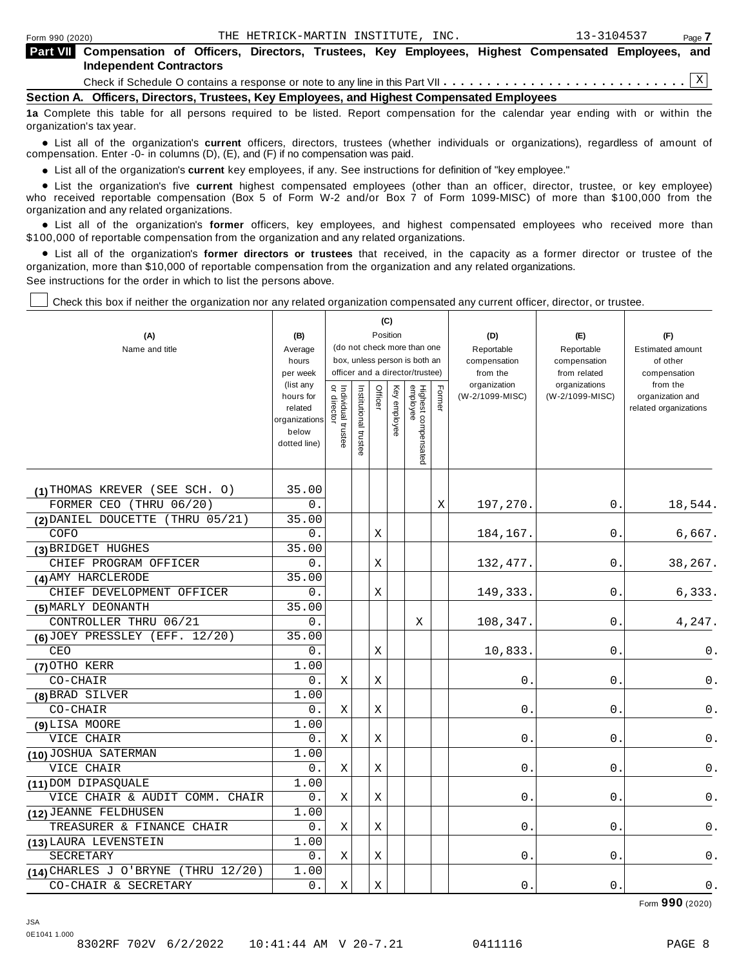| <b>Part VIII</b> Compensation of Officers, Directors, Trustees, Key Employees, Highest Compensated Employees, and<br><b>Independent Contractors</b> |  |  |  |  |  |  |  |  |  |
|-----------------------------------------------------------------------------------------------------------------------------------------------------|--|--|--|--|--|--|--|--|--|
|                                                                                                                                                     |  |  |  |  |  |  |  |  |  |
| Section A. Officers, Directors, Trustees, Key Employees, and Highest Compensated Employees                                                          |  |  |  |  |  |  |  |  |  |

**1a** Complete this table for all persons required to be listed. Report compensation for the calendar year ending with or within the organization's tax year.

anization's lax year.<br>● List all of the organization's **current** officers, directors, trustees (whether individuals or organizations), regardless of amount of<br>nnensation Enter -0- in columns (D) (E) and (E) if no compensa compensation. Enter -0- in columns (D), (E), and (F) if no compensation was paid.

• List all of the organization's current key employees, if any. See instructions for definition of "key employee."

■ List all of the organization's current key employees, if any. See instructions for definition of "key employee."<br>■ List the organization's five current highest compensated employees (other than an officer, director, tru who received reportable compensation (Box 5 of Form W-2 and/or Box 7 of Form 1099-MISC) of more than \$100,000 from the

organization and any related organizations.<br>• List all of the organization's **former** officers, key employees, and highest compensated employees who received more than<br>\$1.00.000 of reportable componention from the erganiza \$100,000 of reportable compensation from the organization and any related organizations.

% List all of the organization's **former directors or trustees** that received, in the capacity as a former director or trustee of the organization, more than \$10,000 of reportable compensation from the organization and any related organizations. See instructions for the order in which to list the persons above.

Check this box if neither the organization nor any related organization compensated any current officer, director, or trustee.

|                                        |                       |                                   |                       | (C)         |                                                                  |                                 |        |                          |                               |                          |
|----------------------------------------|-----------------------|-----------------------------------|-----------------------|-------------|------------------------------------------------------------------|---------------------------------|--------|--------------------------|-------------------------------|--------------------------|
| (A)                                    | (B)                   |                                   |                       |             | Position                                                         |                                 |        | (D)                      | (E)                           | (F)                      |
| Name and title                         | Average               | (do not check more than one       |                       |             |                                                                  |                                 |        | Reportable               | Reportable                    | <b>Estimated amount</b>  |
|                                        | hours                 |                                   |                       |             | box, unless person is both an<br>officer and a director/trustee) |                                 |        | compensation             | compensation                  | of other                 |
|                                        | per week<br>(list any |                                   |                       |             |                                                                  |                                 |        | from the<br>organization | from related<br>organizations | compensation<br>from the |
|                                        | hours for             | Individual trustee<br>or director | Institutional trustee | Officer     | Ķey                                                              |                                 | Former | (W-2/1099-MISC)          | (W-2/1099-MISC)               | organization and         |
|                                        | related               |                                   |                       |             | employee                                                         |                                 |        |                          |                               | related organizations    |
|                                        | organizations         |                                   |                       |             |                                                                  |                                 |        |                          |                               |                          |
|                                        | below<br>dotted line) |                                   |                       |             |                                                                  |                                 |        |                          |                               |                          |
|                                        |                       |                                   |                       |             |                                                                  | Highest compensated<br>employee |        |                          |                               |                          |
|                                        |                       |                                   |                       |             |                                                                  |                                 |        |                          |                               |                          |
| (1) THOMAS KREVER (SEE SCH. 0)         | 35.00                 |                                   |                       |             |                                                                  |                                 |        |                          |                               |                          |
| FORMER CEO (THRU 06/20)                | 0.                    |                                   |                       |             |                                                                  |                                 | Χ      | 197,270.                 | 0.                            | 18,544.                  |
| (2) DANIEL DOUCETTE (THRU 05/21)       | 35.00                 |                                   |                       |             |                                                                  |                                 |        |                          |                               |                          |
| COFO                                   | 0.                    |                                   |                       | Χ           |                                                                  |                                 |        | 184,167.                 | 0                             | 6,667.                   |
| (3) BRIDGET HUGHES                     | 35.00                 |                                   |                       |             |                                                                  |                                 |        |                          |                               |                          |
| CHIEF PROGRAM OFFICER                  | 0.                    |                                   |                       | Χ           |                                                                  |                                 |        | 132, 477.                | 0.                            | 38,267.                  |
| (4) AMY HARCLERODE                     | 35.00                 |                                   |                       |             |                                                                  |                                 |        |                          |                               |                          |
| CHIEF DEVELOPMENT OFFICER              | О.                    |                                   |                       | Х           |                                                                  |                                 |        | 149,333.                 | 0.                            | 6,333.                   |
| (5) MARLY DEONANTH                     | 35.00                 |                                   |                       |             |                                                                  |                                 |        |                          |                               |                          |
| CONTROLLER THRU 06/21                  | 0.                    |                                   |                       |             |                                                                  | Χ                               |        | 108,347.                 | 0.                            | 4,247.                   |
| $(6)$ JOEY PRESSLEY (EFF. 12/20)       | 35.00                 |                                   |                       |             |                                                                  |                                 |        |                          |                               |                          |
| CEO                                    | 0.                    |                                   |                       | $\mathbf X$ |                                                                  |                                 |        | 10,833                   | 0                             | 0.                       |
| (7) OTHO KERR                          | 1.00                  |                                   |                       |             |                                                                  |                                 |        |                          |                               |                          |
| CO-CHAIR                               | 0.                    | Χ                                 |                       | Χ           |                                                                  |                                 |        | 0                        | 0                             | 0.                       |
| (8) BRAD SILVER                        | 1.00                  |                                   |                       |             |                                                                  |                                 |        |                          |                               |                          |
| CO-CHAIR                               | О.                    | Χ                                 |                       | Χ           |                                                                  |                                 |        | 0.                       | $0$ .                         | 0.                       |
| (9) LISA MOORE                         | 1.00                  |                                   |                       |             |                                                                  |                                 |        |                          |                               |                          |
| VICE CHAIR                             | 0.                    | Χ                                 |                       | Χ           |                                                                  |                                 |        | 0                        | 0                             | 0.                       |
| (10) JOSHUA SATERMAN                   | 1.00                  |                                   |                       |             |                                                                  |                                 |        |                          |                               |                          |
| VICE CHAIR                             | 0.                    | Χ                                 |                       | Χ           |                                                                  |                                 |        | 0                        | 0                             | 0.                       |
| (11) DOM DIPASQUALE                    | 1.00                  |                                   |                       |             |                                                                  |                                 |        |                          |                               |                          |
| VICE CHAIR & AUDIT COMM.<br>CHAIR      | 0.                    | X                                 |                       | Χ           |                                                                  |                                 |        | 0                        | 0                             | $\mathsf 0$ .            |
| (12) JEANNE FELDHUSEN                  | 1.00                  |                                   |                       |             |                                                                  |                                 |        |                          |                               |                          |
| TREASURER & FINANCE CHAIR              | 0.                    | $\rm X$                           |                       | $\mathbf X$ |                                                                  |                                 |        | 0                        | 0                             | $0$ .                    |
| (13) LAURA LEVENSTEIN                  | 1.00                  |                                   |                       |             |                                                                  |                                 |        |                          |                               |                          |
| SECRETARY                              | О.                    | Χ                                 |                       | Χ           |                                                                  |                                 |        | $\boldsymbol{0}$ .       | $0$ .                         | 0.                       |
| (14) CHARLES J O'BRYNE<br>(THRU 12/20) | 1.00                  |                                   |                       |             |                                                                  |                                 |        |                          |                               |                          |
| CO-CHAIR & SECRETARY                   | 0.                    | Χ                                 |                       | Χ           |                                                                  |                                 |        | 0.                       | 0                             | 0.                       |

Form **990** (2020)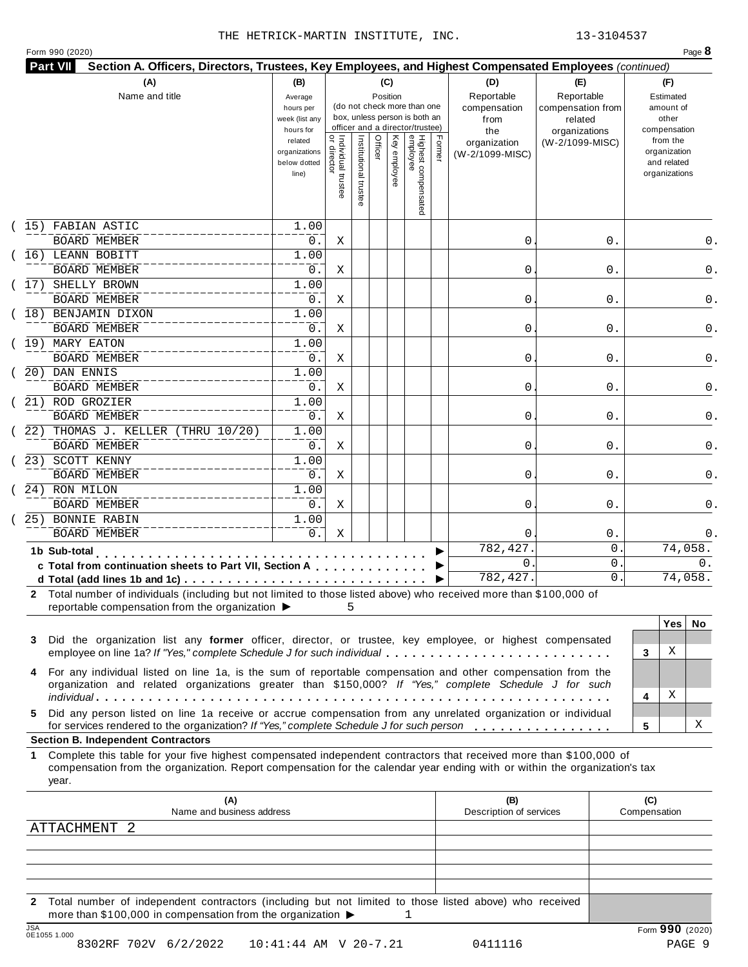|  | Form 990 (2020) |
|--|-----------------|
|  |                 |

| Part VII<br>Section A. Officers, Directors, Trustees, Key Employees, and Highest Compensated Employees (continued)                                                                                                                                          |                                                                |                                           |                      |                 |                 |                                                                                                 |        |                                           |                                                   |                                                                          |
|-------------------------------------------------------------------------------------------------------------------------------------------------------------------------------------------------------------------------------------------------------------|----------------------------------------------------------------|-------------------------------------------|----------------------|-----------------|-----------------|-------------------------------------------------------------------------------------------------|--------|-------------------------------------------|---------------------------------------------------|--------------------------------------------------------------------------|
| (A)<br>Name and title                                                                                                                                                                                                                                       | (B)<br>Average<br>hours per<br>week (list any                  |                                           |                      | (C)<br>Position |                 | (do not check more than one<br>box, unless person is both an<br>officer and a director/trustee) |        | (D)<br>Reportable<br>compensation<br>from | (E)<br>Reportable<br>compensation from<br>related | (F)<br>Estimated<br>amount of<br>other                                   |
|                                                                                                                                                                                                                                                             | hours for<br>related<br>organizations<br>below dotted<br>line) | <br>  Individual trustee<br>  or director | Institutional truste | Officer         | Ķey<br>employee | Highest compensated<br>employee                                                                 | Former | the<br>organization<br>(W-2/1099-MISC)    | organizations<br>(W-2/1099-MISC)                  | compensation<br>from the<br>organization<br>and related<br>organizations |
| 15) FABIAN ASTIC                                                                                                                                                                                                                                            | 1.00                                                           |                                           |                      |                 |                 |                                                                                                 |        |                                           |                                                   |                                                                          |
| <b>BOARD MEMBER</b><br>16) LEANN BOBITT                                                                                                                                                                                                                     | 0.<br>1.00                                                     | Χ                                         |                      |                 |                 |                                                                                                 |        | 0                                         | 0.                                                |                                                                          |
| <b>BOARD MEMBER</b>                                                                                                                                                                                                                                         | 0.                                                             | Χ                                         |                      |                 |                 |                                                                                                 |        | 0                                         | 0.                                                |                                                                          |
| SHELLY BROWN<br>17)                                                                                                                                                                                                                                         | 1.00                                                           |                                           |                      |                 |                 |                                                                                                 |        |                                           |                                                   |                                                                          |
| <b>BOARD MEMBER</b>                                                                                                                                                                                                                                         | 0.                                                             | Χ                                         |                      |                 |                 |                                                                                                 |        | 0                                         | 0.                                                |                                                                          |
| 18) BENJAMIN DIXON                                                                                                                                                                                                                                          | 1.00                                                           |                                           |                      |                 |                 |                                                                                                 |        |                                           |                                                   |                                                                          |
| <b>BOARD MEMBER</b>                                                                                                                                                                                                                                         | 0.                                                             | Χ                                         |                      |                 |                 |                                                                                                 |        | 0                                         | 0.                                                |                                                                          |
| 19) MARY EATON                                                                                                                                                                                                                                              | 1.00                                                           |                                           |                      |                 |                 |                                                                                                 |        |                                           |                                                   |                                                                          |
| <b>BOARD MEMBER</b><br>(20) DAN ENNIS                                                                                                                                                                                                                       | 0.<br>1.00                                                     | Χ                                         |                      |                 |                 |                                                                                                 |        | 0                                         | 0.                                                |                                                                          |
| <b>BOARD MEMBER</b>                                                                                                                                                                                                                                         | 0.                                                             | Χ                                         |                      |                 |                 |                                                                                                 |        | 0                                         | 0.                                                |                                                                          |
| (21) ROD GROZIER                                                                                                                                                                                                                                            | 1.00                                                           |                                           |                      |                 |                 |                                                                                                 |        |                                           |                                                   |                                                                          |
| <b>BOARD MEMBER</b>                                                                                                                                                                                                                                         | 0.                                                             | Χ                                         |                      |                 |                 |                                                                                                 |        | 0                                         | 0.                                                |                                                                          |
| (22) THOMAS J. KELLER (THRU 10/20)                                                                                                                                                                                                                          | 1.00                                                           |                                           |                      |                 |                 |                                                                                                 |        |                                           |                                                   |                                                                          |
| <b>BOARD MEMBER</b>                                                                                                                                                                                                                                         | 0.                                                             | Χ                                         |                      |                 |                 |                                                                                                 |        | 0                                         | 0.                                                |                                                                          |
| (23) SCOTT KENNY                                                                                                                                                                                                                                            | 1.00                                                           |                                           |                      |                 |                 |                                                                                                 |        |                                           |                                                   |                                                                          |
| <b>BOARD MEMBER</b><br>(24) RON MILON                                                                                                                                                                                                                       | 0.<br>1.00                                                     | Χ                                         |                      |                 |                 |                                                                                                 |        | 0                                         | 0.                                                |                                                                          |
| <b>BOARD MEMBER</b>                                                                                                                                                                                                                                         | 0.                                                             | Χ                                         |                      |                 |                 |                                                                                                 |        | 0                                         | 0.                                                |                                                                          |
| 25) BONNIE RABIN                                                                                                                                                                                                                                            | 1.00                                                           |                                           |                      |                 |                 |                                                                                                 |        |                                           |                                                   |                                                                          |
| <b>BOARD MEMBER</b>                                                                                                                                                                                                                                         | 0.                                                             | Χ                                         |                      |                 |                 |                                                                                                 |        | 0                                         | $0$ .                                             |                                                                          |
| 1b Sub-total                                                                                                                                                                                                                                                |                                                                |                                           |                      |                 |                 |                                                                                                 |        | 782,427                                   | 0                                                 | 74,058.                                                                  |
| c Total from continuation sheets to Part VII, Section A                                                                                                                                                                                                     |                                                                |                                           |                      |                 |                 |                                                                                                 |        | $\mathbf{0}$                              | 0                                                 | 0.                                                                       |
|                                                                                                                                                                                                                                                             |                                                                |                                           |                      |                 |                 |                                                                                                 |        | 782,427.                                  | 0                                                 | 74,058.                                                                  |
| 2 Total number of individuals (including but not limited to those listed above) who received more than \$100,000 of                                                                                                                                         |                                                                |                                           |                      |                 |                 |                                                                                                 |        |                                           |                                                   |                                                                          |
| reportable compensation from the organization ▶                                                                                                                                                                                                             |                                                                | 5                                         |                      |                 |                 |                                                                                                 |        |                                           |                                                   | <b>Yes</b>                                                               |
| Did the organization list any former officer, director, or trustee, key employee, or highest compensated<br>3<br>employee on line 1a? If "Yes," complete Schedule J for such individual                                                                     |                                                                |                                           |                      |                 |                 |                                                                                                 |        |                                           |                                                   | No.<br>Χ<br>3                                                            |
| 4 For any individual listed on line 1a, is the sum of reportable compensation and other compensation from the<br>organization and related organizations greater than \$150,000? If "Yes," complete Schedule J for such                                      |                                                                |                                           |                      |                 |                 |                                                                                                 |        |                                           |                                                   | Χ                                                                        |
| Did any person listed on line 1a receive or accrue compensation from any unrelated organization or individual<br>5.                                                                                                                                         |                                                                |                                           |                      |                 |                 |                                                                                                 |        |                                           |                                                   | 4                                                                        |
| for services rendered to the organization? If "Yes," complete Schedule J for such person                                                                                                                                                                    |                                                                |                                           |                      |                 |                 |                                                                                                 |        |                                           |                                                   | х<br>5                                                                   |
| <b>Section B. Independent Contractors</b>                                                                                                                                                                                                                   |                                                                |                                           |                      |                 |                 |                                                                                                 |        |                                           |                                                   |                                                                          |
| 1 Complete this table for your five highest compensated independent contractors that received more than \$100,000 of<br>compensation from the organization. Report compensation for the calendar year ending with or within the organization's tax<br>year. |                                                                |                                           |                      |                 |                 |                                                                                                 |        |                                           |                                                   |                                                                          |
| (A)                                                                                                                                                                                                                                                         |                                                                |                                           |                      |                 |                 |                                                                                                 |        | (B)                                       |                                                   | (C)                                                                      |
|                                                                                                                                                                                                                                                             |                                                                |                                           |                      |                 |                 |                                                                                                 |        | Description of services                   |                                                   | Compensation                                                             |
| Name and business address                                                                                                                                                                                                                                   |                                                                |                                           |                      |                 |                 |                                                                                                 |        |                                           |                                                   |                                                                          |
| ATTACHMENT 2                                                                                                                                                                                                                                                |                                                                |                                           |                      |                 |                 |                                                                                                 |        |                                           |                                                   |                                                                          |

**2** Total number of independent contractors (including but not limited to those listed above) who received more than \$100,000 in compensation from the organization  $\blacktriangleright$  1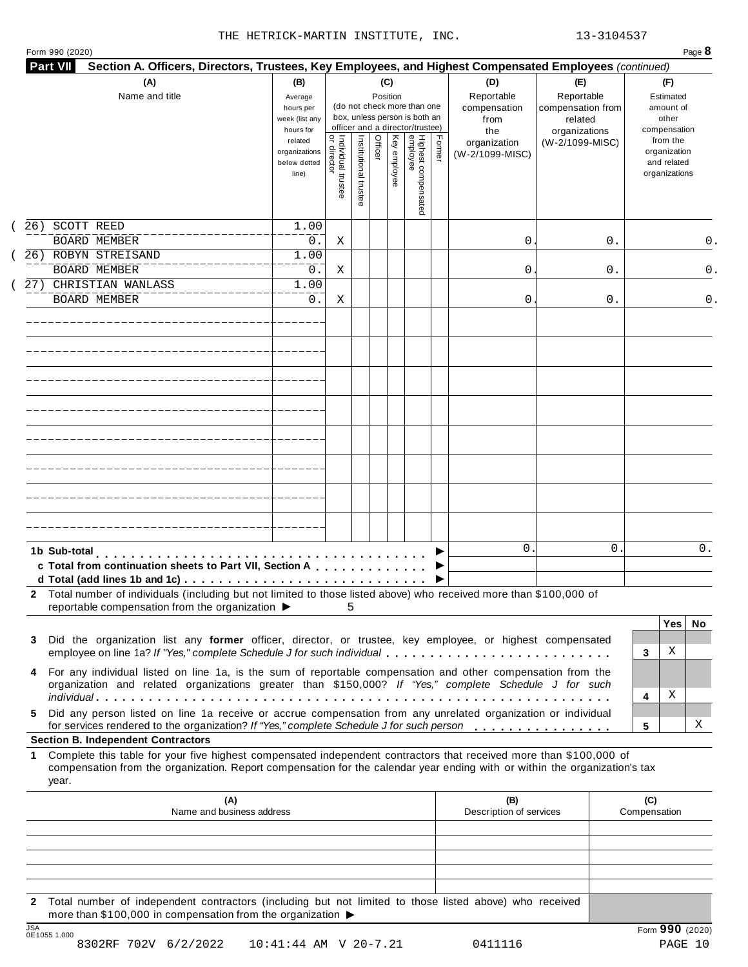|  | Form 990 (2020) |
|--|-----------------|
|  |                 |

| (A)<br>Name and title                                                                                                                                                                                                                                           | (B)<br>Average<br>hours per<br>week (list any<br>hours for |                                     |                       | (C)<br>Position |              | (do not check more than one<br>box, unless person is both an<br>officer and a director/trustee) |        | (D)<br>Reportable<br>compensation<br>from<br>the | (E)<br>Reportable<br>compensation from<br>related<br>organizations |                     | (F)<br>Estimated<br>amount of<br>other<br>compensation   |     |
|-----------------------------------------------------------------------------------------------------------------------------------------------------------------------------------------------------------------------------------------------------------------|------------------------------------------------------------|-------------------------------------|-----------------------|-----------------|--------------|-------------------------------------------------------------------------------------------------|--------|--------------------------------------------------|--------------------------------------------------------------------|---------------------|----------------------------------------------------------|-----|
|                                                                                                                                                                                                                                                                 | related<br>organizations<br>below dotted<br>line)          | Individual trustee<br>  or director | Institutional trustee | Officer         | Key employee | Highest compensated<br>employee                                                                 | Former | organization<br>(W-2/1099-MISC)                  | (W-2/1099-MISC)                                                    |                     | from the<br>organization<br>and related<br>organizations |     |
| SCOTT REED<br>26)<br><b>BOARD MEMBER</b>                                                                                                                                                                                                                        | 1.00<br>$0$ .                                              | Χ                                   |                       |                 |              |                                                                                                 |        | 0                                                | 0.                                                                 |                     |                                                          | 0.  |
| 26) ROBYN STREISAND<br><b>BOARD MEMBER</b>                                                                                                                                                                                                                      | 1.00<br>0.                                                 | Χ                                   |                       |                 |              |                                                                                                 |        | 0                                                | 0.                                                                 |                     |                                                          | 0.  |
| 27) CHRISTIAN WANLASS<br><b>BOARD MEMBER</b>                                                                                                                                                                                                                    | 1.00<br>0.                                                 | Χ                                   |                       |                 |              |                                                                                                 |        | 0                                                | 0.                                                                 |                     |                                                          | 0.  |
|                                                                                                                                                                                                                                                                 |                                                            |                                     |                       |                 |              |                                                                                                 |        |                                                  |                                                                    |                     |                                                          |     |
|                                                                                                                                                                                                                                                                 |                                                            |                                     |                       |                 |              |                                                                                                 |        |                                                  |                                                                    |                     |                                                          |     |
|                                                                                                                                                                                                                                                                 |                                                            |                                     |                       |                 |              |                                                                                                 |        |                                                  |                                                                    |                     |                                                          |     |
|                                                                                                                                                                                                                                                                 |                                                            |                                     |                       |                 |              |                                                                                                 |        |                                                  |                                                                    |                     |                                                          |     |
|                                                                                                                                                                                                                                                                 |                                                            |                                     |                       |                 |              |                                                                                                 |        |                                                  |                                                                    |                     |                                                          |     |
|                                                                                                                                                                                                                                                                 |                                                            |                                     |                       |                 |              |                                                                                                 |        |                                                  |                                                                    |                     |                                                          |     |
|                                                                                                                                                                                                                                                                 |                                                            |                                     |                       |                 |              |                                                                                                 |        |                                                  |                                                                    |                     |                                                          |     |
|                                                                                                                                                                                                                                                                 |                                                            |                                     |                       |                 |              |                                                                                                 |        |                                                  |                                                                    |                     |                                                          |     |
| 1b Sub-total<br>c Total from continuation sheets to Part VII, Section A                                                                                                                                                                                         |                                                            |                                     |                       |                 |              |                                                                                                 |        | $\mathbf{0}$                                     | 0                                                                  |                     |                                                          | 0.  |
| 2 Total number of individuals (including but not limited to those listed above) who received more than \$100,000 of<br>reportable compensation from the organization ▶                                                                                          |                                                            | 5                                   |                       |                 |              |                                                                                                 |        |                                                  |                                                                    |                     |                                                          |     |
| Did the organization list any former officer, director, or trustee, key employee, or highest compensated<br>3                                                                                                                                                   |                                                            |                                     |                       |                 |              |                                                                                                 |        |                                                  |                                                                    |                     | Yes                                                      | No. |
| employee on line 1a? If "Yes," complete Schedule J for such individual                                                                                                                                                                                          |                                                            |                                     |                       |                 |              |                                                                                                 |        |                                                  |                                                                    | 3                   | Χ                                                        |     |
| For any individual listed on line 1a, is the sum of reportable compensation and other compensation from the<br>4<br>organization and related organizations greater than \$150,000? If "Yes," complete Schedule J for such                                       |                                                            |                                     |                       |                 |              |                                                                                                 |        |                                                  |                                                                    |                     |                                                          |     |
| Did any person listed on line 1a receive or accrue compensation from any unrelated organization or individual<br>5.                                                                                                                                             |                                                            |                                     |                       |                 |              |                                                                                                 |        |                                                  |                                                                    | 4                   | Χ                                                        |     |
| for services rendered to the organization? If "Yes," complete Schedule J for such person<br><b>Section B. Independent Contractors</b>                                                                                                                           |                                                            |                                     |                       |                 |              |                                                                                                 |        |                                                  |                                                                    | 5                   |                                                          | х   |
| Complete this table for your five highest compensated independent contractors that received more than \$100,000 of<br>1.<br>compensation from the organization. Report compensation for the calendar year ending with or within the organization's tax<br>year. |                                                            |                                     |                       |                 |              |                                                                                                 |        |                                                  |                                                                    |                     |                                                          |     |
| (A)<br>Name and business address                                                                                                                                                                                                                                |                                                            |                                     |                       |                 |              |                                                                                                 |        | (B)<br>Description of services                   |                                                                    | (C)<br>Compensation |                                                          |     |
|                                                                                                                                                                                                                                                                 |                                                            |                                     |                       |                 |              |                                                                                                 |        |                                                  |                                                                    |                     |                                                          |     |
|                                                                                                                                                                                                                                                                 |                                                            |                                     |                       |                 |              |                                                                                                 |        |                                                  |                                                                    |                     |                                                          |     |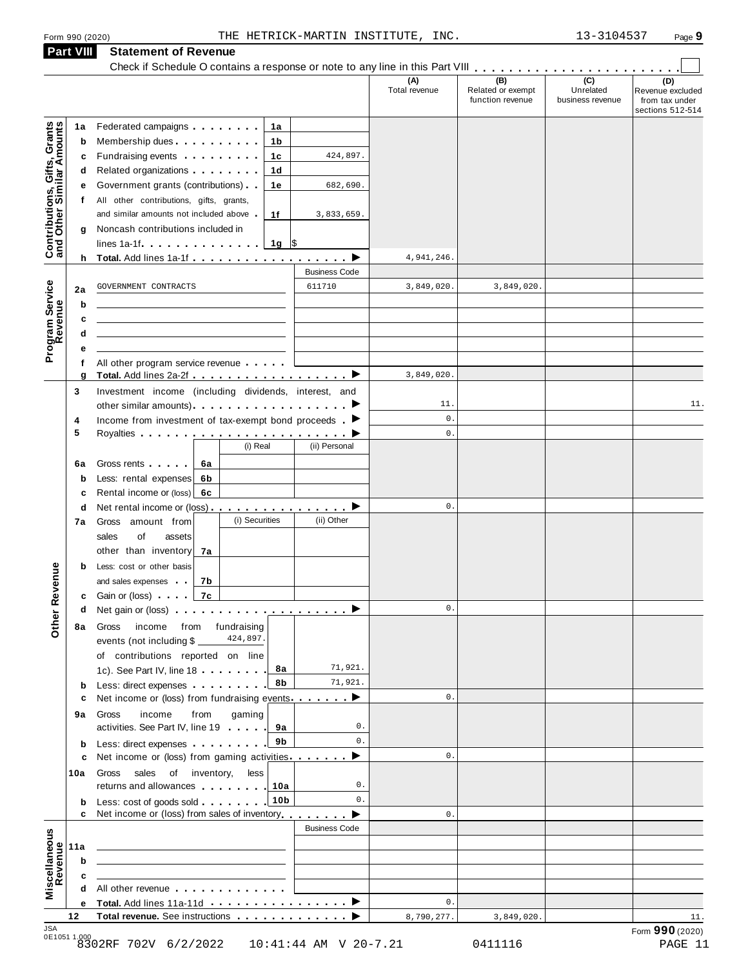**Part VIII Statement of Revenue**

|                                                                 |                                                                                                                                                                                                                                     |      |                |                                 | (A)<br>Total revenue | (B)<br>Related or exempt<br>function revenue | (C)<br>Unrelated<br>business revenue | (D)<br>Revenue excluded<br>from tax under |
|-----------------------------------------------------------------|-------------------------------------------------------------------------------------------------------------------------------------------------------------------------------------------------------------------------------------|------|----------------|---------------------------------|----------------------|----------------------------------------------|--------------------------------------|-------------------------------------------|
|                                                                 |                                                                                                                                                                                                                                     |      |                |                                 |                      |                                              |                                      | sections 512-514                          |
| Contributions, Gifts, Grants<br>and Other Similar Amounts<br>1a | Federated campaigns <b>Federated</b>                                                                                                                                                                                                |      | 1a             |                                 |                      |                                              |                                      |                                           |
| b                                                               | Membership dues <b>All Accords</b> Membership dues                                                                                                                                                                                  |      | 1b             |                                 |                      |                                              |                                      |                                           |
| c                                                               | Fundraising events <b>Fundraising</b>                                                                                                                                                                                               |      | 1c             | 424,897.                        |                      |                                              |                                      |                                           |
| d                                                               | Related organizations <b>contains</b> and the set of the set of the set of the set of the set of the set of the set of the set of the set of the set of the set of the set of the set of the set of the set of the set of the set o |      | 1d             |                                 |                      |                                              |                                      |                                           |
| е                                                               | Government grants (contributions).                                                                                                                                                                                                  |      | 1е             | 682,690.                        |                      |                                              |                                      |                                           |
| f                                                               | All other contributions, gifts, grants,                                                                                                                                                                                             |      |                |                                 |                      |                                              |                                      |                                           |
|                                                                 | and similar amounts not included above.                                                                                                                                                                                             |      | 1f             | 3,833,659.                      |                      |                                              |                                      |                                           |
| g                                                               | Noncash contributions included in                                                                                                                                                                                                   |      |                |                                 |                      |                                              |                                      |                                           |
|                                                                 | lines 1a-1f $\ldots$ $\ldots$ $\ldots$ $\ldots$                                                                                                                                                                                     |      | $1g$ \$        |                                 |                      |                                              |                                      |                                           |
|                                                                 |                                                                                                                                                                                                                                     |      |                |                                 | 4,941,246.           |                                              |                                      |                                           |
|                                                                 |                                                                                                                                                                                                                                     |      |                | <b>Business Code</b>            |                      |                                              |                                      |                                           |
| 2a                                                              | GOVERNMENT CONTRACTS                                                                                                                                                                                                                |      |                | 611710                          | 3,849,020.           | 3,849,020.                                   |                                      |                                           |
| Program Service<br>b                                            |                                                                                                                                                                                                                                     |      |                |                                 |                      |                                              |                                      |                                           |
| c                                                               |                                                                                                                                                                                                                                     |      |                |                                 |                      |                                              |                                      |                                           |
| d                                                               |                                                                                                                                                                                                                                     |      |                |                                 |                      |                                              |                                      |                                           |
| е                                                               |                                                                                                                                                                                                                                     |      |                |                                 |                      |                                              |                                      |                                           |
| f                                                               | All other program service revenue                                                                                                                                                                                                   |      |                |                                 | 3,849,020.           |                                              |                                      |                                           |
| g                                                               | Total. Add lines 2a-2f ▶<br>Investment income (including dividends, interest, and                                                                                                                                                   |      |                |                                 |                      |                                              |                                      |                                           |
| 3                                                               |                                                                                                                                                                                                                                     |      |                |                                 | 11.                  |                                              |                                      | 11.                                       |
| 4                                                               | Income from investment of tax-exempt bond proceeds $\blacktriangleright$                                                                                                                                                            |      |                |                                 | $\mathbf 0$ .        |                                              |                                      |                                           |
| 5                                                               |                                                                                                                                                                                                                                     |      |                |                                 | 0.                   |                                              |                                      |                                           |
|                                                                 |                                                                                                                                                                                                                                     |      | (i) Real       | (ii) Personal                   |                      |                                              |                                      |                                           |
| 6a                                                              | Gross rents [19]                                                                                                                                                                                                                    | 6а   |                |                                 |                      |                                              |                                      |                                           |
| b                                                               | Less: rental expenses                                                                                                                                                                                                               | 6b   |                |                                 |                      |                                              |                                      |                                           |
| c                                                               | Rental income or (loss) 6c                                                                                                                                                                                                          |      |                |                                 |                      |                                              |                                      |                                           |
| d                                                               | Net rental income or (loss) $\ldots$ , $\ldots$ , $\ldots$                                                                                                                                                                          |      |                |                                 | 0.                   |                                              |                                      |                                           |
| 7а                                                              | Gross amount from                                                                                                                                                                                                                   |      | (i) Securities | (ii) Other                      |                      |                                              |                                      |                                           |
|                                                                 | sales<br>of<br>assets                                                                                                                                                                                                               |      |                |                                 |                      |                                              |                                      |                                           |
|                                                                 | other than inventory                                                                                                                                                                                                                | 7a   |                |                                 |                      |                                              |                                      |                                           |
| b                                                               | Less: cost or other basis                                                                                                                                                                                                           |      |                |                                 |                      |                                              |                                      |                                           |
| evenue                                                          | and sales expenses                                                                                                                                                                                                                  | 7b   |                |                                 |                      |                                              |                                      |                                           |
|                                                                 | <b>c</b> Gain or (loss)                                                                                                                                                                                                             | 7c   |                |                                 |                      |                                              |                                      |                                           |
| d                                                               | Net gain or (loss) $\cdots$ $\cdots$ $\cdots$ $\cdots$ $\cdots$ $\cdots$ $\cdots$                                                                                                                                                   |      |                |                                 | $0$ .                |                                              |                                      |                                           |
| Other <sub>R</sub><br>8а                                        | income from fundraising<br>Gross                                                                                                                                                                                                    |      |                |                                 |                      |                                              |                                      |                                           |
|                                                                 | events (not including \$                                                                                                                                                                                                            |      | 424,897.       |                                 |                      |                                              |                                      |                                           |
|                                                                 | of contributions reported on line                                                                                                                                                                                                   |      |                |                                 |                      |                                              |                                      |                                           |
|                                                                 | 1c). See Part IV, line 18                                                                                                                                                                                                           |      | 8а             | 71,921.                         |                      |                                              |                                      |                                           |
| b                                                               | Less: direct expenses                                                                                                                                                                                                               |      | 8b             | 71,921.                         |                      |                                              |                                      |                                           |
| c                                                               | Net income or (loss) from fundraising events $\ldots$                                                                                                                                                                               |      |                |                                 | 0.                   |                                              |                                      |                                           |
| 9а                                                              | Gross<br>income                                                                                                                                                                                                                     | from | gaming         |                                 |                      |                                              |                                      |                                           |
|                                                                 | activities. See Part IV, line 19                                                                                                                                                                                                    |      | 9а             | 0.                              |                      |                                              |                                      |                                           |
| b                                                               | Less: direct expenses                                                                                                                                                                                                               |      | 9b             | 0.                              |                      |                                              |                                      |                                           |
| c                                                               | Net income or (loss) from gaming activities                                                                                                                                                                                         |      |                | ▶                               | 0.                   |                                              |                                      |                                           |
| 10a                                                             | sales of inventory,<br>Gross                                                                                                                                                                                                        |      | less           |                                 |                      |                                              |                                      |                                           |
|                                                                 | returns and allowances 10                                                                                                                                                                                                           |      |                | 0.                              |                      |                                              |                                      |                                           |
| b                                                               | Less: cost of goods sold 10b                                                                                                                                                                                                        |      |                | $\mathbf{0}$ .                  |                      |                                              |                                      |                                           |
| c                                                               | Net income or (loss) from sales of inventory                                                                                                                                                                                        |      |                |                                 | $\mathbf{0}$ .       |                                              |                                      |                                           |
|                                                                 |                                                                                                                                                                                                                                     |      |                | <b>Business Code</b>            |                      |                                              |                                      |                                           |
| 11a                                                             |                                                                                                                                                                                                                                     |      |                |                                 |                      |                                              |                                      |                                           |
| b                                                               | <u> 1989 - Johann Barbara, martxa alemaniar a</u>                                                                                                                                                                                   |      |                |                                 |                      |                                              |                                      |                                           |
| c                                                               |                                                                                                                                                                                                                                     |      |                |                                 |                      |                                              |                                      |                                           |
| Miscellaneous<br>Revenue<br>d                                   | All other revenue entrancements and the state of the state of the state of the state of the state of the state of the state of the state of the state of the state of the state of the state of the state of the state of the       |      |                |                                 |                      |                                              |                                      |                                           |
| е                                                               |                                                                                                                                                                                                                                     |      |                |                                 | 0.                   |                                              |                                      |                                           |
|                                                                 |                                                                                                                                                                                                                                     |      |                | Total revenue. See instructions | 8,790,277.           | 3,849,020.                                   |                                      | 11.                                       |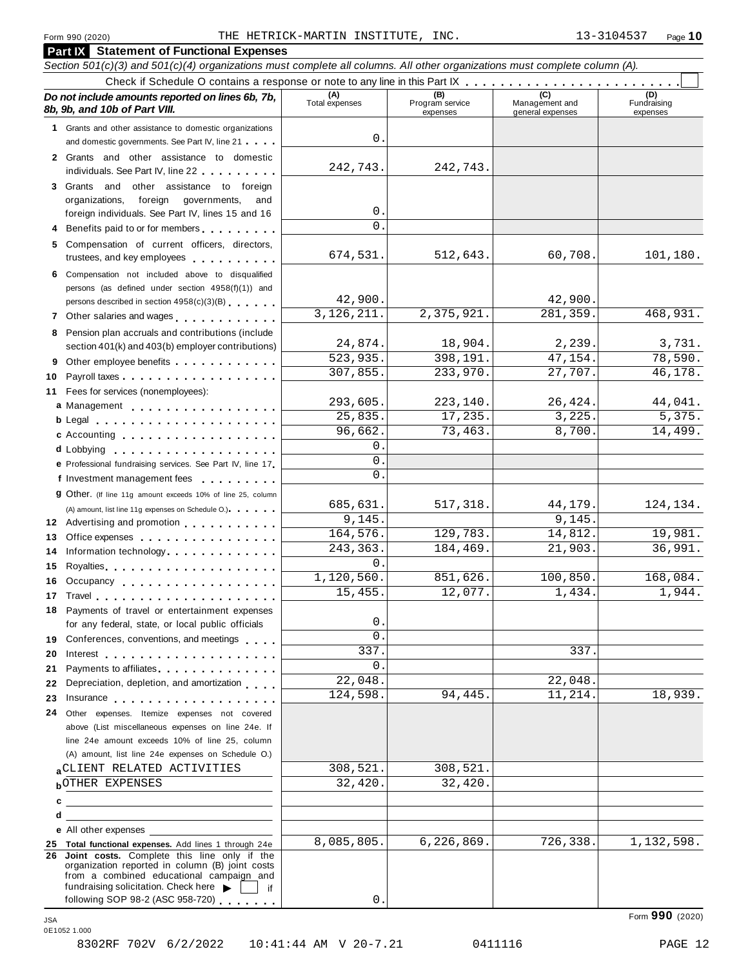**Part IX Statement of Functional Expenses**

#### Section 501(c)(3) and 501(c)(4) organizations must complete all columns. All other organizations must complete column (A). Check if Schedule <sup>O</sup> contains <sup>a</sup> response or note to any line in this Part IX m m m m m m m m m m m m m m m m m m m m m m m m m *Do no* **(A) (B) (C) (D)** *t include amounts reported on lines 6b, 7b,* **8b, 9b, and 10b of Part VIII.** The construction of *B***, 9b, and 10b of Part VIII.** expenses Management and general expenses Fundraising expenses **1** Grants and other assistance to domestic organizations and domestic governments. See Part IV, line 21 m m m **2** Grants and other assistance to domestic individuals. See Part IV, line 22 **3** Grants and other assistance to foreign organizations, foreign governments, and foreign individuals. See Part IV, lines 15 and 16 **4** Benefits paid to or for members **5** Compensation of current officers, directors, trustees, and key employees m m m m m m m m m m **6** Compensation not included above to disqualified persons (as defined under section 4958(f)(1)) and persons described in section 4958(c)(3)(B) 7 Other salaries and wages **manual manual manual metal 8** Pension plan accruals and contributions (include section 401(k) and 403(b) employer contributions) **9** Section 401(k) and 403(b) employer contributions<br>9 Other employee benefits 9 Other employee benefits **10** Payroll taxes **10** Fees for services (nonemployees): **11** A) amount, list line 11g expenses on Schedule O.)<br>**12** Advertising and promotion **manual 13** Office expenses **13** Office expenses<br>**14** Information technology............. **15 16** Occupancy m m m m m m m m m m m m m m m m m m **16** Occupancy ...................<br>17 Travel..................... **18** Payments of travel or entertainment expenses **19 19** Conferences, conventions, and meetings **endorship.**<br>20 Interest **manual meeting 21** Payments to affiliates m m m m m m m m m m m m m m **22 22** Depreciation, depletion, and amortization **manufation**<br>23 Insurance 24 Other expenses. Itemize expenses not covered | Fees for services (nonemployees):<br>**a** Management ..................<br>**b** Legal ......................... **cd** Lobbying m m m m m m m m m m m m m m m m m m m **e** Professional fundraising services. See Part IV, line <sup>17</sup> m **P** Professional fundraising services. See Part IV, line 17<br>**f** Investment management fees **g** Other. (If line 11g amount exceeds 10% of line 25, column Legal m m m m m m m m m m m m m m m m m m m m m c Accounting . . . . . . . . . . . . . . m m m m m m m m m m m m m m m m m m (A) amount, list line 11g expenses on Schedule O.) means m m m m m m m m m m m m m m m m Royalties m m m m m m m m m m m m m m m m m m m m for any federal, state, or local public officials for any federal, state, or local public officials<br>Conferences, conventions, and meetings Payments to affiliates<br>Depreciation, depletion, and amortization<br>
<sub>starr</sub> and amortization above (List miscellaneous expenses on line 24e. If line 24e amount exceeds 10% of line 25, column (A) amount, list line 24e expenses on Schedule O.) **ab** OTHER EXPENSES 32,420. 32,420. **c** —<br>**d e** All other expenses **25 Total functional expenses.** Add lines 1 through 24e **26 Joint costs.** Complete this line only if the organization reported in column (B) joint costs from a combined educational campaign and from a combined educational campaign and<br>fundraising solicitation. Check here  $\blacktriangleright$  if<br>following SOP 98-2 (ASC 958-720)  $\Omega$ 242,743. 242,743. 0.  $\cap$ 674,531. 512,643. 60,708. 101,180. 42,900. 42,900. 3,126,211. 2,375,921. 281,359. 468,931. 24,874. 18,904. 2,239. 3,731. 523,935. 398,191. 47,154. 78,590. 307,855. 233,970. 27,707. 46,178. 293,605. 223,140. 26,424. 44,041. 25,835. 17,235. 3,225. 5,375. 96,662. 73,463. 8,700. 14,499. 0. 0.  $\overline{0}$ . 685,631. 517,318. 44,179. 124,134. 9,145. 9,145. 164,576. 129,783. 14,812. 19,981. 243,363. 184,469. 21,903. 36,991.  $\mathsf{O}$  . 1,120,560. 851,626. 100,850. 168,084. 15,455. 12,077. 1,434. 1,944. 0.  $\overline{0}$  $337.$  337. 0. 22,048. 22,048. 124,598. 94,445. 11,214. 18,939. aCLIENT RELATED ACTIVITIES 308,521. 308,521. 8,085,805. 6,226,869. 726,338. 1,132,598. 0.

8302RF 702V 6/2/2022 10:41:44 AM V 20-7.21 0411116 PAGE 12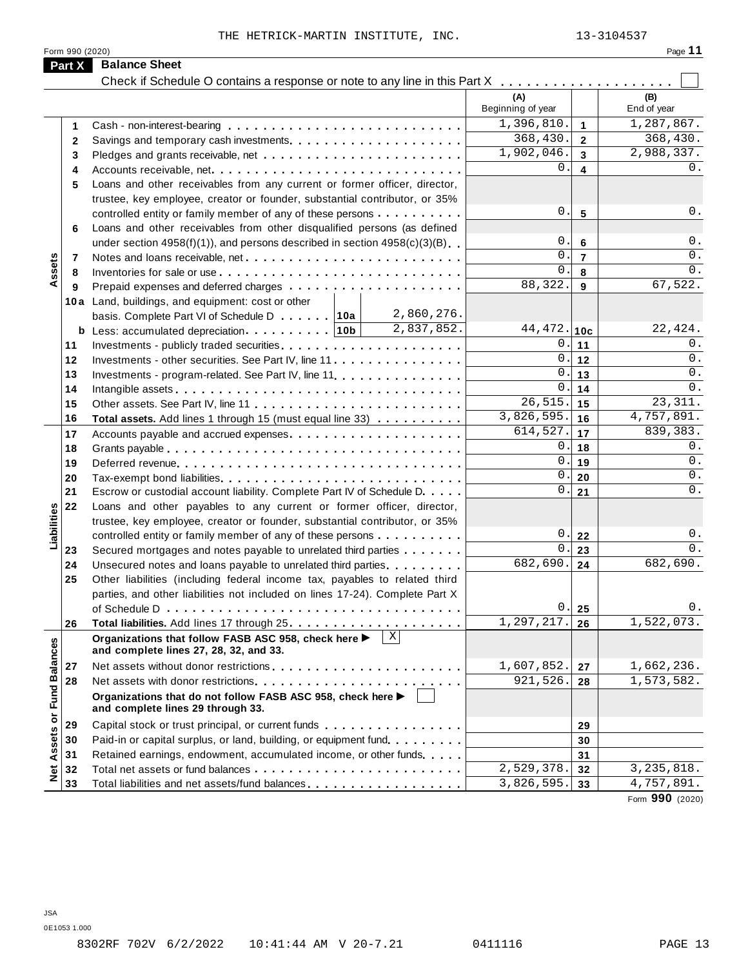| Form 990 (2020)<br><b>Balance Sheet</b><br>Part X<br>(A)<br>(B)<br>Beginning of year<br>End of year<br>1,396,810.<br>1<br>1<br>368,430.<br>$\overline{2}$<br>$\mathbf{2}$<br>1,902,046.<br>3<br>3<br>0.<br>4<br>Accounts receivable, net<br>4<br>Loans and other receivables from any current or former officer, director,<br>5<br>trustee, key employee, creator or founder, substantial contributor, or 35%<br>0.<br>$5\phantom{1}$<br>controlled entity or family member of any of these persons<br>Loans and other receivables from other disqualified persons (as defined<br>6<br>0.<br>$6\phantom{1}$<br>under section $4958(f)(1)$ , and persons described in section $4958(c)(3)(B)$<br>$\mathbf 0$ .<br>$\overline{7}$<br>Assets<br>7<br>$\mathbf 0$ .<br>8<br>8<br>88,322.<br>$\mathbf{9}$<br>9<br>10a Land, buildings, and equipment: cost or other<br>2,860,276.<br>basis. Complete Part VI of Schedule D 10a<br>2,837,852.<br>44,472. 10c<br>0.<br>11<br>11<br>0.<br>12<br>12<br>Investments - other securities. See Part IV, line 11<br>$\mathbf 0$ .<br>13<br>13<br>Investments - program-related. See Part IV, line 11.<br>$\mathbf{0}$<br>14<br>14<br>26, 515.<br>23, 311.<br>15<br>15<br>3,826,595.<br>4,757,891.<br>16<br>16<br>Total assets. Add lines 1 through 15 (must equal line 33)<br>839, 383.<br>614,527.<br>17<br>17<br>Accounts payable and accrued expenses<br>0.<br>18<br>18<br>0.<br>19<br>19<br>$\mathbf 0$ .<br>20<br>20<br>Tax-exempt bond liabilities<br>$\mathbf 0$ .<br>21<br>Escrow or custodial account liability. Complete Part IV of Schedule D.<br>21<br>Loans and other payables to any current or former officer, director,<br>22<br>Liabilities<br>trustee, key employee, creator or founder, substantial contributor, or 35%<br>0.<br>controlled entity or family member of any of these persons<br>22<br>0.<br>23<br>Secured mortgages and notes payable to unrelated third parties<br>23<br>682,690.<br>Unsecured notes and loans payable to unrelated third parties<br>24<br>24<br>Other liabilities (including federal income tax, payables to related third<br>25<br>parties, and other liabilities not included on lines 17-24). Complete Part X<br>0.<br>25<br>1, 297, 217.<br>26<br>26<br>$\mathbf{X}$<br>Organizations that follow FASB ASC 958, check here ▶<br><b>Fund Balances</b><br>and complete lines 27, 28, 32, and 33.<br>1,607,852.<br>27<br>27<br>921,526.<br>28<br>28<br>Organizations that do not follow FASB ASC 958, check here ▶<br>and complete lines 29 through 33.<br>ŏ<br>Capital stock or trust principal, or current funds<br>29<br>29<br>Assets<br>30<br>Paid-in or capital surplus, or land, building, or equipment fund.<br>30<br>31<br>Retained earnings, endowment, accumulated income, or other funds<br>31<br><b>bet</b><br>2,529,378<br>32<br>32<br>3,826,595.<br>33<br>33 |  | THE HETRICK-MARTIN INSTITUTE, INC.             |  | 13-3104537   |
|-------------------------------------------------------------------------------------------------------------------------------------------------------------------------------------------------------------------------------------------------------------------------------------------------------------------------------------------------------------------------------------------------------------------------------------------------------------------------------------------------------------------------------------------------------------------------------------------------------------------------------------------------------------------------------------------------------------------------------------------------------------------------------------------------------------------------------------------------------------------------------------------------------------------------------------------------------------------------------------------------------------------------------------------------------------------------------------------------------------------------------------------------------------------------------------------------------------------------------------------------------------------------------------------------------------------------------------------------------------------------------------------------------------------------------------------------------------------------------------------------------------------------------------------------------------------------------------------------------------------------------------------------------------------------------------------------------------------------------------------------------------------------------------------------------------------------------------------------------------------------------------------------------------------------------------------------------------------------------------------------------------------------------------------------------------------------------------------------------------------------------------------------------------------------------------------------------------------------------------------------------------------------------------------------------------------------------------------------------------------------------------------------------------------------------------------------------------------------------------------------------------------------------------------------------------------------------------------------------------------------------------------------------------------------------------------------------------------------------------------------------------------------------------------------------------------------------------------------------------------|--|------------------------------------------------|--|--------------|
|                                                                                                                                                                                                                                                                                                                                                                                                                                                                                                                                                                                                                                                                                                                                                                                                                                                                                                                                                                                                                                                                                                                                                                                                                                                                                                                                                                                                                                                                                                                                                                                                                                                                                                                                                                                                                                                                                                                                                                                                                                                                                                                                                                                                                                                                                                                                                                                                                                                                                                                                                                                                                                                                                                                                                                                                                                                                   |  |                                                |  | Page 11      |
|                                                                                                                                                                                                                                                                                                                                                                                                                                                                                                                                                                                                                                                                                                                                                                                                                                                                                                                                                                                                                                                                                                                                                                                                                                                                                                                                                                                                                                                                                                                                                                                                                                                                                                                                                                                                                                                                                                                                                                                                                                                                                                                                                                                                                                                                                                                                                                                                                                                                                                                                                                                                                                                                                                                                                                                                                                                                   |  |                                                |  |              |
|                                                                                                                                                                                                                                                                                                                                                                                                                                                                                                                                                                                                                                                                                                                                                                                                                                                                                                                                                                                                                                                                                                                                                                                                                                                                                                                                                                                                                                                                                                                                                                                                                                                                                                                                                                                                                                                                                                                                                                                                                                                                                                                                                                                                                                                                                                                                                                                                                                                                                                                                                                                                                                                                                                                                                                                                                                                                   |  |                                                |  |              |
|                                                                                                                                                                                                                                                                                                                                                                                                                                                                                                                                                                                                                                                                                                                                                                                                                                                                                                                                                                                                                                                                                                                                                                                                                                                                                                                                                                                                                                                                                                                                                                                                                                                                                                                                                                                                                                                                                                                                                                                                                                                                                                                                                                                                                                                                                                                                                                                                                                                                                                                                                                                                                                                                                                                                                                                                                                                                   |  |                                                |  |              |
|                                                                                                                                                                                                                                                                                                                                                                                                                                                                                                                                                                                                                                                                                                                                                                                                                                                                                                                                                                                                                                                                                                                                                                                                                                                                                                                                                                                                                                                                                                                                                                                                                                                                                                                                                                                                                                                                                                                                                                                                                                                                                                                                                                                                                                                                                                                                                                                                                                                                                                                                                                                                                                                                                                                                                                                                                                                                   |  |                                                |  | 1,287,867.   |
|                                                                                                                                                                                                                                                                                                                                                                                                                                                                                                                                                                                                                                                                                                                                                                                                                                                                                                                                                                                                                                                                                                                                                                                                                                                                                                                                                                                                                                                                                                                                                                                                                                                                                                                                                                                                                                                                                                                                                                                                                                                                                                                                                                                                                                                                                                                                                                                                                                                                                                                                                                                                                                                                                                                                                                                                                                                                   |  |                                                |  | 368,430.     |
|                                                                                                                                                                                                                                                                                                                                                                                                                                                                                                                                                                                                                                                                                                                                                                                                                                                                                                                                                                                                                                                                                                                                                                                                                                                                                                                                                                                                                                                                                                                                                                                                                                                                                                                                                                                                                                                                                                                                                                                                                                                                                                                                                                                                                                                                                                                                                                                                                                                                                                                                                                                                                                                                                                                                                                                                                                                                   |  |                                                |  | 2,988,337.   |
|                                                                                                                                                                                                                                                                                                                                                                                                                                                                                                                                                                                                                                                                                                                                                                                                                                                                                                                                                                                                                                                                                                                                                                                                                                                                                                                                                                                                                                                                                                                                                                                                                                                                                                                                                                                                                                                                                                                                                                                                                                                                                                                                                                                                                                                                                                                                                                                                                                                                                                                                                                                                                                                                                                                                                                                                                                                                   |  |                                                |  | 0.           |
|                                                                                                                                                                                                                                                                                                                                                                                                                                                                                                                                                                                                                                                                                                                                                                                                                                                                                                                                                                                                                                                                                                                                                                                                                                                                                                                                                                                                                                                                                                                                                                                                                                                                                                                                                                                                                                                                                                                                                                                                                                                                                                                                                                                                                                                                                                                                                                                                                                                                                                                                                                                                                                                                                                                                                                                                                                                                   |  |                                                |  |              |
|                                                                                                                                                                                                                                                                                                                                                                                                                                                                                                                                                                                                                                                                                                                                                                                                                                                                                                                                                                                                                                                                                                                                                                                                                                                                                                                                                                                                                                                                                                                                                                                                                                                                                                                                                                                                                                                                                                                                                                                                                                                                                                                                                                                                                                                                                                                                                                                                                                                                                                                                                                                                                                                                                                                                                                                                                                                                   |  |                                                |  |              |
|                                                                                                                                                                                                                                                                                                                                                                                                                                                                                                                                                                                                                                                                                                                                                                                                                                                                                                                                                                                                                                                                                                                                                                                                                                                                                                                                                                                                                                                                                                                                                                                                                                                                                                                                                                                                                                                                                                                                                                                                                                                                                                                                                                                                                                                                                                                                                                                                                                                                                                                                                                                                                                                                                                                                                                                                                                                                   |  |                                                |  | 0.           |
|                                                                                                                                                                                                                                                                                                                                                                                                                                                                                                                                                                                                                                                                                                                                                                                                                                                                                                                                                                                                                                                                                                                                                                                                                                                                                                                                                                                                                                                                                                                                                                                                                                                                                                                                                                                                                                                                                                                                                                                                                                                                                                                                                                                                                                                                                                                                                                                                                                                                                                                                                                                                                                                                                                                                                                                                                                                                   |  |                                                |  |              |
|                                                                                                                                                                                                                                                                                                                                                                                                                                                                                                                                                                                                                                                                                                                                                                                                                                                                                                                                                                                                                                                                                                                                                                                                                                                                                                                                                                                                                                                                                                                                                                                                                                                                                                                                                                                                                                                                                                                                                                                                                                                                                                                                                                                                                                                                                                                                                                                                                                                                                                                                                                                                                                                                                                                                                                                                                                                                   |  |                                                |  | 0.           |
|                                                                                                                                                                                                                                                                                                                                                                                                                                                                                                                                                                                                                                                                                                                                                                                                                                                                                                                                                                                                                                                                                                                                                                                                                                                                                                                                                                                                                                                                                                                                                                                                                                                                                                                                                                                                                                                                                                                                                                                                                                                                                                                                                                                                                                                                                                                                                                                                                                                                                                                                                                                                                                                                                                                                                                                                                                                                   |  |                                                |  | 0.           |
|                                                                                                                                                                                                                                                                                                                                                                                                                                                                                                                                                                                                                                                                                                                                                                                                                                                                                                                                                                                                                                                                                                                                                                                                                                                                                                                                                                                                                                                                                                                                                                                                                                                                                                                                                                                                                                                                                                                                                                                                                                                                                                                                                                                                                                                                                                                                                                                                                                                                                                                                                                                                                                                                                                                                                                                                                                                                   |  |                                                |  | 0.           |
|                                                                                                                                                                                                                                                                                                                                                                                                                                                                                                                                                                                                                                                                                                                                                                                                                                                                                                                                                                                                                                                                                                                                                                                                                                                                                                                                                                                                                                                                                                                                                                                                                                                                                                                                                                                                                                                                                                                                                                                                                                                                                                                                                                                                                                                                                                                                                                                                                                                                                                                                                                                                                                                                                                                                                                                                                                                                   |  |                                                |  | 67,522.      |
|                                                                                                                                                                                                                                                                                                                                                                                                                                                                                                                                                                                                                                                                                                                                                                                                                                                                                                                                                                                                                                                                                                                                                                                                                                                                                                                                                                                                                                                                                                                                                                                                                                                                                                                                                                                                                                                                                                                                                                                                                                                                                                                                                                                                                                                                                                                                                                                                                                                                                                                                                                                                                                                                                                                                                                                                                                                                   |  |                                                |  |              |
|                                                                                                                                                                                                                                                                                                                                                                                                                                                                                                                                                                                                                                                                                                                                                                                                                                                                                                                                                                                                                                                                                                                                                                                                                                                                                                                                                                                                                                                                                                                                                                                                                                                                                                                                                                                                                                                                                                                                                                                                                                                                                                                                                                                                                                                                                                                                                                                                                                                                                                                                                                                                                                                                                                                                                                                                                                                                   |  |                                                |  |              |
|                                                                                                                                                                                                                                                                                                                                                                                                                                                                                                                                                                                                                                                                                                                                                                                                                                                                                                                                                                                                                                                                                                                                                                                                                                                                                                                                                                                                                                                                                                                                                                                                                                                                                                                                                                                                                                                                                                                                                                                                                                                                                                                                                                                                                                                                                                                                                                                                                                                                                                                                                                                                                                                                                                                                                                                                                                                                   |  |                                                |  | 22,424.      |
|                                                                                                                                                                                                                                                                                                                                                                                                                                                                                                                                                                                                                                                                                                                                                                                                                                                                                                                                                                                                                                                                                                                                                                                                                                                                                                                                                                                                                                                                                                                                                                                                                                                                                                                                                                                                                                                                                                                                                                                                                                                                                                                                                                                                                                                                                                                                                                                                                                                                                                                                                                                                                                                                                                                                                                                                                                                                   |  |                                                |  | 0.           |
|                                                                                                                                                                                                                                                                                                                                                                                                                                                                                                                                                                                                                                                                                                                                                                                                                                                                                                                                                                                                                                                                                                                                                                                                                                                                                                                                                                                                                                                                                                                                                                                                                                                                                                                                                                                                                                                                                                                                                                                                                                                                                                                                                                                                                                                                                                                                                                                                                                                                                                                                                                                                                                                                                                                                                                                                                                                                   |  |                                                |  | $0$ .        |
|                                                                                                                                                                                                                                                                                                                                                                                                                                                                                                                                                                                                                                                                                                                                                                                                                                                                                                                                                                                                                                                                                                                                                                                                                                                                                                                                                                                                                                                                                                                                                                                                                                                                                                                                                                                                                                                                                                                                                                                                                                                                                                                                                                                                                                                                                                                                                                                                                                                                                                                                                                                                                                                                                                                                                                                                                                                                   |  |                                                |  | 0.           |
|                                                                                                                                                                                                                                                                                                                                                                                                                                                                                                                                                                                                                                                                                                                                                                                                                                                                                                                                                                                                                                                                                                                                                                                                                                                                                                                                                                                                                                                                                                                                                                                                                                                                                                                                                                                                                                                                                                                                                                                                                                                                                                                                                                                                                                                                                                                                                                                                                                                                                                                                                                                                                                                                                                                                                                                                                                                                   |  |                                                |  | 0.           |
|                                                                                                                                                                                                                                                                                                                                                                                                                                                                                                                                                                                                                                                                                                                                                                                                                                                                                                                                                                                                                                                                                                                                                                                                                                                                                                                                                                                                                                                                                                                                                                                                                                                                                                                                                                                                                                                                                                                                                                                                                                                                                                                                                                                                                                                                                                                                                                                                                                                                                                                                                                                                                                                                                                                                                                                                                                                                   |  |                                                |  |              |
|                                                                                                                                                                                                                                                                                                                                                                                                                                                                                                                                                                                                                                                                                                                                                                                                                                                                                                                                                                                                                                                                                                                                                                                                                                                                                                                                                                                                                                                                                                                                                                                                                                                                                                                                                                                                                                                                                                                                                                                                                                                                                                                                                                                                                                                                                                                                                                                                                                                                                                                                                                                                                                                                                                                                                                                                                                                                   |  |                                                |  |              |
|                                                                                                                                                                                                                                                                                                                                                                                                                                                                                                                                                                                                                                                                                                                                                                                                                                                                                                                                                                                                                                                                                                                                                                                                                                                                                                                                                                                                                                                                                                                                                                                                                                                                                                                                                                                                                                                                                                                                                                                                                                                                                                                                                                                                                                                                                                                                                                                                                                                                                                                                                                                                                                                                                                                                                                                                                                                                   |  |                                                |  | 0.           |
|                                                                                                                                                                                                                                                                                                                                                                                                                                                                                                                                                                                                                                                                                                                                                                                                                                                                                                                                                                                                                                                                                                                                                                                                                                                                                                                                                                                                                                                                                                                                                                                                                                                                                                                                                                                                                                                                                                                                                                                                                                                                                                                                                                                                                                                                                                                                                                                                                                                                                                                                                                                                                                                                                                                                                                                                                                                                   |  |                                                |  | 0.           |
|                                                                                                                                                                                                                                                                                                                                                                                                                                                                                                                                                                                                                                                                                                                                                                                                                                                                                                                                                                                                                                                                                                                                                                                                                                                                                                                                                                                                                                                                                                                                                                                                                                                                                                                                                                                                                                                                                                                                                                                                                                                                                                                                                                                                                                                                                                                                                                                                                                                                                                                                                                                                                                                                                                                                                                                                                                                                   |  |                                                |  | 0.           |
|                                                                                                                                                                                                                                                                                                                                                                                                                                                                                                                                                                                                                                                                                                                                                                                                                                                                                                                                                                                                                                                                                                                                                                                                                                                                                                                                                                                                                                                                                                                                                                                                                                                                                                                                                                                                                                                                                                                                                                                                                                                                                                                                                                                                                                                                                                                                                                                                                                                                                                                                                                                                                                                                                                                                                                                                                                                                   |  |                                                |  | 0.           |
|                                                                                                                                                                                                                                                                                                                                                                                                                                                                                                                                                                                                                                                                                                                                                                                                                                                                                                                                                                                                                                                                                                                                                                                                                                                                                                                                                                                                                                                                                                                                                                                                                                                                                                                                                                                                                                                                                                                                                                                                                                                                                                                                                                                                                                                                                                                                                                                                                                                                                                                                                                                                                                                                                                                                                                                                                                                                   |  |                                                |  |              |
|                                                                                                                                                                                                                                                                                                                                                                                                                                                                                                                                                                                                                                                                                                                                                                                                                                                                                                                                                                                                                                                                                                                                                                                                                                                                                                                                                                                                                                                                                                                                                                                                                                                                                                                                                                                                                                                                                                                                                                                                                                                                                                                                                                                                                                                                                                                                                                                                                                                                                                                                                                                                                                                                                                                                                                                                                                                                   |  |                                                |  |              |
|                                                                                                                                                                                                                                                                                                                                                                                                                                                                                                                                                                                                                                                                                                                                                                                                                                                                                                                                                                                                                                                                                                                                                                                                                                                                                                                                                                                                                                                                                                                                                                                                                                                                                                                                                                                                                                                                                                                                                                                                                                                                                                                                                                                                                                                                                                                                                                                                                                                                                                                                                                                                                                                                                                                                                                                                                                                                   |  |                                                |  | 0.           |
|                                                                                                                                                                                                                                                                                                                                                                                                                                                                                                                                                                                                                                                                                                                                                                                                                                                                                                                                                                                                                                                                                                                                                                                                                                                                                                                                                                                                                                                                                                                                                                                                                                                                                                                                                                                                                                                                                                                                                                                                                                                                                                                                                                                                                                                                                                                                                                                                                                                                                                                                                                                                                                                                                                                                                                                                                                                                   |  |                                                |  | $0$ .        |
|                                                                                                                                                                                                                                                                                                                                                                                                                                                                                                                                                                                                                                                                                                                                                                                                                                                                                                                                                                                                                                                                                                                                                                                                                                                                                                                                                                                                                                                                                                                                                                                                                                                                                                                                                                                                                                                                                                                                                                                                                                                                                                                                                                                                                                                                                                                                                                                                                                                                                                                                                                                                                                                                                                                                                                                                                                                                   |  |                                                |  | 682,690.     |
|                                                                                                                                                                                                                                                                                                                                                                                                                                                                                                                                                                                                                                                                                                                                                                                                                                                                                                                                                                                                                                                                                                                                                                                                                                                                                                                                                                                                                                                                                                                                                                                                                                                                                                                                                                                                                                                                                                                                                                                                                                                                                                                                                                                                                                                                                                                                                                                                                                                                                                                                                                                                                                                                                                                                                                                                                                                                   |  |                                                |  |              |
|                                                                                                                                                                                                                                                                                                                                                                                                                                                                                                                                                                                                                                                                                                                                                                                                                                                                                                                                                                                                                                                                                                                                                                                                                                                                                                                                                                                                                                                                                                                                                                                                                                                                                                                                                                                                                                                                                                                                                                                                                                                                                                                                                                                                                                                                                                                                                                                                                                                                                                                                                                                                                                                                                                                                                                                                                                                                   |  |                                                |  |              |
|                                                                                                                                                                                                                                                                                                                                                                                                                                                                                                                                                                                                                                                                                                                                                                                                                                                                                                                                                                                                                                                                                                                                                                                                                                                                                                                                                                                                                                                                                                                                                                                                                                                                                                                                                                                                                                                                                                                                                                                                                                                                                                                                                                                                                                                                                                                                                                                                                                                                                                                                                                                                                                                                                                                                                                                                                                                                   |  |                                                |  | 0.           |
|                                                                                                                                                                                                                                                                                                                                                                                                                                                                                                                                                                                                                                                                                                                                                                                                                                                                                                                                                                                                                                                                                                                                                                                                                                                                                                                                                                                                                                                                                                                                                                                                                                                                                                                                                                                                                                                                                                                                                                                                                                                                                                                                                                                                                                                                                                                                                                                                                                                                                                                                                                                                                                                                                                                                                                                                                                                                   |  |                                                |  | 1,522,073.   |
|                                                                                                                                                                                                                                                                                                                                                                                                                                                                                                                                                                                                                                                                                                                                                                                                                                                                                                                                                                                                                                                                                                                                                                                                                                                                                                                                                                                                                                                                                                                                                                                                                                                                                                                                                                                                                                                                                                                                                                                                                                                                                                                                                                                                                                                                                                                                                                                                                                                                                                                                                                                                                                                                                                                                                                                                                                                                   |  |                                                |  |              |
|                                                                                                                                                                                                                                                                                                                                                                                                                                                                                                                                                                                                                                                                                                                                                                                                                                                                                                                                                                                                                                                                                                                                                                                                                                                                                                                                                                                                                                                                                                                                                                                                                                                                                                                                                                                                                                                                                                                                                                                                                                                                                                                                                                                                                                                                                                                                                                                                                                                                                                                                                                                                                                                                                                                                                                                                                                                                   |  |                                                |  | 1,662,236.   |
|                                                                                                                                                                                                                                                                                                                                                                                                                                                                                                                                                                                                                                                                                                                                                                                                                                                                                                                                                                                                                                                                                                                                                                                                                                                                                                                                                                                                                                                                                                                                                                                                                                                                                                                                                                                                                                                                                                                                                                                                                                                                                                                                                                                                                                                                                                                                                                                                                                                                                                                                                                                                                                                                                                                                                                                                                                                                   |  |                                                |  | 1,573,582.   |
|                                                                                                                                                                                                                                                                                                                                                                                                                                                                                                                                                                                                                                                                                                                                                                                                                                                                                                                                                                                                                                                                                                                                                                                                                                                                                                                                                                                                                                                                                                                                                                                                                                                                                                                                                                                                                                                                                                                                                                                                                                                                                                                                                                                                                                                                                                                                                                                                                                                                                                                                                                                                                                                                                                                                                                                                                                                                   |  |                                                |  |              |
|                                                                                                                                                                                                                                                                                                                                                                                                                                                                                                                                                                                                                                                                                                                                                                                                                                                                                                                                                                                                                                                                                                                                                                                                                                                                                                                                                                                                                                                                                                                                                                                                                                                                                                                                                                                                                                                                                                                                                                                                                                                                                                                                                                                                                                                                                                                                                                                                                                                                                                                                                                                                                                                                                                                                                                                                                                                                   |  |                                                |  |              |
|                                                                                                                                                                                                                                                                                                                                                                                                                                                                                                                                                                                                                                                                                                                                                                                                                                                                                                                                                                                                                                                                                                                                                                                                                                                                                                                                                                                                                                                                                                                                                                                                                                                                                                                                                                                                                                                                                                                                                                                                                                                                                                                                                                                                                                                                                                                                                                                                                                                                                                                                                                                                                                                                                                                                                                                                                                                                   |  |                                                |  |              |
|                                                                                                                                                                                                                                                                                                                                                                                                                                                                                                                                                                                                                                                                                                                                                                                                                                                                                                                                                                                                                                                                                                                                                                                                                                                                                                                                                                                                                                                                                                                                                                                                                                                                                                                                                                                                                                                                                                                                                                                                                                                                                                                                                                                                                                                                                                                                                                                                                                                                                                                                                                                                                                                                                                                                                                                                                                                                   |  |                                                |  |              |
|                                                                                                                                                                                                                                                                                                                                                                                                                                                                                                                                                                                                                                                                                                                                                                                                                                                                                                                                                                                                                                                                                                                                                                                                                                                                                                                                                                                                                                                                                                                                                                                                                                                                                                                                                                                                                                                                                                                                                                                                                                                                                                                                                                                                                                                                                                                                                                                                                                                                                                                                                                                                                                                                                                                                                                                                                                                                   |  |                                                |  | 3, 235, 818. |
|                                                                                                                                                                                                                                                                                                                                                                                                                                                                                                                                                                                                                                                                                                                                                                                                                                                                                                                                                                                                                                                                                                                                                                                                                                                                                                                                                                                                                                                                                                                                                                                                                                                                                                                                                                                                                                                                                                                                                                                                                                                                                                                                                                                                                                                                                                                                                                                                                                                                                                                                                                                                                                                                                                                                                                                                                                                                   |  | Total liabilities and net assets/fund balances |  | 4,757,891.   |

Form **990** (2020)

JSA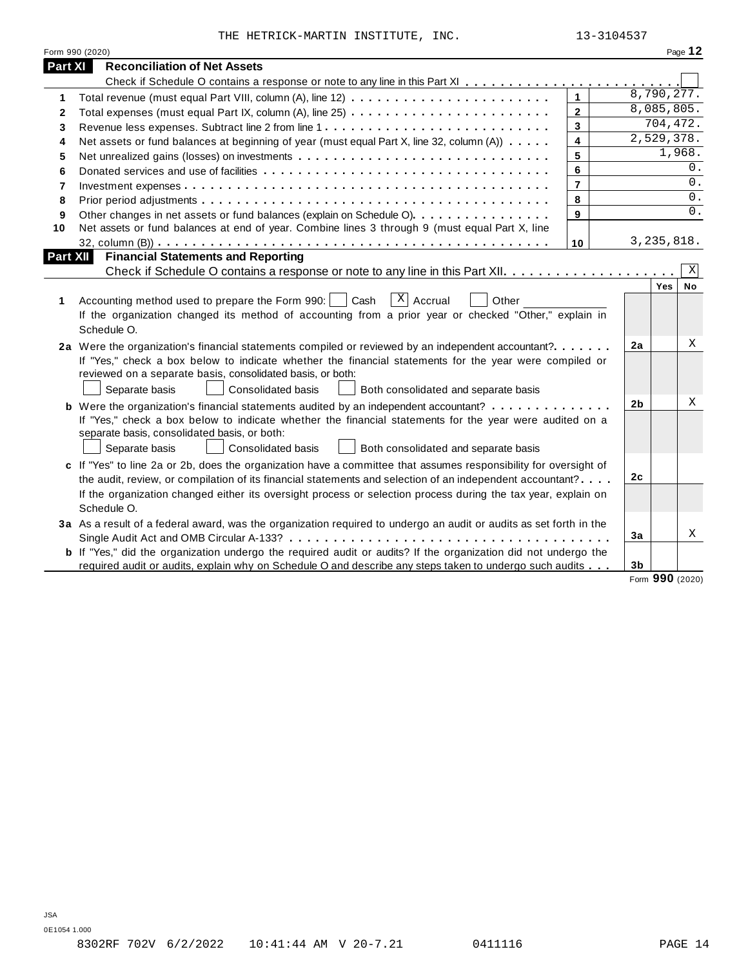THE HETRICK-MARTIN INSTITUTE, INC.  $13-3104537$ 

|                | Form 990 (2020)                                                                                                                                                                                                                                                            |                |                |              | Page 12        |
|----------------|----------------------------------------------------------------------------------------------------------------------------------------------------------------------------------------------------------------------------------------------------------------------------|----------------|----------------|--------------|----------------|
| <b>Part XI</b> | <b>Reconciliation of Net Assets</b>                                                                                                                                                                                                                                        |                |                |              |                |
|                |                                                                                                                                                                                                                                                                            |                |                |              |                |
| 1              |                                                                                                                                                                                                                                                                            | $\mathbf{1}$   |                | 8,790,277.   |                |
| 2              |                                                                                                                                                                                                                                                                            | $\overline{2}$ |                | 8,085,805.   |                |
| 3              |                                                                                                                                                                                                                                                                            | $\overline{3}$ |                | 704,472.     |                |
| 4              | Net assets or fund balances at beginning of year (must equal Part X, line 32, column (A))                                                                                                                                                                                  | 4              |                | 2,529,378.   |                |
| 5              |                                                                                                                                                                                                                                                                            | 5              |                |              | 1,968.         |
| 6              |                                                                                                                                                                                                                                                                            | 6              |                |              | 0.             |
| 7              |                                                                                                                                                                                                                                                                            | $\overline{7}$ |                |              | 0.             |
| 8              |                                                                                                                                                                                                                                                                            | 8              |                |              | 0.             |
| 9              | Other changes in net assets or fund balances (explain on Schedule O).                                                                                                                                                                                                      | 9              |                |              | $0$ .          |
| 10             | Net assets or fund balances at end of year. Combine lines 3 through 9 (must equal Part X, line                                                                                                                                                                             |                |                |              |                |
|                |                                                                                                                                                                                                                                                                            | 10             |                | 3, 235, 818. |                |
| Part XII       | <b>Financial Statements and Reporting</b>                                                                                                                                                                                                                                  |                |                |              |                |
|                |                                                                                                                                                                                                                                                                            |                |                | Yes          | Χ<br><b>No</b> |
| 1              | $x \mid$ Accrual<br>Accounting method used to prepare the Form 990:     Cash<br>Other<br>If the organization changed its method of accounting from a prior year or checked "Other," explain in<br>Schedule O.                                                              |                |                |              |                |
|                | 2a Were the organization's financial statements compiled or reviewed by an independent accountant?<br>If "Yes," check a box below to indicate whether the financial statements for the year were compiled or<br>reviewed on a separate basis, consolidated basis, or both: |                | 2a             |              | Χ              |
|                | Separate basis<br><b>Consolidated basis</b><br>Both consolidated and separate basis                                                                                                                                                                                        |                |                |              |                |
|                | If "Yes," check a box below to indicate whether the financial statements for the year were audited on a<br>separate basis, consolidated basis, or both:<br>Consolidated basis<br>Both consolidated and separate basis<br>Separate basis                                    |                | 2 <sub>b</sub> |              | Χ              |
|                | c If "Yes" to line 2a or 2b, does the organization have a committee that assumes responsibility for oversight of                                                                                                                                                           |                |                |              |                |
|                | the audit, review, or compilation of its financial statements and selection of an independent accountant?                                                                                                                                                                  |                | 2c             |              |                |
|                | If the organization changed either its oversight process or selection process during the tax year, explain on<br>Schedule O.                                                                                                                                               |                |                |              |                |
|                | 3a As a result of a federal award, was the organization required to undergo an audit or audits as set forth in the                                                                                                                                                         |                |                |              |                |
|                |                                                                                                                                                                                                                                                                            |                | 3a             |              | Χ              |
|                | b If "Yes," did the organization undergo the required audit or audits? If the organization did not undergo the<br>required audit or audits, explain why on Schedule O and describe any steps taken to undergo such audits                                                  |                | 3 <sub>b</sub> |              |                |

Form **990** (2020)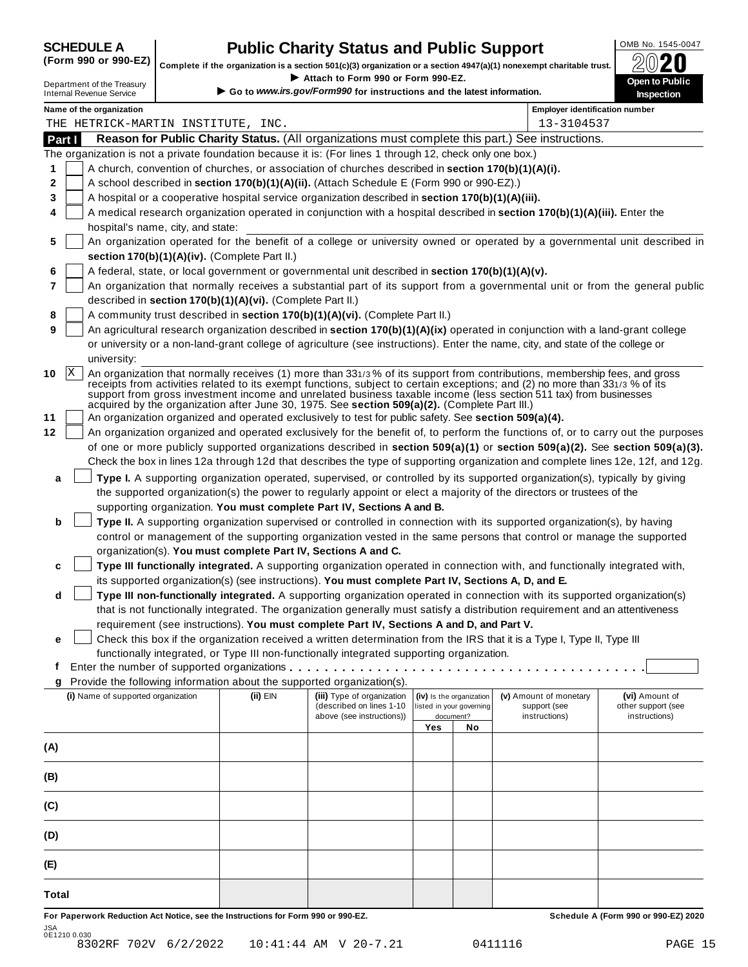## **CHEDULE A Public Charity Status and Public Support**  $\frac{100\text{dB No. }1545-0047}{000\text{dB No.}}$

(Form 990 or 990-EZ) complete if the organization is a section 501(c)(3) organization or a section 4947(a)(1) nonexempt charitable trust.  $2020$ 

|              |                                                               |                                                            | Complete if the organization is a section 501(c)(3) organization or a section 4947(a)(1) nonexempt charitable trust. |     |                                       |                                                                                                                                                                                                                                                                | ZWŁU                                |
|--------------|---------------------------------------------------------------|------------------------------------------------------------|----------------------------------------------------------------------------------------------------------------------|-----|---------------------------------------|----------------------------------------------------------------------------------------------------------------------------------------------------------------------------------------------------------------------------------------------------------------|-------------------------------------|
|              | Department of the Treasury<br><b>Internal Revenue Service</b> |                                                            | Attach to Form 990 or Form 990-EZ.<br>► Go to www.irs.gov/Form990 for instructions and the latest information.       |     |                                       |                                                                                                                                                                                                                                                                | Open to Public<br><b>Inspection</b> |
|              | Name of the organization                                      |                                                            |                                                                                                                      |     |                                       | <b>Employer identification number</b>                                                                                                                                                                                                                          |                                     |
|              | THE HETRICK-MARTIN INSTITUTE, INC.                            |                                                            |                                                                                                                      |     |                                       | 13-3104537                                                                                                                                                                                                                                                     |                                     |
| Part I       |                                                               |                                                            |                                                                                                                      |     |                                       | Reason for Public Charity Status. (All organizations must complete this part.) See instructions.                                                                                                                                                               |                                     |
|              |                                                               |                                                            | The organization is not a private foundation because it is: (For lines 1 through 12, check only one box.)            |     |                                       |                                                                                                                                                                                                                                                                |                                     |
| 1            |                                                               |                                                            | A church, convention of churches, or association of churches described in section 170(b)(1)(A)(i).                   |     |                                       |                                                                                                                                                                                                                                                                |                                     |
| 2            |                                                               |                                                            | A school described in section 170(b)(1)(A)(ii). (Attach Schedule E (Form 990 or 990-EZ).)                            |     |                                       |                                                                                                                                                                                                                                                                |                                     |
| 3            |                                                               |                                                            | A hospital or a cooperative hospital service organization described in section 170(b)(1)(A)(iii).                    |     |                                       |                                                                                                                                                                                                                                                                |                                     |
| 4            |                                                               |                                                            |                                                                                                                      |     |                                       | A medical research organization operated in conjunction with a hospital described in section 170(b)(1)(A)(iii). Enter the                                                                                                                                      |                                     |
|              | hospital's name, city, and state:                             |                                                            |                                                                                                                      |     |                                       |                                                                                                                                                                                                                                                                |                                     |
| 5            |                                                               |                                                            |                                                                                                                      |     |                                       | An organization operated for the benefit of a college or university owned or operated by a governmental unit described in                                                                                                                                      |                                     |
|              | section 170(b)(1)(A)(iv). (Complete Part II.)                 |                                                            |                                                                                                                      |     |                                       |                                                                                                                                                                                                                                                                |                                     |
| 6            |                                                               |                                                            | A federal, state, or local government or governmental unit described in section 170(b)(1)(A)(v).                     |     |                                       |                                                                                                                                                                                                                                                                |                                     |
| 7            |                                                               |                                                            |                                                                                                                      |     |                                       | An organization that normally receives a substantial part of its support from a governmental unit or from the general public                                                                                                                                   |                                     |
|              |                                                               | described in section 170(b)(1)(A)(vi). (Complete Part II.) |                                                                                                                      |     |                                       |                                                                                                                                                                                                                                                                |                                     |
| 8            |                                                               |                                                            | A community trust described in section 170(b)(1)(A)(vi). (Complete Part II.)                                         |     |                                       |                                                                                                                                                                                                                                                                |                                     |
| 9            |                                                               |                                                            |                                                                                                                      |     |                                       | An agricultural research organization described in section 170(b)(1)(A)(ix) operated in conjunction with a land-grant college                                                                                                                                  |                                     |
|              |                                                               |                                                            |                                                                                                                      |     |                                       | or university or a non-land-grant college of agriculture (see instructions). Enter the name, city, and state of the college or                                                                                                                                 |                                     |
|              | university:                                                   |                                                            |                                                                                                                      |     |                                       |                                                                                                                                                                                                                                                                |                                     |
| X <br>10     |                                                               |                                                            |                                                                                                                      |     |                                       | An organization that normally receives (1) more than 331/3% of its support from contributions, membership fees, and gross<br>receipts from activities related to its exempt functions, subject to certain exceptions; and (2) no more than 331/3 % of its      |                                     |
|              |                                                               |                                                            |                                                                                                                      |     |                                       | support from gross investment income and unrelated business taxable income (less section 511 tax) from businesses                                                                                                                                              |                                     |
| 11           |                                                               |                                                            | acquired by the organization after June 30, 1975. See section 509(a)(2). (Complete Part III.)                        |     |                                       |                                                                                                                                                                                                                                                                |                                     |
| 12           |                                                               |                                                            | An organization organized and operated exclusively to test for public safety. See section 509(a)(4).                 |     |                                       |                                                                                                                                                                                                                                                                |                                     |
|              |                                                               |                                                            |                                                                                                                      |     |                                       | An organization organized and operated exclusively for the benefit of, to perform the functions of, or to carry out the purposes                                                                                                                               |                                     |
|              |                                                               |                                                            |                                                                                                                      |     |                                       | of one or more publicly supported organizations described in section 509(a)(1) or section 509(a)(2). See section 509(a)(3).<br>Check the box in lines 12a through 12d that describes the type of supporting organization and complete lines 12e, 12f, and 12g. |                                     |
|              |                                                               |                                                            |                                                                                                                      |     |                                       |                                                                                                                                                                                                                                                                |                                     |
| а            |                                                               |                                                            |                                                                                                                      |     |                                       | Type I. A supporting organization operated, supervised, or controlled by its supported organization(s), typically by giving                                                                                                                                    |                                     |
|              |                                                               |                                                            | supporting organization. You must complete Part IV, Sections A and B.                                                |     |                                       | the supported organization(s) the power to regularly appoint or elect a majority of the directors or trustees of the                                                                                                                                           |                                     |
| b            |                                                               |                                                            |                                                                                                                      |     |                                       | Type II. A supporting organization supervised or controlled in connection with its supported organization(s), by having                                                                                                                                        |                                     |
|              |                                                               |                                                            |                                                                                                                      |     |                                       | control or management of the supporting organization vested in the same persons that control or manage the supported                                                                                                                                           |                                     |
|              |                                                               |                                                            | organization(s). You must complete Part IV, Sections A and C.                                                        |     |                                       |                                                                                                                                                                                                                                                                |                                     |
| c            |                                                               |                                                            |                                                                                                                      |     |                                       | Type III functionally integrated. A supporting organization operated in connection with, and functionally integrated with,                                                                                                                                     |                                     |
|              |                                                               |                                                            | its supported organization(s) (see instructions). You must complete Part IV, Sections A, D, and E.                   |     |                                       |                                                                                                                                                                                                                                                                |                                     |
| d            |                                                               |                                                            |                                                                                                                      |     |                                       | Type III non-functionally integrated. A supporting organization operated in connection with its supported organization(s)                                                                                                                                      |                                     |
|              |                                                               |                                                            |                                                                                                                      |     |                                       | that is not functionally integrated. The organization generally must satisfy a distribution requirement and an attentiveness                                                                                                                                   |                                     |
|              |                                                               |                                                            | requirement (see instructions). You must complete Part IV, Sections A and D, and Part V.                             |     |                                       |                                                                                                                                                                                                                                                                |                                     |
| е            |                                                               |                                                            |                                                                                                                      |     |                                       | Check this box if the organization received a written determination from the IRS that it is a Type I, Type II, Type III                                                                                                                                        |                                     |
|              |                                                               |                                                            | functionally integrated, or Type III non-functionally integrated supporting organization.                            |     |                                       |                                                                                                                                                                                                                                                                |                                     |
| f            |                                                               |                                                            |                                                                                                                      |     |                                       |                                                                                                                                                                                                                                                                |                                     |
| g            |                                                               |                                                            | Provide the following information about the supported organization(s).                                               |     |                                       |                                                                                                                                                                                                                                                                |                                     |
|              | (i) Name of supported organization                            | (ii) EIN                                                   | (iii) Type of organization                                                                                           |     | (iv) Is the organization              | (v) Amount of monetary                                                                                                                                                                                                                                         | (vi) Amount of                      |
|              |                                                               |                                                            | (described on lines 1-10<br>above (see instructions))                                                                |     | listed in your governing<br>document? | support (see<br>instructions)                                                                                                                                                                                                                                  | other support (see<br>instructions) |
|              |                                                               |                                                            |                                                                                                                      | Yes | No                                    |                                                                                                                                                                                                                                                                |                                     |
| (A)          |                                                               |                                                            |                                                                                                                      |     |                                       |                                                                                                                                                                                                                                                                |                                     |
|              |                                                               |                                                            |                                                                                                                      |     |                                       |                                                                                                                                                                                                                                                                |                                     |
| (B)          |                                                               |                                                            |                                                                                                                      |     |                                       |                                                                                                                                                                                                                                                                |                                     |
| (C)          |                                                               |                                                            |                                                                                                                      |     |                                       |                                                                                                                                                                                                                                                                |                                     |
| (D)          |                                                               |                                                            |                                                                                                                      |     |                                       |                                                                                                                                                                                                                                                                |                                     |
| (E)          |                                                               |                                                            |                                                                                                                      |     |                                       |                                                                                                                                                                                                                                                                |                                     |
| <b>Total</b> |                                                               |                                                            |                                                                                                                      |     |                                       |                                                                                                                                                                                                                                                                |                                     |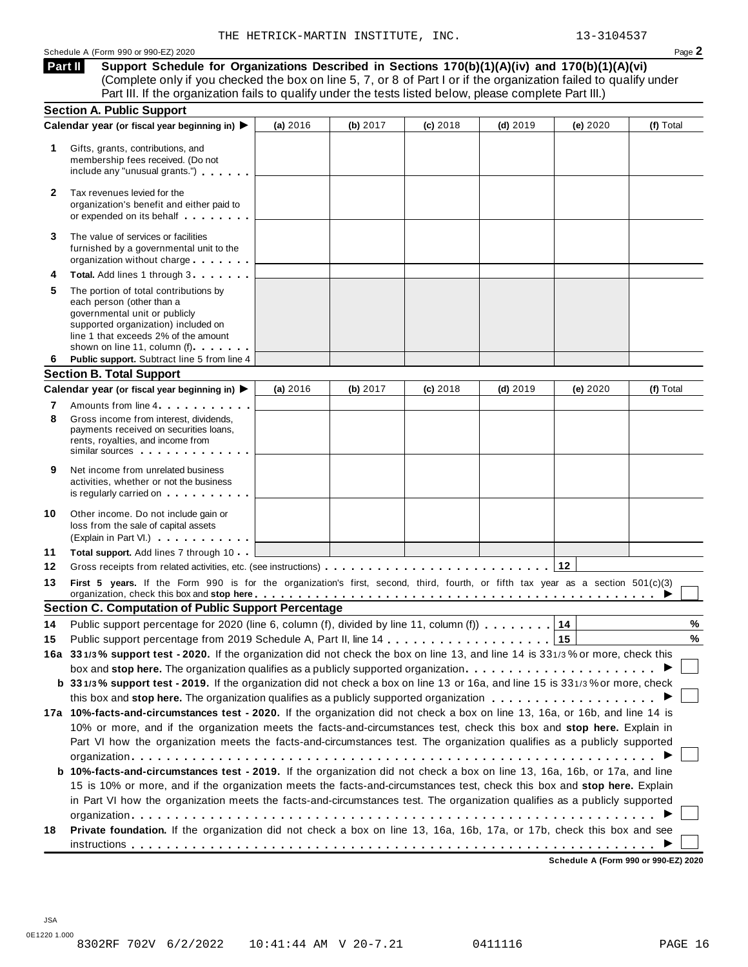**Support Schedule for Organizations Described in Sections 170(b)(1)(A)(iv) and 170(b)(1)(A)(vi)** (Complete only if you checked the box on line 5, 7, or 8 of Part I or if the organization failed to qualify under Part III. If the organization fails to qualify under the tests listed below, please complete Part III.) **Part II**

|        | <b>Section A. Public Support</b>                                                                                                                                                                                                                                                                                                                                  |          |          |            |            |          |           |
|--------|-------------------------------------------------------------------------------------------------------------------------------------------------------------------------------------------------------------------------------------------------------------------------------------------------------------------------------------------------------------------|----------|----------|------------|------------|----------|-----------|
|        | Calendar year (or fiscal year beginning in) ▶                                                                                                                                                                                                                                                                                                                     | (a) 2016 | (b) 2017 | (c) 2018   | $(d)$ 2019 | (e) 2020 | (f) Total |
| 1      | Gifts, grants, contributions, and<br>membership fees received. (Do not<br>include any "unusual grants.")                                                                                                                                                                                                                                                          |          |          |            |            |          |           |
| 2      | Tax revenues levied for the<br>organization's benefit and either paid to<br>or expended on its behalf <b>contained</b> by the set of the set of the set of the set of the set of the set of the set of the set of the set of the set of the set of the set of the set of the set of the set of the set of the s                                                   |          |          |            |            |          |           |
| 3      | The value of services or facilities<br>furnished by a governmental unit to the<br>organization without charge                                                                                                                                                                                                                                                     |          |          |            |            |          |           |
|        | Total. Add lines 1 through 3                                                                                                                                                                                                                                                                                                                                      |          |          |            |            |          |           |
| 5      | The portion of total contributions by<br>each person (other than a<br>governmental unit or publicly<br>supported organization) included on<br>line 1 that exceeds 2% of the amount<br>shown on line 11, column (f)<br>Public support. Subtract line 5 from line 4                                                                                                 |          |          |            |            |          |           |
| 6      |                                                                                                                                                                                                                                                                                                                                                                   |          |          |            |            |          |           |
|        | <b>Section B. Total Support</b>                                                                                                                                                                                                                                                                                                                                   | (a) 2016 | (b) 2017 |            | $(d)$ 2019 | (e) 2020 | (f) Total |
|        | Calendar year (or fiscal year beginning in) ▶                                                                                                                                                                                                                                                                                                                     |          |          | $(c)$ 2018 |            |          |           |
| 7<br>8 | Amounts from line 4 <b>Amounts</b> from line 4<br>Gross income from interest, dividends,<br>payments received on securities loans,<br>rents, royalties, and income from<br>similar sources experiences                                                                                                                                                            |          |          |            |            |          |           |
| 9      | Net income from unrelated business<br>activities, whether or not the business<br>is regularly carried on the control of the set of the set of the set of the set of the set of the set of the s                                                                                                                                                                   |          |          |            |            |          |           |
| 10     | Other income. Do not include gain or<br>loss from the sale of capital assets<br>(Explain in Part VI.)                                                                                                                                                                                                                                                             |          |          |            |            |          |           |
| 11     | Total support. Add lines 7 through 10                                                                                                                                                                                                                                                                                                                             |          |          |            |            |          |           |
| 12     |                                                                                                                                                                                                                                                                                                                                                                   |          |          |            |            |          |           |
| 13     | First 5 years. If the Form 990 is for the organization's first, second, third, fourth, or fifth tax year as a section 501(c)(3)<br>organization, check this box and stop here entitled and state in the set of the set of the set of the set of the set of the set of the set of the set of the set of the set of the set of the set of the set of the set of the |          |          |            |            |          |           |
|        | <b>Section C. Computation of Public Support Percentage</b>                                                                                                                                                                                                                                                                                                        |          |          |            |            |          |           |
| 14     | Public support percentage for 2020 (line 6, column (f), divided by line 11, column (f))                                                                                                                                                                                                                                                                           |          |          |            |            | 14       | %         |
| 15     |                                                                                                                                                                                                                                                                                                                                                                   |          |          |            |            | 15       | $\%$      |
|        | 16a 331/3% support test - 2020. If the organization did not check the box on line 13, and line 14 is 331/3% or more, check this                                                                                                                                                                                                                                   |          |          |            |            |          |           |
|        | box and stop here. The organization qualifies as a publicly supported organization $\ldots \ldots \ldots \ldots \ldots \ldots$                                                                                                                                                                                                                                    |          |          |            |            |          |           |
|        | b 331/3% support test - 2019. If the organization did not check a box on line 13 or 16a, and line 15 is 331/3% or more, check                                                                                                                                                                                                                                     |          |          |            |            |          |           |
|        |                                                                                                                                                                                                                                                                                                                                                                   |          |          |            |            |          |           |
|        | 17a 10%-facts-and-circumstances test - 2020. If the organization did not check a box on line 13, 16a, or 16b, and line 14 is                                                                                                                                                                                                                                      |          |          |            |            |          |           |
|        | 10% or more, and if the organization meets the facts-and-circumstances test, check this box and stop here. Explain in                                                                                                                                                                                                                                             |          |          |            |            |          |           |
|        | Part VI how the organization meets the facts-and-circumstances test. The organization qualifies as a publicly supported                                                                                                                                                                                                                                           |          |          |            |            |          |           |
|        |                                                                                                                                                                                                                                                                                                                                                                   |          |          |            |            |          |           |
|        | b 10%-facts-and-circumstances test - 2019. If the organization did not check a box on line 13, 16a, 16b, or 17a, and line                                                                                                                                                                                                                                         |          |          |            |            |          |           |
|        | 15 is 10% or more, and if the organization meets the facts-and-circumstances test, check this box and stop here. Explain                                                                                                                                                                                                                                          |          |          |            |            |          |           |
|        | in Part VI how the organization meets the facts-and-circumstances test. The organization qualifies as a publicly supported                                                                                                                                                                                                                                        |          |          |            |            |          |           |
| 18     | Private foundation. If the organization did not check a box on line 13, 16a, 16b, 17a, or 17b, check this box and see                                                                                                                                                                                                                                             |          |          |            |            |          |           |
|        |                                                                                                                                                                                                                                                                                                                                                                   |          |          |            |            |          |           |

**Schedule A (Form 990 or 990-EZ) 2020**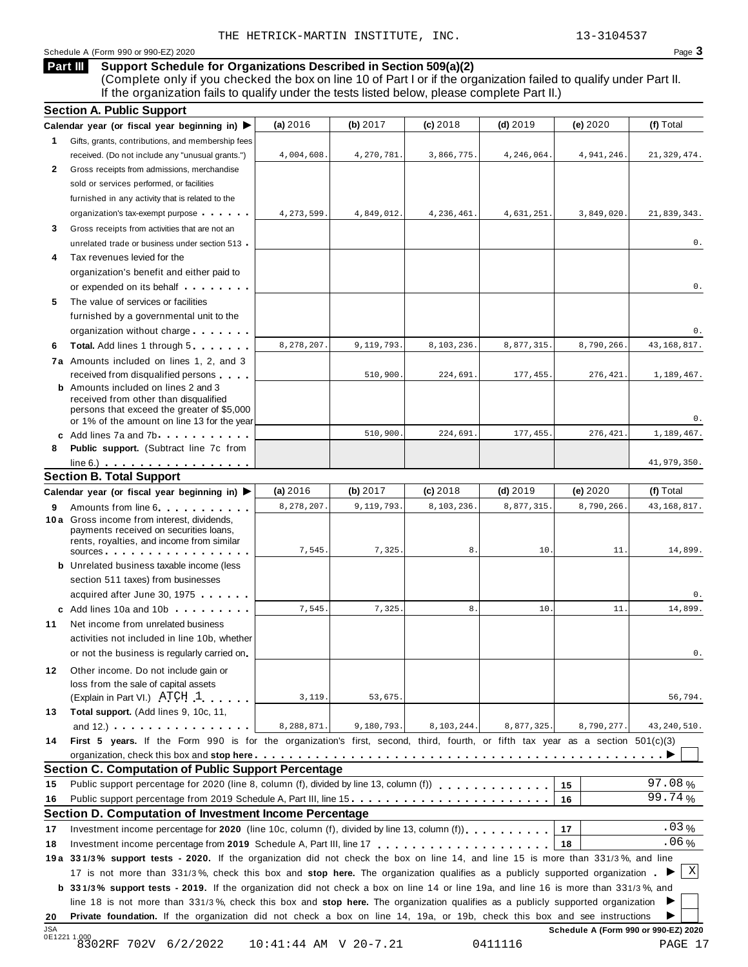#### Schedule A (Form 990 or 990-EZ) 2020 Page 3

#### **Support Schedule for Organizations Described in Section 509(a)(2) Part III**

(Complete only if you checked the box on line 10 of Part I or if the organization failed to qualify under Part II. If the organization fails to qualify under the tests listed below, please complete Part II.)

|                  | <b>Section A. Public Support</b>                                                                                                                                                                                                                           |                       |            |            |            |                                      |               |
|------------------|------------------------------------------------------------------------------------------------------------------------------------------------------------------------------------------------------------------------------------------------------------|-----------------------|------------|------------|------------|--------------------------------------|---------------|
|                  | Calendar year (or fiscal year beginning in) $\blacktriangleright$                                                                                                                                                                                          | (a) 2016              | (b) 2017   | $(c)$ 2018 | $(d)$ 2019 | (e) 2020                             | (f) Total     |
| 1.               | Gifts, grants, contributions, and membership fees                                                                                                                                                                                                          |                       |            |            |            |                                      |               |
|                  | received. (Do not include any "unusual grants.")                                                                                                                                                                                                           | 4,004,608.            | 4,270,781. | 3,866,775. | 4,246,064. | 4,941,246                            | 21, 329, 474. |
| 2                | Gross receipts from admissions, merchandise                                                                                                                                                                                                                |                       |            |            |            |                                      |               |
|                  | sold or services performed, or facilities                                                                                                                                                                                                                  |                       |            |            |            |                                      |               |
|                  | furnished in any activity that is related to the                                                                                                                                                                                                           |                       |            |            |            |                                      |               |
|                  | organization's tax-exempt purpose                                                                                                                                                                                                                          | 4,273,599.            | 4,849,012. | 4,236,461  | 4,631,251. | 3,849,020                            | 21,839,343.   |
| 3                | Gross receipts from activities that are not an                                                                                                                                                                                                             |                       |            |            |            |                                      |               |
|                  | unrelated trade or business under section 513                                                                                                                                                                                                              |                       |            |            |            |                                      | 0.            |
| 4                | Tax revenues levied for the                                                                                                                                                                                                                                |                       |            |            |            |                                      |               |
|                  | organization's benefit and either paid to                                                                                                                                                                                                                  |                       |            |            |            |                                      |               |
|                  | or expended on its behalf                                                                                                                                                                                                                                  |                       |            |            |            |                                      | 0.            |
| 5                | The value of services or facilities                                                                                                                                                                                                                        |                       |            |            |            |                                      |               |
|                  | furnished by a governmental unit to the                                                                                                                                                                                                                    |                       |            |            |            |                                      |               |
|                  | organization without charge                                                                                                                                                                                                                                |                       |            |            |            |                                      | 0.            |
| 6                | <b>Total.</b> Add lines 1 through 5                                                                                                                                                                                                                        | 8,278,207.            | 9,119,793. | 8,103,236  | 8,877,315  | 8,790,266                            | 43, 168, 817. |
|                  | 7a Amounts included on lines 1, 2, and 3                                                                                                                                                                                                                   |                       |            |            |            |                                      |               |
|                  | received from disqualified persons                                                                                                                                                                                                                         |                       | 510,900    | 224,691    | 177,455.   | 276,421                              | 1,189,467.    |
|                  | <b>b</b> Amounts included on lines 2 and 3                                                                                                                                                                                                                 |                       |            |            |            |                                      |               |
|                  | received from other than disqualified<br>persons that exceed the greater of \$5,000                                                                                                                                                                        |                       |            |            |            |                                      |               |
|                  | or 1% of the amount on line 13 for the year                                                                                                                                                                                                                |                       |            |            |            |                                      | 0.            |
|                  | c Add lines 7a and 7b                                                                                                                                                                                                                                      |                       | 510,900    | 224,691    | 177, 455.  | 276,421                              | 1,189,467.    |
| 8                | <b>Public support.</b> (Subtract line 7c from                                                                                                                                                                                                              |                       |            |            |            |                                      |               |
|                  | $line 6.)$                                                                                                                                                                                                                                                 |                       |            |            |            |                                      | 41,979,350.   |
|                  | <b>Section B. Total Support</b>                                                                                                                                                                                                                            |                       |            |            |            |                                      |               |
|                  | Calendar year (or fiscal year beginning in) ▶                                                                                                                                                                                                              | (a) 2016              | (b) $2017$ | $(c)$ 2018 | $(d)$ 2019 | (e) 2020                             | (f) Total     |
| 9                | Amounts from line 6                                                                                                                                                                                                                                        | 8,278,207.            | 9,119,793. | 8,103,236  | 8,877,315  | 8,790,266                            | 43, 168, 817. |
|                  | 10 a Gross income from interest, dividends,<br>payments received on securities loans,<br>rents, royalties, and income from similar                                                                                                                         |                       |            |            |            |                                      |               |
|                  | $sources$ .                                                                                                                                                                                                                                                | 7,545.                | 7,325      | 8.         | 10.        | 11                                   | 14,899.       |
|                  | <b>b</b> Unrelated business taxable income (less                                                                                                                                                                                                           |                       |            |            |            |                                      |               |
|                  | section 511 taxes) from businesses                                                                                                                                                                                                                         |                       |            |            |            |                                      |               |
|                  | acquired after June 30, 1975                                                                                                                                                                                                                               |                       |            |            |            |                                      | 0.            |
|                  | c Add lines 10a and 10b                                                                                                                                                                                                                                    | 7,545                 | 7,325      | 8.         | 10         | 11.                                  | 14,899.       |
| 11               | Net income from unrelated business                                                                                                                                                                                                                         |                       |            |            |            |                                      |               |
|                  | activities not included in line 10b, whether                                                                                                                                                                                                               |                       |            |            |            |                                      |               |
|                  | or not the business is regularly carried on                                                                                                                                                                                                                |                       |            |            |            |                                      | 0.            |
| 12.              | Other income. Do not include gain or                                                                                                                                                                                                                       |                       |            |            |            |                                      |               |
|                  | loss from the sale of capital assets                                                                                                                                                                                                                       |                       |            |            |            |                                      |               |
|                  | (Explain in Part VI.) ATCH 1                                                                                                                                                                                                                               | 3,119.                | 53,675.    |            |            |                                      | 56,794.       |
| 13               | Total support. (Add lines 9, 10c, 11,                                                                                                                                                                                                                      |                       |            |            |            |                                      |               |
|                  | and 12.) $\cdots$ $\cdots$ $\cdots$ $\cdots$                                                                                                                                                                                                               | 8,288,871.            | 9,180,793. | 8,103,244. | 8,877,325. | 8,790,277                            | 43, 240, 510. |
| 14               | First 5 years. If the Form 990 is for the organization's first, second, third, fourth, or fifth tax year as a section $501(c)(3)$                                                                                                                          |                       |            |            |            |                                      |               |
|                  |                                                                                                                                                                                                                                                            |                       |            |            |            |                                      |               |
|                  | <b>Section C. Computation of Public Support Percentage</b>                                                                                                                                                                                                 |                       |            |            |            |                                      |               |
| 15               | Public support percentage for 2020 (line 8, column (f), divided by line 13, column (f) [1] [1] [1] Public support percentage for 2020 (line 8, column (f), divided by line 13, column (f)                                                                  |                       |            |            |            | 15                                   | 97.08%        |
| 16               | Public support percentage from 2019 Schedule A, Part III, line 15.                                                                                                                                                                                         |                       |            |            |            | 16                                   | 99.74%        |
|                  | Section D. Computation of Investment Income Percentage                                                                                                                                                                                                     |                       |            |            |            |                                      |               |
| 17               | Investment income percentage for 2020 (line 10c, column (f), divided by line 13, column (f)                                                                                                                                                                |                       |            |            |            | 17                                   | $.03\%$       |
| 18               |                                                                                                                                                                                                                                                            |                       |            |            |            | 18                                   | $.06\%$       |
|                  | 19a 331/3% support tests - 2020. If the organization did not check the box on line 14, and line 15 is more than 331/3%, and line                                                                                                                           |                       |            |            |            |                                      |               |
|                  | 17 is not more than 331/3%, check this box and stop here. The organization qualifies as a publicly supported organization.                                                                                                                                 |                       |            |            |            |                                      | $\mathbf X$   |
|                  | b 331/3% support tests - 2019. If the organization did not check a box on line 14 or line 19a, and line 16 is more than 331/3%, and                                                                                                                        |                       |            |            |            |                                      |               |
|                  |                                                                                                                                                                                                                                                            |                       |            |            |            |                                      | ▶             |
|                  | line 18 is not more than 331/3%, check this box and stop here. The organization qualifies as a publicly supported organization<br>Private foundation. If the organization did not check a box on line 14, 19a, or 19b, check this box and see instructions |                       |            |            |            |                                      |               |
| 20<br><b>JSA</b> |                                                                                                                                                                                                                                                            |                       |            |            |            | Schedule A (Form 990 or 990-EZ) 2020 |               |
|                  | 0E1221 1.000<br>8302RF 702V 6/2/2022                                                                                                                                                                                                                       | 10:41:44 AM V 20-7.21 |            |            | 0411116    |                                      | PAGE 17       |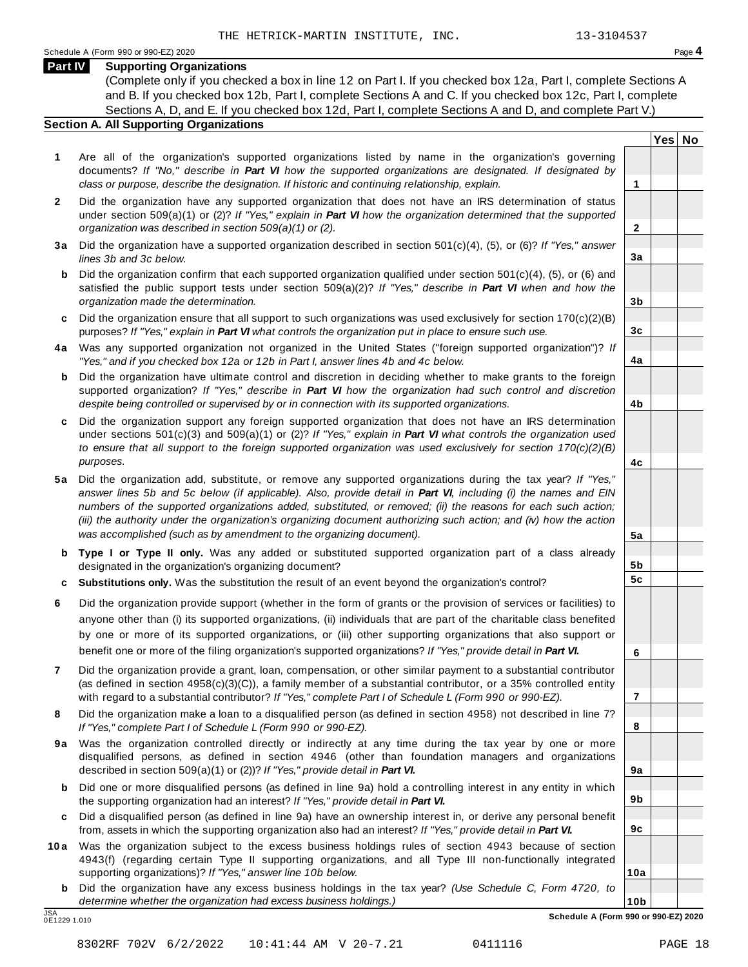**Yes No**

**2**

**3a**

**3b**

**3c**

**4a**

**4b**

**4c**

**5a**

**5b 5c**

**6**

**7**

**8**

**9a**

**9b**

**9c**

**10a**

#### **Part IV Supporting Organizations**

(Complete only if you checked a box in line 12 on Part I. If you checked box 12a, Part I, complete Sections A and B. If you checked box 12b, Part I, complete Sections A and C. If you checked box 12c, Part I, complete Sections A, D, and E. If you checked box 12d, Part I, complete Sections A and D, and complete Part V.)

#### **Section A. All Supporting Organizations**

- **1** Are all of the organization's supported organizations listed by name in the organization's governing documents? *If "No," describe in Part VI how the supported organizations are designated. If designated by class or purpose, describe the designation. If historic and continuing relationship, explain.* **1**
- **2** Did the organization have any supported organization that does not have an IRS determination of status under section 509(a)(1) or (2)? *If"Yes," explain in Part VI how the organization determined that the supported organization was described in section 509(a)(1) or (2).*
- **3 a** Did the organization have a supported organization described in section 501(c)(4), (5), or (6)? *If "Yes," answer lines 3b and 3c below.*
- **b** Did the organization confirm that each supported organization qualified under section 501(c)(4), (5), or (6) and | satisfied the public support tests under section 509(a)(2)? *If "Yes," describe in Part VI when and how the organization made the determination.*
- **c** Did the organization ensure that all support to such organizations was used exclusively for section 170(c)(2)(B) purposes? *If"Yes," explain in Part VI what controls the organization put in place to ensure such use.*
- **4 a** Was any supported organization not organized in the United States ("foreign supported organization")? *If "Yes," and if you checked box 12a or 12b in Part I, answer lines 4b and 4c below.*
- **b** Did the organization have ultimate control and discretion in deciding whether to make grants to the foreign | supported organization? *If "Yes," describe in Part VI how the organization had such control and discretion despite being controlled or supervised by or in connection with its supported organizations.*
- **c** Did the organization support any foreign supported organization that does not have an IRS determination | under sections 501(c)(3) and 509(a)(1) or (2)? *If "Yes," explain in Part VI what controls the organization used to ensure that all support to the foreign supported organization was used exclusively for section 170(c)(2)(B) purposes.*
- **5 a** Did the organization add, substitute, or remove any supported organizations during the tax year? *If "Yes,"* answer lines 5b and 5c below (if applicable). Also, provide detail in Part VI, including (i) the names and EIN *numbers of the supported organizations added, substituted, or removed; (ii) the reasons for each such action;* (iii) the authority under the organization's organizing document authorizing such action; and (iv) how the action *was accomplished (such as by amendment to the organizing document).*
- **b Type I or Type II only.** Was any added or substituted supported organization part of a class already designated in the organization's organizing document?
- **c Substitutions only.** Was the substitution the result of an event beyond the organization's control?
- **6** Did the organization provide support (whether in the form of grants or the provision of services or facilities) to anyone other than (i) its supported organizations, (ii) individuals that are part of the charitable class benefited by one or more of its supported organizations, or (iii) other supporting organizations that also support or benefit one or more of the filing organization's supported organizations? *If"Yes," provide detail in Part VI.*
- **7** Did the organization provide a grant, loan, compensation, or other similar payment to a substantial contributor (as defined in section 4958(c)(3)(C)), a family member of a substantial contributor, or a 35% controlled entity with regard to a substantial contributor? *If"Yes," complete Part I of Schedule L (Form 990 or 990-EZ).*
- **8** Did the organization make a loan to a disqualified person (as defined in section 4958) not described in line 7? *If "Yes," complete Part I of Schedule L (Form 990 or 990-EZ).*
- **9a** Was the organization controlled directly or indirectly at any time during the tax year by one or more | disqualified persons, as defined in section 4946 (other than foundation managers and organizations described in section 509(a)(1) or (2))? *If"Yes," provide detail in Part VI.*
- **b** Did one or more disqualified persons (as defined in line 9a) hold a controlling interest in any entity in which | the supporting organization had an interest? *If"Yes," provide detail in Part VI.*
- **c** Did a disqualified person (as defined in line 9a) have an ownership interest in, or derive any personal benefit from, assets in which the supporting organization also had an interest? *If"Yes," provide detail in Part VI.*
- **10a** Was the organization subject to the excess business holdings rules of section 4943 because of section | 4943(f) (regarding certain Type II supporting organizations, and all Type III non-functionally integrated supporting organizations)? *If"Yes," answer line 10b below.*
	- **b** Did the organization have any excess business holdings in the tax year? *(Use Schedule C, Form 4720, to determine whether the organization had excess business holdings.)*

0E1229 1.010

**10b** JSA **Schedule A (Form 990 or 990-EZ) 2020**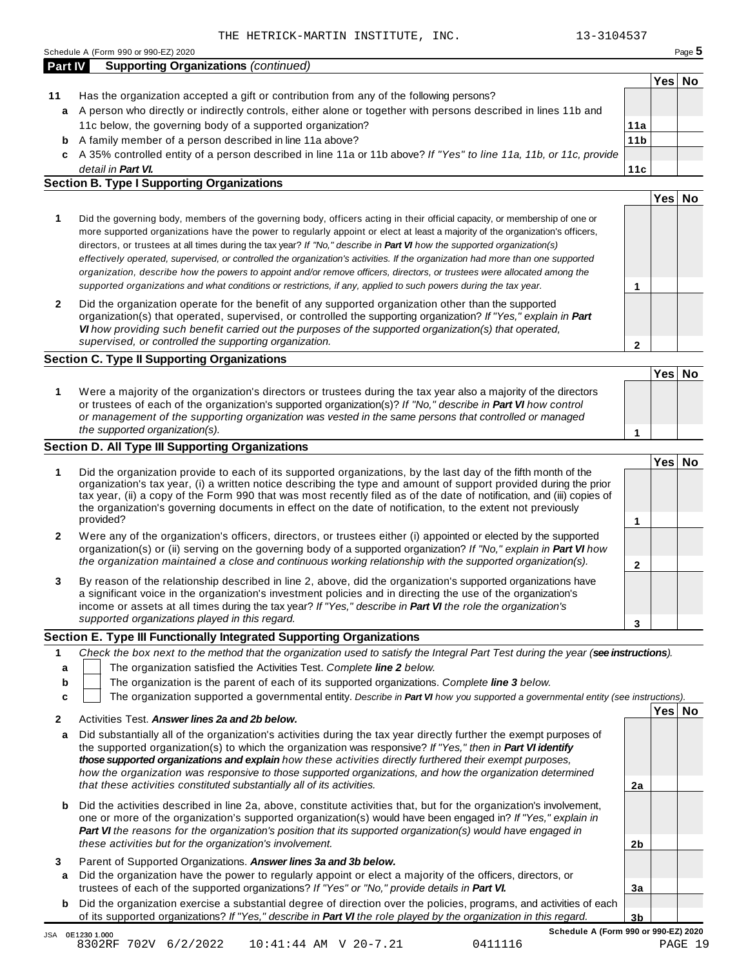Schedule <sup>A</sup> (Form <sup>990</sup> or 990-EZ) <sup>2020</sup> Page **5**

|    |                                                                                                                      |                 | Yes∣ | No |
|----|----------------------------------------------------------------------------------------------------------------------|-----------------|------|----|
| 11 | Has the organization accepted a gift or contribution from any of the following persons?                              |                 |      |    |
|    | a A person who directly or indirectly controls, either alone or together with persons described in lines 11b and     |                 |      |    |
|    | 11c below, the governing body of a supported organization?                                                           | 11a             |      |    |
|    | <b>b</b> A family member of a person described in line 11a above?                                                    | 11 <sub>b</sub> |      |    |
|    | c A 35% controlled entity of a person described in line 11a or 11b above? If "Yes" to line 11a, 11b, or 11c, provide |                 |      |    |
|    | detail in Part VI.                                                                                                   | 11c             |      |    |
|    | <b>Section B. Type I Supporting Organizations</b>                                                                    |                 |      |    |
|    |                                                                                                                      |                 | Yes  |    |

| Did the governing body, members of the governing body, officers acting in their official capacity, or membership of one or<br>more supported organizations have the power to regularly appoint or elect at least a majority of the organization's officers,<br>directors, or trustees at all times during the tax year? If "No," describe in <b>Part VI</b> how the supported organization(s)<br>effectively operated, supervised, or controlled the organization's activities. If the organization had more than one supported<br>organization, describe how the powers to appoint and/or remove officers, directors, or trustees were allocated among the |  |
|-------------------------------------------------------------------------------------------------------------------------------------------------------------------------------------------------------------------------------------------------------------------------------------------------------------------------------------------------------------------------------------------------------------------------------------------------------------------------------------------------------------------------------------------------------------------------------------------------------------------------------------------------------------|--|
| supported organizations and what conditions or restrictions, if any, applied to such powers during the tax year.                                                                                                                                                                                                                                                                                                                                                                                                                                                                                                                                            |  |
| Did the organization operate for the benefit of any supported organization other than the supported                                                                                                                                                                                                                                                                                                                                                                                                                                                                                                                                                         |  |

**2** Did the organization operate for the benefit of any supported organization other than the supported organization(s) that operated, supervised, or controlled the supporting organization? *If "Yes," explain in Part VI how providing such benefit carried out the purposes of the supported organization(s) that operated, supervised, or controlled the supporting organization.*

#### **Section C. Type II Supporting Organizations**

**1 Yes No 1** Were a majority of the organization's directors or trustees during the tax year also a majority of the directors or trustees of each of the organization's supported organization(s)? *If"No," describe in Part VI how control or management of the supporting organization was vested in the same persons that controlled or managed the supported organization(s).*

#### **Section D. All Type III Supporting Organizations**

|              |                                                                                                                                                                                                                                                                                                                                                                                                                                                                                          | Yes⊺ |  |
|--------------|------------------------------------------------------------------------------------------------------------------------------------------------------------------------------------------------------------------------------------------------------------------------------------------------------------------------------------------------------------------------------------------------------------------------------------------------------------------------------------------|------|--|
|              | Did the organization provide to each of its supported organizations, by the last day of the fifth month of the<br>organization's tax year, (i) a written notice describing the type and amount of support provided during the prior<br>tax year, (ii) a copy of the Form 990 that was most recently filed as of the date of notification, and (iii) copies of<br>the organization's governing documents in effect on the date of notification, to the extent not previously<br>provided? |      |  |
| $\mathbf{2}$ | Were any of the organization's officers, directors, or trustees either (i) appointed or elected by the supported<br>organization(s) or (ii) serving on the governing body of a supported organization? If "No," explain in <b>Part VI</b> how<br>the organization maintained a close and continuous working relationship with the supported organization(s).                                                                                                                             |      |  |
| 3            | By reason of the relationship described in line 2, above, did the organization's supported organizations have<br>a significant voice in the organization's investment policies and in directing the use of the organization's<br>income or assets at all times during the tax year? If "Yes," describe in Part VI the role the organization's                                                                                                                                            |      |  |
|              | supported organizations played in this regard.                                                                                                                                                                                                                                                                                                                                                                                                                                           |      |  |

#### **Section E. Type III Functionally Integrated Supporting Organizations**

|   | Check the box next to the method that the organization used to satisfy the Integral Part Test during the year (see instructions). |  |  |  |  |  |  |  |  |  |  |
|---|-----------------------------------------------------------------------------------------------------------------------------------|--|--|--|--|--|--|--|--|--|--|
|   | The organization satisfied the Activities Test. Complete line 2 below.                                                            |  |  |  |  |  |  |  |  |  |  |
| b | The organization is the parent of each of its supported organizations. Complete line 3 below.                                     |  |  |  |  |  |  |  |  |  |  |
| c | The organization supported a governmental entity. Describe in Part VI how you supported a governmental entity (see instructions). |  |  |  |  |  |  |  |  |  |  |
|   |                                                                                                                                   |  |  |  |  |  |  |  |  |  |  |
|   | Activities Test. Answer lines 2a and 2b below.                                                                                    |  |  |  |  |  |  |  |  |  |  |

| a            | Did substantially all of the organization's activities during the tax year directly further the exempt purposes of<br>the supported organization(s) to which the organization was responsive? If "Yes," then in Part VI identify<br>those supported organizations and explain how these activities directly furthered their exempt purposes.<br>how the organization was responsive to those supported organizations, and how the organization determined<br>that these activities constituted substantially all of its activities. | 2a             |  |
|--------------|-------------------------------------------------------------------------------------------------------------------------------------------------------------------------------------------------------------------------------------------------------------------------------------------------------------------------------------------------------------------------------------------------------------------------------------------------------------------------------------------------------------------------------------|----------------|--|
|              |                                                                                                                                                                                                                                                                                                                                                                                                                                                                                                                                     |                |  |
| b            | Did the activities described in line 2a, above, constitute activities that, but for the organization's involvement,<br>one or more of the organization's supported organization(s) would have been engaged in? If "Yes," explain in<br>Part VI the reasons for the organization's position that its supported organization(s) would have engaged in<br>these activities but for the organization's involvement.                                                                                                                     | 2 <sub>b</sub> |  |
| 3            | Parent of Supported Organizations. Answer lines 3a and 3b below.                                                                                                                                                                                                                                                                                                                                                                                                                                                                    |                |  |
|              |                                                                                                                                                                                                                                                                                                                                                                                                                                                                                                                                     |                |  |
| $\mathbf{a}$ | Did the organization have the power to regularly appoint or elect a majority of the officers, directors, or                                                                                                                                                                                                                                                                                                                                                                                                                         |                |  |
|              | trustees of each of the supported organizations? If "Yes" or "No," provide details in Part VI.                                                                                                                                                                                                                                                                                                                                                                                                                                      | 3a             |  |
|              |                                                                                                                                                                                                                                                                                                                                                                                                                                                                                                                                     |                |  |
| b            | Did the organization exercise a substantial degree of direction over the policies, programs, and activities of each                                                                                                                                                                                                                                                                                                                                                                                                                 |                |  |
|              | of its supported organizations? If "Yes," describe in Part VI the role played by the organization in this regard.                                                                                                                                                                                                                                                                                                                                                                                                                   | 3b             |  |

**2**

JSA 0E12301.000<br>8302RF 702V 6/2/2022 10:41:44 AM V 20-7.21 0411116 PAGE 19

**Schedule A (Form 990 or 990-EZ) 2020**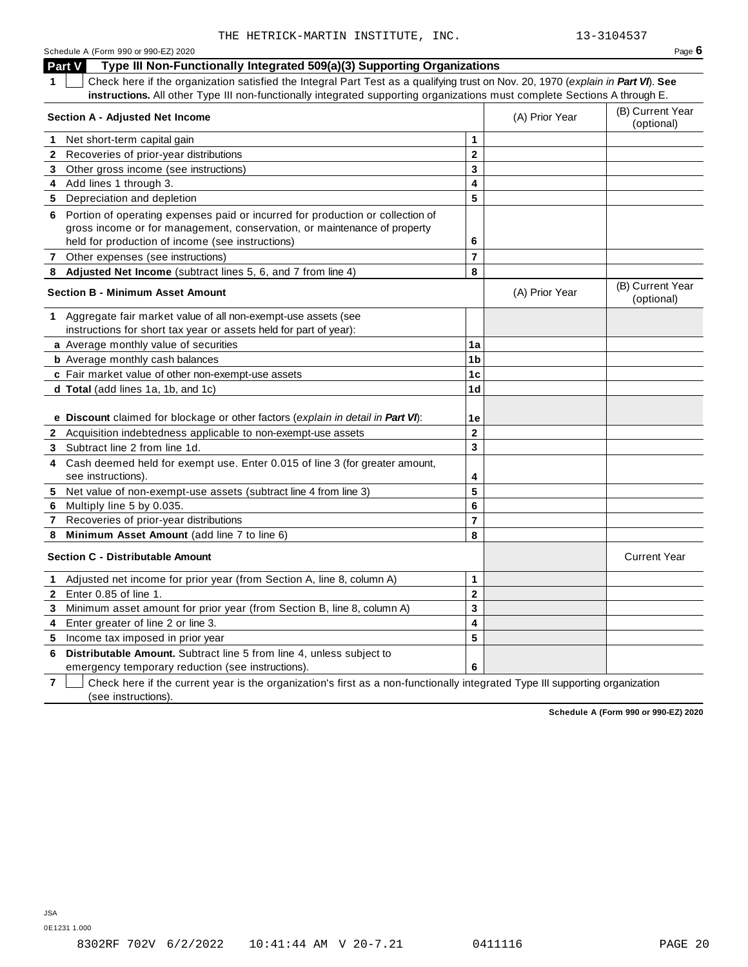### **Part V Type III Non-Functionally Integrated 509(a)(3) Supporting Organizations**

**1** Check here if the organization satisfied the Integral Part Test as a qualifying trust on Nov. 20, 1970 (*explain in Part VI*). **See instructions.** All other Type III non-functionally integrated supporting organizations must complete Sections A through E.

|              | <b>Section A - Adjusted Net Income</b>                                                            | (A) Prior Year          | (B) Current Year<br>(optional) |                                |
|--------------|---------------------------------------------------------------------------------------------------|-------------------------|--------------------------------|--------------------------------|
| 1            | Net short-term capital gain                                                                       | $\mathbf{1}$            |                                |                                |
| $\mathbf{2}$ | Recoveries of prior-year distributions                                                            | $\mathbf{2}$            |                                |                                |
| 3            | Other gross income (see instructions)                                                             | 3                       |                                |                                |
| 4            | Add lines 1 through 3.                                                                            | 4                       |                                |                                |
|              | 5 Depreciation and depletion                                                                      | 5                       |                                |                                |
| 6            | Portion of operating expenses paid or incurred for production or collection of                    |                         |                                |                                |
|              | gross income or for management, conservation, or maintenance of property                          |                         |                                |                                |
|              | held for production of income (see instructions)                                                  | 6                       |                                |                                |
|              | 7 Other expenses (see instructions)                                                               | $\overline{7}$          |                                |                                |
|              | 8 Adjusted Net Income (subtract lines 5, 6, and 7 from line 4)                                    | 8                       |                                |                                |
|              | <b>Section B - Minimum Asset Amount</b>                                                           |                         | (A) Prior Year                 | (B) Current Year<br>(optional) |
|              | 1 Aggregate fair market value of all non-exempt-use assets (see                                   |                         |                                |                                |
|              | instructions for short tax year or assets held for part of year):                                 |                         |                                |                                |
|              | a Average monthly value of securities                                                             | 1a                      |                                |                                |
|              | <b>b</b> Average monthly cash balances                                                            | 1 <sub>b</sub>          |                                |                                |
|              | c Fair market value of other non-exempt-use assets                                                | 1 <sub>c</sub>          |                                |                                |
|              | d Total (add lines 1a, 1b, and 1c)                                                                | 1 <sub>d</sub>          |                                |                                |
|              |                                                                                                   |                         |                                |                                |
|              | e Discount claimed for blockage or other factors (explain in detail in Part VI):                  | 1e                      |                                |                                |
|              | 2 Acquisition indebtedness applicable to non-exempt-use assets                                    | $\mathbf{2}$            |                                |                                |
|              | 3 Subtract line 2 from line 1d.                                                                   | $\overline{\mathbf{3}}$ |                                |                                |
| 4            | Cash deemed held for exempt use. Enter 0.015 of line 3 (for greater amount,<br>see instructions). | 4                       |                                |                                |
|              | 5 Net value of non-exempt-use assets (subtract line 4 from line 3)                                | 5                       |                                |                                |
| 6            | Multiply line 5 by 0.035.                                                                         | 6                       |                                |                                |
| 7            | Recoveries of prior-year distributions                                                            | $\overline{7}$          |                                |                                |
| 8            | Minimum Asset Amount (add line 7 to line 6)                                                       | 8                       |                                |                                |
|              | <b>Section C - Distributable Amount</b>                                                           |                         |                                | <b>Current Year</b>            |
| $\mathbf 1$  | Adjusted net income for prior year (from Section A, line 8, column A)                             | $\mathbf{1}$            |                                |                                |
| $\mathbf{2}$ | Enter 0.85 of line 1.                                                                             | $\mathbf{2}$            |                                |                                |
| 3            | Minimum asset amount for prior year (from Section B, line 8, column A)                            | 3                       |                                |                                |
| 4            | Enter greater of line 2 or line 3.                                                                | 4                       |                                |                                |
| 5.           | Income tax imposed in prior year                                                                  | 5                       |                                |                                |
| 6            | Distributable Amount. Subtract line 5 from line 4, unless subject to                              |                         |                                |                                |
|              | emergency temporary reduction (see instructions).                                                 | 6                       |                                |                                |

**7** Check here if the current year is the organization's first as a non-functionally integrated Type III supporting organization (see instructions).

**Schedule A (Form 990 or 990-EZ) 2020**

JSA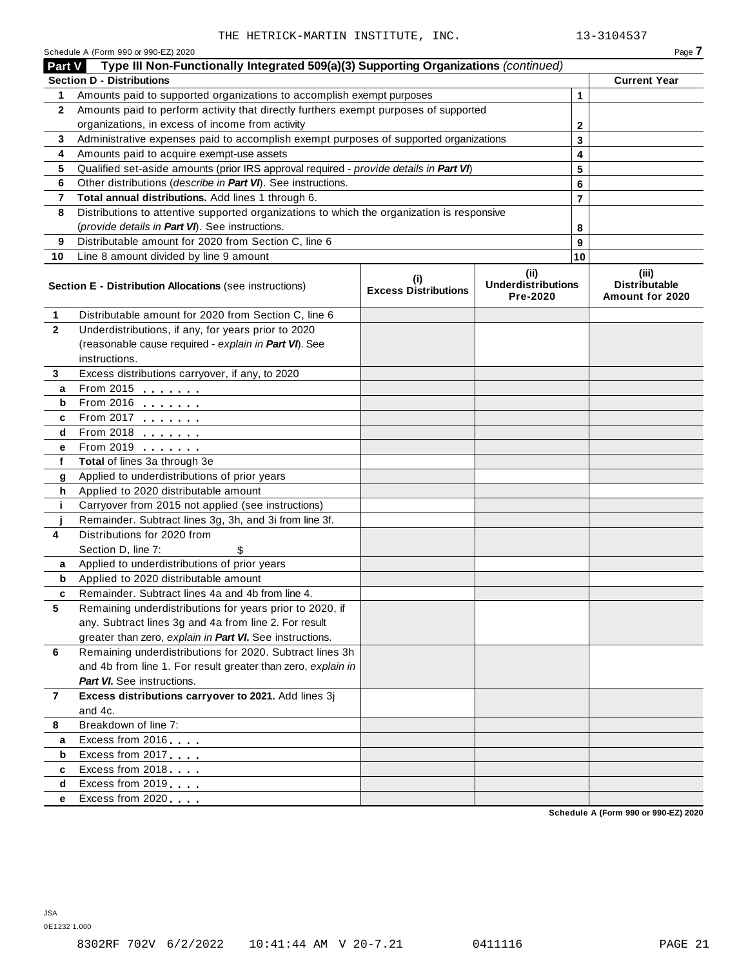|                | Schedule A (Form 990 or 990-EZ) 2020                                                                              |                                    |                                               |    | Page 7                                           |
|----------------|-------------------------------------------------------------------------------------------------------------------|------------------------------------|-----------------------------------------------|----|--------------------------------------------------|
| Part V         | Type III Non-Functionally Integrated 509(a)(3) Supporting Organizations (continued)                               |                                    |                                               |    |                                                  |
|                | <b>Section D - Distributions</b>                                                                                  |                                    |                                               |    | <b>Current Year</b>                              |
| 1              | Amounts paid to supported organizations to accomplish exempt purposes                                             |                                    |                                               | 1  |                                                  |
| $\mathbf{2}$   | Amounts paid to perform activity that directly furthers exempt purposes of supported                              |                                    |                                               |    |                                                  |
|                | organizations, in excess of income from activity                                                                  | 2                                  |                                               |    |                                                  |
| 3              | Administrative expenses paid to accomplish exempt purposes of supported organizations                             |                                    |                                               | 3  |                                                  |
| 4              | Amounts paid to acquire exempt-use assets                                                                         |                                    |                                               | 4  |                                                  |
| 5              | Qualified set-aside amounts (prior IRS approval required - provide details in Part VI)                            |                                    |                                               | 5  |                                                  |
| 6              | Other distributions (describe in Part VI). See instructions.                                                      |                                    |                                               | 6  |                                                  |
| 7              | Total annual distributions. Add lines 1 through 6.                                                                |                                    |                                               | 7  |                                                  |
| 8              | Distributions to attentive supported organizations to which the organization is responsive                        |                                    |                                               |    |                                                  |
|                | (provide details in Part VI). See instructions.                                                                   |                                    |                                               | 8  |                                                  |
| 9              | Distributable amount for 2020 from Section C, line 6                                                              |                                    |                                               | 9  |                                                  |
| 10             | Line 8 amount divided by line 9 amount                                                                            |                                    |                                               | 10 |                                                  |
|                | <b>Section E - Distribution Allocations (see instructions)</b>                                                    | (i)<br><b>Excess Distributions</b> | (ii)<br><b>Underdistributions</b><br>Pre-2020 |    | (iii)<br><b>Distributable</b><br>Amount for 2020 |
| $\mathbf{1}$   | Distributable amount for 2020 from Section C, line 6                                                              |                                    |                                               |    |                                                  |
| $\mathbf{2}$   | Underdistributions, if any, for years prior to 2020                                                               |                                    |                                               |    |                                                  |
|                | (reasonable cause required - explain in Part VI). See                                                             |                                    |                                               |    |                                                  |
|                | instructions.                                                                                                     |                                    |                                               |    |                                                  |
| 3              | Excess distributions carryover, if any, to 2020                                                                   |                                    |                                               |    |                                                  |
| a              | From 2015 $\frac{1}{2}$                                                                                           |                                    |                                               |    |                                                  |
| b              |                                                                                                                   |                                    |                                               |    |                                                  |
| c              | From 2017 $\frac{1}{2}$                                                                                           |                                    |                                               |    |                                                  |
| d              | From 2018 $\frac{1}{2}$                                                                                           |                                    |                                               |    |                                                  |
| е              | From 2019                                                                                                         |                                    |                                               |    |                                                  |
| f              | Total of lines 3a through 3e                                                                                      |                                    |                                               |    |                                                  |
| g              | Applied to underdistributions of prior years                                                                      |                                    |                                               |    |                                                  |
| h              | Applied to 2020 distributable amount                                                                              |                                    |                                               |    |                                                  |
| j.             | Carryover from 2015 not applied (see instructions)                                                                |                                    |                                               |    |                                                  |
|                | Remainder. Subtract lines 3g, 3h, and 3i from line 3f.                                                            |                                    |                                               |    |                                                  |
| 4              | Distributions for 2020 from                                                                                       |                                    |                                               |    |                                                  |
|                | Section D, line 7:                                                                                                |                                    |                                               |    |                                                  |
| a              | Applied to underdistributions of prior years                                                                      |                                    |                                               |    |                                                  |
| b              | Applied to 2020 distributable amount                                                                              |                                    |                                               |    |                                                  |
|                | Remainder. Subtract lines 4a and 4b from line 4.                                                                  |                                    |                                               |    |                                                  |
| 5              | Remaining underdistributions for years prior to 2020, if                                                          |                                    |                                               |    |                                                  |
|                | any. Subtract lines 3g and 4a from line 2. For result<br>greater than zero, explain in Part VI. See instructions. |                                    |                                               |    |                                                  |
| 6              | Remaining underdistributions for 2020. Subtract lines 3h                                                          |                                    |                                               |    |                                                  |
|                | and 4b from line 1. For result greater than zero, explain in                                                      |                                    |                                               |    |                                                  |
|                | <b>Part VI.</b> See instructions.                                                                                 |                                    |                                               |    |                                                  |
| $\overline{7}$ | Excess distributions carryover to 2021. Add lines 3j                                                              |                                    |                                               |    |                                                  |
|                | and 4c.                                                                                                           |                                    |                                               |    |                                                  |
| 8              | Breakdown of line 7:                                                                                              |                                    |                                               |    |                                                  |
| a              | Excess from 2016                                                                                                  |                                    |                                               |    |                                                  |
| b              | Excess from 2017                                                                                                  |                                    |                                               |    |                                                  |
| c              | Excess from 2018                                                                                                  |                                    |                                               |    |                                                  |
| d              | Excess from 2019                                                                                                  |                                    |                                               |    |                                                  |
| е              | Excess from 2020                                                                                                  |                                    |                                               |    |                                                  |
|                |                                                                                                                   |                                    |                                               |    | Schedule A (Form 990 or 990-EZ) 2020             |

**Schedule A (Form 990 or 990-EZ) 2020**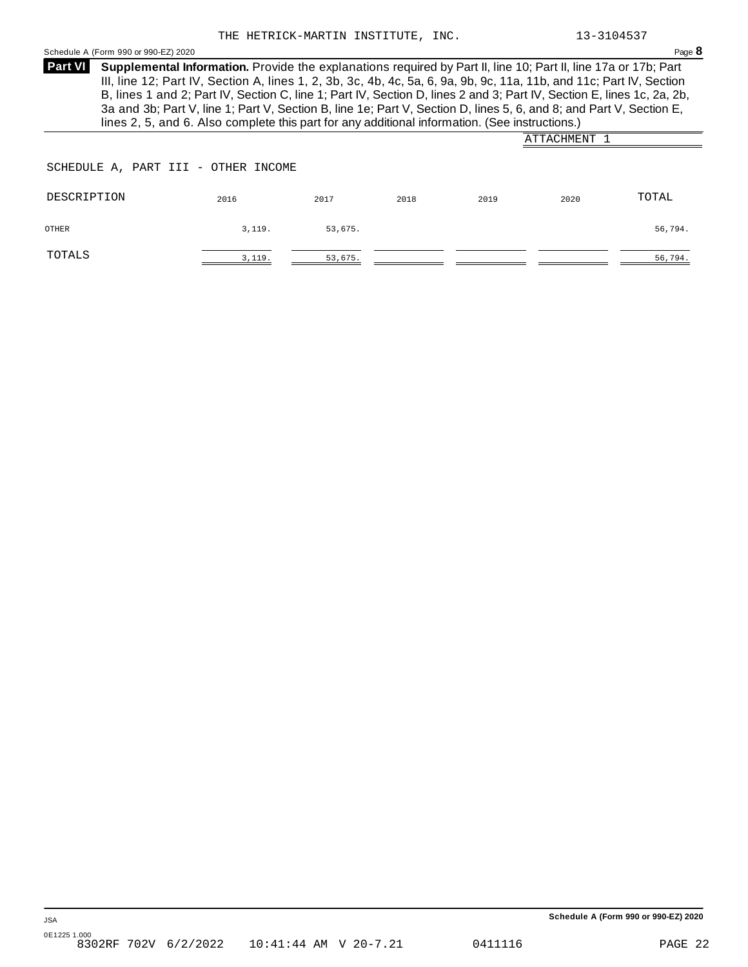Schedule <sup>A</sup> (Form <sup>990</sup> or 990-EZ) <sup>2020</sup> Page **8**

**Supplemental Information.** Provide the explanations required by Part II, line 10; Part II, line 17a or 17b; Part **Part VI** III, line 12; Part IV, Section A, lines 1, 2, 3b, 3c, 4b, 4c, 5a, 6, 9a, 9b, 9c, 11a, 11b, and 11c; Part IV, Section B, lines 1 and 2; Part IV, Section C, line 1; Part IV, Section D, lines 2 and 3; Part IV, Section E, lines 1c, 2a, 2b, 3a and 3b; Part V, line 1; Part V, Section B, line 1e; Part V, Section D, lines 5, 6, and 8; and Part V, Section E, lines 2, 5, and 6. Also complete this part for any additional information. (See instructions.)

|                                     |        |         |      |      | ATTACHMENT |         |
|-------------------------------------|--------|---------|------|------|------------|---------|
| SCHEDULE A, PART III - OTHER INCOME |        |         |      |      |            |         |
| DESCRIPTION                         | 2016   | 2017    | 2018 | 2019 | 2020       | TOTAL   |
| OTHER                               | 3,119. | 53,675. |      |      |            | 56,794. |
| TOTALS                              | 3,119. | 53,675. |      |      |            | 56,794. |

**Schedule A (Form 990 or 990-EZ) 2020**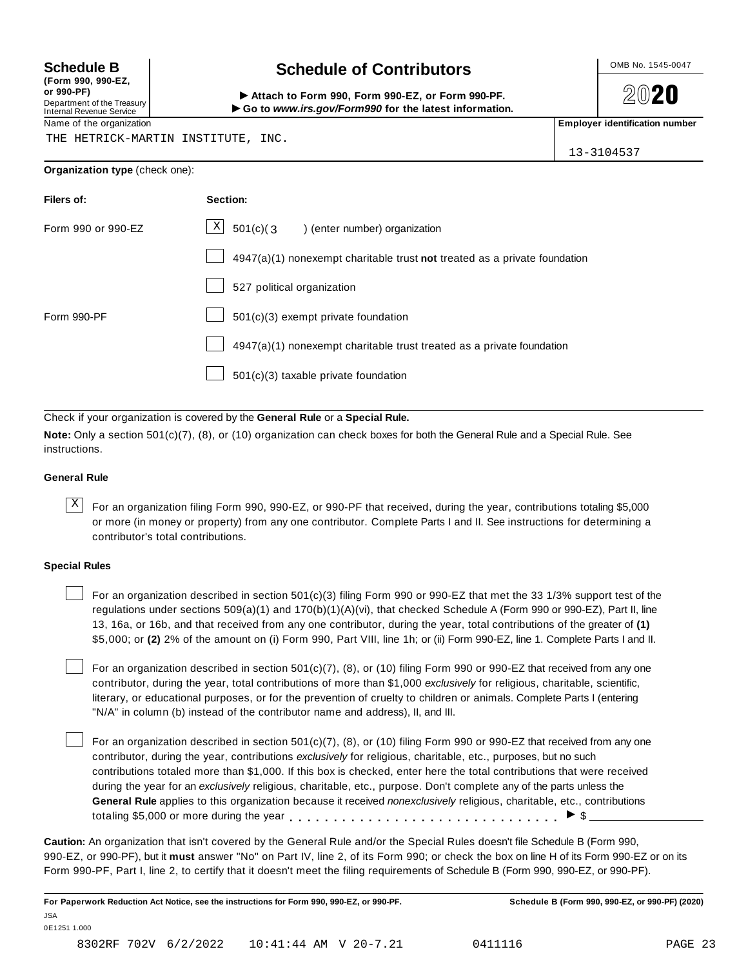**(Form 990, 990-EZ, or 990-PF)** Department of the Treasury<br>Internal Revenue Service

# **Schedule B chedule of Contributors**

(Form 990, 990-EZ,<br>
or 990-PF,<br>
Department of the Treasury **COLOCY**<br>
Internal Revenue Service **COLOCY**<br>
Name of the organization<br>
Name of the organization



THE HETRICK-MARTIN INSTITUTE, INC.

13-3104537

|  | Organization type (check one): |
|--|--------------------------------|
|--|--------------------------------|

| Filers of:         | Section:                                                                  |
|--------------------|---------------------------------------------------------------------------|
| Form 990 or 990-EZ | $\mathbb{X}$ 501(c)(3<br>) (enter number) organization                    |
|                    | 4947(a)(1) nonexempt charitable trust not treated as a private foundation |
|                    | 527 political organization                                                |
| Form 990-PF        | 501(c)(3) exempt private foundation                                       |
|                    | 4947(a)(1) nonexempt charitable trust treated as a private foundation     |
|                    | 501(c)(3) taxable private foundation                                      |

Check if your organization is covered by the **General Rule** or a **Special Rule.**

**Note:** Only a section 501(c)(7), (8), or (10) organization can check boxes for both the General Rule and a Special Rule. See instructions.

#### **General Rule**

 $\overline{X}$  For an organization filing Form 990, 990-EZ, or 990-PF that received, during the year, contributions totaling \$5,000 or more (in money or property) from any one contributor. Complete Parts I and II. See instructions for determining a contributor's total contributions.

#### **Special Rules**

For an organization described in section 501(c)(3) filing Form 990 or 990-EZ that met the 33 1/3% support test of the regulations under sections 509(a)(1) and 170(b)(1)(A)(vi), that checked Schedule A (Form 990 or 990-EZ), Part II, line 13, 16a, or 16b, and that received from any one contributor, during the year, total contributions of the greater of **(1)** \$5,000; or **(2)** 2% of the amount on (i) Form 990, Part VIII, line 1h; or (ii) Form 990-EZ, line 1. Complete Parts I and II.

For an organization described in section 501(c)(7), (8), or (10) filing Form 990 or 990-EZ that received from any one contributor, during the year, total contributions of more than \$1,000 *exclusively* for religious, charitable, scientific, literary, or educational purposes, or for the prevention of cruelty to children or animals. Complete Parts I (entering "N/A" in column (b) instead of the contributor name and address), II, and III.

For an organization described in section 501(c)(7), (8), or (10) filing Form 990 or 990-EZ that received from any one contributor, during the year, contributions *exclusively* for religious, charitable, etc., purposes, but no such contributions totaled more than \$1,000. If this box is checked, enter here the total contributions that were received during the year for an *exclusively* religious, charitable, etc., purpose. Don't complete any of the parts unless the **General Rule** applies to this organization because it received *nonexclusively* religious, charitable, etc., contributions totaling \$5,000 or more during the year  $\ldots \ldots \ldots \ldots \ldots \ldots \ldots \ldots \ldots \vdots$ 

**Caution:** An organization that isn't covered by the General Rule and/or the Special Rules doesn't file Schedule B (Form 990, 990-EZ, or 990-PF), but it **must** answer "No" on Part IV, line 2, of its Form 990; or check the box on line H of its Form 990-EZ or on its Form 990-PF, Part I, line 2, to certify that it doesn't meet the filing requirements of Schedule B (Form 990, 990-EZ, or 990-PF).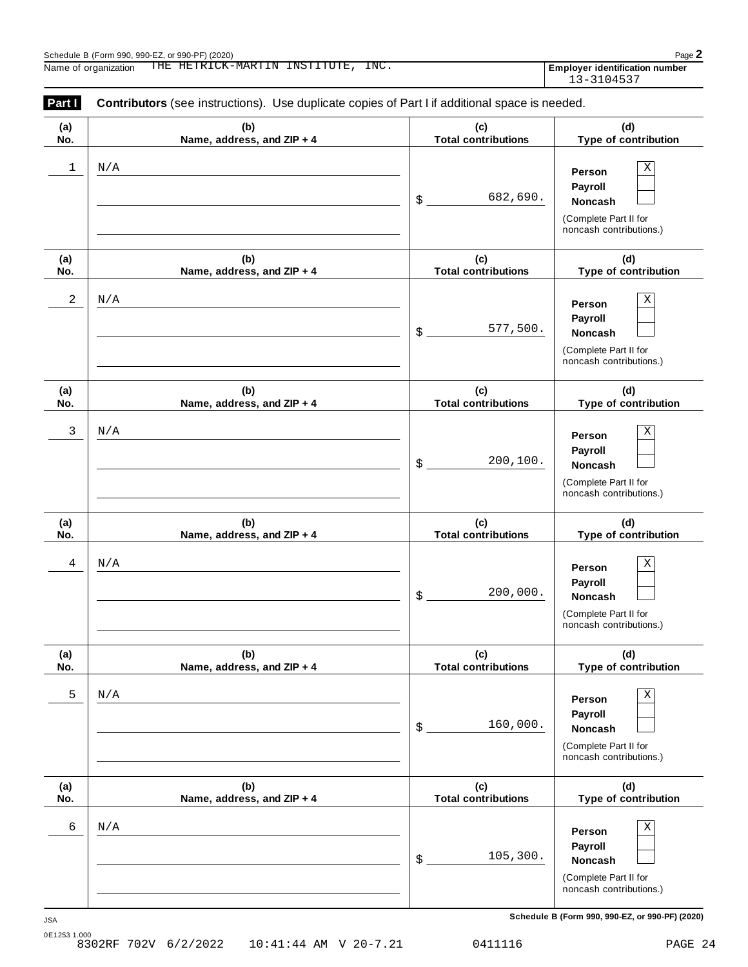| Part I     | <b>Contributors</b> (see instructions). Use duplicate copies of Part I if additional space is needed. |                                   |                                                                                                 |  |  |
|------------|-------------------------------------------------------------------------------------------------------|-----------------------------------|-------------------------------------------------------------------------------------------------|--|--|
| (a)<br>No. | (b)<br>Name, address, and ZIP + 4                                                                     | (c)<br><b>Total contributions</b> | (d)<br>Type of contribution                                                                     |  |  |
| 1          | N/A                                                                                                   | 682,690.<br>\$                    | Χ<br>Person<br>Payroll<br>Noncash<br>(Complete Part II for<br>noncash contributions.)           |  |  |
| (a)<br>No. | (b)<br>Name, address, and ZIP + 4                                                                     | (c)<br><b>Total contributions</b> | (d)<br>Type of contribution                                                                     |  |  |
| 2          | N/A                                                                                                   | 577,500.<br>\$                    | $\mathbf X$<br>Person<br>Payroll<br>Noncash<br>(Complete Part II for<br>noncash contributions.) |  |  |
| (a)<br>No. | (b)<br>Name, address, and ZIP + 4                                                                     | (c)<br><b>Total contributions</b> | (d)<br>Type of contribution                                                                     |  |  |
| 3          | N/A                                                                                                   | 200,100.<br>\$                    | $\mathbf X$<br>Person<br>Payroll<br>Noncash<br>(Complete Part II for<br>noncash contributions.) |  |  |
| (a)<br>No. | (b)<br>Name, address, and ZIP + 4                                                                     | (c)<br><b>Total contributions</b> | (d)<br>Type of contribution                                                                     |  |  |
| 4          | N/A                                                                                                   | 200,000.<br>\$                    | $\mathbf X$<br>Person<br>Payroll<br>Noncash<br>(Complete Part II for<br>noncash contributions.) |  |  |
| (a)<br>No. | (b)<br>Name, address, and ZIP + 4                                                                     | (c)<br><b>Total contributions</b> | (d)<br>Type of contribution                                                                     |  |  |
| 5          | N/A                                                                                                   | 160,000.<br>\$                    | $\rm X$<br>Person<br>Payroll<br>Noncash<br>(Complete Part II for<br>noncash contributions.)     |  |  |
| (a)<br>No. | (b)<br>Name, address, and ZIP + 4                                                                     | (c)<br><b>Total contributions</b> | (d)<br>Type of contribution                                                                     |  |  |
| 6          | N/A                                                                                                   | 105,300.<br>\$                    | $\mathbf X$<br>Person<br>Payroll<br>Noncash<br>(Complete Part II for<br>noncash contributions.) |  |  |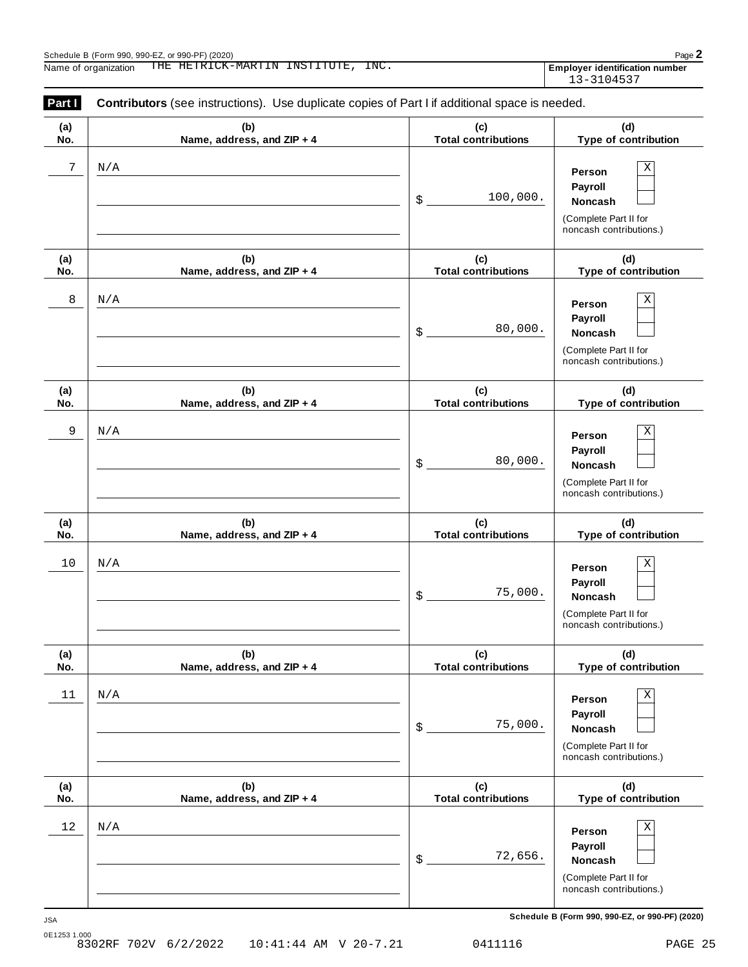| Part I     | <b>Contributors</b> (see instructions). Use duplicate copies of Part I if additional space is needed. |                                   |                                                                                                 |  |  |
|------------|-------------------------------------------------------------------------------------------------------|-----------------------------------|-------------------------------------------------------------------------------------------------|--|--|
| (a)<br>No. | (b)<br>Name, address, and ZIP + 4                                                                     | (c)<br><b>Total contributions</b> | (d)<br>Type of contribution                                                                     |  |  |
| 7          | N/A                                                                                                   | 100,000.<br>\$                    | Χ<br>Person<br>Payroll<br>Noncash<br>(Complete Part II for<br>noncash contributions.)           |  |  |
| (a)<br>No. | (b)<br>Name, address, and ZIP + 4                                                                     | (c)<br><b>Total contributions</b> | (d)<br>Type of contribution                                                                     |  |  |
| 8          | N/A                                                                                                   | 80,000.<br>\$                     | $\mathbf X$<br>Person<br>Payroll<br>Noncash<br>(Complete Part II for<br>noncash contributions.) |  |  |
| (a)<br>No. | (b)<br>Name, address, and ZIP + 4                                                                     | (c)<br><b>Total contributions</b> | (d)<br>Type of contribution                                                                     |  |  |
| 9          | N/A                                                                                                   | 80,000.<br>\$                     | $\mathbf X$<br>Person<br>Payroll<br>Noncash<br>(Complete Part II for<br>noncash contributions.) |  |  |
| (a)<br>No. | (b)<br>Name, address, and ZIP + 4                                                                     | (c)<br><b>Total contributions</b> | (d)<br>Type of contribution                                                                     |  |  |
| $10$       | N/A                                                                                                   | 75,000.<br>\$                     | $\rm X$<br>Person<br>Payroll<br>Noncash<br>(Complete Part II for<br>noncash contributions.)     |  |  |
| (a)<br>No. | (b)<br>Name, address, and ZIP + 4                                                                     | (c)<br><b>Total contributions</b> | (d)<br>Type of contribution                                                                     |  |  |
| 11         | N/A                                                                                                   | 75,000.<br>\$                     | $\rm X$<br>Person<br>Payroll<br>Noncash<br>(Complete Part II for<br>noncash contributions.)     |  |  |
| (a)<br>No. | (b)<br>Name, address, and ZIP + 4                                                                     | (c)<br><b>Total contributions</b> | (d)<br>Type of contribution                                                                     |  |  |
| $12\,$     | N/A                                                                                                   | 72,656.<br>\$                     | $\mathbf X$<br>Person<br>Payroll<br>Noncash<br>(Complete Part II for<br>noncash contributions.) |  |  |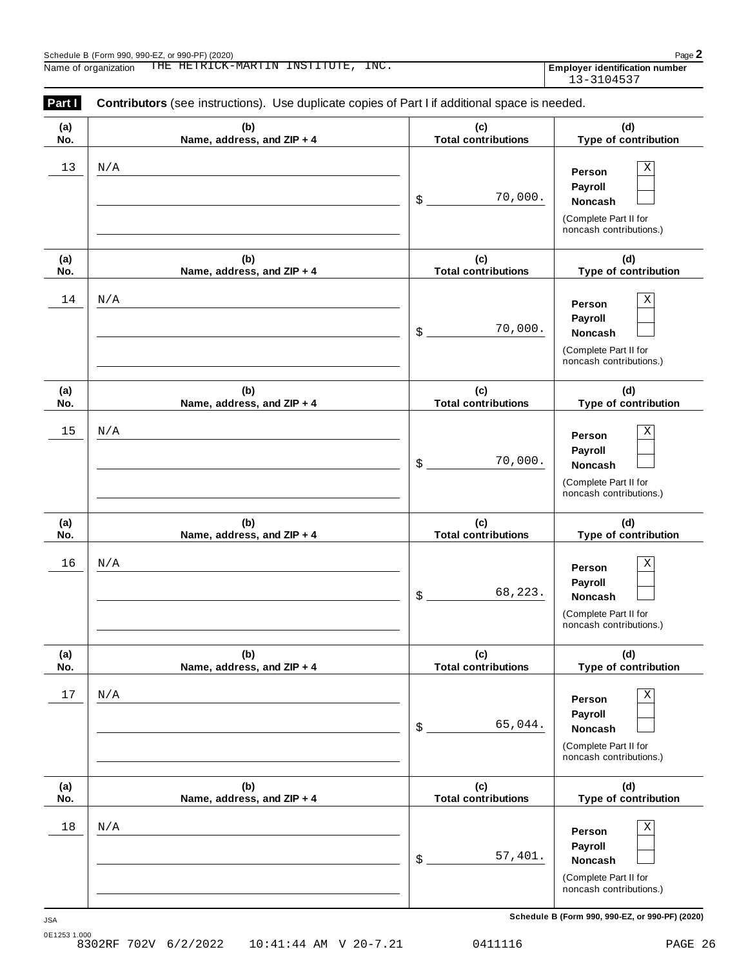| Part I     | <b>Contributors</b> (see instructions). Use duplicate copies of Part I if additional space is needed. |                                   |                                                                                       |  |
|------------|-------------------------------------------------------------------------------------------------------|-----------------------------------|---------------------------------------------------------------------------------------|--|
| (a)<br>No. | (b)<br>Name, address, and ZIP + 4                                                                     | (c)<br><b>Total contributions</b> | (d)<br>Type of contribution                                                           |  |
| 13         | N/A                                                                                                   | 70,000.<br>\$                     | Χ<br>Person<br>Payroll<br>Noncash<br>(Complete Part II for<br>noncash contributions.) |  |
| (a)<br>No. | (b)<br>Name, address, and ZIP + 4                                                                     | (c)<br><b>Total contributions</b> | (d)<br>Type of contribution                                                           |  |
| 14         | N/A                                                                                                   | 70,000.<br>\$                     | Χ<br>Person<br>Payroll<br>Noncash<br>(Complete Part II for<br>noncash contributions.) |  |
| (a)<br>No. | (b)<br>Name, address, and ZIP + 4                                                                     | (c)<br><b>Total contributions</b> | (d)<br>Type of contribution                                                           |  |
| 15         | N/A                                                                                                   | 70,000.<br>\$                     | Χ<br>Person<br>Payroll<br>Noncash<br>(Complete Part II for<br>noncash contributions.) |  |
| (a)<br>No. | (b)<br>Name, address, and ZIP + 4                                                                     | (c)<br><b>Total contributions</b> | (d)<br>Type of contribution                                                           |  |
| 16         | N/A                                                                                                   | 68,223.<br>\$                     | Χ<br>Person<br>Payroll<br>Noncash<br>(Complete Part II for<br>noncash contributions.) |  |
| (a)<br>No. | (b)<br>Name, address, and ZIP + 4                                                                     | (c)<br><b>Total contributions</b> | (d)<br>Type of contribution                                                           |  |
| 17         | N/A                                                                                                   | 65,044.<br>\$                     | Χ<br>Person<br>Payroll<br>Noncash<br>(Complete Part II for<br>noncash contributions.) |  |
| (a)<br>No. | (b)<br>Name, address, and ZIP + 4                                                                     | (c)<br><b>Total contributions</b> | (d)<br>Type of contribution                                                           |  |
| 18         | N/A                                                                                                   | 57,401.<br>\$                     | Χ<br>Person<br>Payroll<br>Noncash<br>(Complete Part II for<br>noncash contributions.) |  |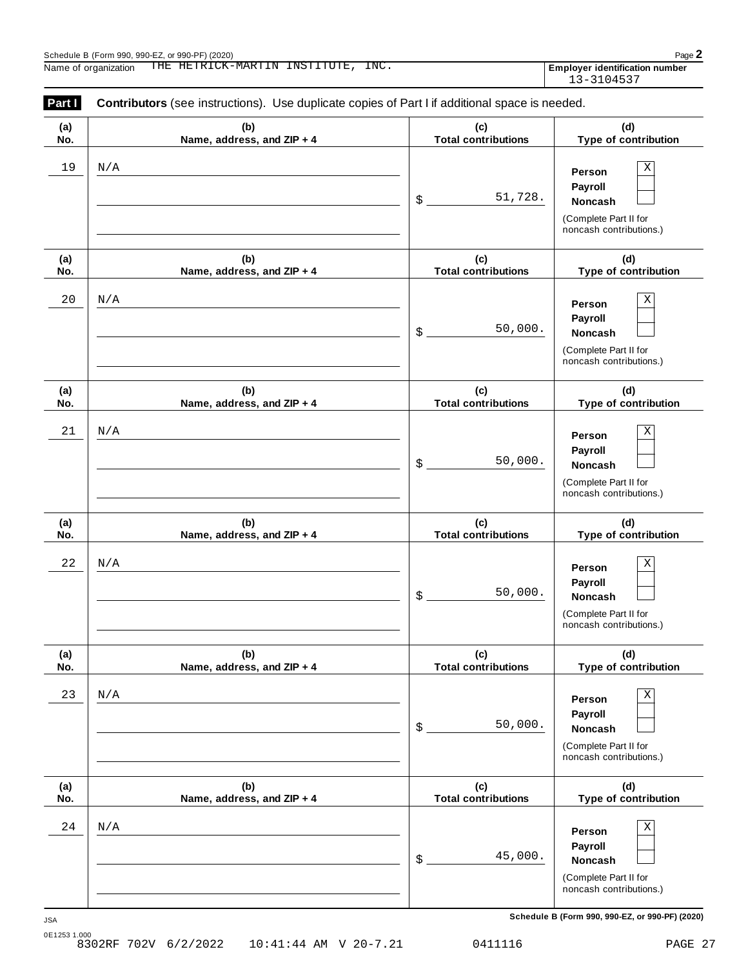| Part I     | <b>Contributors</b> (see instructions). Use duplicate copies of Part I if additional space is needed. |                                   |                                                                                       |  |  |
|------------|-------------------------------------------------------------------------------------------------------|-----------------------------------|---------------------------------------------------------------------------------------|--|--|
| (a)<br>No. | (b)<br>Name, address, and ZIP + 4                                                                     | (c)<br><b>Total contributions</b> | (d)<br>Type of contribution                                                           |  |  |
| 19         | N/A                                                                                                   | 51,728.<br>\$                     | Х<br>Person<br>Payroll<br>Noncash<br>(Complete Part II for<br>noncash contributions.) |  |  |
| (a)<br>No. | (b)<br>Name, address, and ZIP + 4                                                                     | (c)<br><b>Total contributions</b> | (d)<br>Type of contribution                                                           |  |  |
| $20\,$     | N/A                                                                                                   | 50,000.<br>\$                     | Χ<br>Person<br>Payroll<br>Noncash<br>(Complete Part II for<br>noncash contributions.) |  |  |
| (a)<br>No. | (b)<br>Name, address, and ZIP + 4                                                                     | (c)<br><b>Total contributions</b> | (d)<br>Type of contribution                                                           |  |  |
| 21         | N/A                                                                                                   | 50,000.<br>\$                     | Χ<br>Person<br>Payroll<br>Noncash<br>(Complete Part II for<br>noncash contributions.) |  |  |
| (a)<br>No. | (b)<br>Name, address, and ZIP + 4                                                                     | (c)<br><b>Total contributions</b> | (d)<br>Type of contribution                                                           |  |  |
| 22         | N/A                                                                                                   | 50,000.<br>\$                     | Χ<br>Person<br>Payroll<br>Noncash<br>(Complete Part II for<br>noncash contributions.) |  |  |
| (a)<br>No. | (b)<br>Name, address, and ZIP + 4                                                                     | (c)<br><b>Total contributions</b> | (d)<br>Type of contribution                                                           |  |  |
| 23         | $\rm N/A$                                                                                             | 50,000.<br>\$                     | Χ<br>Person<br>Payroll<br>Noncash<br>(Complete Part II for<br>noncash contributions.) |  |  |
| (a)<br>No. | (b)<br>Name, address, and ZIP + 4                                                                     | (c)<br><b>Total contributions</b> | (d)<br>Type of contribution                                                           |  |  |
| 24         | N/A                                                                                                   | 45,000.<br>\$                     | Χ<br>Person<br>Payroll<br>Noncash<br>(Complete Part II for<br>noncash contributions.) |  |  |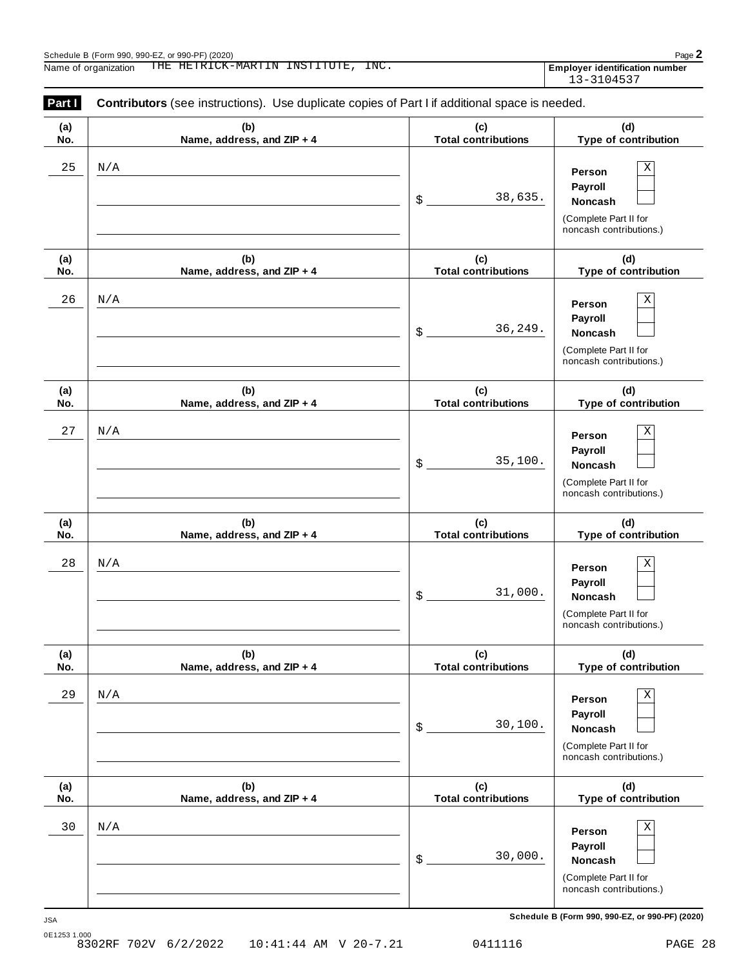| Part I     | <b>Contributors</b> (see instructions). Use duplicate copies of Part I if additional space is needed. |                                   |                                                                                       |  |  |
|------------|-------------------------------------------------------------------------------------------------------|-----------------------------------|---------------------------------------------------------------------------------------|--|--|
| (a)<br>No. | (b)<br>Name, address, and ZIP + 4                                                                     | (c)<br><b>Total contributions</b> | (d)<br>Type of contribution                                                           |  |  |
| 25         | N/A                                                                                                   | 38,635.<br>\$                     | Х<br>Person<br>Payroll<br>Noncash<br>(Complete Part II for<br>noncash contributions.) |  |  |
| (a)<br>No. | (b)<br>Name, address, and ZIP + 4                                                                     | (c)<br><b>Total contributions</b> | (d)<br>Type of contribution                                                           |  |  |
| 26         | N/A                                                                                                   | 36,249.<br>\$                     | Х<br>Person<br>Payroll<br>Noncash<br>(Complete Part II for<br>noncash contributions.) |  |  |
| (a)<br>No. | (b)<br>Name, address, and ZIP + 4                                                                     | (c)<br><b>Total contributions</b> | (d)<br>Type of contribution                                                           |  |  |
| 27         | N/A                                                                                                   | 35,100.<br>\$                     | Χ<br>Person<br>Payroll<br>Noncash<br>(Complete Part II for<br>noncash contributions.) |  |  |
| (a)<br>No. | (b)<br>Name, address, and ZIP + 4                                                                     | (c)<br><b>Total contributions</b> | (d)<br>Type of contribution                                                           |  |  |
| 28         | N/A                                                                                                   | 31,000.<br>\$                     | Χ<br>Person<br>Payroll<br>Noncash<br>(Complete Part II for<br>noncash contributions.) |  |  |
| (a)<br>No. | (b)<br>Name, address, and ZIP + 4                                                                     | (c)<br><b>Total contributions</b> | (d)<br>Type of contribution                                                           |  |  |
| 29         | N/A                                                                                                   | 30,100.<br>\$                     | Χ<br>Person<br>Payroll<br>Noncash<br>(Complete Part II for<br>noncash contributions.) |  |  |
| (a)<br>No. | (b)<br>Name, address, and ZIP + 4                                                                     | (c)<br><b>Total contributions</b> | (d)<br>Type of contribution                                                           |  |  |
| 30         | N/A                                                                                                   | 30,000.<br>\$                     | Х<br>Person<br>Payroll<br>Noncash<br>(Complete Part II for<br>noncash contributions.) |  |  |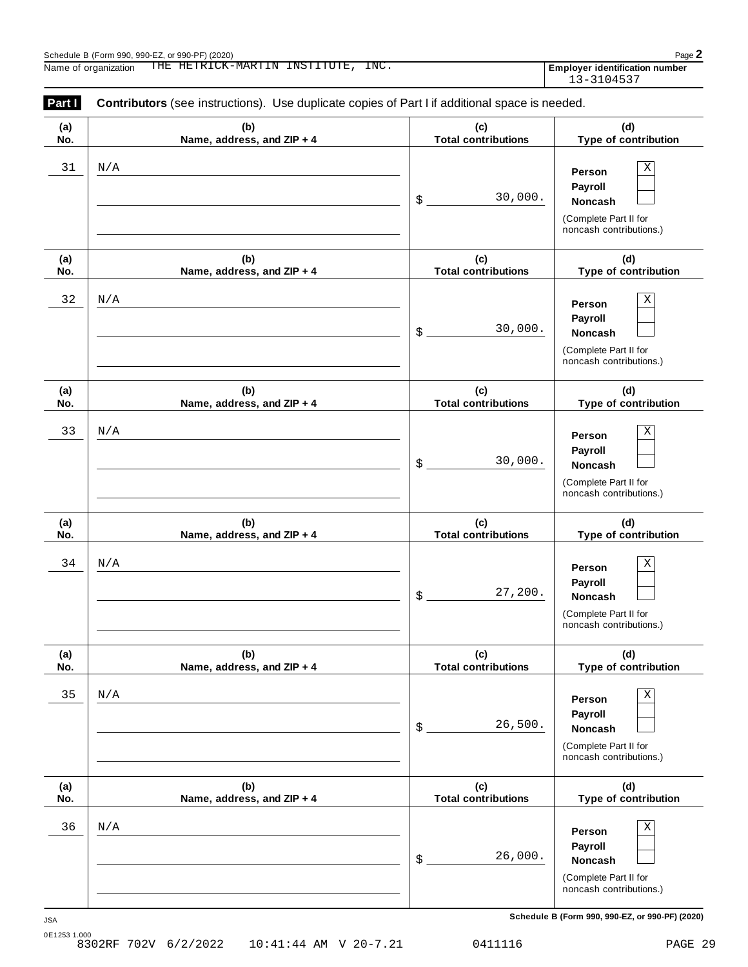| Part I     | <b>Contributors</b> (see instructions). Use duplicate copies of Part I if additional space is needed. |                                   |                                                                                       |  |
|------------|-------------------------------------------------------------------------------------------------------|-----------------------------------|---------------------------------------------------------------------------------------|--|
| (a)<br>No. | (b)<br>Name, address, and ZIP + 4                                                                     | (c)<br><b>Total contributions</b> | (d)<br>Type of contribution                                                           |  |
| 31         | N/A                                                                                                   | 30,000.<br>\$                     | Χ<br>Person<br>Payroll<br>Noncash<br>(Complete Part II for<br>noncash contributions.) |  |
| (a)<br>No. | (b)<br>Name, address, and ZIP + 4                                                                     | (c)<br><b>Total contributions</b> | (d)<br>Type of contribution                                                           |  |
| 32         | N/A                                                                                                   | 30,000.<br>\$                     | Χ<br>Person<br>Payroll<br>Noncash<br>(Complete Part II for<br>noncash contributions.) |  |
| (a)<br>No. | (b)<br>Name, address, and ZIP + 4                                                                     | (c)<br><b>Total contributions</b> | (d)<br>Type of contribution                                                           |  |
| 33         | N/A                                                                                                   | 30,000.<br>\$                     | Χ<br>Person<br>Payroll<br>Noncash<br>(Complete Part II for<br>noncash contributions.) |  |
| (a)<br>No. | (b)<br>Name, address, and ZIP + 4                                                                     | (c)<br><b>Total contributions</b> | (d)<br>Type of contribution                                                           |  |
| 34         | N/A                                                                                                   | 27,200.<br>\$                     | Χ<br>Person<br>Payroll<br>Noncash<br>(Complete Part II for<br>noncash contributions.) |  |
| (a)<br>No. | (b)<br>Name, address, and ZIP + 4                                                                     | (c)<br><b>Total contributions</b> | (d)<br>Type of contribution                                                           |  |
| 35         | N/A                                                                                                   | 26,500.<br>\$                     | Χ<br>Person<br>Payroll<br>Noncash<br>(Complete Part II for<br>noncash contributions.) |  |
| (a)<br>No. | (b)<br>Name, address, and ZIP + 4                                                                     | (c)<br><b>Total contributions</b> | (d)<br>Type of contribution                                                           |  |
| 36         | N/A                                                                                                   | 26,000.<br>\$                     | Χ<br>Person<br>Payroll<br>Noncash<br>(Complete Part II for<br>noncash contributions.) |  |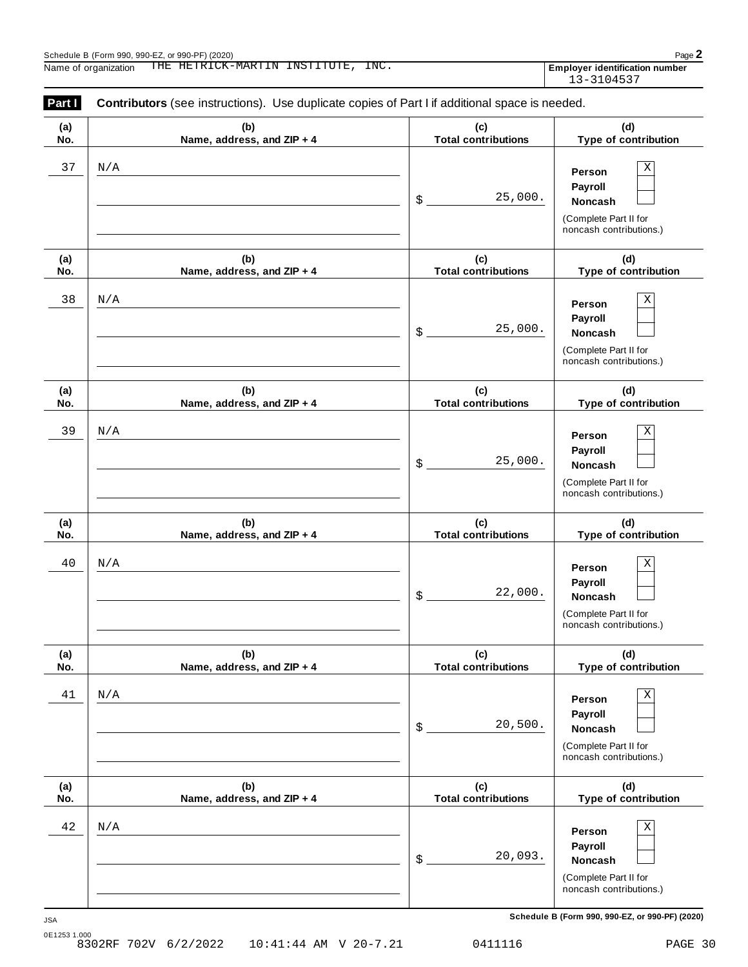| Part I     | <b>Contributors</b> (see instructions). Use duplicate copies of Part I if additional space is needed. |                                   |                                                                                       |  |
|------------|-------------------------------------------------------------------------------------------------------|-----------------------------------|---------------------------------------------------------------------------------------|--|
| (a)<br>No. | (b)<br>Name, address, and ZIP + 4                                                                     | (c)<br><b>Total contributions</b> | (d)<br>Type of contribution                                                           |  |
| 37         | N/A                                                                                                   | 25,000.<br>\$                     | Χ<br>Person<br>Payroll<br>Noncash<br>(Complete Part II for<br>noncash contributions.) |  |
| (a)<br>No. | (b)<br>Name, address, and ZIP + 4                                                                     | (c)<br><b>Total contributions</b> | (d)<br>Type of contribution                                                           |  |
| 38         | N/A                                                                                                   | 25,000.<br>\$                     | Χ<br>Person<br>Payroll<br>Noncash<br>(Complete Part II for<br>noncash contributions.) |  |
| (a)<br>No. | (b)<br>Name, address, and ZIP + 4                                                                     | (c)<br><b>Total contributions</b> | (d)<br>Type of contribution                                                           |  |
| 39         | N/A                                                                                                   | 25,000.<br>\$                     | Χ<br>Person<br>Payroll<br>Noncash<br>(Complete Part II for<br>noncash contributions.) |  |
| (a)<br>No. | (b)<br>Name, address, and ZIP + 4                                                                     | (c)<br><b>Total contributions</b> | (d)<br>Type of contribution                                                           |  |
| 40         | N/A                                                                                                   | 22,000.<br>\$                     | Χ<br>Person<br>Payroll<br>Noncash<br>(Complete Part II for<br>noncash contributions.) |  |
| (a)<br>No. | (b)<br>Name, address, and ZIP + 4                                                                     | (c)<br><b>Total contributions</b> | (d)<br>Type of contribution                                                           |  |
| 41         | N/A                                                                                                   | 20,500.<br>\$                     | Χ<br>Person<br>Payroll<br>Noncash<br>(Complete Part II for<br>noncash contributions.) |  |
| (a)<br>No. | (b)<br>Name, address, and ZIP + 4                                                                     | (c)<br><b>Total contributions</b> | (d)<br>Type of contribution                                                           |  |
| 42         | N/A                                                                                                   | 20,093.<br>\$                     | Χ<br>Person<br>Payroll<br>Noncash<br>(Complete Part II for<br>noncash contributions.) |  |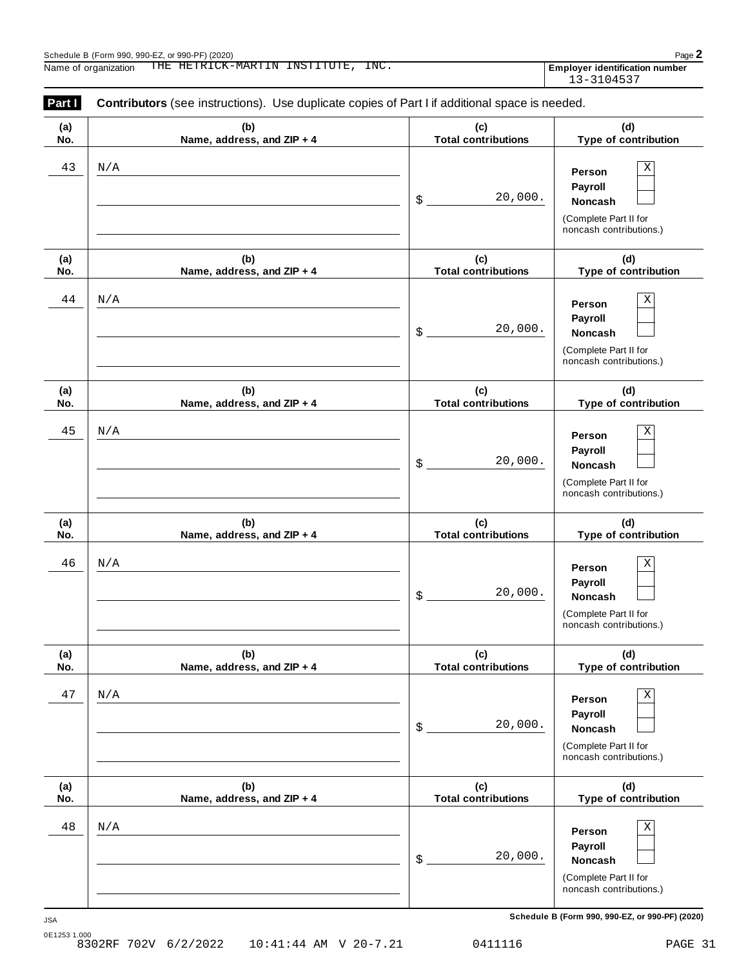| Part I     | <b>Contributors</b> (see instructions). Use duplicate copies of Part I if additional space is needed. |                                   |                                                                                       |
|------------|-------------------------------------------------------------------------------------------------------|-----------------------------------|---------------------------------------------------------------------------------------|
| (a)<br>No. | (b)<br>Name, address, and ZIP + 4                                                                     | (c)<br><b>Total contributions</b> | (d)<br>Type of contribution                                                           |
| 43         | N/A                                                                                                   | 20,000.<br>\$                     | Χ<br>Person<br>Payroll<br>Noncash<br>(Complete Part II for<br>noncash contributions.) |
| (a)<br>No. | (b)<br>Name, address, and ZIP + 4                                                                     | (c)<br><b>Total contributions</b> | (d)<br>Type of contribution                                                           |
| 44         | N/A                                                                                                   | 20,000.<br>\$                     | Χ<br>Person<br>Payroll<br>Noncash<br>(Complete Part II for<br>noncash contributions.) |
| (a)<br>No. | (b)<br>Name, address, and ZIP + 4                                                                     | (c)<br><b>Total contributions</b> | (d)<br>Type of contribution                                                           |
| 45         | N/A                                                                                                   | 20,000.<br>\$                     | Χ<br>Person<br>Payroll<br>Noncash<br>(Complete Part II for<br>noncash contributions.) |
| (a)<br>No. | (b)<br>Name, address, and ZIP + 4                                                                     | (c)<br><b>Total contributions</b> | (d)<br>Type of contribution                                                           |
| 46         | N/A                                                                                                   | 20,000.<br>\$                     | Χ<br>Person<br>Payroll<br>Noncash<br>(Complete Part II for<br>noncash contributions.) |
| (a)<br>No. | (b)<br>Name, address, and ZIP + 4                                                                     | (c)<br><b>Total contributions</b> | (d)<br>Type of contribution                                                           |
| 47         | N/A                                                                                                   | 20,000.<br>\$                     | Χ<br>Person<br>Payroll<br>Noncash<br>(Complete Part II for<br>noncash contributions.) |
| (a)<br>No. | (b)<br>Name, address, and ZIP + 4                                                                     | (c)<br><b>Total contributions</b> | (d)<br>Type of contribution                                                           |
| 48         | N/A                                                                                                   | 20,000.<br>\$                     | Χ<br>Person<br>Payroll<br>Noncash<br>(Complete Part II for<br>noncash contributions.) |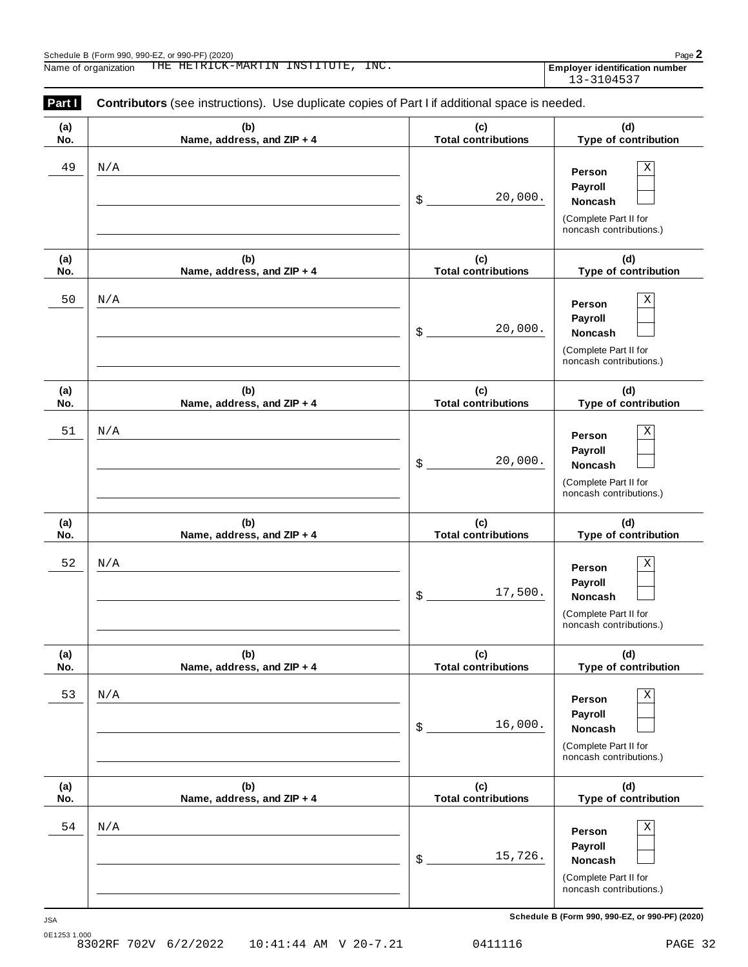| Part I     | <b>Contributors</b> (see instructions). Use duplicate copies of Part I if additional space is needed. |                                   |                                                                                       |
|------------|-------------------------------------------------------------------------------------------------------|-----------------------------------|---------------------------------------------------------------------------------------|
| (a)<br>No. | (b)<br>Name, address, and ZIP + 4                                                                     | (c)<br><b>Total contributions</b> | (d)<br>Type of contribution                                                           |
| 49         | N/A                                                                                                   | 20,000.<br>\$                     | Χ<br>Person<br>Payroll<br>Noncash<br>(Complete Part II for<br>noncash contributions.) |
| (a)<br>No. | (b)<br>Name, address, and ZIP + 4                                                                     | (c)<br><b>Total contributions</b> | (d)<br>Type of contribution                                                           |
| 50         | N/A                                                                                                   | 20,000.<br>\$                     | Χ<br>Person<br>Payroll<br>Noncash<br>(Complete Part II for<br>noncash contributions.) |
| (a)<br>No. | (b)<br>Name, address, and ZIP + 4                                                                     | (c)<br><b>Total contributions</b> | (d)<br>Type of contribution                                                           |
| 51         | N/A                                                                                                   | 20,000.<br>\$                     | Χ<br>Person<br>Payroll<br>Noncash<br>(Complete Part II for<br>noncash contributions.) |
| (a)<br>No. | (b)<br>Name, address, and ZIP + 4                                                                     | (c)<br><b>Total contributions</b> | (d)<br>Type of contribution                                                           |
| 52         | N/A                                                                                                   | 17,500.<br>\$                     | Χ<br>Person<br>Payroll<br>Noncash<br>(Complete Part II for<br>noncash contributions.) |
| (a)<br>No. | (b)<br>Name, address, and ZIP + 4                                                                     | (c)<br><b>Total contributions</b> | (d)<br>Type of contribution                                                           |
| 53         | N/A                                                                                                   | 16,000.<br>\$                     | Χ<br>Person<br>Payroll<br>Noncash<br>(Complete Part II for<br>noncash contributions.) |
| (a)<br>No. | (b)<br>Name, address, and ZIP + 4                                                                     | (c)<br><b>Total contributions</b> | (d)<br>Type of contribution                                                           |
| 54         | N/A                                                                                                   | 15,726.<br>\$                     | Χ<br>Person<br>Payroll<br>Noncash<br>(Complete Part II for<br>noncash contributions.) |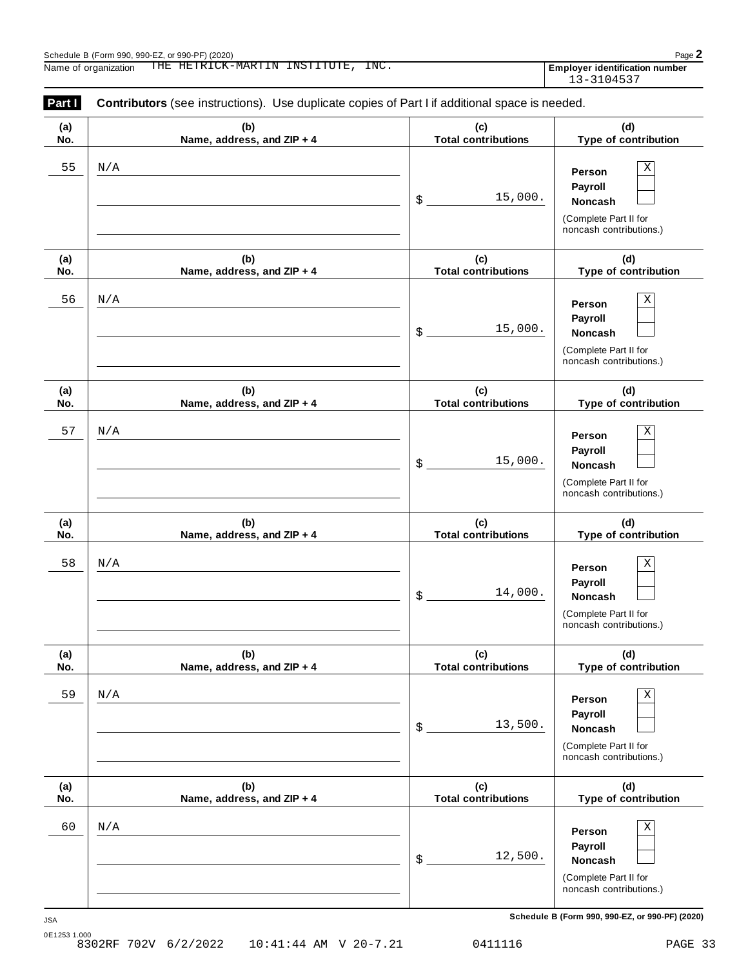| Part I     | <b>Contributors</b> (see instructions). Use duplicate copies of Part I if additional space is needed. |                                   |                                                                                       |
|------------|-------------------------------------------------------------------------------------------------------|-----------------------------------|---------------------------------------------------------------------------------------|
| (a)<br>No. | (b)<br>Name, address, and ZIP + 4                                                                     | (c)<br><b>Total contributions</b> | (d)<br>Type of contribution                                                           |
| 55         | N/A                                                                                                   | 15,000.<br>\$                     | Χ<br>Person<br>Payroll<br>Noncash<br>(Complete Part II for<br>noncash contributions.) |
| (a)<br>No. | (b)<br>Name, address, and ZIP + 4                                                                     | (c)<br><b>Total contributions</b> | (d)<br>Type of contribution                                                           |
| 56         | N/A                                                                                                   | 15,000.<br>\$                     | Χ<br>Person<br>Payroll<br>Noncash<br>(Complete Part II for<br>noncash contributions.) |
| (a)<br>No. | (b)<br>Name, address, and ZIP + 4                                                                     | (c)<br><b>Total contributions</b> | (d)<br>Type of contribution                                                           |
| 57         | N/A                                                                                                   | 15,000.<br>\$                     | Χ<br>Person<br>Payroll<br>Noncash<br>(Complete Part II for<br>noncash contributions.) |
| (a)<br>No. | (b)<br>Name, address, and ZIP + 4                                                                     | (c)<br><b>Total contributions</b> | (d)<br>Type of contribution                                                           |
| 58         | N/A                                                                                                   | 14,000.<br>\$                     | Χ<br>Person<br>Payroll<br>Noncash<br>(Complete Part II for<br>noncash contributions.) |
| (a)<br>No. | (b)<br>Name, address, and ZIP + 4                                                                     | (c)<br><b>Total contributions</b> | (d)<br>Type of contribution                                                           |
| 59         | N/A                                                                                                   | 13,500.<br>\$                     | Χ<br>Person<br>Payroll<br>Noncash<br>(Complete Part II for<br>noncash contributions.) |
| (a)<br>No. | (b)<br>Name, address, and ZIP + 4                                                                     | (c)<br><b>Total contributions</b> | (d)<br>Type of contribution                                                           |
| 60         | N/A                                                                                                   | 12,500.<br>\$                     | Χ<br>Person<br>Payroll<br>Noncash<br>(Complete Part II for<br>noncash contributions.) |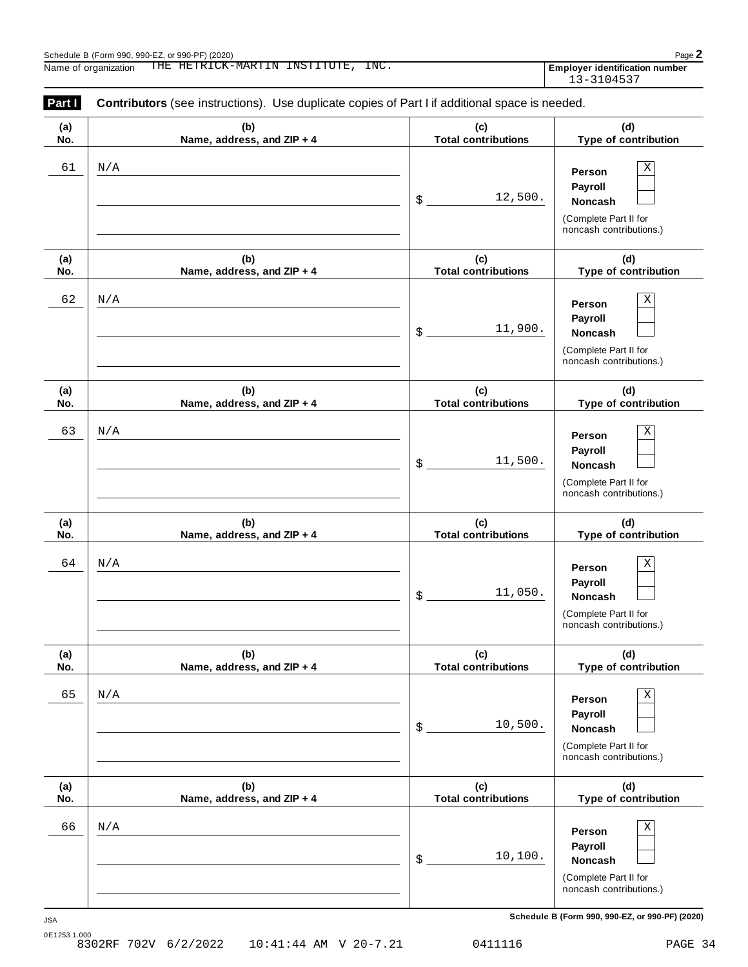| Part I     | <b>Contributors</b> (see instructions). Use duplicate copies of Part I if additional space is needed. |                                   |                                                                                              |
|------------|-------------------------------------------------------------------------------------------------------|-----------------------------------|----------------------------------------------------------------------------------------------|
| (a)<br>No. | (b)<br>Name, address, and ZIP + 4                                                                     | (c)<br><b>Total contributions</b> | (d)<br>Type of contribution                                                                  |
| 61         | N/A                                                                                                   | 12,500.<br>\$                     | Х<br>Person<br>Payroll<br>Noncash<br>(Complete Part II for<br>noncash contributions.)        |
| (a)<br>No. | (b)<br>Name, address, and ZIP + 4                                                                     | (c)<br><b>Total contributions</b> | (d)<br>Type of contribution                                                                  |
| 62         | N/A                                                                                                   | 11,900.<br>\$                     | Х<br>Person<br>Payroll<br><b>Noncash</b><br>(Complete Part II for<br>noncash contributions.) |
| (a)<br>No. | (b)<br>Name, address, and ZIP + 4                                                                     | (c)<br><b>Total contributions</b> | (d)<br>Type of contribution                                                                  |
| 63         | N/A                                                                                                   | 11,500.<br>\$                     | Χ<br>Person<br>Payroll<br><b>Noncash</b><br>(Complete Part II for<br>noncash contributions.) |
| (a)<br>No. | (b)<br>Name, address, and ZIP + 4                                                                     | (c)<br><b>Total contributions</b> | (d)<br>Type of contribution                                                                  |
| 64         | N/A                                                                                                   | 11,050.<br>\$                     | Χ<br>Person<br>Payroll<br>Noncash<br>(Complete Part II for<br>noncash contributions.)        |
| (a)<br>No. | (b)<br>Name, address, and ZIP + 4                                                                     | (c)<br><b>Total contributions</b> | (d)<br>Type of contribution                                                                  |
| 65         | N/A                                                                                                   | 10,500.<br>\$                     | Х<br>Person<br>Payroll<br>Noncash<br>(Complete Part II for<br>noncash contributions.)        |
| (a)<br>No. | (b)<br>Name, address, and ZIP + 4                                                                     | (c)<br><b>Total contributions</b> | (d)<br>Type of contribution                                                                  |
| 66         | N/A                                                                                                   | 10,100.<br>\$                     | Х<br>Person<br>Payroll<br>Noncash<br>(Complete Part II for<br>noncash contributions.)        |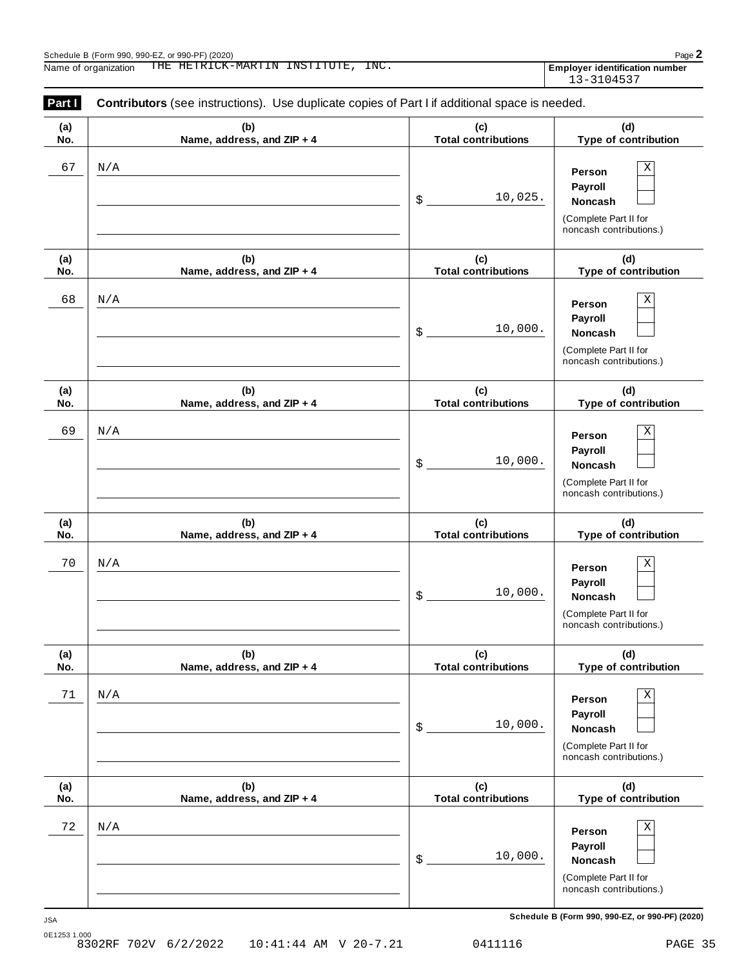| Part I     | <b>Contributors</b> (see instructions). Use duplicate copies of Part I if additional space is needed. |                                   |                                                                                              |
|------------|-------------------------------------------------------------------------------------------------------|-----------------------------------|----------------------------------------------------------------------------------------------|
| (a)<br>No. | (b)<br>Name, address, and ZIP + 4                                                                     | (c)<br><b>Total contributions</b> | (d)<br>Type of contribution                                                                  |
| 67         | N/A                                                                                                   | 10,025.<br>\$                     | Х<br>Person<br>Payroll<br>Noncash<br>(Complete Part II for<br>noncash contributions.)        |
| (a)<br>No. | (b)<br>Name, address, and ZIP + 4                                                                     | (c)<br><b>Total contributions</b> | (d)<br>Type of contribution                                                                  |
| 68         | N/A                                                                                                   | 10,000.<br>\$                     | Χ<br>Person<br>Payroll<br><b>Noncash</b><br>(Complete Part II for<br>noncash contributions.) |
| (a)<br>No. | (b)<br>Name, address, and ZIP + 4                                                                     | (c)<br><b>Total contributions</b> | (d)<br>Type of contribution                                                                  |
| 69         | N/A                                                                                                   | 10,000.<br>\$                     | Χ<br>Person<br>Payroll<br><b>Noncash</b><br>(Complete Part II for<br>noncash contributions.) |
| (a)<br>No. | (b)<br>Name, address, and ZIP + 4                                                                     | (c)<br><b>Total contributions</b> | (d)<br>Type of contribution                                                                  |
| 70         | N/A                                                                                                   | 10,000.<br>\$                     | Χ<br>Person<br>Payroll<br>Noncash<br>(Complete Part II for<br>noncash contributions.)        |
| (a)<br>No. | (b)<br>Name, address, and ZIP + 4                                                                     | (c)<br><b>Total contributions</b> | (d)<br>Type of contribution                                                                  |
| 71         | N/A                                                                                                   | 10,000.<br>\$                     | Х<br>Person<br>Payroll<br>Noncash<br>(Complete Part II for<br>noncash contributions.)        |
| (a)<br>No. | (b)<br>Name, address, and ZIP + 4                                                                     | (c)<br><b>Total contributions</b> | (d)<br>Type of contribution                                                                  |
| 72         | N/A                                                                                                   | 10,000.<br>\$                     | Х<br>Person<br>Payroll<br>Noncash<br>(Complete Part II for<br>noncash contributions.)        |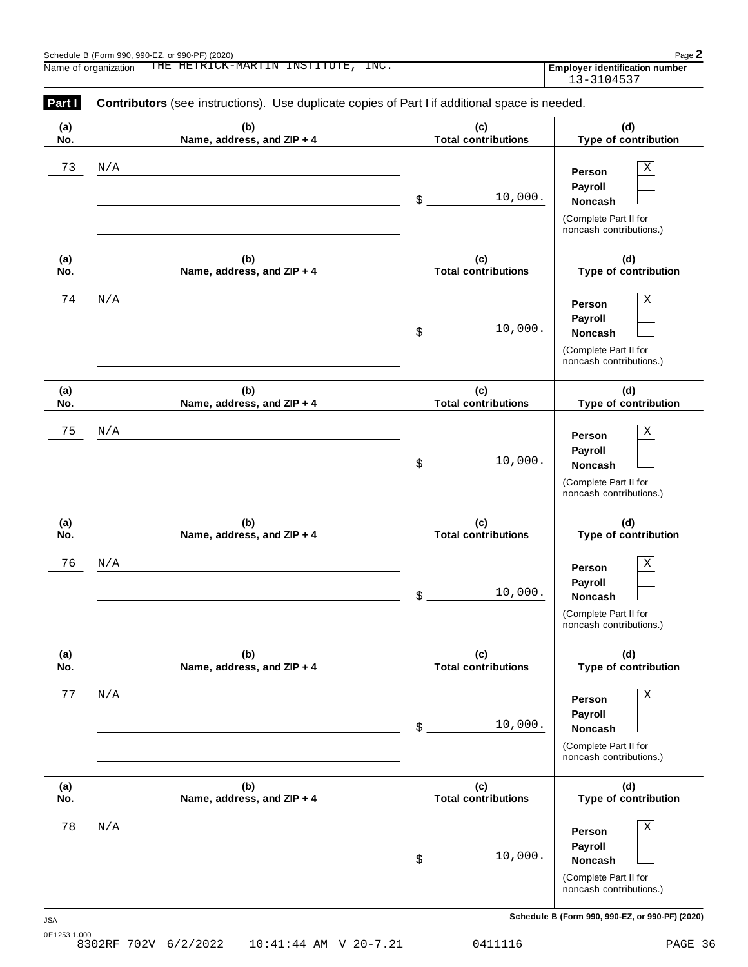| Part I     | <b>Contributors</b> (see instructions). Use duplicate copies of Part I if additional space is needed. |                                   |                                                                                              |
|------------|-------------------------------------------------------------------------------------------------------|-----------------------------------|----------------------------------------------------------------------------------------------|
| (a)<br>No. | (b)<br>Name, address, and ZIP + 4                                                                     | (c)<br><b>Total contributions</b> | (d)<br>Type of contribution                                                                  |
| 73         | N/A                                                                                                   | 10,000.<br>\$                     | Х<br>Person<br>Payroll<br><b>Noncash</b><br>(Complete Part II for<br>noncash contributions.) |
| (a)<br>No. | (b)<br>Name, address, and ZIP + 4                                                                     | (c)<br><b>Total contributions</b> | (d)<br>Type of contribution                                                                  |
| 74         | N/A                                                                                                   | 10,000.<br>\$                     | Χ<br>Person<br>Payroll<br><b>Noncash</b><br>(Complete Part II for<br>noncash contributions.) |
| (a)<br>No. | (b)<br>Name, address, and ZIP + 4                                                                     | (c)<br><b>Total contributions</b> | (d)<br>Type of contribution                                                                  |
| 75         | N/A                                                                                                   | 10,000.<br>\$                     | Χ<br>Person<br>Payroll<br><b>Noncash</b><br>(Complete Part II for<br>noncash contributions.) |
| (a)<br>No. | (b)<br>Name, address, and ZIP + 4                                                                     | (c)<br><b>Total contributions</b> | (d)<br>Type of contribution                                                                  |
| 76         | N/A                                                                                                   | 10,000.<br>\$                     | Χ<br>Person<br>Payroll<br>Noncash<br>(Complete Part II for<br>noncash contributions.)        |
| (a)<br>No. | (b)<br>Name, address, and ZIP + 4                                                                     | (c)<br><b>Total contributions</b> | (d)<br>Type of contribution                                                                  |
| 77         | N/A                                                                                                   | 10,000.<br>\$                     | Х<br>Person<br>Payroll<br>Noncash<br>(Complete Part II for<br>noncash contributions.)        |
| (a)<br>No. | (b)<br>Name, address, and ZIP + 4                                                                     | (c)<br><b>Total contributions</b> | (d)<br>Type of contribution                                                                  |
| 78         | N/A                                                                                                   | 10,000.<br>\$                     | Х<br>Person<br>Payroll<br>Noncash<br>(Complete Part II for<br>noncash contributions.)        |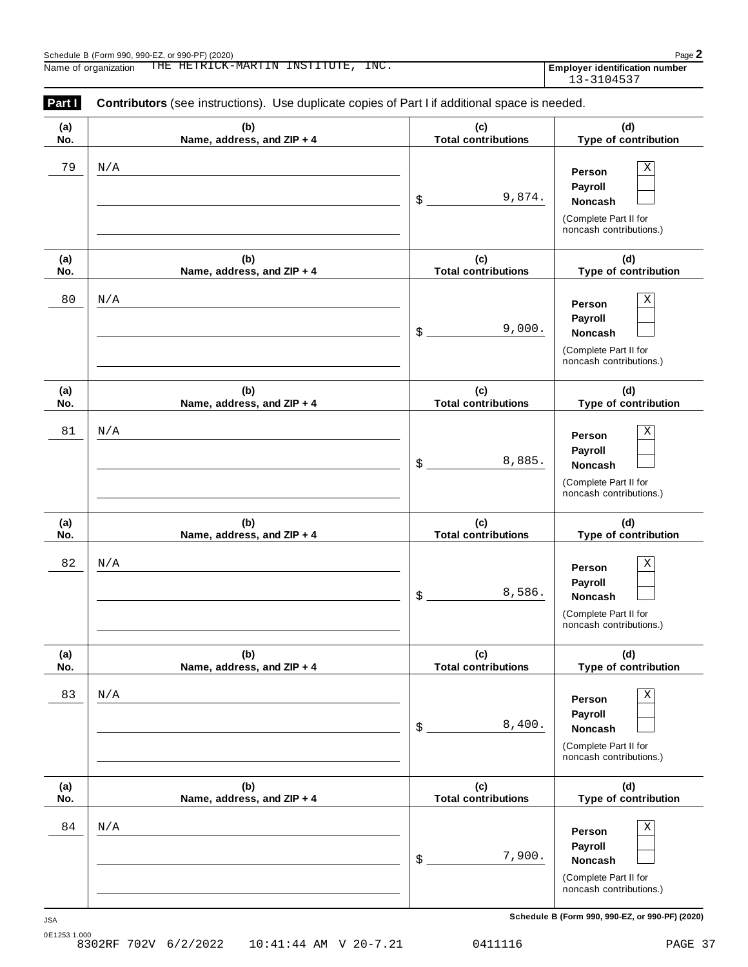| Part I     | <b>Contributors</b> (see instructions). Use duplicate copies of Part I if additional space is needed. |                                   |                                                                                              |
|------------|-------------------------------------------------------------------------------------------------------|-----------------------------------|----------------------------------------------------------------------------------------------|
| (a)<br>No. | (b)<br>Name, address, and ZIP + 4                                                                     | (c)<br><b>Total contributions</b> | (d)<br>Type of contribution                                                                  |
| 79         | N/A                                                                                                   | 9,874.<br>\$                      | Χ<br>Person<br>Payroll<br><b>Noncash</b><br>(Complete Part II for<br>noncash contributions.) |
| (a)<br>No. | (b)<br>Name, address, and ZIP + 4                                                                     | (c)<br><b>Total contributions</b> | (d)<br>Type of contribution                                                                  |
| 80         | N/A                                                                                                   | 9,000.<br>\$                      | Χ<br>Person<br>Payroll<br><b>Noncash</b><br>(Complete Part II for<br>noncash contributions.) |
| (a)<br>No. | (b)<br>Name, address, and ZIP + 4                                                                     | (c)<br><b>Total contributions</b> | (d)<br>Type of contribution                                                                  |
| 81         | N/A                                                                                                   | 8,885.<br>\$                      | Χ<br>Person<br>Payroll<br><b>Noncash</b><br>(Complete Part II for<br>noncash contributions.) |
| (a)<br>No. | (b)<br>Name, address, and ZIP + 4                                                                     | (c)<br><b>Total contributions</b> | (d)<br>Type of contribution                                                                  |
| 82         | N/A                                                                                                   | 8,586.<br>\$                      | Χ<br>Person<br>Payroll<br><b>Noncash</b><br>(Complete Part II for<br>noncash contributions.) |
| (a)<br>No. | (b)<br>Name, address, and ZIP + 4                                                                     | (c)<br><b>Total contributions</b> | (d)<br>Type of contribution                                                                  |
| 83         | $\rm N/A$                                                                                             | 8,400.<br>\$                      | Χ<br>Person<br>Payroll<br>Noncash<br>(Complete Part II for<br>noncash contributions.)        |
| (a)<br>No. | (b)<br>Name, address, and ZIP + 4                                                                     | (c)<br><b>Total contributions</b> | (d)<br>Type of contribution                                                                  |
| 84         | N/A                                                                                                   | 7,900.<br>\$                      | Χ<br>Person<br>Payroll<br>Noncash<br>(Complete Part II for<br>noncash contributions.)        |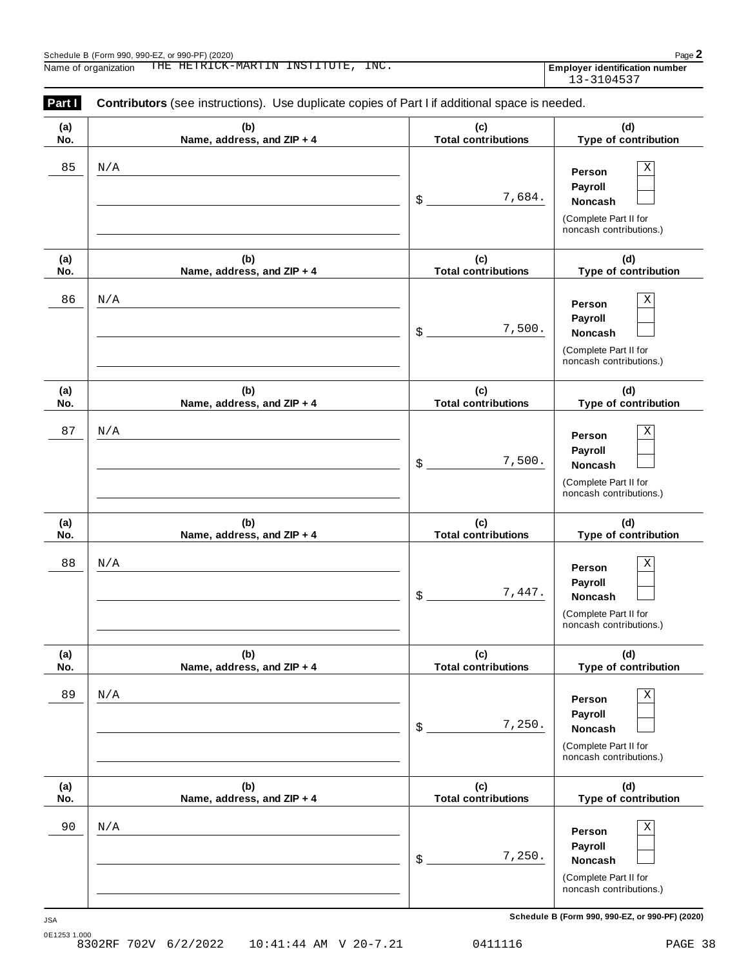| Part I     | <b>Contributors</b> (see instructions). Use duplicate copies of Part I if additional space is needed. |                                   |                                                                                              |
|------------|-------------------------------------------------------------------------------------------------------|-----------------------------------|----------------------------------------------------------------------------------------------|
| (a)<br>No. | (b)<br>Name, address, and ZIP + 4                                                                     | (c)<br><b>Total contributions</b> | (d)<br>Type of contribution                                                                  |
| 85         | N/A                                                                                                   | 7,684.<br>\$                      | Χ<br>Person<br>Payroll<br>Noncash<br>(Complete Part II for<br>noncash contributions.)        |
| (a)<br>No. | (b)<br>Name, address, and ZIP + 4                                                                     | (c)<br><b>Total contributions</b> | (d)<br>Type of contribution                                                                  |
| 86         | N/A                                                                                                   | 7,500.<br>\$                      | Χ<br>Person<br>Payroll<br><b>Noncash</b><br>(Complete Part II for<br>noncash contributions.) |
| (a)<br>No. | (b)<br>Name, address, and ZIP + 4                                                                     | (c)<br><b>Total contributions</b> | (d)<br>Type of contribution                                                                  |
| 87         | N/A                                                                                                   | 7,500.<br>\$                      | Χ<br>Person<br>Payroll<br><b>Noncash</b><br>(Complete Part II for<br>noncash contributions.) |
| (a)<br>No. | (b)<br>Name, address, and ZIP + 4                                                                     | (c)<br><b>Total contributions</b> | (d)<br>Type of contribution                                                                  |
| 88         | N/A                                                                                                   | 7,447.<br>\$                      | Χ<br>Person<br>Payroll<br><b>Noncash</b><br>(Complete Part II for<br>noncash contributions.) |
| (a)<br>No. | (b)<br>Name, address, and ZIP + 4                                                                     | (c)<br><b>Total contributions</b> | (d)<br>Type of contribution                                                                  |
| 89         | $\rm N/A$                                                                                             | 7,250.<br>\$                      | Χ<br>Person<br>Payroll<br>Noncash<br>(Complete Part II for<br>noncash contributions.)        |
| (a)<br>No. | (b)<br>Name, address, and ZIP + 4                                                                     | (c)<br><b>Total contributions</b> | (d)<br>Type of contribution                                                                  |
| 90         | N/A                                                                                                   | 7,250.<br>\$                      | Χ<br>Person<br>Payroll<br>Noncash<br>(Complete Part II for<br>noncash contributions.)        |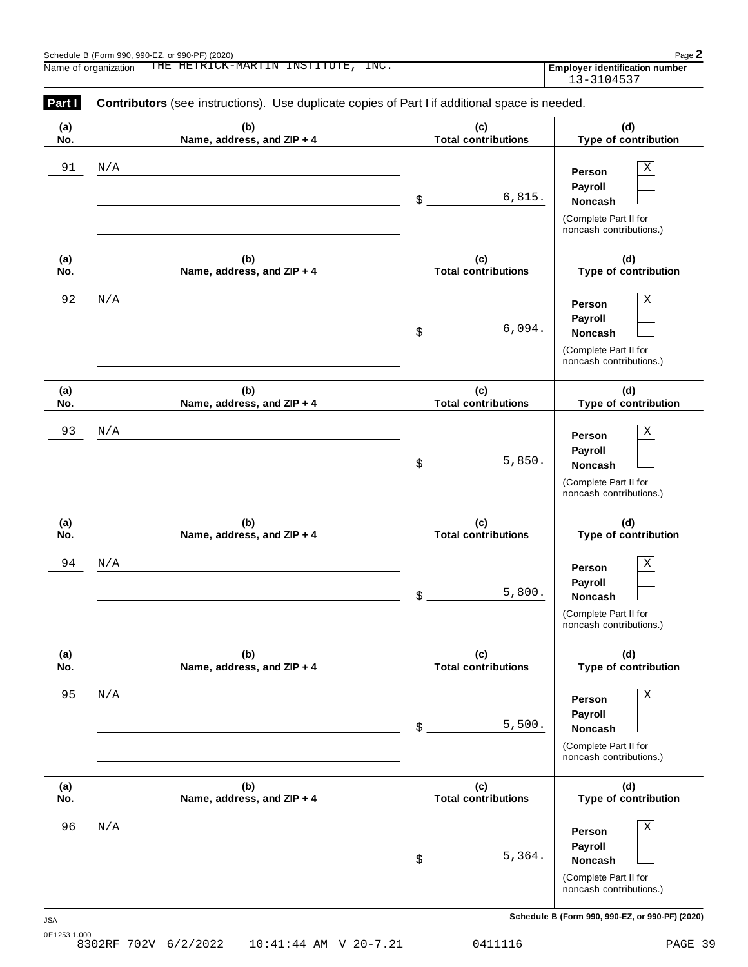| Part I     | <b>Contributors</b> (see instructions). Use duplicate copies of Part I if additional space is needed. |                                   |                                                                                              |
|------------|-------------------------------------------------------------------------------------------------------|-----------------------------------|----------------------------------------------------------------------------------------------|
| (a)<br>No. | (b)<br>Name, address, and ZIP + 4                                                                     | (c)<br><b>Total contributions</b> | (d)<br>Type of contribution                                                                  |
| 91         | N/A                                                                                                   | 6,815.<br>\$                      | Χ<br>Person<br>Payroll<br>Noncash<br>(Complete Part II for<br>noncash contributions.)        |
| (a)<br>No. | (b)<br>Name, address, and ZIP + 4                                                                     | (c)<br><b>Total contributions</b> | (d)<br>Type of contribution                                                                  |
| 92         | N/A                                                                                                   | 6,094.<br>\$                      | Χ<br>Person<br>Payroll<br><b>Noncash</b><br>(Complete Part II for<br>noncash contributions.) |
| (a)<br>No. | (b)<br>Name, address, and ZIP + 4                                                                     | (c)<br><b>Total contributions</b> | (d)<br>Type of contribution                                                                  |
| 93         | N/A                                                                                                   | 5,850.<br>\$                      | Χ<br>Person<br>Payroll<br><b>Noncash</b><br>(Complete Part II for<br>noncash contributions.) |
| (a)<br>No. | (b)<br>Name, address, and ZIP + 4                                                                     | (c)<br><b>Total contributions</b> | (d)<br>Type of contribution                                                                  |
| 94         | N/A                                                                                                   | 5,800.<br>\$                      | Χ<br>Person<br>Payroll<br>Noncash<br>(Complete Part II for<br>noncash contributions.)        |
| (a)<br>No. | (b)<br>Name, address, and ZIP + 4                                                                     | (c)<br><b>Total contributions</b> | (d)<br>Type of contribution                                                                  |
| 95         | N/A                                                                                                   | 5,500.<br>\$                      | Χ<br>Person<br>Payroll<br>Noncash<br>(Complete Part II for<br>noncash contributions.)        |
| (a)<br>No. | (b)<br>Name, address, and ZIP + 4                                                                     | (c)<br><b>Total contributions</b> | (d)<br>Type of contribution                                                                  |
| 96         | N/A                                                                                                   | 5,364.<br>\$                      | Χ<br>Person<br>Payroll<br>Noncash<br>(Complete Part II for<br>noncash contributions.)        |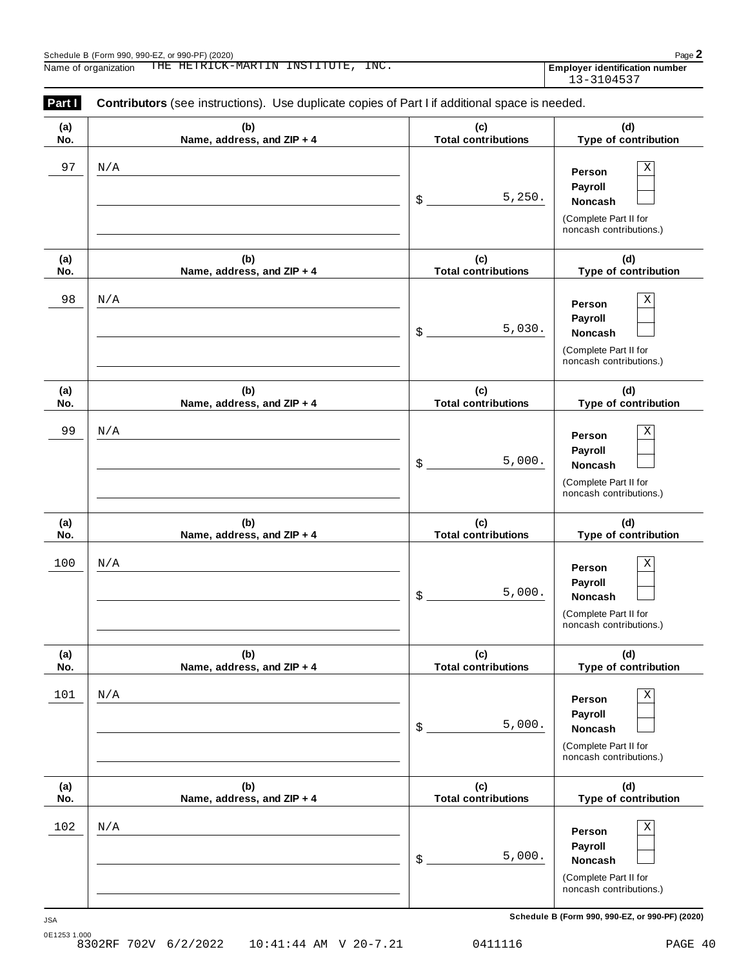| Part I     | <b>Contributors</b> (see instructions). Use duplicate copies of Part I if additional space is needed. |                                   |                                                                                       |
|------------|-------------------------------------------------------------------------------------------------------|-----------------------------------|---------------------------------------------------------------------------------------|
| (a)<br>No. | (b)<br>Name, address, and ZIP + 4                                                                     | (c)<br><b>Total contributions</b> | (d)<br>Type of contribution                                                           |
| 97         | N/A                                                                                                   | 5,250.<br>\$                      | Χ<br>Person<br>Payroll<br>Noncash<br>(Complete Part II for<br>noncash contributions.) |
| (a)<br>No. | (b)<br>Name, address, and ZIP + 4                                                                     | (c)<br><b>Total contributions</b> | (d)<br>Type of contribution                                                           |
| 98         | N/A                                                                                                   | 5,030.<br>\$                      | Х<br>Person<br>Payroll<br>Noncash<br>(Complete Part II for<br>noncash contributions.) |
| (a)<br>No. | (b)<br>Name, address, and ZIP + 4                                                                     | (c)<br><b>Total contributions</b> | (d)<br>Type of contribution                                                           |
| 99         | N/A                                                                                                   | 5,000.<br>\$                      | Χ<br>Person<br>Payroll<br>Noncash<br>(Complete Part II for<br>noncash contributions.) |
| (a)<br>No. | (b)<br>Name, address, and ZIP + 4                                                                     | (c)<br><b>Total contributions</b> | (d)<br>Type of contribution                                                           |
| 100        | N/A                                                                                                   | 5,000.<br>\$                      | Χ<br>Person<br>Payroll<br>Noncash<br>(Complete Part II for<br>noncash contributions.) |
| (a)<br>No. | (b)<br>Name, address, and ZIP + 4                                                                     | (c)<br><b>Total contributions</b> | (d)<br>Type of contribution                                                           |
| 101        | N/A                                                                                                   | 5,000.<br>\$                      | Х<br>Person<br>Payroll<br>Noncash<br>(Complete Part II for<br>noncash contributions.) |
| (a)<br>No. | (b)<br>Name, address, and ZIP + 4                                                                     | (c)<br><b>Total contributions</b> | (d)<br>Type of contribution                                                           |
| 102        | N/A                                                                                                   | 5,000.<br>\$                      | Х<br>Person<br>Payroll<br>Noncash<br>(Complete Part II for<br>noncash contributions.) |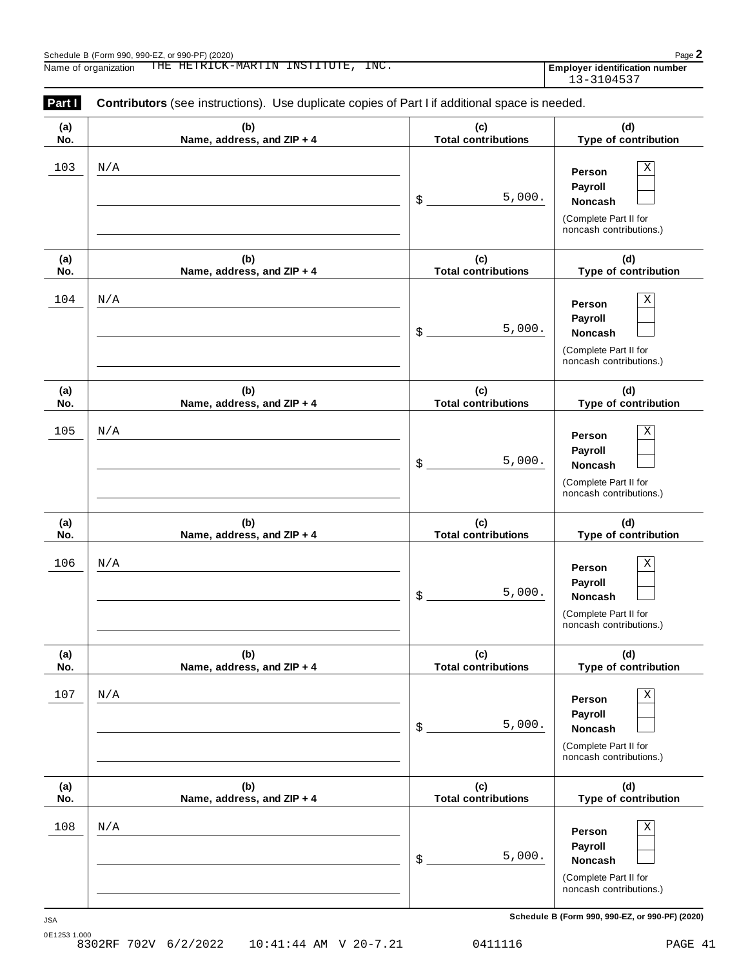| Part I     | <b>Contributors</b> (see instructions). Use duplicate copies of Part I if additional space is needed. |                                   |                                                                                              |
|------------|-------------------------------------------------------------------------------------------------------|-----------------------------------|----------------------------------------------------------------------------------------------|
| (a)<br>No. | (b)<br>Name, address, and ZIP + 4                                                                     | (c)<br><b>Total contributions</b> | (d)<br>Type of contribution                                                                  |
| 103        | N/A                                                                                                   | 5,000.<br>\$                      | Χ<br>Person<br>Payroll<br>Noncash<br>(Complete Part II for<br>noncash contributions.)        |
| (a)<br>No. | (b)<br>Name, address, and ZIP + 4                                                                     | (c)<br><b>Total contributions</b> | (d)<br>Type of contribution                                                                  |
| 104        | N/A                                                                                                   | 5,000.<br>\$                      | Χ<br>Person<br>Payroll<br><b>Noncash</b><br>(Complete Part II for<br>noncash contributions.) |
| (a)<br>No. | (b)<br>Name, address, and ZIP + 4                                                                     | (c)<br><b>Total contributions</b> | (d)<br>Type of contribution                                                                  |
| 105        | N/A                                                                                                   | 5,000.<br>\$                      | Χ<br>Person<br>Payroll<br>Noncash<br>(Complete Part II for<br>noncash contributions.)        |
| (a)<br>No. | (b)<br>Name, address, and ZIP + 4                                                                     | (c)<br><b>Total contributions</b> | (d)<br>Type of contribution                                                                  |
| 106        | N/A                                                                                                   | 5,000.<br>\$                      | Χ<br>Person<br>Payroll<br>Noncash<br>(Complete Part II for<br>noncash contributions.)        |
| (a)<br>No. | (b)<br>Name, address, and ZIP + 4                                                                     | (c)<br><b>Total contributions</b> | (d)<br>Type of contribution                                                                  |
| 107        | N/A                                                                                                   | 5,000.<br>\$                      | Χ<br>Person<br>Payroll<br>Noncash<br>(Complete Part II for<br>noncash contributions.)        |
| (a)<br>No. | (b)<br>Name, address, and ZIP + 4                                                                     | (c)<br><b>Total contributions</b> | (d)<br>Type of contribution                                                                  |
| 108        | N/A                                                                                                   | 5,000.<br>\$                      | Χ<br>Person<br>Payroll<br>Noncash<br>(Complete Part II for<br>noncash contributions.)        |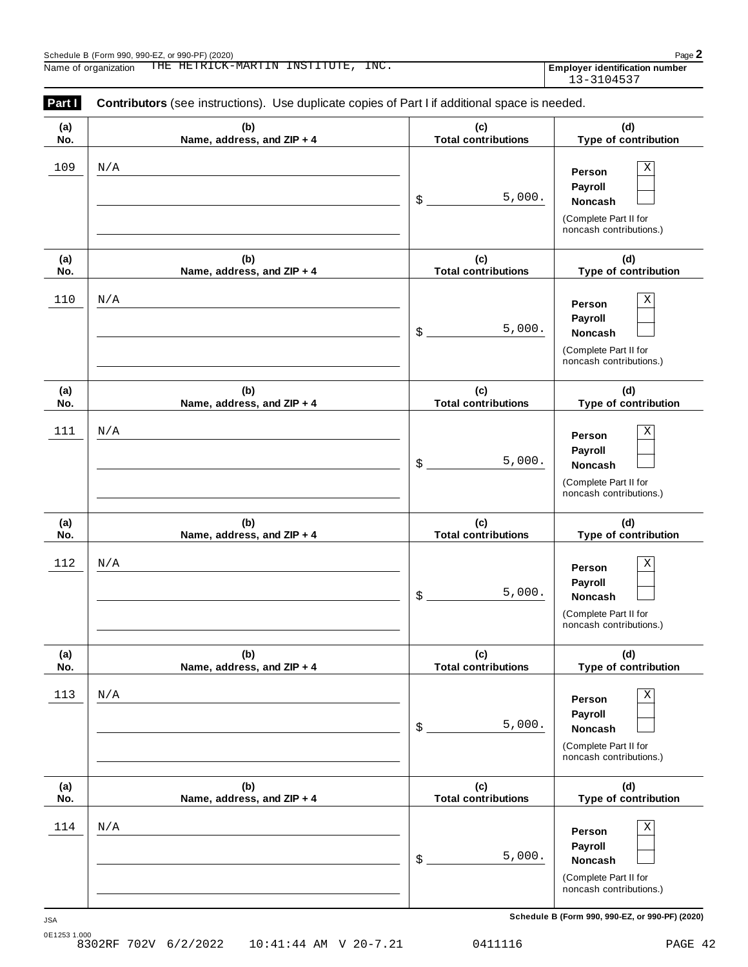| Part I     | <b>Contributors</b> (see instructions). Use duplicate copies of Part I if additional space is needed. |                                   |                                                                                              |
|------------|-------------------------------------------------------------------------------------------------------|-----------------------------------|----------------------------------------------------------------------------------------------|
| (a)<br>No. | (b)<br>Name, address, and ZIP + 4                                                                     | (c)<br><b>Total contributions</b> | (d)<br>Type of contribution                                                                  |
| 109        | N/A                                                                                                   | 5,000.<br>\$                      | X<br>Person<br>Payroll<br><b>Noncash</b>                                                     |
|            |                                                                                                       |                                   | (Complete Part II for<br>noncash contributions.)                                             |
| (a)<br>No. | (b)<br>Name, address, and ZIP + 4                                                                     | (c)<br><b>Total contributions</b> | (d)<br>Type of contribution                                                                  |
| 110        | N/A                                                                                                   | 5,000.<br>\$                      | X<br>Person<br>Payroll<br><b>Noncash</b><br>(Complete Part II for<br>noncash contributions.) |
| (a)<br>No. | (b)<br>Name, address, and ZIP + 4                                                                     | (c)<br><b>Total contributions</b> | (d)<br>Type of contribution                                                                  |
| 111        | N/A                                                                                                   | 5,000.<br>\$                      | Χ<br>Person<br>Payroll<br>Noncash<br>(Complete Part II for<br>noncash contributions.)        |
| (a)<br>No. | (b)<br>Name, address, and ZIP + 4                                                                     | (c)<br><b>Total contributions</b> | (d)<br>Type of contribution                                                                  |
| 112        | N/A                                                                                                   | 5,000.<br>\$                      | Χ<br>Person<br>Payroll<br>Noncash<br>(Complete Part II for<br>noncash contributions.)        |
| (a)<br>No. | (b)<br>Name, address, and ZIP + 4                                                                     | (c)<br><b>Total contributions</b> | (d)<br>Type of contribution                                                                  |
| 113        | N/A                                                                                                   | 5,000.<br>\$                      | Χ<br>Person<br>Payroll<br>Noncash<br>(Complete Part II for<br>noncash contributions.)        |
| (a)<br>No. | (b)<br>Name, address, and ZIP + 4                                                                     | (c)<br><b>Total contributions</b> | (d)<br>Type of contribution                                                                  |
| 114        | N/A                                                                                                   | 5,000.<br>\$                      | Χ<br>Person<br>Payroll<br>Noncash<br>(Complete Part II for<br>noncash contributions.)        |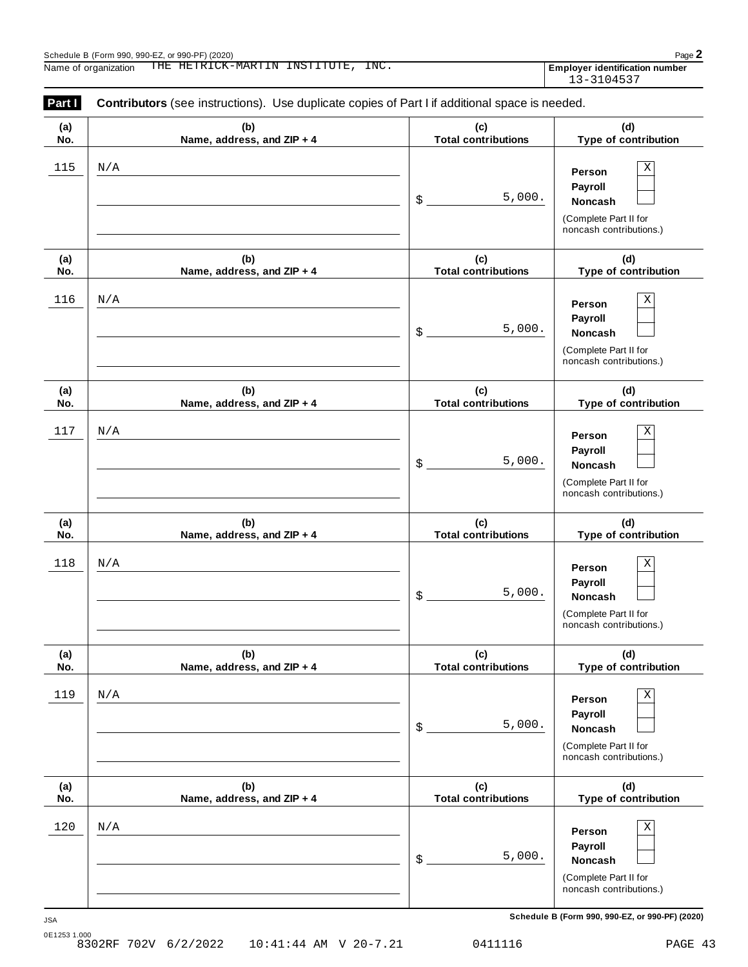| Part I     | <b>Contributors</b> (see instructions). Use duplicate copies of Part I if additional space is needed. |                                   |                                                                                              |
|------------|-------------------------------------------------------------------------------------------------------|-----------------------------------|----------------------------------------------------------------------------------------------|
| (a)<br>No. | (b)<br>Name, address, and ZIP + 4                                                                     | (c)<br><b>Total contributions</b> | (d)<br>Type of contribution                                                                  |
| 115        | N/A                                                                                                   | 5,000.<br>\$                      | Χ<br>Person<br>Payroll<br><b>Noncash</b><br>(Complete Part II for<br>noncash contributions.) |
| (a)<br>No. | (b)<br>Name, address, and ZIP + 4                                                                     | (c)<br><b>Total contributions</b> | (d)<br>Type of contribution                                                                  |
| 116        | N/A                                                                                                   | 5,000.<br>\$                      | Χ<br>Person<br>Payroll<br><b>Noncash</b><br>(Complete Part II for<br>noncash contributions.) |
| (a)<br>No. | (b)<br>Name, address, and ZIP + 4                                                                     | (c)<br><b>Total contributions</b> | (d)<br>Type of contribution                                                                  |
| 117        | N/A                                                                                                   | 5,000.<br>\$                      | Χ<br>Person<br>Payroll<br><b>Noncash</b><br>(Complete Part II for<br>noncash contributions.) |
| (a)<br>No. | (b)<br>Name, address, and ZIP + 4                                                                     | (c)<br><b>Total contributions</b> | (d)<br>Type of contribution                                                                  |
| 118        | N/A                                                                                                   | 5,000.<br>\$                      | Χ<br>Person<br>Payroll<br><b>Noncash</b><br>(Complete Part II for<br>noncash contributions.) |
| (a)<br>No. | (b)<br>Name, address, and ZIP + 4                                                                     | (c)<br><b>Total contributions</b> | (d)<br>Type of contribution                                                                  |
| 119        | $\rm N/A$                                                                                             | 5,000.<br>\$                      | Χ<br>Person<br>Payroll<br>Noncash<br>(Complete Part II for<br>noncash contributions.)        |
| (a)<br>No. | (b)<br>Name, address, and ZIP + 4                                                                     | (c)<br><b>Total contributions</b> | (d)<br>Type of contribution                                                                  |
| 120        | N/A                                                                                                   | 5,000.<br>\$                      | Χ<br>Person<br>Payroll<br>Noncash<br>(Complete Part II for<br>noncash contributions.)        |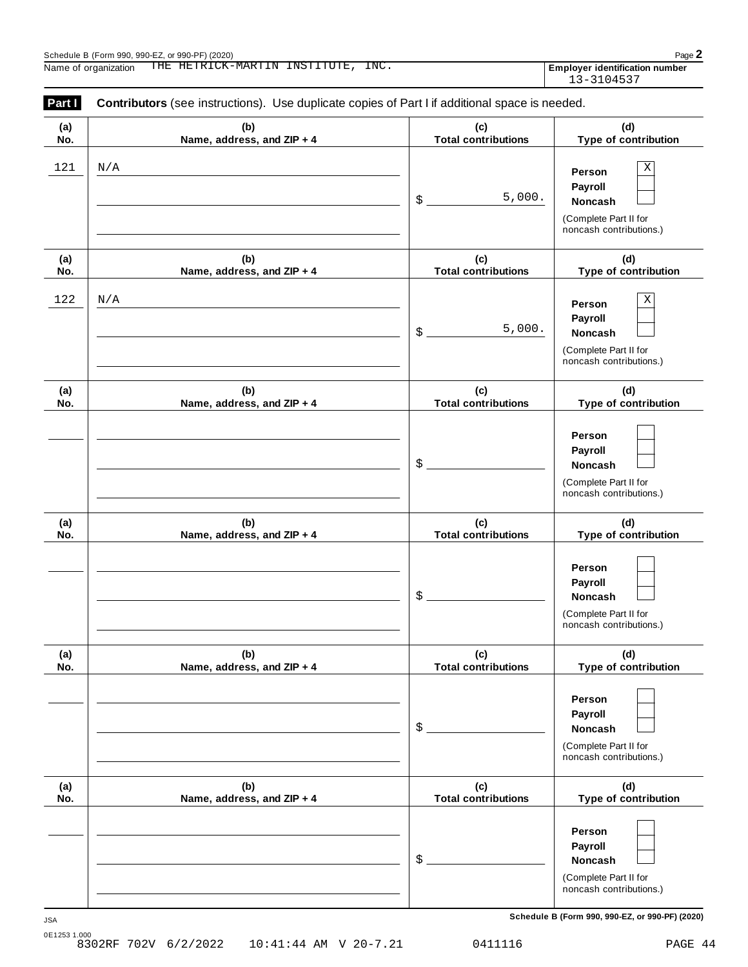| Part I     | <b>Contributors</b> (see instructions). Use duplicate copies of Part I if additional space is needed. |                                   |                                                                                         |
|------------|-------------------------------------------------------------------------------------------------------|-----------------------------------|-----------------------------------------------------------------------------------------|
| (a)<br>No. | (b)<br>Name, address, and ZIP + 4                                                                     | (c)<br><b>Total contributions</b> | (d)<br>Type of contribution                                                             |
| 121<br>N/A |                                                                                                       | 5,000.<br>\$                      | Χ<br>Person<br>Payroll<br>Noncash                                                       |
|            |                                                                                                       |                                   | (Complete Part II for<br>noncash contributions.)                                        |
| (a)<br>No. | (b)<br>Name, address, and ZIP + 4                                                                     | (c)<br><b>Total contributions</b> | (d)<br>Type of contribution                                                             |
| 122<br>N/A |                                                                                                       | 5,000.<br>\$                      | Χ<br>Person<br>Payroll<br>Noncash<br>(Complete Part II for                              |
| (a)<br>No. | (b)<br>Name, address, and ZIP + 4                                                                     | (c)<br><b>Total contributions</b> | noncash contributions.)<br>(d)<br>Type of contribution                                  |
|            |                                                                                                       | \$                                | Person<br>Payroll<br>Noncash<br>(Complete Part II for<br>noncash contributions.)        |
| (a)<br>No. | (b)<br>Name, address, and ZIP + 4                                                                     | (c)<br><b>Total contributions</b> | (d)<br>Type of contribution                                                             |
|            |                                                                                                       | \$                                | Person<br>Payroll<br><b>Noncash</b><br>(Complete Part II for<br>noncash contributions.) |
| (a)<br>No. | (b)<br>Name, address, and ZIP + 4                                                                     | (c)<br><b>Total contributions</b> | (d)<br>Type of contribution                                                             |
|            |                                                                                                       | \$                                | Person<br>Payroll<br>Noncash<br>(Complete Part II for<br>noncash contributions.)        |
| (a)<br>No. | (b)<br>Name, address, and ZIP + 4                                                                     | (c)<br><b>Total contributions</b> | (d)<br>Type of contribution                                                             |
|            |                                                                                                       | \$                                | Person<br>Payroll<br><b>Noncash</b><br>(Complete Part II for<br>noncash contributions.) |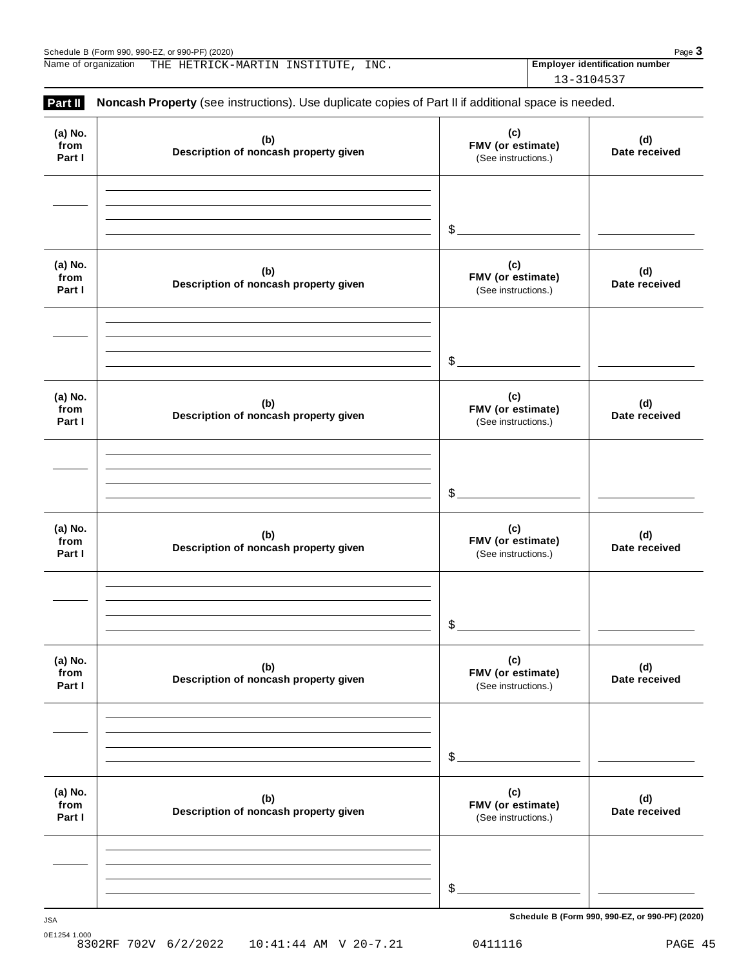Schedule B (Form 990, 990-EZ, or 990-PF) (2020)<br>
Name of organization THE HETRICK-MARTIN INSTITUTE, INC. **Page 3**<br>
Page 3 Name of organization THE HETRICK-MARTIN INSTITUTE, INC. **The Contract of Languary Contracts Employer identification number** 

13-3104537

| Part II                   | Noncash Property (see instructions). Use duplicate copies of Part II if additional space is needed. |                                                 |                      |
|---------------------------|-----------------------------------------------------------------------------------------------------|-------------------------------------------------|----------------------|
| (a) No.<br>from<br>Part I | (b)<br>Description of noncash property given                                                        | (c)<br>FMV (or estimate)<br>(See instructions.) | (d)<br>Date received |
|                           |                                                                                                     | $\frac{1}{2}$                                   |                      |
| (a) No.<br>from<br>Part I | (b)<br>Description of noncash property given                                                        | (c)<br>FMV (or estimate)<br>(See instructions.) | (d)<br>Date received |
|                           |                                                                                                     | $\frac{1}{2}$                                   |                      |
| (a) No.<br>from<br>Part I | (b)<br>Description of noncash property given                                                        | (c)<br>FMV (or estimate)<br>(See instructions.) | (d)<br>Date received |
|                           |                                                                                                     | $\frac{1}{2}$                                   |                      |
| (a) No.<br>from<br>Part I | (b)<br>Description of noncash property given                                                        | (c)<br>FMV (or estimate)<br>(See instructions.) | (d)<br>Date received |
|                           |                                                                                                     | \$                                              |                      |
| (a) No.<br>from<br>Part I | (b)<br>Description of noncash property given                                                        | (c)<br>FMV (or estimate)<br>(See instructions.) | (d)<br>Date received |
|                           |                                                                                                     | \$                                              |                      |
| (a) No.<br>from<br>Part I | (b)<br>Description of noncash property given                                                        | (c)<br>FMV (or estimate)<br>(See instructions.) | (d)<br>Date received |
|                           |                                                                                                     |                                                 |                      |
|                           |                                                                                                     | \$                                              |                      |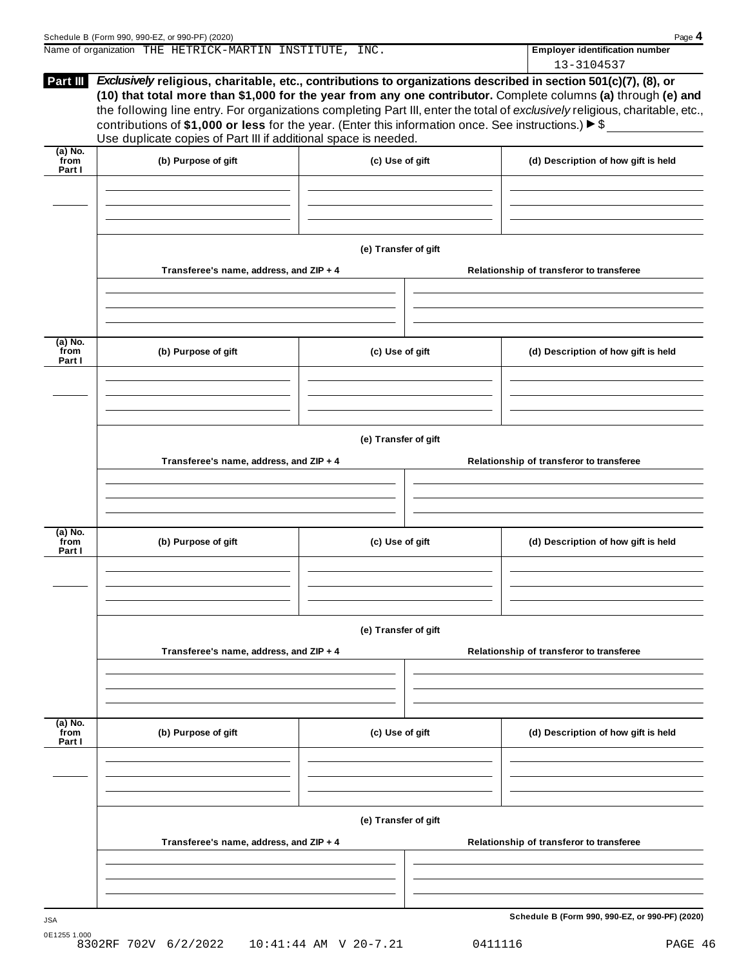| Part III                  |                                                                                                                                                                                             |                 | 13-3104537<br><i>Exclusively</i> religious, charitable, etc., contributions to organizations described in section 501(c)(7), (8), or<br>(10) that total more than \$1,000 for the year from any one contributor. Complete columns (a) through (e) and<br>the following line entry. For organizations completing Part III, enter the total of exclusively religious, charitable, etc., |
|---------------------------|---------------------------------------------------------------------------------------------------------------------------------------------------------------------------------------------|-----------------|---------------------------------------------------------------------------------------------------------------------------------------------------------------------------------------------------------------------------------------------------------------------------------------------------------------------------------------------------------------------------------------|
|                           |                                                                                                                                                                                             |                 |                                                                                                                                                                                                                                                                                                                                                                                       |
|                           | contributions of \$1,000 or less for the year. (Enter this information once. See instructions.) $\blacktriangleright$ \$<br>Use duplicate copies of Part III if additional space is needed. |                 |                                                                                                                                                                                                                                                                                                                                                                                       |
| (a) No.<br>from<br>Part I | (b) Purpose of gift                                                                                                                                                                         | (c) Use of gift | (d) Description of how gift is held                                                                                                                                                                                                                                                                                                                                                   |
|                           |                                                                                                                                                                                             |                 |                                                                                                                                                                                                                                                                                                                                                                                       |

|                             | Transferee's name, address, and ZIP + 4 |                      |  | Relationship of transferor to transferee |
|-----------------------------|-----------------------------------------|----------------------|--|------------------------------------------|
|                             |                                         |                      |  |                                          |
| $(a)$ No.<br>from<br>Part I | (b) Purpose of gift                     | (c) Use of gift      |  | (d) Description of how gift is held      |
|                             |                                         |                      |  |                                          |
|                             | Transferee's name, address, and ZIP + 4 | (e) Transfer of gift |  | Relationship of transferor to transferee |
|                             |                                         |                      |  |                                          |
| (a) No.<br>from<br>Part I   | (b) Purpose of gift                     | (c) Use of gift      |  | (d) Description of how gift is held      |
|                             |                                         |                      |  |                                          |
|                             |                                         | (e) Transfer of gift |  |                                          |
|                             | Transferee's name, address, and ZIP + 4 |                      |  | Relationship of transferor to transferee |
|                             |                                         |                      |  |                                          |
| (a) No.                     |                                         |                      |  |                                          |

| $(a)$ No.<br>from<br>Part I | (b) Purpose of gift                     | (c) Use of gift      | (d) Description of how gift is held      |
|-----------------------------|-----------------------------------------|----------------------|------------------------------------------|
|                             |                                         |                      |                                          |
|                             |                                         |                      |                                          |
|                             |                                         | (e) Transfer of gift |                                          |
|                             | Transferee's name, address, and ZIP + 4 |                      | Relationship of transferor to transferee |
|                             |                                         |                      |                                          |
|                             |                                         |                      |                                          |
|                             |                                         |                      |                                          |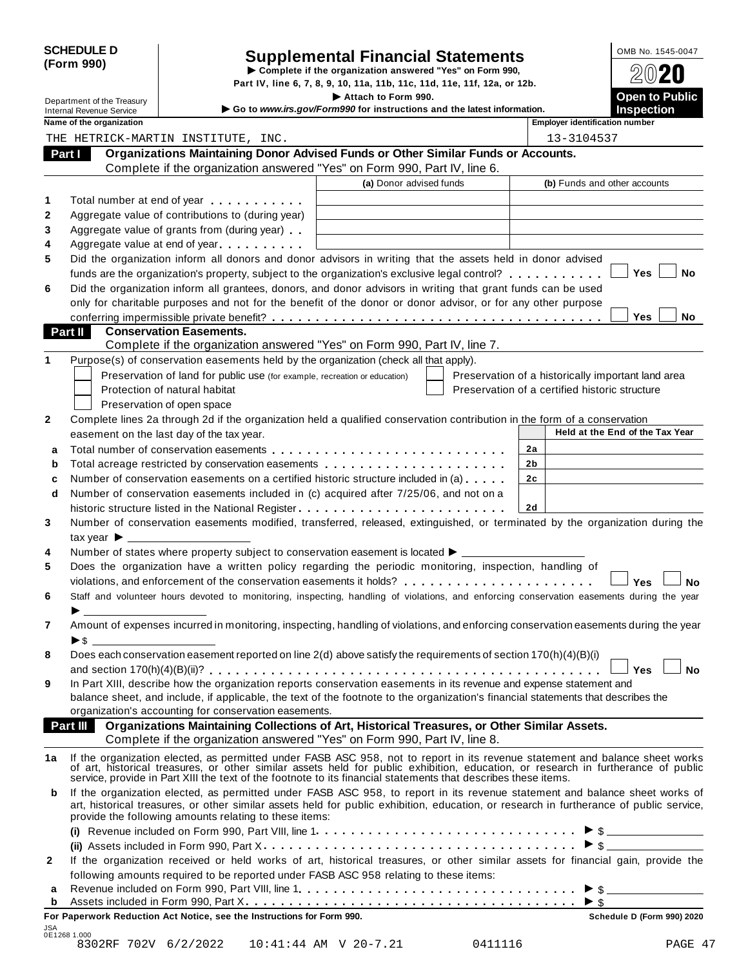|            | <b>SCHEDULE D</b> |
|------------|-------------------|
| (Form 990) |                   |

# SCHEDULE D<br>
Supplemental Financial Statements<br>
Form 990)<br>
Part IV, line 6, 7, 8, 9, 10, 11a, 11b, 11c, 11d, 11e, 11f, 12a, or 12b.<br>
Part IV, line 6, 7, 8, 9, 10, 11a, 11b, 11c, 11d, 11e, 11f, 12a, or 12b.

|         |                                                               |                                                                                                                                                                                                                                                                                                                                                  | Part IV, line 6, 7, 8, 9, 10, 11a, 11b, 11c, 11d, 11e, 11f, 12a, or 12b.                      |                                                |    |                                       |                                                    |           |
|---------|---------------------------------------------------------------|--------------------------------------------------------------------------------------------------------------------------------------------------------------------------------------------------------------------------------------------------------------------------------------------------------------------------------------------------|-----------------------------------------------------------------------------------------------|------------------------------------------------|----|---------------------------------------|----------------------------------------------------|-----------|
|         | Department of the Treasury<br><b>Internal Revenue Service</b> |                                                                                                                                                                                                                                                                                                                                                  | Attach to Form 990.<br>Go to www.irs.gov/Form990 for instructions and the latest information. |                                                |    |                                       | <b>Open to Public</b><br><b>Inspection</b>         |           |
|         | Name of the organization                                      |                                                                                                                                                                                                                                                                                                                                                  |                                                                                               |                                                |    | <b>Employer identification number</b> |                                                    |           |
|         |                                                               | THE HETRICK-MARTIN INSTITUTE, INC.                                                                                                                                                                                                                                                                                                               |                                                                                               |                                                |    | 13-3104537                            |                                                    |           |
| Part I  |                                                               | Organizations Maintaining Donor Advised Funds or Other Similar Funds or Accounts.                                                                                                                                                                                                                                                                |                                                                                               |                                                |    |                                       |                                                    |           |
|         |                                                               | Complete if the organization answered "Yes" on Form 990, Part IV, line 6.                                                                                                                                                                                                                                                                        |                                                                                               |                                                |    |                                       |                                                    |           |
|         |                                                               |                                                                                                                                                                                                                                                                                                                                                  | (a) Donor advised funds                                                                       |                                                |    |                                       | (b) Funds and other accounts                       |           |
| 1       |                                                               | Total number at end of year manufacturers.                                                                                                                                                                                                                                                                                                       |                                                                                               |                                                |    |                                       |                                                    |           |
| 2       |                                                               | Aggregate value of contributions to (during year)                                                                                                                                                                                                                                                                                                |                                                                                               |                                                |    |                                       |                                                    |           |
| 3       |                                                               | Aggregate value of grants from (during year)                                                                                                                                                                                                                                                                                                     |                                                                                               |                                                |    |                                       |                                                    |           |
| 4       |                                                               | Aggregate value at end of year                                                                                                                                                                                                                                                                                                                   |                                                                                               |                                                |    |                                       |                                                    |           |
| 5       |                                                               | Did the organization inform all donors and donor advisors in writing that the assets held in donor advised                                                                                                                                                                                                                                       |                                                                                               |                                                |    |                                       |                                                    |           |
|         |                                                               | funds are the organization's property, subject to the organization's exclusive legal control?                                                                                                                                                                                                                                                    |                                                                                               |                                                |    |                                       | Yes                                                | No        |
| 6       |                                                               | Did the organization inform all grantees, donors, and donor advisors in writing that grant funds can be used                                                                                                                                                                                                                                     |                                                                                               |                                                |    |                                       |                                                    |           |
|         |                                                               | only for charitable purposes and not for the benefit of the donor or donor advisor, or for any other purpose                                                                                                                                                                                                                                     |                                                                                               |                                                |    |                                       |                                                    |           |
|         |                                                               |                                                                                                                                                                                                                                                                                                                                                  |                                                                                               |                                                |    |                                       | Yes                                                | No        |
| Part II |                                                               | <b>Conservation Easements.</b>                                                                                                                                                                                                                                                                                                                   |                                                                                               |                                                |    |                                       |                                                    |           |
| 1       |                                                               | Complete if the organization answered "Yes" on Form 990, Part IV, line 7.                                                                                                                                                                                                                                                                        |                                                                                               |                                                |    |                                       |                                                    |           |
|         |                                                               | Purpose(s) of conservation easements held by the organization (check all that apply).                                                                                                                                                                                                                                                            |                                                                                               |                                                |    |                                       |                                                    |           |
|         |                                                               | Preservation of land for public use (for example, recreation or education)                                                                                                                                                                                                                                                                       |                                                                                               |                                                |    |                                       | Preservation of a historically important land area |           |
|         |                                                               | Protection of natural habitat                                                                                                                                                                                                                                                                                                                    |                                                                                               | Preservation of a certified historic structure |    |                                       |                                                    |           |
|         |                                                               | Preservation of open space                                                                                                                                                                                                                                                                                                                       |                                                                                               |                                                |    |                                       |                                                    |           |
| 2       |                                                               | Complete lines 2a through 2d if the organization held a qualified conservation contribution in the form of a conservation                                                                                                                                                                                                                        |                                                                                               |                                                |    |                                       | Held at the End of the Tax Year                    |           |
|         |                                                               | easement on the last day of the tax year.                                                                                                                                                                                                                                                                                                        |                                                                                               |                                                |    |                                       |                                                    |           |
| a       |                                                               |                                                                                                                                                                                                                                                                                                                                                  |                                                                                               |                                                | 2a |                                       |                                                    |           |
| b       |                                                               | Total acreage restricted by conservation easements                                                                                                                                                                                                                                                                                               |                                                                                               |                                                | 2b |                                       |                                                    |           |
| c       |                                                               | Number of conservation easements on a certified historic structure included in (a)                                                                                                                                                                                                                                                               |                                                                                               |                                                | 2c |                                       |                                                    |           |
| d       |                                                               | Number of conservation easements included in (c) acquired after 7/25/06, and not on a                                                                                                                                                                                                                                                            |                                                                                               |                                                |    |                                       |                                                    |           |
|         |                                                               |                                                                                                                                                                                                                                                                                                                                                  |                                                                                               |                                                | 2d |                                       |                                                    |           |
| 3       |                                                               | Number of conservation easements modified, transferred, released, extinguished, or terminated by the organization during the                                                                                                                                                                                                                     |                                                                                               |                                                |    |                                       |                                                    |           |
|         | tax year $\blacktriangleright$ $\perp$                        |                                                                                                                                                                                                                                                                                                                                                  |                                                                                               |                                                |    |                                       |                                                    |           |
| 4       |                                                               | Number of states where property subject to conservation easement is located ▶ _________                                                                                                                                                                                                                                                          |                                                                                               |                                                |    |                                       |                                                    |           |
| 5       |                                                               | Does the organization have a written policy regarding the periodic monitoring, inspection, handling of                                                                                                                                                                                                                                           |                                                                                               |                                                |    |                                       |                                                    |           |
|         |                                                               | violations, and enforcement of the conservation easements it holds?                                                                                                                                                                                                                                                                              |                                                                                               |                                                |    |                                       | Yes                                                | No        |
| 6       |                                                               | Staff and volunteer hours devoted to monitoring, inspecting, handling of violations, and enforcing conservation easements during the year                                                                                                                                                                                                        |                                                                                               |                                                |    |                                       |                                                    |           |
|         |                                                               |                                                                                                                                                                                                                                                                                                                                                  |                                                                                               |                                                |    |                                       |                                                    |           |
| 7       |                                                               | Amount of expenses incurred in monitoring, inspecting, handling of violations, and enforcing conservation easements during the year                                                                                                                                                                                                              |                                                                                               |                                                |    |                                       |                                                    |           |
|         |                                                               |                                                                                                                                                                                                                                                                                                                                                  |                                                                                               |                                                |    |                                       |                                                    |           |
| 8       |                                                               | Does each conservation easement reported on line 2(d) above satisfy the requirements of section 170(h)(4)(B)(i)                                                                                                                                                                                                                                  |                                                                                               |                                                |    |                                       |                                                    |           |
|         |                                                               | In Part XIII, describe how the organization reports conservation easements in its revenue and expense statement and                                                                                                                                                                                                                              |                                                                                               |                                                |    |                                       | Yes                                                | <b>No</b> |
| 9       |                                                               | balance sheet, and include, if applicable, the text of the footnote to the organization's financial statements that describes the                                                                                                                                                                                                                |                                                                                               |                                                |    |                                       |                                                    |           |
|         |                                                               | organization's accounting for conservation easements.                                                                                                                                                                                                                                                                                            |                                                                                               |                                                |    |                                       |                                                    |           |
|         | Part III                                                      | Organizations Maintaining Collections of Art, Historical Treasures, or Other Similar Assets.                                                                                                                                                                                                                                                     |                                                                                               |                                                |    |                                       |                                                    |           |
|         |                                                               | Complete if the organization answered "Yes" on Form 990, Part IV, line 8.                                                                                                                                                                                                                                                                        |                                                                                               |                                                |    |                                       |                                                    |           |
|         |                                                               |                                                                                                                                                                                                                                                                                                                                                  |                                                                                               |                                                |    |                                       |                                                    |           |
| 1a      |                                                               | If the organization elected, as permitted under FASB ASC 958, not to report in its revenue statement and balance sheet works of art, historical treasures, or other similar assets held for public exhibition, education, or r<br>service, provide in Part XIII the text of the footnote to its financial statements that describes these items. |                                                                                               |                                                |    |                                       |                                                    |           |
| b       |                                                               | If the organization elected, as permitted under FASB ASC 958, to report in its revenue statement and balance sheet works of                                                                                                                                                                                                                      |                                                                                               |                                                |    |                                       |                                                    |           |
|         |                                                               | art, historical treasures, or other similar assets held for public exhibition, education, or research in furtherance of public service,<br>provide the following amounts relating to these items:                                                                                                                                                |                                                                                               |                                                |    |                                       |                                                    |           |
|         |                                                               |                                                                                                                                                                                                                                                                                                                                                  |                                                                                               |                                                |    |                                       |                                                    |           |
|         |                                                               |                                                                                                                                                                                                                                                                                                                                                  |                                                                                               |                                                |    |                                       |                                                    |           |
|         |                                                               |                                                                                                                                                                                                                                                                                                                                                  |                                                                                               |                                                |    |                                       | $\triangleright$ \$                                |           |
| 2       |                                                               | If the organization received or held works of art, historical treasures, or other similar assets for financial gain, provide the                                                                                                                                                                                                                 |                                                                                               |                                                |    |                                       |                                                    |           |
| а       |                                                               | following amounts required to be reported under FASB ASC 958 relating to these items:                                                                                                                                                                                                                                                            |                                                                                               |                                                |    |                                       |                                                    |           |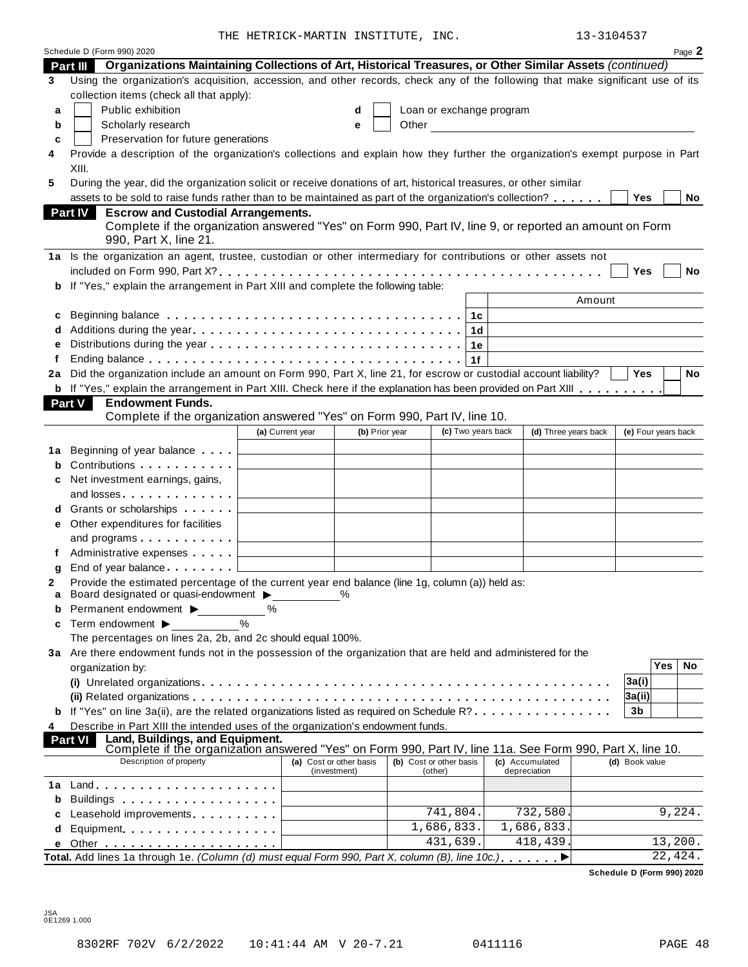THE HETRICK-MARTIN INSTITUTE, INC. 13-3104537

|        | Schedule D (Form 990) 2020                                                                                                                                                                                                          |                                                 |                |                         |                            |    |                                                                                                                                                                                                                                      |                      |                     |            | Page 2 |
|--------|-------------------------------------------------------------------------------------------------------------------------------------------------------------------------------------------------------------------------------------|-------------------------------------------------|----------------|-------------------------|----------------------------|----|--------------------------------------------------------------------------------------------------------------------------------------------------------------------------------------------------------------------------------------|----------------------|---------------------|------------|--------|
|        | Organizations Maintaining Collections of Art, Historical Treasures, or Other Similar Assets (continued)<br>Part III                                                                                                                 |                                                 |                |                         |                            |    |                                                                                                                                                                                                                                      |                      |                     |            |        |
| 3      | Using the organization's acquisition, accession, and other records, check any of the following that make significant use of its                                                                                                     |                                                 |                |                         |                            |    |                                                                                                                                                                                                                                      |                      |                     |            |        |
|        | collection items (check all that apply):                                                                                                                                                                                            |                                                 |                |                         |                            |    |                                                                                                                                                                                                                                      |                      |                     |            |        |
| a      | Public exhibition                                                                                                                                                                                                                   |                                                 | d              |                         |                            |    | Loan or exchange program                                                                                                                                                                                                             |                      |                     |            |        |
| b      | Scholarly research                                                                                                                                                                                                                  |                                                 | е              |                         |                            |    | Other <u>the contract of the contract of the contract of the contract of the contract of the contract of the contract of the contract of the contract of the contract of the contract of the contract of the contract of the con</u> |                      |                     |            |        |
| c      | Preservation for future generations                                                                                                                                                                                                 |                                                 |                |                         |                            |    |                                                                                                                                                                                                                                      |                      |                     |            |        |
| 4      | Provide a description of the organization's collections and explain how they further the organization's exempt purpose in Part                                                                                                      |                                                 |                |                         |                            |    |                                                                                                                                                                                                                                      |                      |                     |            |        |
|        | XIII.                                                                                                                                                                                                                               |                                                 |                |                         |                            |    |                                                                                                                                                                                                                                      |                      |                     |            |        |
| 5      | During the year, did the organization solicit or receive donations of art, historical treasures, or other similar                                                                                                                   |                                                 |                |                         |                            |    |                                                                                                                                                                                                                                      |                      |                     |            |        |
|        | assets to be sold to raise funds rather than to be maintained as part of the organization's collection?                                                                                                                             |                                                 |                |                         |                            |    |                                                                                                                                                                                                                                      |                      | <b>Yes</b>          |            | No     |
|        | <b>Escrow and Custodial Arrangements.</b><br><b>Part IV</b>                                                                                                                                                                         |                                                 |                |                         |                            |    |                                                                                                                                                                                                                                      |                      |                     |            |        |
|        | Complete if the organization answered "Yes" on Form 990, Part IV, line 9, or reported an amount on Form                                                                                                                             |                                                 |                |                         |                            |    |                                                                                                                                                                                                                                      |                      |                     |            |        |
|        | 990, Part X, line 21.                                                                                                                                                                                                               |                                                 |                |                         |                            |    |                                                                                                                                                                                                                                      |                      |                     |            |        |
|        | 1a Is the organization an agent, trustee, custodian or other intermediary for contributions or other assets not                                                                                                                     |                                                 |                |                         |                            |    |                                                                                                                                                                                                                                      |                      |                     |            |        |
|        |                                                                                                                                                                                                                                     |                                                 |                |                         |                            |    |                                                                                                                                                                                                                                      |                      | <b>Yes</b>          |            | No     |
|        | If "Yes," explain the arrangement in Part XIII and complete the following table:                                                                                                                                                    |                                                 |                |                         |                            |    |                                                                                                                                                                                                                                      |                      |                     |            |        |
| b      |                                                                                                                                                                                                                                     |                                                 |                |                         |                            |    |                                                                                                                                                                                                                                      |                      |                     |            |        |
|        |                                                                                                                                                                                                                                     |                                                 |                |                         |                            |    |                                                                                                                                                                                                                                      | Amount               |                     |            |        |
| c      |                                                                                                                                                                                                                                     |                                                 |                |                         |                            | 1c |                                                                                                                                                                                                                                      |                      |                     |            |        |
|        |                                                                                                                                                                                                                                     |                                                 |                |                         |                            | 1d |                                                                                                                                                                                                                                      |                      |                     |            |        |
|        |                                                                                                                                                                                                                                     |                                                 |                |                         |                            | 1е |                                                                                                                                                                                                                                      |                      |                     |            |        |
| f      |                                                                                                                                                                                                                                     |                                                 |                |                         |                            | 1f |                                                                                                                                                                                                                                      |                      |                     |            |        |
| 2a     | Did the organization include an amount on Form 990, Part X, line 21, for escrow or custodial account liability?                                                                                                                     |                                                 |                |                         |                            |    |                                                                                                                                                                                                                                      |                      | <b>Yes</b>          |            | No     |
|        | b If "Yes," explain the arrangement in Part XIII. Check here if the explanation has been provided on Part XIII                                                                                                                      |                                                 |                |                         |                            |    |                                                                                                                                                                                                                                      |                      |                     |            |        |
|        | <b>Endowment Funds.</b><br>Part V                                                                                                                                                                                                   |                                                 |                |                         |                            |    |                                                                                                                                                                                                                                      |                      |                     |            |        |
|        | Complete if the organization answered "Yes" on Form 990, Part IV, line 10.                                                                                                                                                          |                                                 |                |                         |                            |    |                                                                                                                                                                                                                                      |                      |                     |            |        |
|        |                                                                                                                                                                                                                                     | (a) Current year                                | (b) Prior year |                         | (c) Two years back         |    |                                                                                                                                                                                                                                      | (d) Three years back | (e) Four years back |            |        |
| 1а     | Beginning of year balance $\vert$                                                                                                                                                                                                   |                                                 |                |                         |                            |    |                                                                                                                                                                                                                                      |                      |                     |            |        |
| b      | Contributions <b>Contributions</b>                                                                                                                                                                                                  |                                                 |                |                         |                            |    |                                                                                                                                                                                                                                      |                      |                     |            |        |
| c      | Net investment earnings, gains,                                                                                                                                                                                                     |                                                 |                |                         |                            |    |                                                                                                                                                                                                                                      |                      |                     |            |        |
|        | and losses                                                                                                                                                                                                                          |                                                 |                |                         |                            |    |                                                                                                                                                                                                                                      |                      |                     |            |        |
| d      | Grants or scholarships                                                                                                                                                                                                              |                                                 |                |                         |                            |    |                                                                                                                                                                                                                                      |                      |                     |            |        |
| е      | Other expenditures for facilities                                                                                                                                                                                                   |                                                 |                |                         |                            |    |                                                                                                                                                                                                                                      |                      |                     |            |        |
|        | and programs                                                                                                                                                                                                                        | <u> 1989 - Johann Barnett, fransk politiker</u> |                |                         |                            |    |                                                                                                                                                                                                                                      |                      |                     |            |        |
| f      | Administrative expenses [100]                                                                                                                                                                                                       |                                                 |                |                         |                            |    |                                                                                                                                                                                                                                      |                      |                     |            |        |
|        | End of year balance l                                                                                                                                                                                                               |                                                 |                |                         |                            |    |                                                                                                                                                                                                                                      |                      |                     |            |        |
| q<br>2 | Provide the estimated percentage of the current year end balance (line 1g, column (a)) held as:                                                                                                                                     |                                                 |                |                         |                            |    |                                                                                                                                                                                                                                      |                      |                     |            |        |
| a      | Board designated or quasi-endowment >                                                                                                                                                                                               |                                                 | %              |                         |                            |    |                                                                                                                                                                                                                                      |                      |                     |            |        |
| b      | Permanent endowment $\blacktriangleright$                                                                                                                                                                                           | ℅                                               |                |                         |                            |    |                                                                                                                                                                                                                                      |                      |                     |            |        |
| c      | $\%$<br>Term endowment $\blacktriangleright$                                                                                                                                                                                        |                                                 |                |                         |                            |    |                                                                                                                                                                                                                                      |                      |                     |            |        |
|        | The percentages on lines 2a, 2b, and 2c should equal 100%.                                                                                                                                                                          |                                                 |                |                         |                            |    |                                                                                                                                                                                                                                      |                      |                     |            |        |
|        | 3a Are there endowment funds not in the possession of the organization that are held and administered for the                                                                                                                       |                                                 |                |                         |                            |    |                                                                                                                                                                                                                                      |                      |                     |            |        |
|        | organization by:                                                                                                                                                                                                                    |                                                 |                |                         |                            |    |                                                                                                                                                                                                                                      |                      |                     | <b>Yes</b> | No     |
|        |                                                                                                                                                                                                                                     |                                                 |                |                         |                            |    |                                                                                                                                                                                                                                      |                      | 3a(i)               |            |        |
|        |                                                                                                                                                                                                                                     |                                                 |                |                         |                            |    |                                                                                                                                                                                                                                      |                      | 3a(ii)              |            |        |
|        | If "Yes" on line 3a(ii), are the related organizations listed as required on Schedule R?                                                                                                                                            |                                                 |                |                         |                            |    |                                                                                                                                                                                                                                      |                      | 3b                  |            |        |
| b      |                                                                                                                                                                                                                                     |                                                 |                |                         |                            |    |                                                                                                                                                                                                                                      |                      |                     |            |        |
| 4      | Describe in Part XIII the intended uses of the organization's endowment funds.<br>Land, Buildings, and Equipment.<br><b>Part VI</b>                                                                                                 |                                                 |                |                         |                            |    |                                                                                                                                                                                                                                      |                      |                     |            |        |
|        | Complete if the organization answered "Yes" on Form 990, Part IV, line 11a. See Form 990, Part X, line 10.                                                                                                                          |                                                 |                |                         |                            |    |                                                                                                                                                                                                                                      |                      |                     |            |        |
|        | Description of property                                                                                                                                                                                                             | (a) Cost or other basis                         |                | (b) Cost or other basis |                            |    | (c) Accumulated                                                                                                                                                                                                                      |                      | (d) Book value      |            |        |
|        |                                                                                                                                                                                                                                     | (investment)                                    |                |                         | (other)                    |    | depreciation                                                                                                                                                                                                                         |                      |                     |            |        |
| 1a     |                                                                                                                                                                                                                                     |                                                 |                |                         |                            |    |                                                                                                                                                                                                                                      |                      |                     |            |        |
| b      | Buildings <b>Example 20</b> Section 20 and 20 and 20 and 20 and 20 and 20 and 20 and 20 and 20 and 20 and 20 and 20 and 20 and 20 and 20 and 20 and 20 and 20 and 20 and 20 and 20 and 20 and 20 and 20 and 20 and 20 and 20 and 20 |                                                 |                |                         |                            |    |                                                                                                                                                                                                                                      |                      |                     |            |        |
| c      | Leasehold improvements expressions and the set of the set of the set of the set of the set of the set of the s                                                                                                                      |                                                 |                |                         | 741,804.                   |    | 732,580                                                                                                                                                                                                                              |                      |                     |            | 9,224. |
| d      | Equipment                                                                                                                                                                                                                           |                                                 |                |                         | $\overline{1}$ , 686, 833. |    | 1,686,833                                                                                                                                                                                                                            |                      |                     |            |        |
| е      |                                                                                                                                                                                                                                     |                                                 |                |                         | 431,639.                   |    | 418,439                                                                                                                                                                                                                              |                      |                     | 13,200.    |        |
|        | Total. Add lines 1a through 1e. (Column (d) must equal Form 990, Part X, column (B), line 10c.)                                                                                                                                     |                                                 |                |                         |                            |    | ▶                                                                                                                                                                                                                                    |                      |                     | 22, 424.   |        |

**Schedule D (Form 990) 2020**

JSA 0E1269 1.000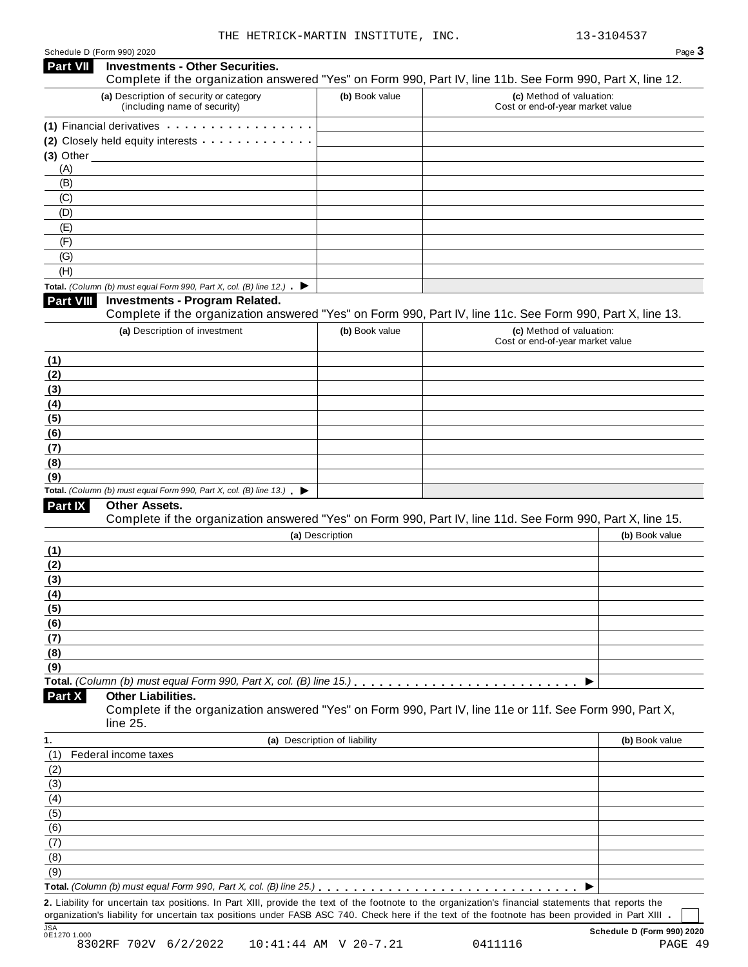Schedule <sup>D</sup> (Form 990) <sup>2020</sup> Page **3**

| Part VII         | <b>Investments - Other Securities.</b><br>Complete if the organization answered "Yes" on Form 990, Part IV, line 11b. See Form 990, Part X, line 12. |                              |                                                              |                |
|------------------|------------------------------------------------------------------------------------------------------------------------------------------------------|------------------------------|--------------------------------------------------------------|----------------|
|                  | (a) Description of security or category<br>(including name of security)                                                                              | (b) Book value               | (c) Method of valuation:<br>Cost or end-of-year market value |                |
|                  | (1) Financial derivatives                                                                                                                            |                              |                                                              |                |
|                  | (2) Closely held equity interests                                                                                                                    |                              |                                                              |                |
| $(3)$ Other $\_$ |                                                                                                                                                      |                              |                                                              |                |
| (A)              |                                                                                                                                                      |                              |                                                              |                |
| (B)              |                                                                                                                                                      |                              |                                                              |                |
| (C)              |                                                                                                                                                      |                              |                                                              |                |
| (D)              |                                                                                                                                                      |                              |                                                              |                |
| (E)              |                                                                                                                                                      |                              |                                                              |                |
| (F)              |                                                                                                                                                      |                              |                                                              |                |
| (G)              |                                                                                                                                                      |                              |                                                              |                |
| (H)              |                                                                                                                                                      |                              |                                                              |                |
|                  | Total. (Column (b) must equal Form 990, Part X, col. (B) line 12.) $\blacktriangleright$                                                             |                              |                                                              |                |
| Part VIII        | <b>Investments - Program Related.</b>                                                                                                                |                              |                                                              |                |
|                  | Complete if the organization answered "Yes" on Form 990, Part IV, line 11c. See Form 990, Part X, line 13.                                           |                              |                                                              |                |
|                  | (a) Description of investment                                                                                                                        | (b) Book value               | (c) Method of valuation:<br>Cost or end-of-year market value |                |
| (1)              |                                                                                                                                                      |                              |                                                              |                |
| (2)              |                                                                                                                                                      |                              |                                                              |                |
| (3)              |                                                                                                                                                      |                              |                                                              |                |
| (4)              |                                                                                                                                                      |                              |                                                              |                |
| (5)              |                                                                                                                                                      |                              |                                                              |                |
| (6)              |                                                                                                                                                      |                              |                                                              |                |
| (7)              |                                                                                                                                                      |                              |                                                              |                |
| (8)              |                                                                                                                                                      |                              |                                                              |                |
| (9)              |                                                                                                                                                      |                              |                                                              |                |
|                  | Total. (Column (b) must equal Form 990, Part X, col. (B) line 13.) $\blacktriangleright$                                                             |                              |                                                              |                |
| Part IX          | Other Assets.                                                                                                                                        |                              |                                                              |                |
|                  | Complete if the organization answered "Yes" on Form 990, Part IV, line 11d. See Form 990, Part X, line 15.                                           |                              |                                                              |                |
|                  |                                                                                                                                                      | (a) Description              |                                                              | (b) Book value |
| (1)              |                                                                                                                                                      |                              |                                                              |                |
| (2)              |                                                                                                                                                      |                              |                                                              |                |
| (3)              |                                                                                                                                                      |                              |                                                              |                |
| (4)              |                                                                                                                                                      |                              |                                                              |                |
| <u>(5)</u>       |                                                                                                                                                      |                              |                                                              |                |
| (6)              |                                                                                                                                                      |                              |                                                              |                |
| (7)              |                                                                                                                                                      |                              |                                                              |                |
| (8)              |                                                                                                                                                      |                              |                                                              |                |
| (9)              |                                                                                                                                                      |                              |                                                              |                |
|                  | Total. (Column (b) must equal Form 990, Part X, col. (B) line 15.)<br><b>Other Liabilities.</b>                                                      |                              |                                                              |                |
| Part X           | Complete if the organization answered "Yes" on Form 990, Part IV, line 11e or 11f. See Form 990, Part X,<br>line 25.                                 |                              |                                                              |                |
| 1.               |                                                                                                                                                      | (a) Description of liability |                                                              | (b) Book value |
| (1)              | Federal income taxes                                                                                                                                 |                              |                                                              |                |
| (2)              |                                                                                                                                                      |                              |                                                              |                |
| (3)              |                                                                                                                                                      |                              |                                                              |                |
| (4)              |                                                                                                                                                      |                              |                                                              |                |
| (5)              |                                                                                                                                                      |                              |                                                              |                |
| (6)              |                                                                                                                                                      |                              |                                                              |                |
| (7)              |                                                                                                                                                      |                              |                                                              |                |
| (8)              |                                                                                                                                                      |                              |                                                              |                |
| (9)              |                                                                                                                                                      |                              |                                                              |                |
|                  |                                                                                                                                                      |                              |                                                              |                |
|                  | 2. Liability for uncertain tax positions. In Part XIII, provide the text of the footnote to the organization's financial statements that reports the |                              |                                                              |                |
|                  | organization's liability for uncertain tax positions under FASB ASC 740. Check here if the text of the footnote has been provided in Part XIII .     |                              |                                                              |                |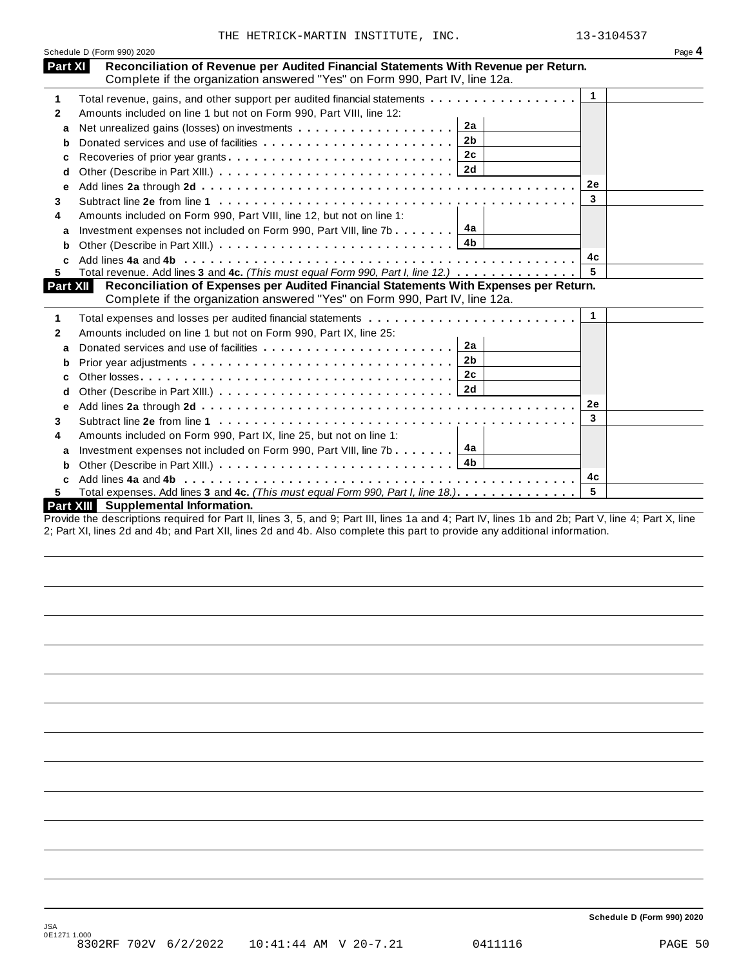|                 | Schedule D (Form 990) 2020                                                                                                                           |              | Page 4 |
|-----------------|------------------------------------------------------------------------------------------------------------------------------------------------------|--------------|--------|
| Part XI         | Reconciliation of Revenue per Audited Financial Statements With Revenue per Return.                                                                  |              |        |
|                 | Complete if the organization answered "Yes" on Form 990, Part IV, line 12a.                                                                          |              |        |
| 1               | Total revenue, gains, and other support per audited financial statements                                                                             | $\mathbf{1}$ |        |
| 2               | Amounts included on line 1 but not on Form 990, Part VIII, line 12:                                                                                  |              |        |
| a               | 2a                                                                                                                                                   |              |        |
| b               | 2 <sub>b</sub>                                                                                                                                       |              |        |
| с               | 2c                                                                                                                                                   |              |        |
| d               |                                                                                                                                                      |              |        |
| е               |                                                                                                                                                      | <b>2e</b>    |        |
| 3               |                                                                                                                                                      | 3            |        |
| 4               | Amounts included on Form 990, Part VIII, line 12, but not on line 1:                                                                                 |              |        |
| a               | 4а<br>Investment expenses not included on Form 990, Part VIII, line 7b $\ldots \ldots$                                                               |              |        |
| b               | 4b                                                                                                                                                   |              |        |
|                 |                                                                                                                                                      | 4с           |        |
| 5               | Total revenue. Add lines 3 and 4c. (This must equal Form 990, Part I, line 12.)                                                                      | 5            |        |
| <b>Part XII</b> | Reconciliation of Expenses per Audited Financial Statements With Expenses per Return.                                                                |              |        |
|                 | Complete if the organization answered "Yes" on Form 990, Part IV, line 12a.                                                                          |              |        |
| 1               |                                                                                                                                                      | $\mathbf{1}$ |        |
| 2               | Amounts included on line 1 but not on Form 990, Part IX, line 25:                                                                                    |              |        |
| a               | 2a                                                                                                                                                   |              |        |
| b               | 2b                                                                                                                                                   |              |        |
| c               | 2c                                                                                                                                                   |              |        |
| d               |                                                                                                                                                      |              |        |
| е               |                                                                                                                                                      | 2e           |        |
| 3               |                                                                                                                                                      | $\mathbf{3}$ |        |
| 4               | Amounts included on Form 990, Part IX, line 25, but not on line 1:                                                                                   |              |        |
| a               | Investment expenses not included on Form 990, Part VIII, line 7b $\boxed{4a}$                                                                        |              |        |
| b               |                                                                                                                                                      |              |        |
|                 |                                                                                                                                                      | 4c           |        |
| 5.              | Total expenses. Add lines 3 and 4c. (This must equal Form 990, Part I, line 18.).                                                                    | 5            |        |
|                 | Part XIII Supplemental Information.<br>probably a Death Prince C. F. and C. Deathle Prince 4 and 4. Deathle Prince 4b and Ob. Deathleton 4. Deathlet |              |        |

Provide the descriptions required for Part II, lines 3, 5, and 9; Part III, lines 1a and 4; Part IV, lines 1b and 2b; Part V, line 4; Part X, line 2; Part XI, lines 2d and 4b; and Part XII, lines 2d and 4b. Also complete this part to provide any additional information.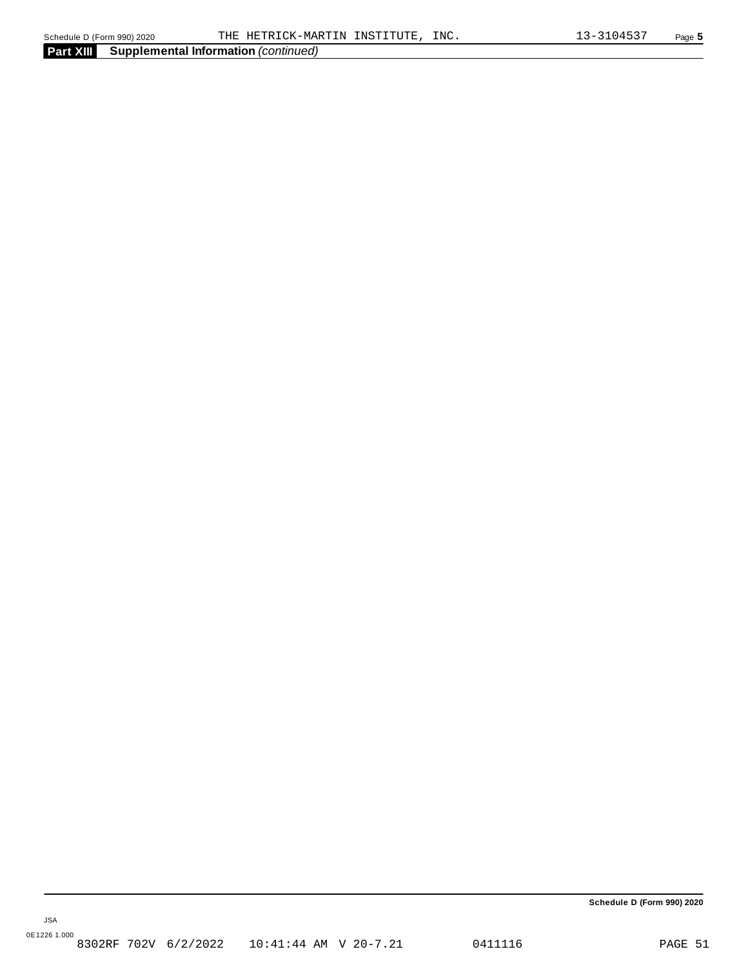**Part XIII Supplemental Information** *(continued)*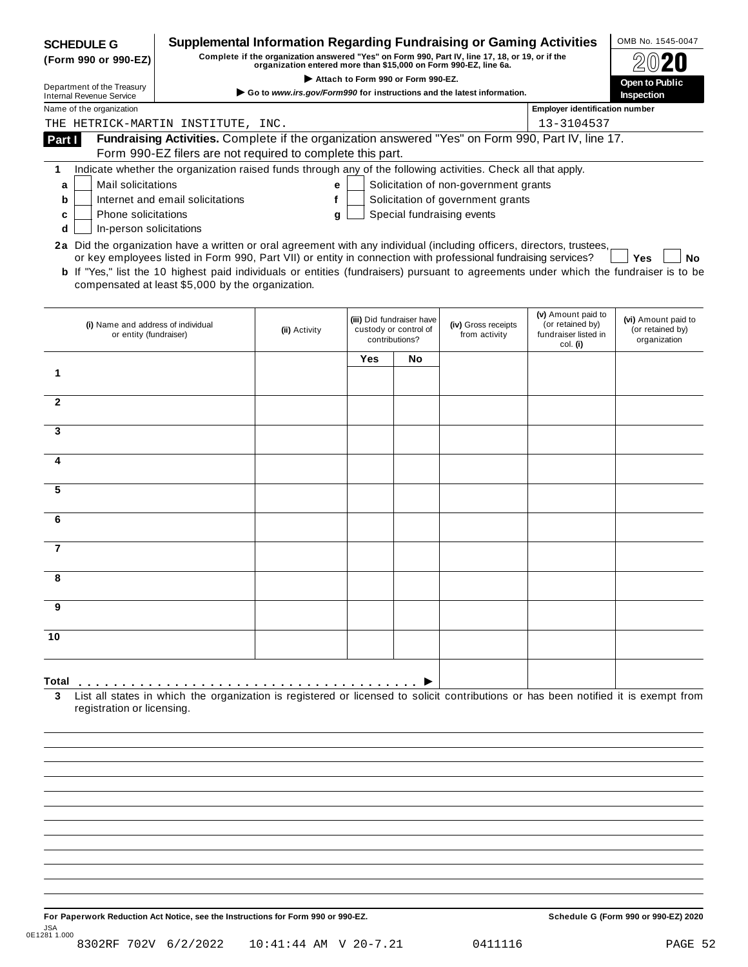| <b>SCHEDULE G</b>                                                                                                                                      |                                                                                                                                              | <b>Supplemental Information Regarding Fundraising or Gaming Activities</b>                                                                                          |     |                                                                      |                                       |                                                                            | OMB No. 1545-0047                                       |
|--------------------------------------------------------------------------------------------------------------------------------------------------------|----------------------------------------------------------------------------------------------------------------------------------------------|---------------------------------------------------------------------------------------------------------------------------------------------------------------------|-----|----------------------------------------------------------------------|---------------------------------------|----------------------------------------------------------------------------|---------------------------------------------------------|
| (Form 990 or 990-EZ)                                                                                                                                   |                                                                                                                                              | Complete if the organization answered "Yes" on Form 990, Part IV, line 17, 18, or 19, or if the<br>organization entered more than \$15,000 on Form 990-EZ, line 6a. |     |                                                                      |                                       |                                                                            |                                                         |
| Department of the Treasury                                                                                                                             |                                                                                                                                              | Go to www.irs.gov/Form990 for instructions and the latest information.                                                                                              |     | Attach to Form 990 or Form 990-EZ.                                   |                                       |                                                                            | Open to Public                                          |
| <b>Internal Revenue Service</b><br>Name of the organization                                                                                            |                                                                                                                                              |                                                                                                                                                                     |     |                                                                      |                                       | <b>Employer identification number</b>                                      | <b>Inspection</b>                                       |
| THE HETRICK-MARTIN INSTITUTE, INC.                                                                                                                     |                                                                                                                                              |                                                                                                                                                                     |     |                                                                      |                                       | 13-3104537                                                                 |                                                         |
| Part I                                                                                                                                                 | Fundraising Activities. Complete if the organization answered "Yes" on Form 990, Part IV, line 17.                                           |                                                                                                                                                                     |     |                                                                      |                                       |                                                                            |                                                         |
|                                                                                                                                                        | Form 990-EZ filers are not required to complete this part.                                                                                   |                                                                                                                                                                     |     |                                                                      |                                       |                                                                            |                                                         |
| 1                                                                                                                                                      | Indicate whether the organization raised funds through any of the following activities. Check all that apply.                                |                                                                                                                                                                     |     |                                                                      |                                       |                                                                            |                                                         |
| Mail solicitations<br>a                                                                                                                                |                                                                                                                                              | е                                                                                                                                                                   |     |                                                                      | Solicitation of non-government grants |                                                                            |                                                         |
| b                                                                                                                                                      | Internet and email solicitations                                                                                                             | f                                                                                                                                                                   |     |                                                                      | Solicitation of government grants     |                                                                            |                                                         |
| <b>Phone solicitations</b><br>c                                                                                                                        |                                                                                                                                              | g                                                                                                                                                                   |     |                                                                      | Special fundraising events            |                                                                            |                                                         |
| In-person solicitations<br>d<br>2a Did the organization have a written or oral agreement with any individual (including officers, directors, trustees, |                                                                                                                                              |                                                                                                                                                                     |     |                                                                      |                                       |                                                                            |                                                         |
|                                                                                                                                                        | or key employees listed in Form 990, Part VII) or entity in connection with professional fundraising services?                               |                                                                                                                                                                     |     |                                                                      |                                       |                                                                            | No<br>Yes                                               |
|                                                                                                                                                        | <b>b</b> If "Yes," list the 10 highest paid individuals or entities (fundraisers) pursuant to agreements under which the fundraiser is to be |                                                                                                                                                                     |     |                                                                      |                                       |                                                                            |                                                         |
|                                                                                                                                                        | compensated at least \$5,000 by the organization.                                                                                            |                                                                                                                                                                     |     |                                                                      |                                       |                                                                            |                                                         |
|                                                                                                                                                        |                                                                                                                                              |                                                                                                                                                                     |     |                                                                      |                                       |                                                                            |                                                         |
| (i) Name and address of individual<br>or entity (fundraiser)                                                                                           |                                                                                                                                              | (ii) Activity                                                                                                                                                       |     | (iii) Did fundraiser have<br>custody or control of<br>contributions? | (iv) Gross receipts<br>from activity  | (v) Amount paid to<br>(or retained by)<br>fundraiser listed in<br>col. (i) | (vi) Amount paid to<br>(or retained by)<br>organization |
|                                                                                                                                                        |                                                                                                                                              |                                                                                                                                                                     | Yes | No                                                                   |                                       |                                                                            |                                                         |
| 1                                                                                                                                                      |                                                                                                                                              |                                                                                                                                                                     |     |                                                                      |                                       |                                                                            |                                                         |
|                                                                                                                                                        |                                                                                                                                              |                                                                                                                                                                     |     |                                                                      |                                       |                                                                            |                                                         |
| $\mathbf{2}$                                                                                                                                           |                                                                                                                                              |                                                                                                                                                                     |     |                                                                      |                                       |                                                                            |                                                         |
| 3                                                                                                                                                      |                                                                                                                                              |                                                                                                                                                                     |     |                                                                      |                                       |                                                                            |                                                         |
|                                                                                                                                                        |                                                                                                                                              |                                                                                                                                                                     |     |                                                                      |                                       |                                                                            |                                                         |
| 4                                                                                                                                                      |                                                                                                                                              |                                                                                                                                                                     |     |                                                                      |                                       |                                                                            |                                                         |
|                                                                                                                                                        |                                                                                                                                              |                                                                                                                                                                     |     |                                                                      |                                       |                                                                            |                                                         |
| 5                                                                                                                                                      |                                                                                                                                              |                                                                                                                                                                     |     |                                                                      |                                       |                                                                            |                                                         |
| 6                                                                                                                                                      |                                                                                                                                              |                                                                                                                                                                     |     |                                                                      |                                       |                                                                            |                                                         |
|                                                                                                                                                        |                                                                                                                                              |                                                                                                                                                                     |     |                                                                      |                                       |                                                                            |                                                         |
| $\overline{7}$                                                                                                                                         |                                                                                                                                              |                                                                                                                                                                     |     |                                                                      |                                       |                                                                            |                                                         |
|                                                                                                                                                        |                                                                                                                                              |                                                                                                                                                                     |     |                                                                      |                                       |                                                                            |                                                         |
| ୪                                                                                                                                                      |                                                                                                                                              |                                                                                                                                                                     |     |                                                                      |                                       |                                                                            |                                                         |
|                                                                                                                                                        |                                                                                                                                              |                                                                                                                                                                     |     |                                                                      |                                       |                                                                            |                                                         |
| 9                                                                                                                                                      |                                                                                                                                              |                                                                                                                                                                     |     |                                                                      |                                       |                                                                            |                                                         |
| 10                                                                                                                                                     |                                                                                                                                              |                                                                                                                                                                     |     |                                                                      |                                       |                                                                            |                                                         |
|                                                                                                                                                        |                                                                                                                                              |                                                                                                                                                                     |     |                                                                      |                                       |                                                                            |                                                         |
|                                                                                                                                                        |                                                                                                                                              |                                                                                                                                                                     |     |                                                                      |                                       |                                                                            |                                                         |
| Total                                                                                                                                                  |                                                                                                                                              |                                                                                                                                                                     |     |                                                                      |                                       |                                                                            |                                                         |
| 3<br>registration or licensing.                                                                                                                        | List all states in which the organization is registered or licensed to solicit contributions or has been notified it is exempt from          |                                                                                                                                                                     |     |                                                                      |                                       |                                                                            |                                                         |
|                                                                                                                                                        |                                                                                                                                              |                                                                                                                                                                     |     |                                                                      |                                       |                                                                            |                                                         |
|                                                                                                                                                        |                                                                                                                                              |                                                                                                                                                                     |     |                                                                      |                                       |                                                                            |                                                         |

For Paperwork Reduction Act Notice, see the Instructions for Form 990 or 990-EZ. Schedule G (Form 990 or 990-EZ) 2020 JSA 0E1281 1.000 8302RF 702V 6/2/2022 10:41:44 AM V 20-7.21 0411116 PAGE 52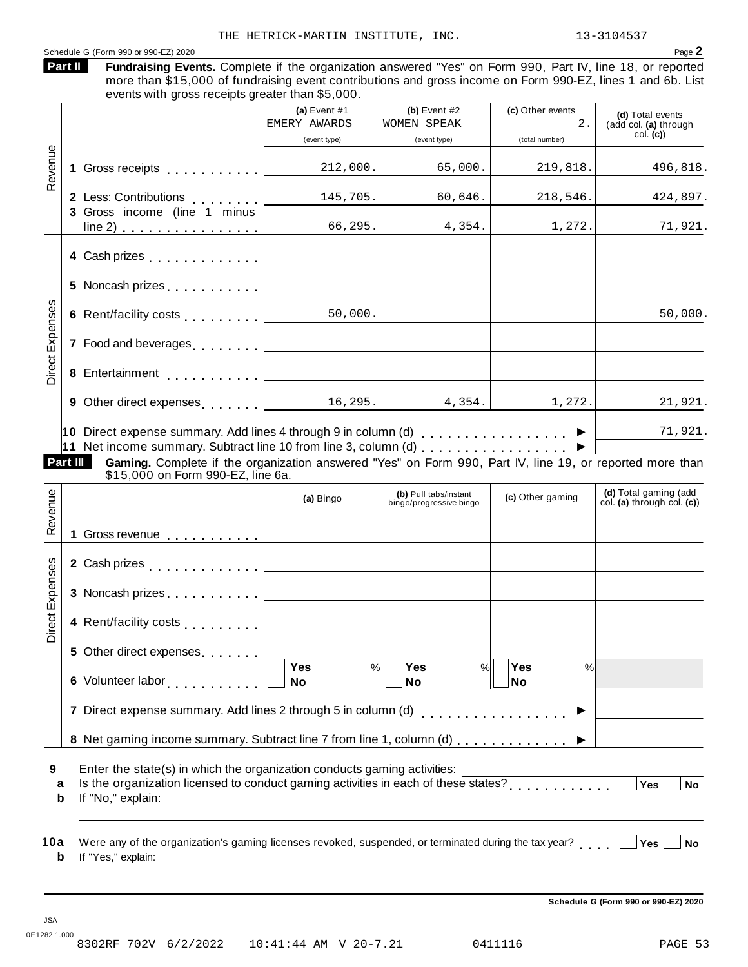|                            |                 | more than \$15,000 of fundraising event contributions and gross income on Form 990-EZ, lines 1 and 6b. List<br>events with gross receipts greater than \$5,000.                                                                                 | (a) Event $#1$ | (b) Event $#2$              | (c) Other events | (d) Total events                                 |
|----------------------------|-----------------|-------------------------------------------------------------------------------------------------------------------------------------------------------------------------------------------------------------------------------------------------|----------------|-----------------------------|------------------|--------------------------------------------------|
|                            |                 |                                                                                                                                                                                                                                                 | EMERY AWARDS   | WOMEN SPEAK                 | $2$ .            | (add col. (a) through<br>col. (c)                |
|                            |                 |                                                                                                                                                                                                                                                 | (event type)   | (event type)                | (total number)   |                                                  |
| Revenue                    |                 | 1 Gross receipts                                                                                                                                                                                                                                | 212,000.       | 65,000.                     | 219,818.         | 496,818.                                         |
|                            |                 | 2 Less: Contributions                                                                                                                                                                                                                           | 145,705.       | 60,646.                     | 218,546.         | 424,897.                                         |
|                            |                 | 3 Gross income (line 1 minus                                                                                                                                                                                                                    | 66,295.        | 4,354.                      | 1,272.           | 71,921.                                          |
|                            |                 | 4 Cash prizes <b>All Accord Prizes</b>                                                                                                                                                                                                          |                |                             |                  |                                                  |
|                            |                 |                                                                                                                                                                                                                                                 |                |                             |                  |                                                  |
|                            |                 | 6 Rent/facility costs [1, 1, 1, 1, 1, 1]                                                                                                                                                                                                        | 50,000.        |                             |                  | 50,000.                                          |
| <b>Direct Expenses</b>     |                 | 7 Food and beverages [1, 1, 1, 1, 1]                                                                                                                                                                                                            |                |                             |                  |                                                  |
|                            |                 |                                                                                                                                                                                                                                                 |                |                             |                  |                                                  |
|                            |                 |                                                                                                                                                                                                                                                 |                |                             |                  |                                                  |
|                            | <b>Part III</b> | 9 Other direct expenses example 16, 295.<br>10 Direct expense summary. Add lines 4 through 9 in column (d) $\ldots$ ,,,,,,,,,,,,,,,<br>Gaming. Complete if the organization answered "Yes" on Form 990, Part IV, line 19, or reported more than |                | 4,354.                      | 1,272.           |                                                  |
|                            |                 | \$15,000 on Form 990-EZ, line 6a.                                                                                                                                                                                                               | (a) Bingo      | (b) Pull tabs/instant       | (c) Other gaming | (d) Total gaming (add                            |
|                            |                 |                                                                                                                                                                                                                                                 |                | bingo/progressive bingo     |                  |                                                  |
|                            | 1.              | Gross revenue <b>container</b> container and a series of the series of the series of the series of the series of the series of the series of the series of the series of the series of the series of the series of the series of th             |                |                             |                  |                                                  |
|                            |                 |                                                                                                                                                                                                                                                 |                |                             |                  |                                                  |
|                            |                 | 3 Noncash prizes                                                                                                                                                                                                                                |                |                             |                  |                                                  |
|                            |                 | 4 Rent/facility costs                                                                                                                                                                                                                           |                |                             |                  |                                                  |
| Revenue<br>Direct Expenses |                 | 5 Other direct expenses                                                                                                                                                                                                                         |                |                             |                  | 21,921.<br>71,921.<br>col. (a) through col. (c)) |
|                            |                 |                                                                                                                                                                                                                                                 | Yes<br>%<br>No | Yes<br>$\frac{9}{6}$<br>No. | Yes<br>%<br>No   |                                                  |
|                            |                 | 6 Volunteer labor<br>7 Direct expense summary. Add lines 2 through 5 in column (d)                                                                                                                                                              |                |                             | .                |                                                  |
|                            |                 | 8 Net gaming income summary. Subtract line 7 from line 1, column (d)  ▶                                                                                                                                                                         |                |                             |                  |                                                  |

**b** If "Yes," explain: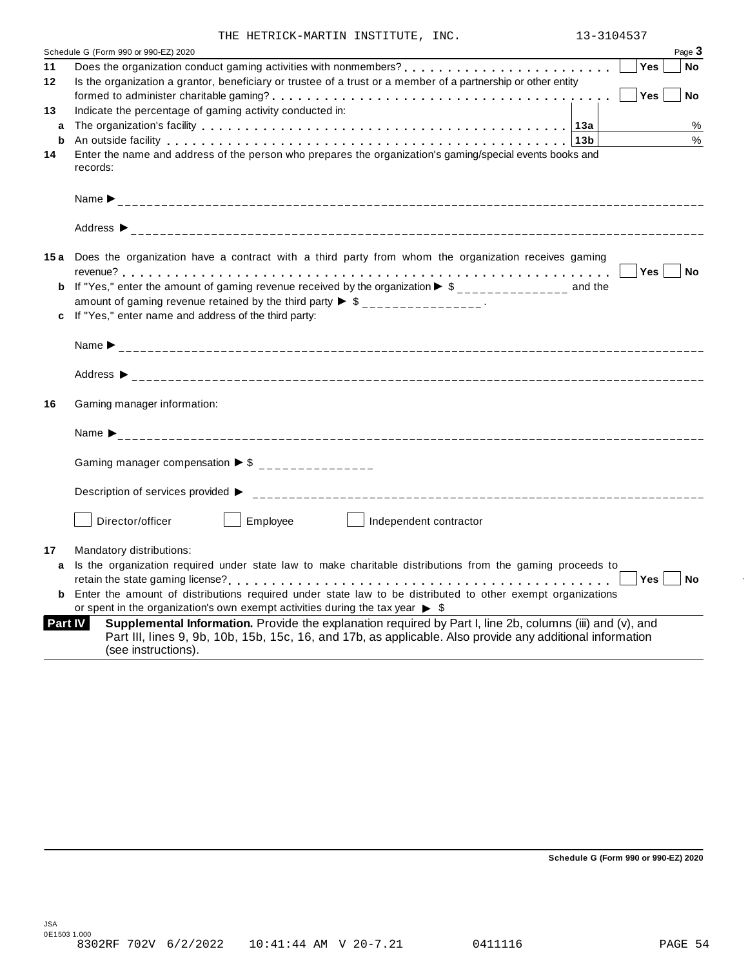| THE HETRICK-MARTIN INSTITUTE, INC. |  | 13-3104537 |
|------------------------------------|--|------------|

|    | INE NEIRICK-MARIIN INSIIIUIE, INC.                                                                                                                                                                                            |                    |
|----|-------------------------------------------------------------------------------------------------------------------------------------------------------------------------------------------------------------------------------|--------------------|
|    | Schedule G (Form 990 or 990-EZ) 2020                                                                                                                                                                                          | Page 3             |
| 11 |                                                                                                                                                                                                                               | Yes<br><b>No</b>   |
| 12 | Is the organization a grantor, beneficiary or trustee of a trust or a member of a partnership or other entity                                                                                                                 |                    |
|    |                                                                                                                                                                                                                               | Yes<br><b>No</b>   |
| 13 | Indicate the percentage of gaming activity conducted in:                                                                                                                                                                      |                    |
| a  |                                                                                                                                                                                                                               | %                  |
| b  | An outside facility enterpretation of the control of the control of the control of the control of the control of the control of the control of the control of the control of the control of the control of the control of the | $\%$               |
| 14 | Enter the name and address of the person who prepares the organization's gaming/special events books and<br>records:                                                                                                          |                    |
|    |                                                                                                                                                                                                                               |                    |
|    |                                                                                                                                                                                                                               |                    |
|    | 15a Does the organization have a contract with a third party from whom the organization receives gaming                                                                                                                       |                    |
|    |                                                                                                                                                                                                                               | Yes  <br><b>No</b> |
|    | <b>b</b> If "Yes," enter the amount of gaming revenue received by the organization $\triangleright$ \$______________ and the                                                                                                  |                    |
|    | amount of gaming revenue retained by the third party $\triangleright$ \$ _______________.                                                                                                                                     |                    |
|    | c If "Yes," enter name and address of the third party:                                                                                                                                                                        |                    |
|    |                                                                                                                                                                                                                               |                    |
|    |                                                                                                                                                                                                                               |                    |
| 16 | Gaming manager information:                                                                                                                                                                                                   |                    |
|    |                                                                                                                                                                                                                               |                    |
|    | Gaming manager compensation $\triangleright$ \$ ______________                                                                                                                                                                |                    |
|    |                                                                                                                                                                                                                               |                    |
|    | Employee<br>Director/officer<br>Independent contractor                                                                                                                                                                        |                    |
| 17 | Mandatory distributions:                                                                                                                                                                                                      |                    |
| a  | Is the organization required under state law to make charitable distributions from the gaming proceeds to                                                                                                                     | Yes<br><b>No</b>   |
| b  | Enter the amount of distributions required under state law to be distributed to other exempt organizations<br>or spent in the organization's own exempt activities during the tax year $\triangleright$ \$                    |                    |
|    | Supplemental Information. Provide the explanation required by Part I, line 2b, columns (iii) and (v), and<br>Part IV                                                                                                          |                    |
|    | Part III, lines 9, 9b, 10b, 15b, 15c, 16, and 17b, as applicable. Also provide any additional information                                                                                                                     |                    |

**Schedule G (Form 990 or 990-EZ) 2020**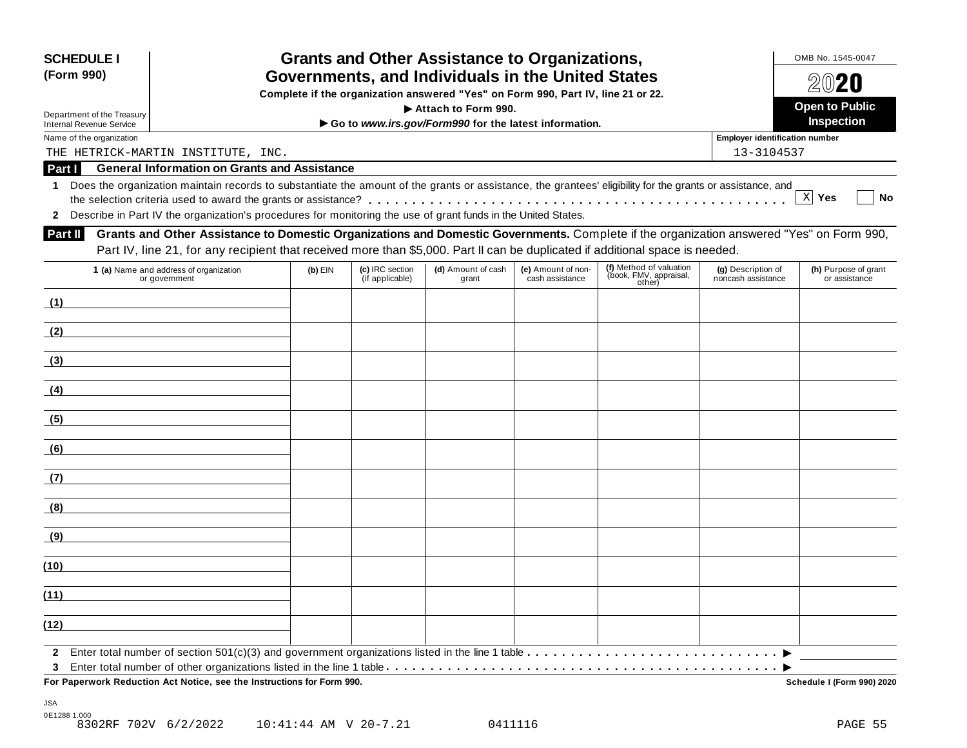| <b>SCHEDULE I</b><br>(Form 990)                                                                                                       |                                                                                                                                                                                                                                                                           |           |                                    | <b>Grants and Other Assistance to Organizations,</b><br>Governments, and Individuals in the United States |                                       |                                                             |                                          | OMB No. 1545-0047                     |  |  |
|---------------------------------------------------------------------------------------------------------------------------------------|---------------------------------------------------------------------------------------------------------------------------------------------------------------------------------------------------------------------------------------------------------------------------|-----------|------------------------------------|-----------------------------------------------------------------------------------------------------------|---------------------------------------|-------------------------------------------------------------|------------------------------------------|---------------------------------------|--|--|
|                                                                                                                                       |                                                                                                                                                                                                                                                                           |           | $20$ 20                            |                                                                                                           |                                       |                                                             |                                          |                                       |  |  |
| Complete if the organization answered "Yes" on Form 990, Part IV, line 21 or 22.<br>Attach to Form 990.<br>Department of the Treasury |                                                                                                                                                                                                                                                                           |           |                                    |                                                                                                           |                                       |                                                             |                                          | <b>Open to Public</b>                 |  |  |
| <b>Internal Revenue Service</b>                                                                                                       |                                                                                                                                                                                                                                                                           |           |                                    | Go to www.irs.gov/Form990 for the latest information.                                                     |                                       |                                                             |                                          | Inspection                            |  |  |
| Name of the organization                                                                                                              |                                                                                                                                                                                                                                                                           |           |                                    |                                                                                                           |                                       |                                                             | <b>Employer identification number</b>    |                                       |  |  |
|                                                                                                                                       | THE HETRICK-MARTIN INSTITUTE, INC.<br><b>General Information on Grants and Assistance</b>                                                                                                                                                                                 |           |                                    |                                                                                                           |                                       |                                                             | 13-3104537                               |                                       |  |  |
| Part I<br>1                                                                                                                           | Does the organization maintain records to substantiate the amount of the grants or assistance, the grantees' eligibility for the grants or assistance, and                                                                                                                |           |                                    |                                                                                                           |                                       |                                                             |                                          |                                       |  |  |
| $\mathbf{2}$                                                                                                                          | Describe in Part IV the organization's procedures for monitoring the use of grant funds in the United States.                                                                                                                                                             |           |                                    |                                                                                                           |                                       |                                                             |                                          | X Yes<br>No                           |  |  |
| Part II                                                                                                                               | Grants and Other Assistance to Domestic Organizations and Domestic Governments. Complete if the organization answered "Yes" on Form 990,<br>Part IV, line 21, for any recipient that received more than \$5,000. Part II can be duplicated if additional space is needed. |           |                                    |                                                                                                           |                                       |                                                             |                                          |                                       |  |  |
|                                                                                                                                       | 1 (a) Name and address of organization<br>or government                                                                                                                                                                                                                   | $(b)$ EIN | (c) IRC section<br>(if applicable) | (d) Amount of cash<br>grant                                                                               | (e) Amount of non-<br>cash assistance | (f) Method of valuation<br>(book, FMV, appraisal,<br>other) | (g) Description of<br>noncash assistance | (h) Purpose of grant<br>or assistance |  |  |
| (1)                                                                                                                                   |                                                                                                                                                                                                                                                                           |           |                                    |                                                                                                           |                                       |                                                             |                                          |                                       |  |  |
| (2)                                                                                                                                   |                                                                                                                                                                                                                                                                           |           |                                    |                                                                                                           |                                       |                                                             |                                          |                                       |  |  |
| (3)                                                                                                                                   |                                                                                                                                                                                                                                                                           |           |                                    |                                                                                                           |                                       |                                                             |                                          |                                       |  |  |
| (4)                                                                                                                                   |                                                                                                                                                                                                                                                                           |           |                                    |                                                                                                           |                                       |                                                             |                                          |                                       |  |  |
| (5)                                                                                                                                   |                                                                                                                                                                                                                                                                           |           |                                    |                                                                                                           |                                       |                                                             |                                          |                                       |  |  |
| (6)                                                                                                                                   |                                                                                                                                                                                                                                                                           |           |                                    |                                                                                                           |                                       |                                                             |                                          |                                       |  |  |
| (7)                                                                                                                                   |                                                                                                                                                                                                                                                                           |           |                                    |                                                                                                           |                                       |                                                             |                                          |                                       |  |  |
| (8)                                                                                                                                   |                                                                                                                                                                                                                                                                           |           |                                    |                                                                                                           |                                       |                                                             |                                          |                                       |  |  |
| (9)                                                                                                                                   |                                                                                                                                                                                                                                                                           |           |                                    |                                                                                                           |                                       |                                                             |                                          |                                       |  |  |
| (10)                                                                                                                                  |                                                                                                                                                                                                                                                                           |           |                                    |                                                                                                           |                                       |                                                             |                                          |                                       |  |  |
| (11)                                                                                                                                  |                                                                                                                                                                                                                                                                           |           |                                    |                                                                                                           |                                       |                                                             |                                          |                                       |  |  |
| (12)                                                                                                                                  |                                                                                                                                                                                                                                                                           |           |                                    |                                                                                                           |                                       |                                                             |                                          |                                       |  |  |
| $\mathbf{2}$                                                                                                                          |                                                                                                                                                                                                                                                                           |           |                                    |                                                                                                           |                                       |                                                             |                                          |                                       |  |  |
| 3                                                                                                                                     | For Paperwork Reduction Act Notice, see the Instructions for Form 990.                                                                                                                                                                                                    |           |                                    |                                                                                                           |                                       |                                                             |                                          | Schedule I (Form 990) 2020            |  |  |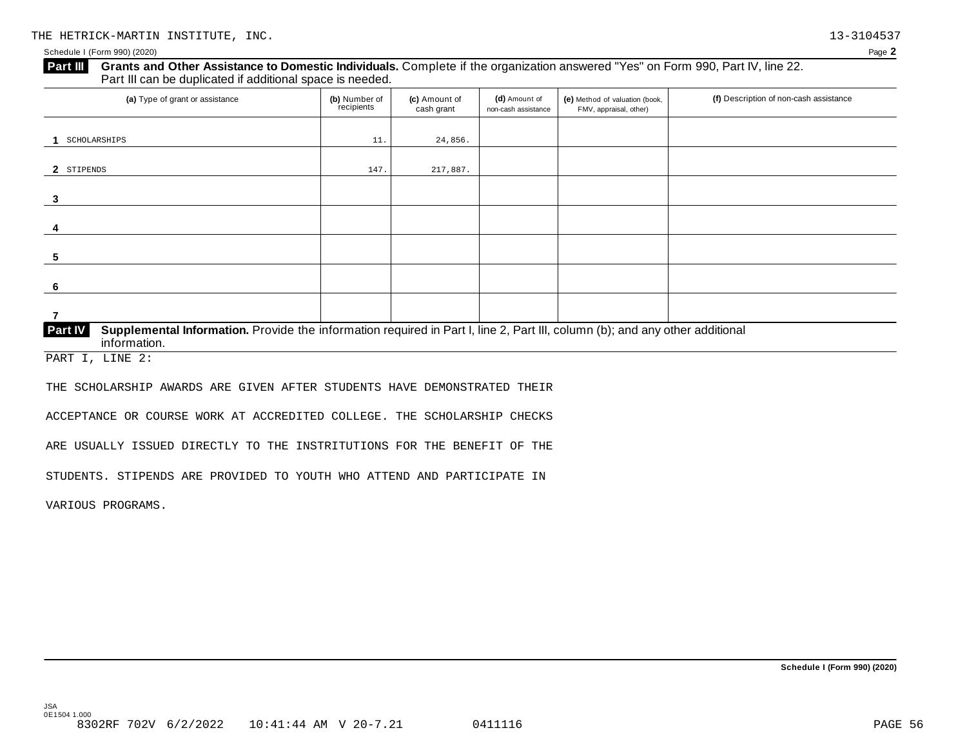#### Schedule I (Form 990) (2020) Page **2**

## **Grants and Other Assistance to Domestic Individuals.** Complete ifthe organization answered "Yes" on Form 990, Part IV, line 22. **Part III** Grants and Other Assistance to Domestic Individuals<br>Part III can be duplicated if additional space is needed. (a) Type of grant or assistance **(b)** Number of **(c)** Amount of **(d)** Amount of **(e)** Method of valuation (book, **(f)** Description of non-cash assistance FMV, appraisal, other) f<sub>recipients</sub> **(d)** Amount of non-cash assistance **(c)** Amount of cash grant **1** SCHOLARSHIPS 24,856. 2 STIPENDS **3 4 5 6 7 Supplemental Information.** Provide the information required in Part I, line 2, Part III, column (b); and any other additional information. **Part IV** STIPENDS  $147.$   $217,887.$

PART I, LINE 2:

THE SCHOLARSHIP AWARDS ARE GIVEN AFTER STUDENTS HAVE DEMONSTRATED THEIR

ACCEPTANCE OR COURSE WORK AT ACCREDITED COLLEGE. THE SCHOLARSHIP CHECKS

ARE USUALLY ISSUED DIRECTLY TO THE INSTRITUTIONS FOR THE BENEFIT OF THE

STUDENTS. STIPENDS ARE PROVIDED TO YOUTH WHO ATTEND AND PARTICIPATE IN

VARIOUS PROGRAMS.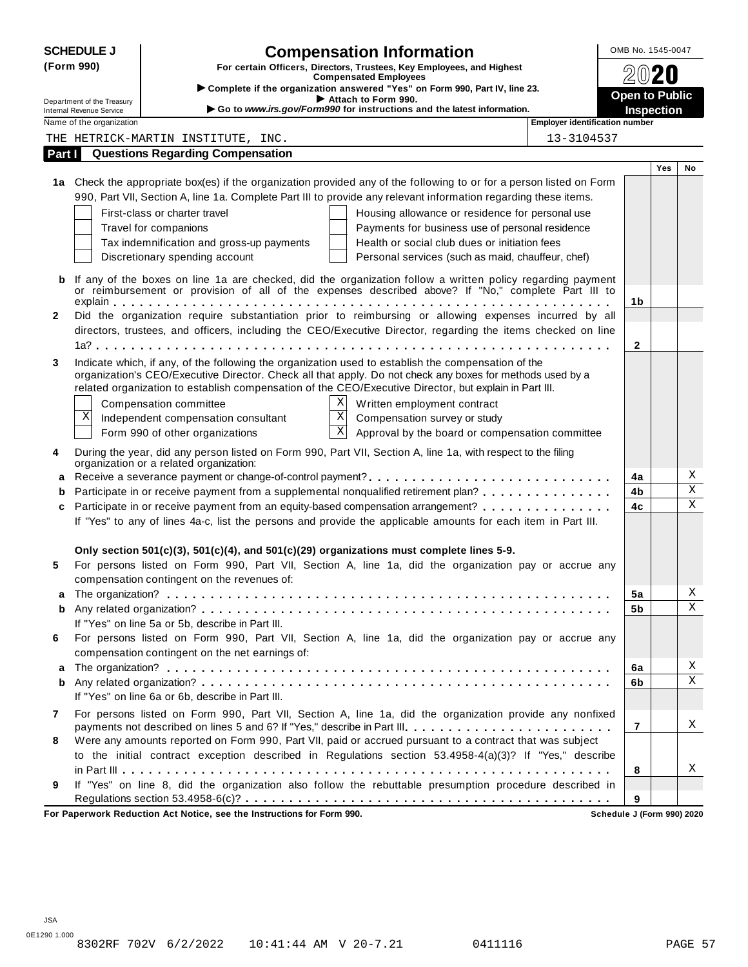| <b>SCHEDULE J</b>          |                                                      | <b>Compensation Information</b>                                                                                                                                                                                                                                                                                            | OMB No. 1545-0047                          |     |             |
|----------------------------|------------------------------------------------------|----------------------------------------------------------------------------------------------------------------------------------------------------------------------------------------------------------------------------------------------------------------------------------------------------------------------------|--------------------------------------------|-----|-------------|
| (Form 990)                 |                                                      | For certain Officers, Directors, Trustees, Key Employees, and Highest                                                                                                                                                                                                                                                      |                                            |     |             |
|                            |                                                      | <b>Compensated Employees</b><br>> Complete if the organization answered "Yes" on Form 990, Part IV, line 23.                                                                                                                                                                                                               |                                            |     |             |
| Department of the Treasury |                                                      | Attach to Form 990.<br>Go to www.irs.gov/Form990 for instructions and the latest information.                                                                                                                                                                                                                              | <b>Open to Public</b><br><b>Inspection</b> |     |             |
|                            | Internal Revenue Service<br>Name of the organization | Employer identification number                                                                                                                                                                                                                                                                                             |                                            |     |             |
|                            |                                                      | THE HETRICK-MARTIN INSTITUTE, INC.<br>13-3104537                                                                                                                                                                                                                                                                           |                                            |     |             |
| Part I                     |                                                      | <b>Questions Regarding Compensation</b>                                                                                                                                                                                                                                                                                    |                                            |     |             |
|                            |                                                      |                                                                                                                                                                                                                                                                                                                            |                                            | Yes | No          |
|                            |                                                      | 1a Check the appropriate box(es) if the organization provided any of the following to or for a person listed on Form                                                                                                                                                                                                       |                                            |     |             |
|                            |                                                      | 990, Part VII, Section A, line 1a. Complete Part III to provide any relevant information regarding these items.                                                                                                                                                                                                            |                                            |     |             |
|                            |                                                      | First-class or charter travel<br>Housing allowance or residence for personal use                                                                                                                                                                                                                                           |                                            |     |             |
|                            |                                                      | Travel for companions<br>Payments for business use of personal residence                                                                                                                                                                                                                                                   |                                            |     |             |
|                            |                                                      | Tax indemnification and gross-up payments<br>Health or social club dues or initiation fees                                                                                                                                                                                                                                 |                                            |     |             |
|                            |                                                      | Discretionary spending account<br>Personal services (such as maid, chauffeur, chef)                                                                                                                                                                                                                                        |                                            |     |             |
| b                          |                                                      | If any of the boxes on line 1a are checked, did the organization follow a written policy regarding payment<br>or reimbursement or provision of all of the expenses described above? If "No," complete Part III to                                                                                                          |                                            |     |             |
|                            |                                                      |                                                                                                                                                                                                                                                                                                                            | 1b                                         |     |             |
| 2                          |                                                      | Did the organization require substantiation prior to reimbursing or allowing expenses incurred by all                                                                                                                                                                                                                      |                                            |     |             |
|                            |                                                      | directors, trustees, and officers, including the CEO/Executive Director, regarding the items checked on line                                                                                                                                                                                                               |                                            |     |             |
|                            |                                                      |                                                                                                                                                                                                                                                                                                                            | $\mathbf{2}$                               |     |             |
| 3                          |                                                      | Indicate which, if any, of the following the organization used to establish the compensation of the<br>organization's CEO/Executive Director. Check all that apply. Do not check any boxes for methods used by a<br>related organization to establish compensation of the CEO/Executive Director, but explain in Part III. |                                            |     |             |
|                            |                                                      | Χ<br>Compensation committee<br>Written employment contract                                                                                                                                                                                                                                                                 |                                            |     |             |
|                            | Χ                                                    | $\mathbf X$<br>Independent compensation consultant<br>Compensation survey or study                                                                                                                                                                                                                                         |                                            |     |             |
|                            |                                                      | $\mathbf X$<br>Approval by the board or compensation committee<br>Form 990 of other organizations                                                                                                                                                                                                                          |                                            |     |             |
| 4                          |                                                      | During the year, did any person listed on Form 990, Part VII, Section A, line 1a, with respect to the filing<br>organization or a related organization:                                                                                                                                                                    |                                            |     |             |
| a                          |                                                      |                                                                                                                                                                                                                                                                                                                            | 4a                                         |     | Χ           |
| b                          |                                                      | Participate in or receive payment from a supplemental nonqualified retirement plan?                                                                                                                                                                                                                                        | 4b                                         |     | $\mathbf X$ |
| c                          |                                                      | Participate in or receive payment from an equity-based compensation arrangement?                                                                                                                                                                                                                                           | 4c                                         |     | $\mathbf X$ |
|                            |                                                      | If "Yes" to any of lines 4a-c, list the persons and provide the applicable amounts for each item in Part III.                                                                                                                                                                                                              |                                            |     |             |
|                            |                                                      |                                                                                                                                                                                                                                                                                                                            |                                            |     |             |
| 5                          |                                                      | Only section 501(c)(3), 501(c)(4), and 501(c)(29) organizations must complete lines 5-9.<br>For persons listed on Form 990, Part VII, Section A, line 1a, did the organization pay or accrue any                                                                                                                           |                                            |     |             |
|                            |                                                      | compensation contingent on the revenues of:                                                                                                                                                                                                                                                                                |                                            |     |             |
|                            |                                                      |                                                                                                                                                                                                                                                                                                                            | 5a                                         |     | Χ           |
| b                          |                                                      |                                                                                                                                                                                                                                                                                                                            | 5b                                         |     | $\mathbf X$ |
|                            |                                                      | If "Yes" on line 5a or 5b, describe in Part III.                                                                                                                                                                                                                                                                           |                                            |     |             |
| 6                          |                                                      | For persons listed on Form 990, Part VII, Section A, line 1a, did the organization pay or accrue any<br>compensation contingent on the net earnings of:                                                                                                                                                                    |                                            |     |             |
| a                          |                                                      |                                                                                                                                                                                                                                                                                                                            | 6a                                         |     | Χ           |
| b                          |                                                      |                                                                                                                                                                                                                                                                                                                            | 6b                                         |     | X           |
|                            |                                                      | If "Yes" on line 6a or 6b, describe in Part III.                                                                                                                                                                                                                                                                           |                                            |     |             |
| 7                          |                                                      | For persons listed on Form 990, Part VII, Section A, line 1a, did the organization provide any nonfixed                                                                                                                                                                                                                    |                                            |     |             |
|                            |                                                      |                                                                                                                                                                                                                                                                                                                            | $\overline{7}$                             |     | Χ           |
| 8                          |                                                      | Were any amounts reported on Form 990, Part VII, paid or accrued pursuant to a contract that was subject                                                                                                                                                                                                                   |                                            |     |             |
|                            |                                                      | to the initial contract exception described in Regulations section 53.4958-4(a)(3)? If "Yes," describe                                                                                                                                                                                                                     |                                            |     |             |
|                            |                                                      |                                                                                                                                                                                                                                                                                                                            | 8                                          |     | Χ           |
| 9                          |                                                      | If "Yes" on line 8, did the organization also follow the rebuttable presumption procedure described in                                                                                                                                                                                                                     |                                            |     |             |
|                            |                                                      |                                                                                                                                                                                                                                                                                                                            | 9                                          |     |             |

**For Paperwork Reduction Act Notice, see the Instructions for Form 990. Schedule J (Form 990) 2020**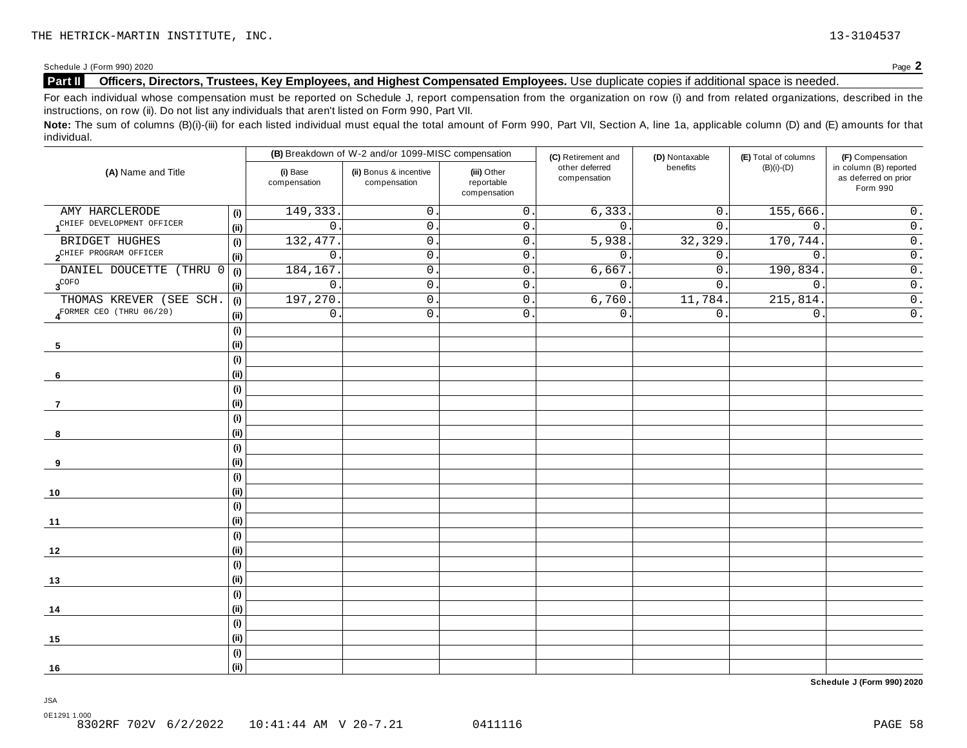## **Part II Officers, Directors, Trustees, Key Employees, and Highest Compensated Employees.** Use duplicate copies ifadditional space is needed.

For each individual whose compensation must be reported on Schedule J, report compensation from the organization on row (i) and from related organizations, described in the instructions, on row (ii). Do not list any individuals that aren't listed on Form 990, Part VII.

Note: The sum of columns (B)(i)-(iii) for each listed individual must equal the total amount of Form 990, Part VII, Section A, line 1a, applicable column (D) and (E) amounts for that individual.

|                                    |      | (B) Breakdown of W-2 and/or 1099-MISC compensation |                                        |                                           | (C) Retirement and             | (D) Nontaxable   | (E) Total of columns | (F) Compensation                                           |  |
|------------------------------------|------|----------------------------------------------------|----------------------------------------|-------------------------------------------|--------------------------------|------------------|----------------------|------------------------------------------------------------|--|
| (A) Name and Title                 |      | (i) Base<br>compensation                           | (ii) Bonus & incentive<br>compensation | (iii) Other<br>reportable<br>compensation | other deferred<br>compensation | benefits         | $(B)(i)-(D)$         | in column (B) reported<br>as deferred on prior<br>Form 990 |  |
| AMY HARCLERODE                     | (i)  | 149,333                                            | 0                                      | $\mathsf 0$ .                             | 6, 333.                        | $0$ .            | 155,666              | $0$ .                                                      |  |
| CHIEF DEVELOPMENT OFFICER          | (ii) | $\mathsf{O}$                                       | $\mathsf{O}$ .                         | $\mathsf{0}$ .                            | $\mathsf{0}$ .                 | 0.               | $\mathbf 0$          | $\overline{0}$ .                                           |  |
| BRIDGET HUGHES                     | (i)  | 132,477                                            | $\mathbf 0$ .                          | $\mathsf{0}$ .                            | 5,938                          | 32,329.          | 170,744              | $\overline{0}$ .                                           |  |
| 2 <sup>CHIEF</sup> PROGRAM OFFICER | (i)  | $\overline{0}$                                     | $\mathsf{O}$ .                         | $\mathsf{O}\xspace$                       | $0$ .                          | 0.               | $\mathsf{O}$ .       | $\overline{0}$ .                                           |  |
| DANIEL DOUCETTE<br>(THRU)          | (i)  | 184,167                                            | $\mathsf{O}$ .                         | $\mathsf{O}$ .                            | 6,667                          | $0$ .            | 190,834.             | $\overline{0}$ .                                           |  |
| $\boldsymbol{3}^{\text{COFO}}$     | (i)  | $\mathsf{O}$ .                                     | $\mathsf{O}$ .                         | $\mathsf{0}$ .                            | $0$ .                          | $\overline{0}$ . | $0\,$ .              | $\overline{0}$ .                                           |  |
| THOMAS KREVER (SEE SCH.            | (i)  | 197,270                                            | $\mathsf{O}$ .                         | $\mathsf{0}$ .                            | 6,760.                         | 11,784.          | 215,814              | $\overline{0}$ .                                           |  |
| FORMER CEO (THRU 06/20)            | (i)  | $\mathsf{O}$ .                                     | $\mathsf{O}$ .                         | $\mathsf{0}$ .                            | 0.                             | $0$ .            | $0$ .                | $\overline{0}$ .                                           |  |
|                                    | (i)  |                                                    |                                        |                                           |                                |                  |                      |                                                            |  |
| 5                                  | (i)  |                                                    |                                        |                                           |                                |                  |                      |                                                            |  |
|                                    | (i)  |                                                    |                                        |                                           |                                |                  |                      |                                                            |  |
| 6                                  | (i)  |                                                    |                                        |                                           |                                |                  |                      |                                                            |  |
|                                    | (i)  |                                                    |                                        |                                           |                                |                  |                      |                                                            |  |
| 7                                  | (i)  |                                                    |                                        |                                           |                                |                  |                      |                                                            |  |
|                                    | (i)  |                                                    |                                        |                                           |                                |                  |                      |                                                            |  |
| 8                                  | (i)  |                                                    |                                        |                                           |                                |                  |                      |                                                            |  |
|                                    | (i)  |                                                    |                                        |                                           |                                |                  |                      |                                                            |  |
| 9                                  | (i)  |                                                    |                                        |                                           |                                |                  |                      |                                                            |  |
|                                    | (i)  |                                                    |                                        |                                           |                                |                  |                      |                                                            |  |
| 10                                 | (i)  |                                                    |                                        |                                           |                                |                  |                      |                                                            |  |
|                                    | (i)  |                                                    |                                        |                                           |                                |                  |                      |                                                            |  |
| 11                                 | (i)  |                                                    |                                        |                                           |                                |                  |                      |                                                            |  |
|                                    | (i)  |                                                    |                                        |                                           |                                |                  |                      |                                                            |  |
| 12                                 | (i)  |                                                    |                                        |                                           |                                |                  |                      |                                                            |  |
|                                    | (i)  |                                                    |                                        |                                           |                                |                  |                      |                                                            |  |
| 13                                 | (i)  |                                                    |                                        |                                           |                                |                  |                      |                                                            |  |
|                                    | (i)  |                                                    |                                        |                                           |                                |                  |                      |                                                            |  |
| 14                                 | (i)  |                                                    |                                        |                                           |                                |                  |                      |                                                            |  |
|                                    | (i)  |                                                    |                                        |                                           |                                |                  |                      |                                                            |  |
| 15                                 | (i)  |                                                    |                                        |                                           |                                |                  |                      |                                                            |  |
|                                    | (i)  |                                                    |                                        |                                           |                                |                  |                      |                                                            |  |
| 16                                 | (ii) |                                                    |                                        |                                           |                                |                  |                      |                                                            |  |

**Schedule J (Form 990) 2020**

JSA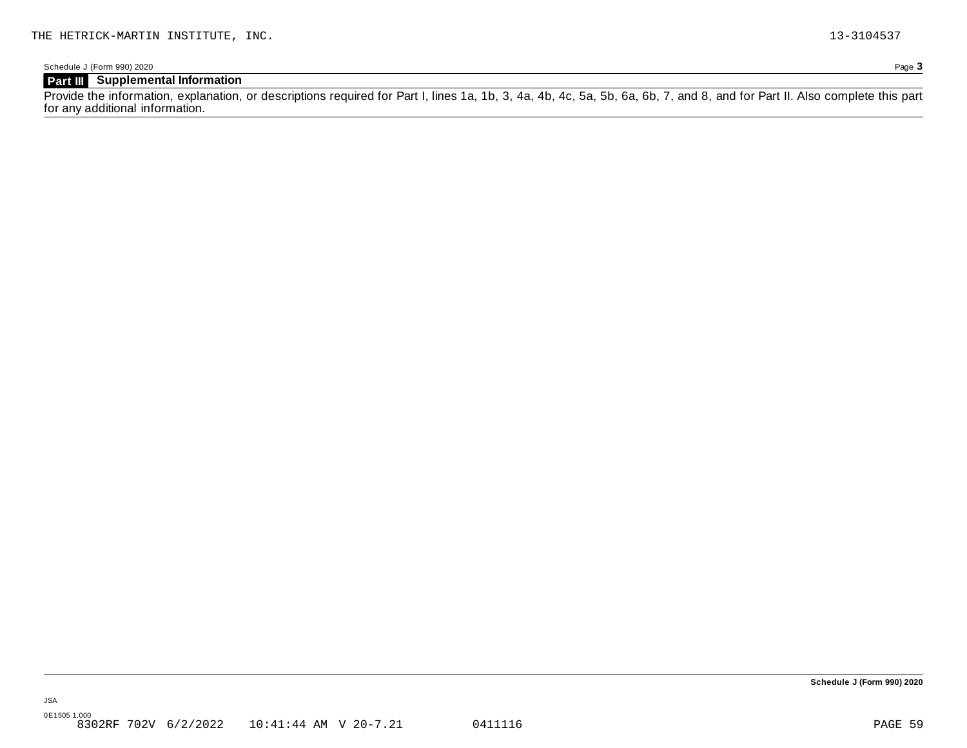Schedule J (Form 990) 2020 Page **3**

### **Part III Supplemental Information**

Provide the information, explanation, or descriptions required for Part I, lines 1a, 1b, 3, 4a, 4b, 4c, 5a, 5b, 6a, 6b, 7, and 8, and for Part II. Also complete this part for any additional information.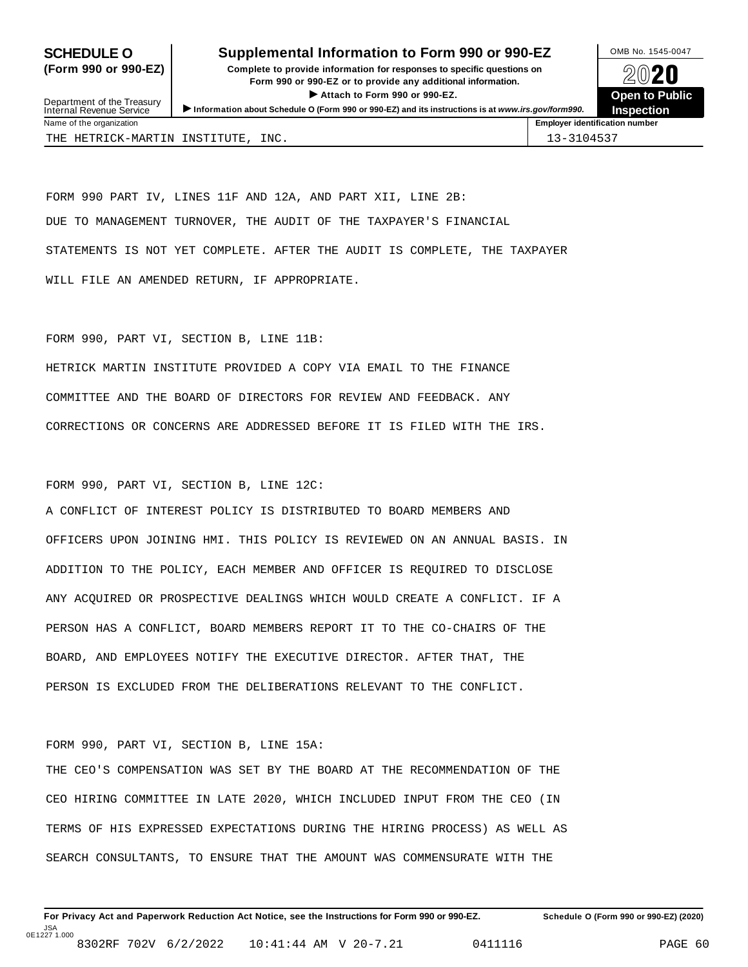### **SCHEDULE O** Supplemental Information to Form 990 or 990-EZ DMB No. 1545-0047

**(Form 990 or 990-EZ) Complete to provide information for responses to specific questions on** plete to provide information for responses to specific questions on  $\bigotimes_{\mathbb{Z}}\mathbb{Q}$  20 **EVECT**<br>
Attach to Form 990 or 990-EZ.<br>
and the Communication of the Communication of the Communication of the Communication of the Communication of the Communication of the Communication of the Communication of the Commu



Department of the Treasury<br>Internal Revenue Service Department of the Treasury <br>Depen to Public<br>Name of the organization<br>Name of the organization<br>Name of the organization<br>Name of the organization<br>Inspection THE HETRICK-MARTIN INSTITUTE, INC. 13-3104537

FORM 990 PART IV, LINES 11F AND 12A, AND PART XII, LINE 2B: DUE TO MANAGEMENT TURNOVER, THE AUDIT OF THE TAXPAYER'S FINANCIAL STATEMENTS IS NOT YET COMPLETE. AFTER THE AUDIT IS COMPLETE, THE TAXPAYER WILL FILE AN AMENDED RETURN, IF APPROPRIATE.

FORM 990, PART VI, SECTION B, LINE 11B:

HETRICK MARTIN INSTITUTE PROVIDED A COPY VIA EMAIL TO THE FINANCE COMMITTEE AND THE BOARD OF DIRECTORS FOR REVIEW AND FEEDBACK. ANY CORRECTIONS OR CONCERNS ARE ADDRESSED BEFORE IT IS FILED WITH THE IRS.

FORM 990, PART VI, SECTION B, LINE 12C:

A CONFLICT OF INTEREST POLICY IS DISTRIBUTED TO BOARD MEMBERS AND OFFICERS UPON JOINING HMI. THIS POLICY IS REVIEWED ON AN ANNUAL BASIS. IN ADDITION TO THE POLICY, EACH MEMBER AND OFFICER IS REQUIRED TO DISCLOSE ANY ACQUIRED OR PROSPECTIVE DEALINGS WHICH WOULD CREATE A CONFLICT. IF A PERSON HAS A CONFLICT, BOARD MEMBERS REPORT IT TO THE CO-CHAIRS OF THE BOARD, AND EMPLOYEES NOTIFY THE EXECUTIVE DIRECTOR. AFTER THAT, THE PERSON IS EXCLUDED FROM THE DELIBERATIONS RELEVANT TO THE CONFLICT.

#### FORM 990, PART VI, SECTION B, LINE 15A:

THE CEO'S COMPENSATION WAS SET BY THE BOARD AT THE RECOMMENDATION OF THE CEO HIRING COMMITTEE IN LATE 2020, WHICH INCLUDED INPUT FROM THE CEO (IN TERMS OF HIS EXPRESSED EXPECTATIONS DURING THE HIRING PROCESS) AS WELL AS SEARCH CONSULTANTS, TO ENSURE THAT THE AMOUNT WAS COMMENSURATE WITH THE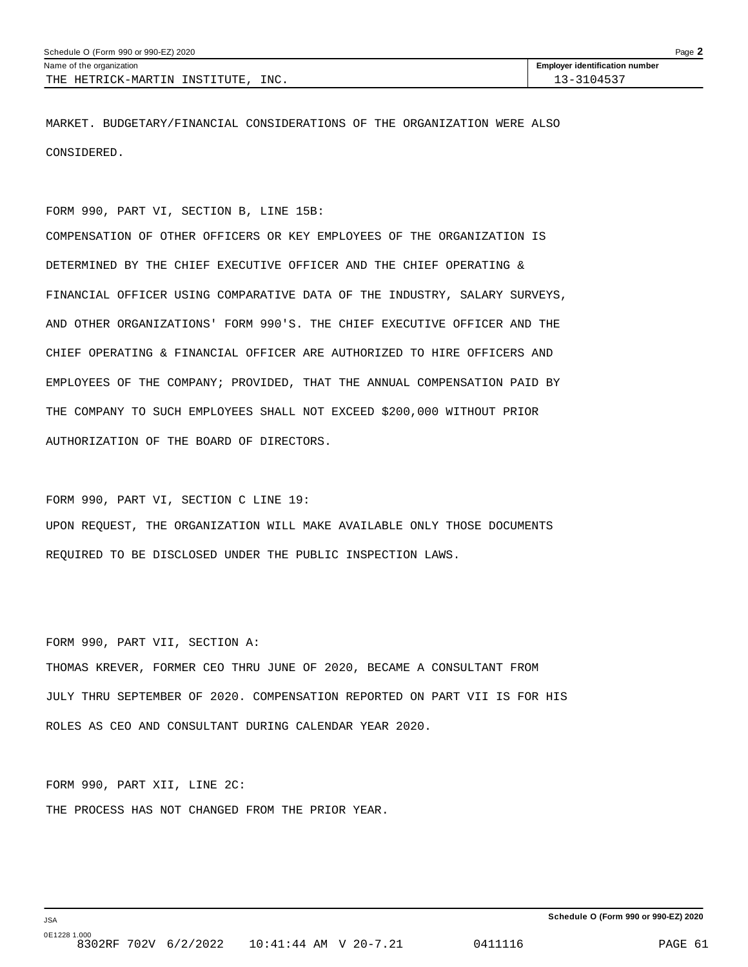| Schedule O (Form 990 or 990-EZ) 2020  |                                       |  |
|---------------------------------------|---------------------------------------|--|
| Name of the organization              | <b>Employer identification number</b> |  |
| INC.<br>THE HETRICK-MARTIN INSTITUTE, | 13-3104537                            |  |

MARKET. BUDGETARY/FINANCIAL CONSIDERATIONS OF THE ORGANIZATION WERE ALSO CONSIDERED.

FORM 990, PART VI, SECTION B, LINE 15B:

COMPENSATION OF OTHER OFFICERS OR KEY EMPLOYEES OF THE ORGANIZATION IS DETERMINED BY THE CHIEF EXECUTIVE OFFICER AND THE CHIEF OPERATING & FINANCIAL OFFICER USING COMPARATIVE DATA OF THE INDUSTRY, SALARY SURVEYS, AND OTHER ORGANIZATIONS' FORM 990'S. THE CHIEF EXECUTIVE OFFICER AND THE CHIEF OPERATING & FINANCIAL OFFICER ARE AUTHORIZED TO HIRE OFFICERS AND EMPLOYEES OF THE COMPANY; PROVIDED, THAT THE ANNUAL COMPENSATION PAID BY THE COMPANY TO SUCH EMPLOYEES SHALL NOT EXCEED \$200,000 WITHOUT PRIOR AUTHORIZATION OF THE BOARD OF DIRECTORS.

FORM 990, PART VI, SECTION C LINE 19: UPON REQUEST, THE ORGANIZATION WILL MAKE AVAILABLE ONLY THOSE DOCUMENTS REQUIRED TO BE DISCLOSED UNDER THE PUBLIC INSPECTION LAWS.

FORM 990, PART VII, SECTION A: THOMAS KREVER, FORMER CEO THRU JUNE OF 2020, BECAME A CONSULTANT FROM JULY THRU SEPTEMBER OF 2020. COMPENSATION REPORTED ON PART VII IS FOR HIS ROLES AS CEO AND CONSULTANT DURING CALENDAR YEAR 2020.

FORM 990, PART XII, LINE 2C: THE PROCESS HAS NOT CHANGED FROM THE PRIOR YEAR.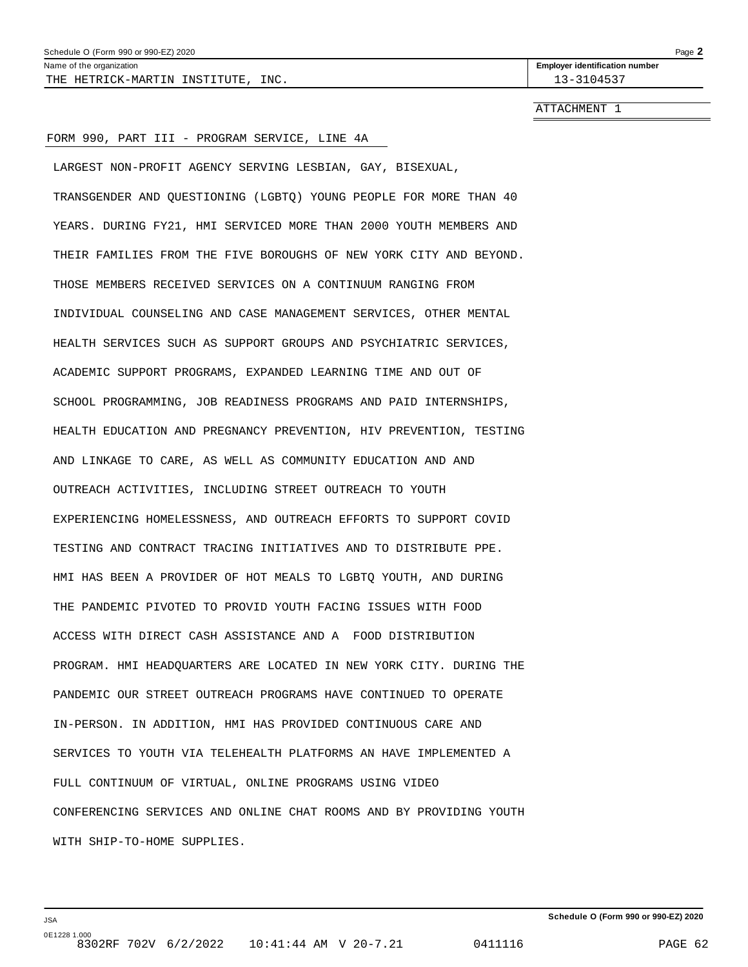| Schedule O (Form 990 or 990-EZ) 2020                 |                                       |  |
|------------------------------------------------------|---------------------------------------|--|
| Name of the organization                             | <b>Employer identification number</b> |  |
| INC.<br>THE<br>:-MARTIN<br>HETRICK.<br>"NST"<br>היחי | 1/1 <sup>2</sup><br>.                 |  |

ATTACHMENT 1

#### FORM 990, PART III - PROGRAM SERVICE, LINE 4A

LARGEST NON-PROFIT AGENCY SERVING LESBIAN, GAY, BISEXUAL, TRANSGENDER AND QUESTIONING (LGBTQ) YOUNG PEOPLE FOR MORE THAN 40 YEARS. DURING FY21, HMI SERVICED MORE THAN 2000 YOUTH MEMBERS AND THEIR FAMILIES FROM THE FIVE BOROUGHS OF NEW YORK CITY AND BEYOND. THOSE MEMBERS RECEIVED SERVICES ON A CONTINUUM RANGING FROM INDIVIDUAL COUNSELING AND CASE MANAGEMENT SERVICES, OTHER MENTAL HEALTH SERVICES SUCH AS SUPPORT GROUPS AND PSYCHIATRIC SERVICES, ACADEMIC SUPPORT PROGRAMS, EXPANDED LEARNING TIME AND OUT OF SCHOOL PROGRAMMING, JOB READINESS PROGRAMS AND PAID INTERNSHIPS, HEALTH EDUCATION AND PREGNANCY PREVENTION, HIV PREVENTION, TESTING AND LINKAGE TO CARE, AS WELL AS COMMUNITY EDUCATION AND AND OUTREACH ACTIVITIES, INCLUDING STREET OUTREACH TO YOUTH EXPERIENCING HOMELESSNESS, AND OUTREACH EFFORTS TO SUPPORT COVID TESTING AND CONTRACT TRACING INITIATIVES AND TO DISTRIBUTE PPE. HMI HAS BEEN A PROVIDER OF HOT MEALS TO LGBTQ YOUTH, AND DURING THE PANDEMIC PIVOTED TO PROVID YOUTH FACING ISSUES WITH FOOD ACCESS WITH DIRECT CASH ASSISTANCE AND A FOOD DISTRIBUTION PROGRAM. HMI HEADQUARTERS ARE LOCATED IN NEW YORK CITY. DURING THE PANDEMIC OUR STREET OUTREACH PROGRAMS HAVE CONTINUED TO OPERATE IN-PERSON. IN ADDITION, HMI HAS PROVIDED CONTINUOUS CARE AND SERVICES TO YOUTH VIA TELEHEALTH PLATFORMS AN HAVE IMPLEMENTED A FULL CONTINUUM OF VIRTUAL, ONLINE PROGRAMS USING VIDEO CONFERENCING SERVICES AND ONLINE CHAT ROOMS AND BY PROVIDING YOUTH WITH SHIP-TO-HOME SUPPLIES.